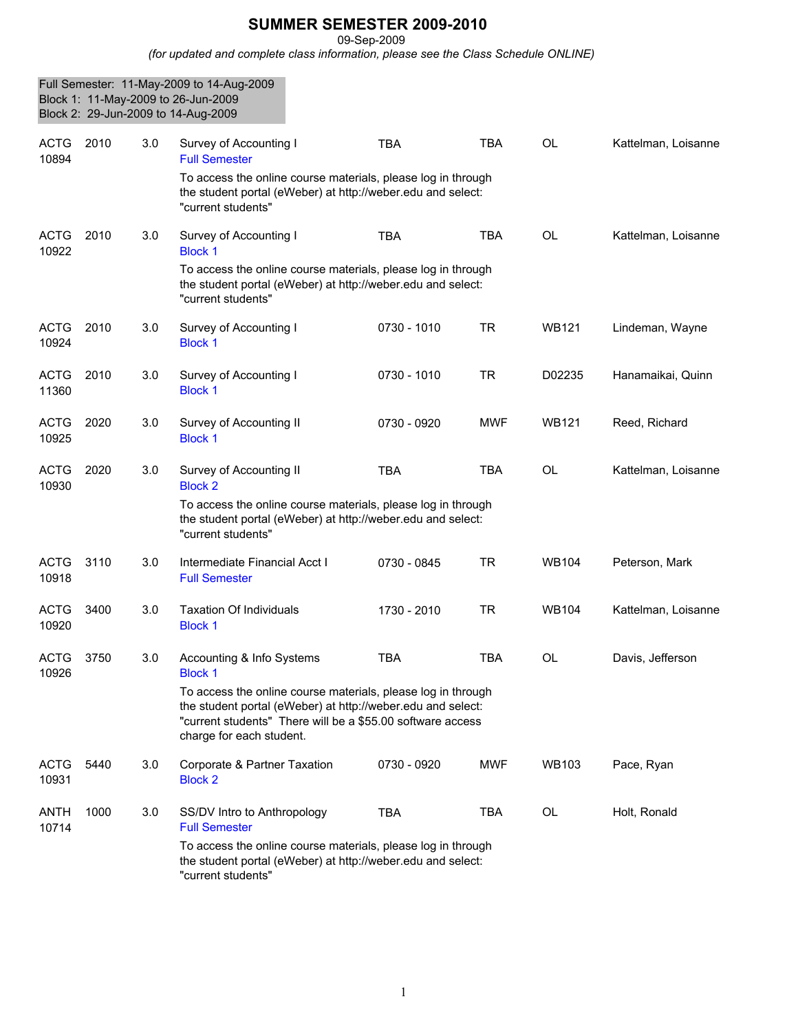## **SUMMER SEMESTER 2009-2010**

09-Sep-2009

*(for updated and complete class information, please see the Class Schedule ONLINE)*

|                      |      |     | Full Semester: 11-May-2009 to 14-Aug-2009<br>Block 1: 11-May-2009 to 26-Jun-2009<br>Block 2: 29-Jun-2009 to 14-Aug-2009                                                                                               |             |            |              |                     |
|----------------------|------|-----|-----------------------------------------------------------------------------------------------------------------------------------------------------------------------------------------------------------------------|-------------|------------|--------------|---------------------|
| <b>ACTG</b><br>10894 | 2010 | 3.0 | Survey of Accounting I<br><b>Full Semester</b>                                                                                                                                                                        | <b>TBA</b>  | <b>TBA</b> | <b>OL</b>    | Kattelman, Loisanne |
|                      |      |     | To access the online course materials, please log in through<br>the student portal (eWeber) at http://weber.edu and select:<br>"current students"                                                                     |             |            |              |                     |
| <b>ACTG</b><br>10922 | 2010 | 3.0 | Survey of Accounting I<br><b>Block 1</b>                                                                                                                                                                              | <b>TBA</b>  | <b>TBA</b> | OL           | Kattelman, Loisanne |
|                      |      |     | To access the online course materials, please log in through<br>the student portal (eWeber) at http://weber.edu and select:<br>"current students"                                                                     |             |            |              |                     |
| <b>ACTG</b><br>10924 | 2010 | 3.0 | Survey of Accounting I<br><b>Block 1</b>                                                                                                                                                                              | 0730 - 1010 | <b>TR</b>  | <b>WB121</b> | Lindeman, Wayne     |
| <b>ACTG</b><br>11360 | 2010 | 3.0 | Survey of Accounting I<br><b>Block 1</b>                                                                                                                                                                              | 0730 - 1010 | <b>TR</b>  | D02235       | Hanamaikai, Quinn   |
| <b>ACTG</b><br>10925 | 2020 | 3.0 | Survey of Accounting II<br><b>Block 1</b>                                                                                                                                                                             | 0730 - 0920 | MWF        | WB121        | Reed, Richard       |
| <b>ACTG</b><br>10930 | 2020 | 3.0 | Survey of Accounting II<br><b>Block 2</b>                                                                                                                                                                             | <b>TBA</b>  | <b>TBA</b> | OL           | Kattelman, Loisanne |
|                      |      |     | To access the online course materials, please log in through<br>the student portal (eWeber) at http://weber.edu and select:<br>"current students"                                                                     |             |            |              |                     |
| <b>ACTG</b><br>10918 | 3110 | 3.0 | Intermediate Financial Acct I<br><b>Full Semester</b>                                                                                                                                                                 | 0730 - 0845 | <b>TR</b>  | WB104        | Peterson, Mark      |
| <b>ACTG</b><br>10920 | 3400 | 3.0 | <b>Taxation Of Individuals</b><br><b>Block 1</b>                                                                                                                                                                      | 1730 - 2010 | <b>TR</b>  | WB104        | Kattelman, Loisanne |
| <b>ACTG</b><br>10926 | 3750 | 3.0 | Accounting & Info Systems<br><b>Block 1</b>                                                                                                                                                                           | TBA         | TBA        | OL.          | Davis, Jefferson    |
|                      |      |     | To access the online course materials, please log in through<br>the student portal (eWeber) at http://weber.edu and select:<br>"current students" There will be a \$55.00 software access<br>charge for each student. |             |            |              |                     |
| <b>ACTG</b><br>10931 | 5440 | 3.0 | Corporate & Partner Taxation<br><b>Block 2</b>                                                                                                                                                                        | 0730 - 0920 | <b>MWF</b> | <b>WB103</b> | Pace, Ryan          |
| ANTH<br>10714        | 1000 | 3.0 | SS/DV Intro to Anthropology<br><b>Full Semester</b>                                                                                                                                                                   | <b>TBA</b>  | <b>TBA</b> | OL           | Holt, Ronald        |
|                      |      |     | To access the online course materials, please log in through<br>the student portal (eWeber) at http://weber.edu and select:<br>"current students"                                                                     |             |            |              |                     |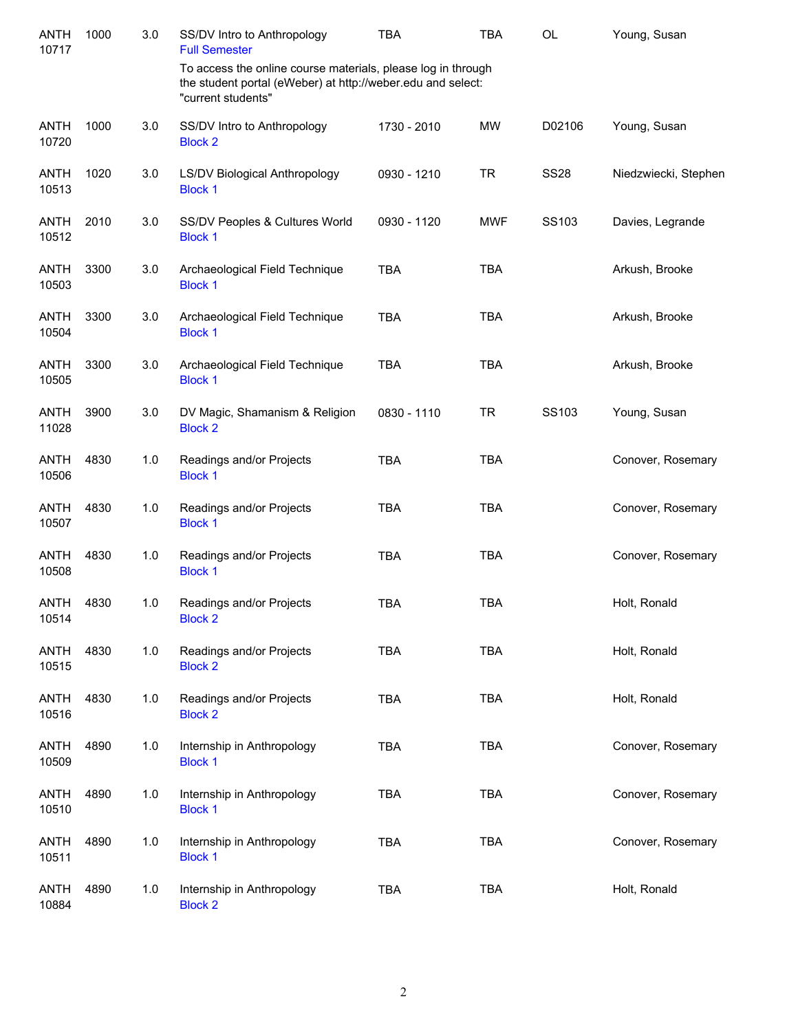| <b>ANTH</b><br>10717 | 1000 | 3.0 | SS/DV Intro to Anthropology<br><b>Full Semester</b>                                                                                               | <b>TBA</b>  | <b>TBA</b> | OL          | Young, Susan         |
|----------------------|------|-----|---------------------------------------------------------------------------------------------------------------------------------------------------|-------------|------------|-------------|----------------------|
|                      |      |     | To access the online course materials, please log in through<br>the student portal (eWeber) at http://weber.edu and select:<br>"current students" |             |            |             |                      |
| <b>ANTH</b><br>10720 | 1000 | 3.0 | SS/DV Intro to Anthropology<br><b>Block 2</b>                                                                                                     | 1730 - 2010 | <b>MW</b>  | D02106      | Young, Susan         |
| <b>ANTH</b><br>10513 | 1020 | 3.0 | LS/DV Biological Anthropology<br><b>Block 1</b>                                                                                                   | 0930 - 1210 | <b>TR</b>  | <b>SS28</b> | Niedzwiecki, Stephen |
| <b>ANTH</b><br>10512 | 2010 | 3.0 | SS/DV Peoples & Cultures World<br><b>Block 1</b>                                                                                                  | 0930 - 1120 | <b>MWF</b> | SS103       | Davies, Legrande     |
| <b>ANTH</b><br>10503 | 3300 | 3.0 | Archaeological Field Technique<br><b>Block 1</b>                                                                                                  | <b>TBA</b>  | <b>TBA</b> |             | Arkush, Brooke       |
| ANTH<br>10504        | 3300 | 3.0 | Archaeological Field Technique<br><b>Block 1</b>                                                                                                  | <b>TBA</b>  | <b>TBA</b> |             | Arkush, Brooke       |
| <b>ANTH</b><br>10505 | 3300 | 3.0 | Archaeological Field Technique<br><b>Block 1</b>                                                                                                  | <b>TBA</b>  | <b>TBA</b> |             | Arkush, Brooke       |
| <b>ANTH</b><br>11028 | 3900 | 3.0 | DV Magic, Shamanism & Religion<br><b>Block 2</b>                                                                                                  | 0830 - 1110 | <b>TR</b>  | SS103       | Young, Susan         |
| <b>ANTH</b><br>10506 | 4830 | 1.0 | Readings and/or Projects<br><b>Block 1</b>                                                                                                        | <b>TBA</b>  | <b>TBA</b> |             | Conover, Rosemary    |
| <b>ANTH</b><br>10507 | 4830 | 1.0 | Readings and/or Projects<br><b>Block 1</b>                                                                                                        | <b>TBA</b>  | <b>TBA</b> |             | Conover, Rosemary    |
| <b>ANTH</b><br>10508 | 4830 | 1.0 | Readings and/or Projects<br><b>Block 1</b>                                                                                                        | <b>TBA</b>  | <b>TBA</b> |             | Conover, Rosemary    |
| <b>ANTH</b><br>10514 | 4830 | 1.0 | Readings and/or Projects<br><b>Block 2</b>                                                                                                        | <b>TBA</b>  | <b>TBA</b> |             | Holt, Ronald         |
| <b>ANTH</b><br>10515 | 4830 | 1.0 | Readings and/or Projects<br><b>Block 2</b>                                                                                                        | <b>TBA</b>  | <b>TBA</b> |             | Holt, Ronald         |
| <b>ANTH</b><br>10516 | 4830 | 1.0 | Readings and/or Projects<br><b>Block 2</b>                                                                                                        | <b>TBA</b>  | <b>TBA</b> |             | Holt, Ronald         |
| <b>ANTH</b><br>10509 | 4890 | 1.0 | Internship in Anthropology<br><b>Block 1</b>                                                                                                      | <b>TBA</b>  | <b>TBA</b> |             | Conover, Rosemary    |
| <b>ANTH</b><br>10510 | 4890 | 1.0 | Internship in Anthropology<br><b>Block 1</b>                                                                                                      | <b>TBA</b>  | <b>TBA</b> |             | Conover, Rosemary    |
| <b>ANTH</b><br>10511 | 4890 | 1.0 | Internship in Anthropology<br><b>Block 1</b>                                                                                                      | <b>TBA</b>  | <b>TBA</b> |             | Conover, Rosemary    |
| <b>ANTH</b><br>10884 | 4890 | 1.0 | Internship in Anthropology<br><b>Block 2</b>                                                                                                      | <b>TBA</b>  | <b>TBA</b> |             | Holt, Ronald         |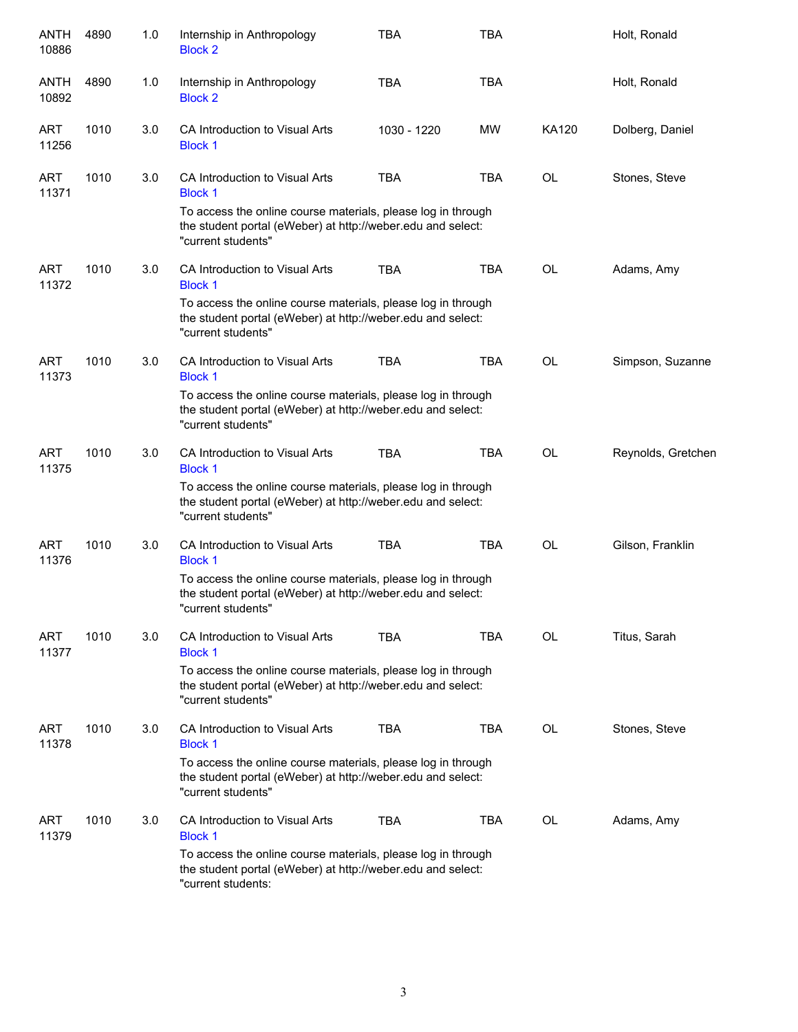| ANTH<br>10886       | 4890 | 1.0 | Internship in Anthropology<br><b>Block 2</b>                                                                                                      | <b>TBA</b>  | <b>TBA</b> |           | Holt, Ronald       |
|---------------------|------|-----|---------------------------------------------------------------------------------------------------------------------------------------------------|-------------|------------|-----------|--------------------|
| ANTH<br>10892       | 4890 | 1.0 | Internship in Anthropology<br><b>Block 2</b>                                                                                                      | <b>TBA</b>  | <b>TBA</b> |           | Holt, Ronald       |
| ART<br>11256        | 1010 | 3.0 | CA Introduction to Visual Arts<br><b>Block 1</b>                                                                                                  | 1030 - 1220 | <b>MW</b>  | KA120     | Dolberg, Daniel    |
| ART<br>11371        | 1010 | 3.0 | CA Introduction to Visual Arts<br><b>Block 1</b>                                                                                                  | <b>TBA</b>  | <b>TBA</b> | OL        | Stones, Steve      |
|                     |      |     | To access the online course materials, please log in through<br>the student portal (eWeber) at http://weber.edu and select:<br>"current students" |             |            |           |                    |
| <b>ART</b><br>11372 | 1010 | 3.0 | CA Introduction to Visual Arts<br><b>Block 1</b>                                                                                                  | <b>TBA</b>  | <b>TBA</b> | <b>OL</b> | Adams, Amy         |
|                     |      |     | To access the online course materials, please log in through<br>the student portal (eWeber) at http://weber.edu and select:<br>"current students" |             |            |           |                    |
| <b>ART</b><br>11373 | 1010 | 3.0 | CA Introduction to Visual Arts<br><b>Block 1</b>                                                                                                  | <b>TBA</b>  | <b>TBA</b> | <b>OL</b> | Simpson, Suzanne   |
|                     |      |     | To access the online course materials, please log in through<br>the student portal (eWeber) at http://weber.edu and select:<br>"current students" |             |            |           |                    |
| <b>ART</b><br>11375 | 1010 | 3.0 | CA Introduction to Visual Arts<br><b>Block 1</b>                                                                                                  | <b>TBA</b>  | <b>TBA</b> | <b>OL</b> | Reynolds, Gretchen |
|                     |      |     | To access the online course materials, please log in through<br>the student portal (eWeber) at http://weber.edu and select:<br>"current students" |             |            |           |                    |
| <b>ART</b><br>11376 | 1010 | 3.0 | CA Introduction to Visual Arts<br><b>Block 1</b>                                                                                                  | <b>TBA</b>  | <b>TBA</b> | <b>OL</b> | Gilson, Franklin   |
|                     |      |     | To access the online course materials, please log in through<br>the student portal (eWeber) at http://weber.edu and select:<br>"current students" |             |            |           |                    |
| ART<br>11377        | 1010 | 3.0 | CA Introduction to Visual Arts<br><b>Block 1</b>                                                                                                  | <b>TBA</b>  | <b>TBA</b> | OL        | Titus, Sarah       |
|                     |      |     | To access the online course materials, please log in through<br>the student portal (eWeber) at http://weber.edu and select:<br>"current students" |             |            |           |                    |
| ART<br>11378        | 1010 | 3.0 | CA Introduction to Visual Arts<br><b>Block 1</b>                                                                                                  | <b>TBA</b>  | <b>TBA</b> | <b>OL</b> | Stones, Steve      |
|                     |      |     | To access the online course materials, please log in through<br>the student portal (eWeber) at http://weber.edu and select:<br>"current students" |             |            |           |                    |
| <b>ART</b><br>11379 | 1010 | 3.0 | CA Introduction to Visual Arts<br><b>Block 1</b>                                                                                                  | <b>TBA</b>  | <b>TBA</b> | <b>OL</b> | Adams, Amy         |
|                     |      |     | To access the online course materials, please log in through<br>the student portal (eWeber) at http://weber.edu and select:<br>"current students: |             |            |           |                    |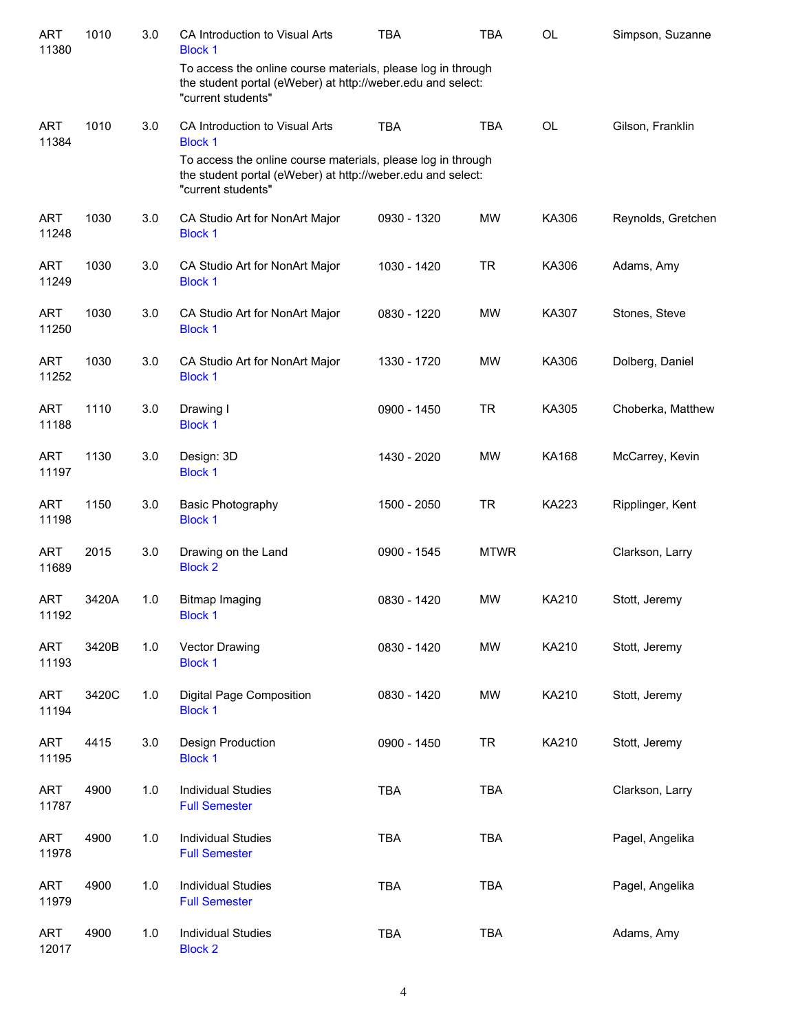| <b>ART</b><br>11380 | 1010  | 3.0 | CA Introduction to Visual Arts<br><b>Block 1</b>                                                                                                  | <b>TBA</b>  | <b>TBA</b>  | <b>OL</b>    | Simpson, Suzanne   |
|---------------------|-------|-----|---------------------------------------------------------------------------------------------------------------------------------------------------|-------------|-------------|--------------|--------------------|
|                     |       |     | To access the online course materials, please log in through<br>the student portal (eWeber) at http://weber.edu and select:<br>"current students" |             |             |              |                    |
| <b>ART</b><br>11384 | 1010  | 3.0 | CA Introduction to Visual Arts<br><b>Block 1</b>                                                                                                  | <b>TBA</b>  | <b>TBA</b>  | OL           | Gilson, Franklin   |
|                     |       |     | To access the online course materials, please log in through<br>the student portal (eWeber) at http://weber.edu and select:<br>"current students" |             |             |              |                    |
| <b>ART</b><br>11248 | 1030  | 3.0 | CA Studio Art for NonArt Major<br><b>Block 1</b>                                                                                                  | 0930 - 1320 | <b>MW</b>   | KA306        | Reynolds, Gretchen |
| <b>ART</b><br>11249 | 1030  | 3.0 | CA Studio Art for NonArt Major<br><b>Block 1</b>                                                                                                  | 1030 - 1420 | <b>TR</b>   | KA306        | Adams, Amy         |
| <b>ART</b><br>11250 | 1030  | 3.0 | CA Studio Art for NonArt Major<br><b>Block 1</b>                                                                                                  | 0830 - 1220 | <b>MW</b>   | KA307        | Stones, Steve      |
| <b>ART</b><br>11252 | 1030  | 3.0 | CA Studio Art for NonArt Major<br><b>Block 1</b>                                                                                                  | 1330 - 1720 | <b>MW</b>   | KA306        | Dolberg, Daniel    |
| <b>ART</b><br>11188 | 1110  | 3.0 | Drawing I<br><b>Block 1</b>                                                                                                                       | 0900 - 1450 | <b>TR</b>   | KA305        | Choberka, Matthew  |
| <b>ART</b><br>11197 | 1130  | 3.0 | Design: 3D<br><b>Block 1</b>                                                                                                                      | 1430 - 2020 | <b>MW</b>   | <b>KA168</b> | McCarrey, Kevin    |
| <b>ART</b><br>11198 | 1150  | 3.0 | <b>Basic Photography</b><br><b>Block 1</b>                                                                                                        | 1500 - 2050 | <b>TR</b>   | <b>KA223</b> | Ripplinger, Kent   |
| <b>ART</b><br>11689 | 2015  | 3.0 | Drawing on the Land<br><b>Block 2</b>                                                                                                             | 0900 - 1545 | <b>MTWR</b> |              | Clarkson, Larry    |
| <b>ART</b><br>11192 | 3420A | 1.0 | <b>Bitmap Imaging</b><br><b>Block 1</b>                                                                                                           | 0830 - 1420 | <b>MW</b>   | KA210        | Stott, Jeremy      |
| <b>ART</b><br>11193 | 3420B | 1.0 | Vector Drawing<br><b>Block 1</b>                                                                                                                  | 0830 - 1420 | <b>MW</b>   | KA210        | Stott, Jeremy      |
| <b>ART</b><br>11194 | 3420C | 1.0 | Digital Page Composition<br><b>Block 1</b>                                                                                                        | 0830 - 1420 | <b>MW</b>   | KA210        | Stott, Jeremy      |
| <b>ART</b><br>11195 | 4415  | 3.0 | Design Production<br><b>Block 1</b>                                                                                                               | 0900 - 1450 | <b>TR</b>   | KA210        | Stott, Jeremy      |
| <b>ART</b><br>11787 | 4900  | 1.0 | <b>Individual Studies</b><br><b>Full Semester</b>                                                                                                 | <b>TBA</b>  | <b>TBA</b>  |              | Clarkson, Larry    |
| <b>ART</b><br>11978 | 4900  | 1.0 | <b>Individual Studies</b><br><b>Full Semester</b>                                                                                                 | <b>TBA</b>  | <b>TBA</b>  |              | Pagel, Angelika    |
| <b>ART</b><br>11979 | 4900  | 1.0 | <b>Individual Studies</b><br><b>Full Semester</b>                                                                                                 | <b>TBA</b>  | <b>TBA</b>  |              | Pagel, Angelika    |
| <b>ART</b><br>12017 | 4900  | 1.0 | <b>Individual Studies</b><br><b>Block 2</b>                                                                                                       | <b>TBA</b>  | <b>TBA</b>  |              | Adams, Amy         |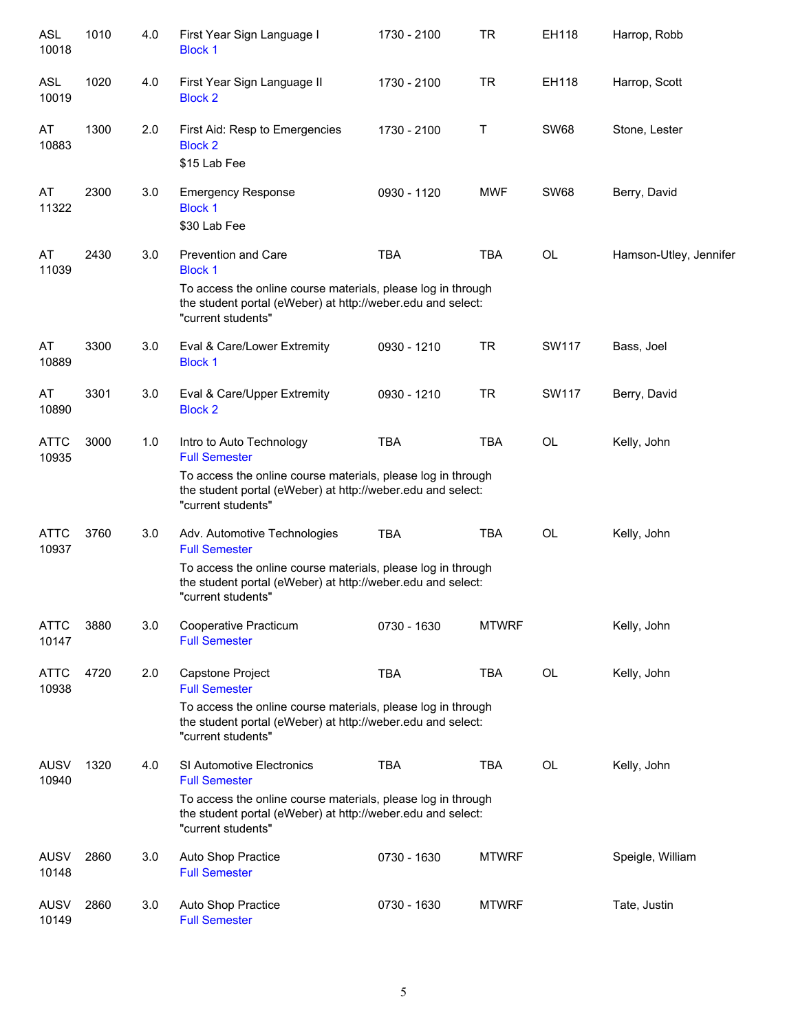| <b>ASL</b><br>10018  | 1010 | 4.0 | First Year Sign Language I<br><b>Block 1</b>                                                                                                      | 1730 - 2100 | <b>TR</b>    | EH118        | Harrop, Robb           |
|----------------------|------|-----|---------------------------------------------------------------------------------------------------------------------------------------------------|-------------|--------------|--------------|------------------------|
| <b>ASL</b><br>10019  | 1020 | 4.0 | First Year Sign Language II<br><b>Block 2</b>                                                                                                     | 1730 - 2100 | <b>TR</b>    | EH118        | Harrop, Scott          |
| AT<br>10883          | 1300 | 2.0 | First Aid: Resp to Emergencies<br><b>Block 2</b><br>\$15 Lab Fee                                                                                  | 1730 - 2100 | Τ            | <b>SW68</b>  | Stone, Lester          |
| AT<br>11322          | 2300 | 3.0 | <b>Emergency Response</b><br><b>Block 1</b><br>\$30 Lab Fee                                                                                       | 0930 - 1120 | <b>MWF</b>   | <b>SW68</b>  | Berry, David           |
| AT<br>11039          | 2430 | 3.0 | <b>Prevention and Care</b><br><b>Block 1</b>                                                                                                      | <b>TBA</b>  | <b>TBA</b>   | OL           | Hamson-Utley, Jennifer |
|                      |      |     | To access the online course materials, please log in through<br>the student portal (eWeber) at http://weber.edu and select:<br>"current students" |             |              |              |                        |
| AT<br>10889          | 3300 | 3.0 | Eval & Care/Lower Extremity<br><b>Block 1</b>                                                                                                     | 0930 - 1210 | <b>TR</b>    | SW117        | Bass, Joel             |
| AT<br>10890          | 3301 | 3.0 | Eval & Care/Upper Extremity<br><b>Block 2</b>                                                                                                     | 0930 - 1210 | <b>TR</b>    | <b>SW117</b> | Berry, David           |
| ATTC<br>10935        | 3000 | 1.0 | Intro to Auto Technology<br><b>Full Semester</b>                                                                                                  | <b>TBA</b>  | <b>TBA</b>   | OL           | Kelly, John            |
|                      |      |     | To access the online course materials, please log in through<br>the student portal (eWeber) at http://weber.edu and select:<br>"current students" |             |              |              |                        |
| ATTC<br>10937        | 3760 | 3.0 | Adv. Automotive Technologies<br><b>Full Semester</b>                                                                                              | <b>TBA</b>  | <b>TBA</b>   | OL           | Kelly, John            |
|                      |      |     | To access the online course materials, please log in through<br>the student portal (eWeber) at http://weber.edu and select:<br>"current students" |             |              |              |                        |
| ATTC<br>10147        | 3880 | 3.0 | Cooperative Practicum<br><b>Full Semester</b>                                                                                                     | 0730 - 1630 | <b>MTWRF</b> |              | Kelly, John            |
| ATTC<br>10938        | 4720 | 2.0 | Capstone Project<br><b>Full Semester</b>                                                                                                          | <b>TBA</b>  | <b>TBA</b>   | OL           | Kelly, John            |
|                      |      |     | To access the online course materials, please log in through<br>the student portal (eWeber) at http://weber.edu and select:<br>"current students" |             |              |              |                        |
| <b>AUSV</b><br>10940 | 1320 | 4.0 | SI Automotive Electronics<br><b>Full Semester</b>                                                                                                 | <b>TBA</b>  | <b>TBA</b>   | OL           | Kelly, John            |
|                      |      |     | To access the online course materials, please log in through<br>the student portal (eWeber) at http://weber.edu and select:<br>"current students" |             |              |              |                        |
| <b>AUSV</b><br>10148 | 2860 | 3.0 | Auto Shop Practice<br><b>Full Semester</b>                                                                                                        | 0730 - 1630 | <b>MTWRF</b> |              | Speigle, William       |
| AUSV<br>10149        | 2860 | 3.0 | Auto Shop Practice<br><b>Full Semester</b>                                                                                                        | 0730 - 1630 | <b>MTWRF</b> |              | Tate, Justin           |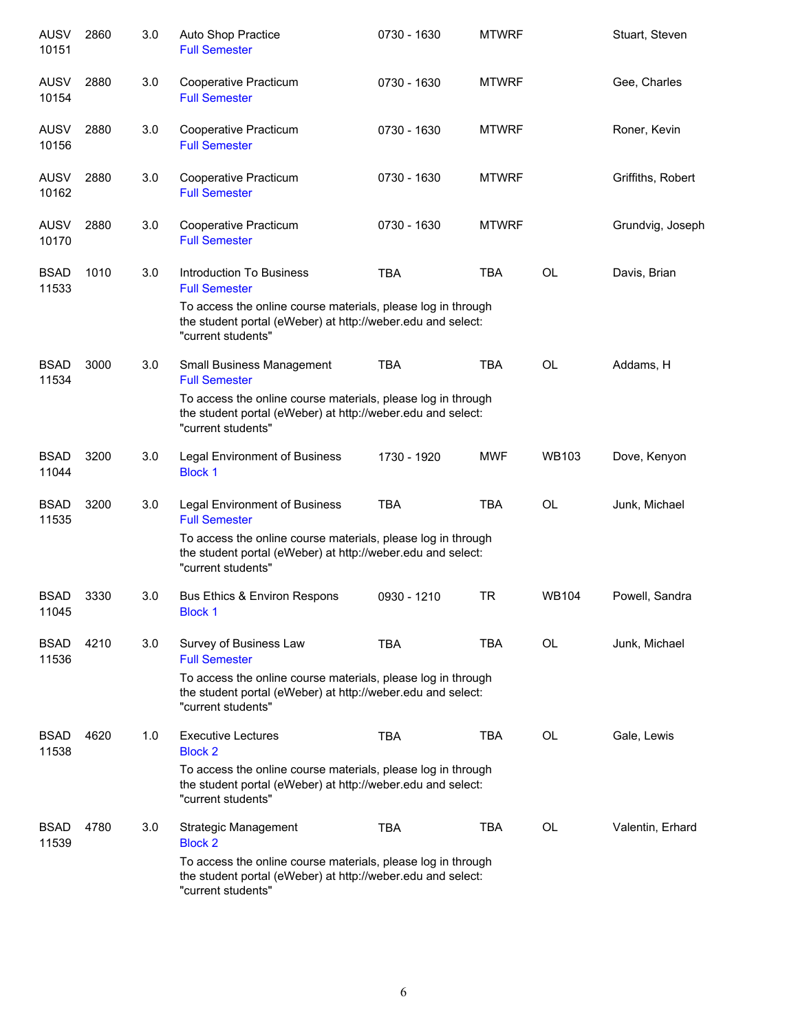| <b>AUSV</b><br>10151 | 2860 | 3.0 | Auto Shop Practice<br><b>Full Semester</b>                                                                                                        | 0730 - 1630 | <b>MTWRF</b> |              | Stuart, Steven    |
|----------------------|------|-----|---------------------------------------------------------------------------------------------------------------------------------------------------|-------------|--------------|--------------|-------------------|
| <b>AUSV</b><br>10154 | 2880 | 3.0 | Cooperative Practicum<br><b>Full Semester</b>                                                                                                     | 0730 - 1630 | <b>MTWRF</b> |              | Gee, Charles      |
| <b>AUSV</b><br>10156 | 2880 | 3.0 | Cooperative Practicum<br><b>Full Semester</b>                                                                                                     | 0730 - 1630 | <b>MTWRF</b> |              | Roner, Kevin      |
| <b>AUSV</b><br>10162 | 2880 | 3.0 | Cooperative Practicum<br><b>Full Semester</b>                                                                                                     | 0730 - 1630 | <b>MTWRF</b> |              | Griffiths, Robert |
| <b>AUSV</b><br>10170 | 2880 | 3.0 | Cooperative Practicum<br><b>Full Semester</b>                                                                                                     | 0730 - 1630 | <b>MTWRF</b> |              | Grundvig, Joseph  |
| <b>BSAD</b><br>11533 | 1010 | 3.0 | Introduction To Business<br><b>Full Semester</b>                                                                                                  | <b>TBA</b>  | <b>TBA</b>   | <b>OL</b>    | Davis, Brian      |
|                      |      |     | To access the online course materials, please log in through<br>the student portal (eWeber) at http://weber.edu and select:<br>"current students" |             |              |              |                   |
| <b>BSAD</b><br>11534 | 3000 | 3.0 | Small Business Management<br><b>Full Semester</b>                                                                                                 | <b>TBA</b>  | <b>TBA</b>   | <b>OL</b>    | Addams, H         |
|                      |      |     | To access the online course materials, please log in through<br>the student portal (eWeber) at http://weber.edu and select:<br>"current students" |             |              |              |                   |
| <b>BSAD</b><br>11044 | 3200 | 3.0 | Legal Environment of Business<br><b>Block 1</b>                                                                                                   | 1730 - 1920 | <b>MWF</b>   | <b>WB103</b> | Dove, Kenyon      |
| <b>BSAD</b><br>11535 | 3200 | 3.0 | <b>Legal Environment of Business</b><br><b>Full Semester</b>                                                                                      | <b>TBA</b>  | <b>TBA</b>   | <b>OL</b>    | Junk, Michael     |
|                      |      |     | To access the online course materials, please log in through<br>the student portal (eWeber) at http://weber.edu and select:<br>"current students" |             |              |              |                   |
| <b>BSAD</b><br>11045 | 3330 | 3.0 | Bus Ethics & Environ Respons<br><b>Block 1</b>                                                                                                    | 0930 - 1210 | <b>TR</b>    | <b>WB104</b> | Powell, Sandra    |
| <b>BSAD</b><br>11536 | 4210 | 3.0 | Survey of Business Law<br><b>Full Semester</b>                                                                                                    | <b>TBA</b>  | <b>TBA</b>   | OL           | Junk, Michael     |
|                      |      |     | To access the online course materials, please log in through<br>the student portal (eWeber) at http://weber.edu and select:<br>"current students" |             |              |              |                   |
| <b>BSAD</b><br>11538 | 4620 | 1.0 | <b>Executive Lectures</b><br><b>Block 2</b>                                                                                                       | <b>TBA</b>  | <b>TBA</b>   | <b>OL</b>    | Gale, Lewis       |
|                      |      |     | To access the online course materials, please log in through<br>the student portal (eWeber) at http://weber.edu and select:<br>"current students" |             |              |              |                   |
| <b>BSAD</b><br>11539 | 4780 | 3.0 | <b>Strategic Management</b><br><b>Block 2</b>                                                                                                     | <b>TBA</b>  | TBA          | OL           | Valentin, Erhard  |
|                      |      |     | To access the online course materials, please log in through<br>the student portal (eWeber) at http://weber.edu and select:<br>"current students" |             |              |              |                   |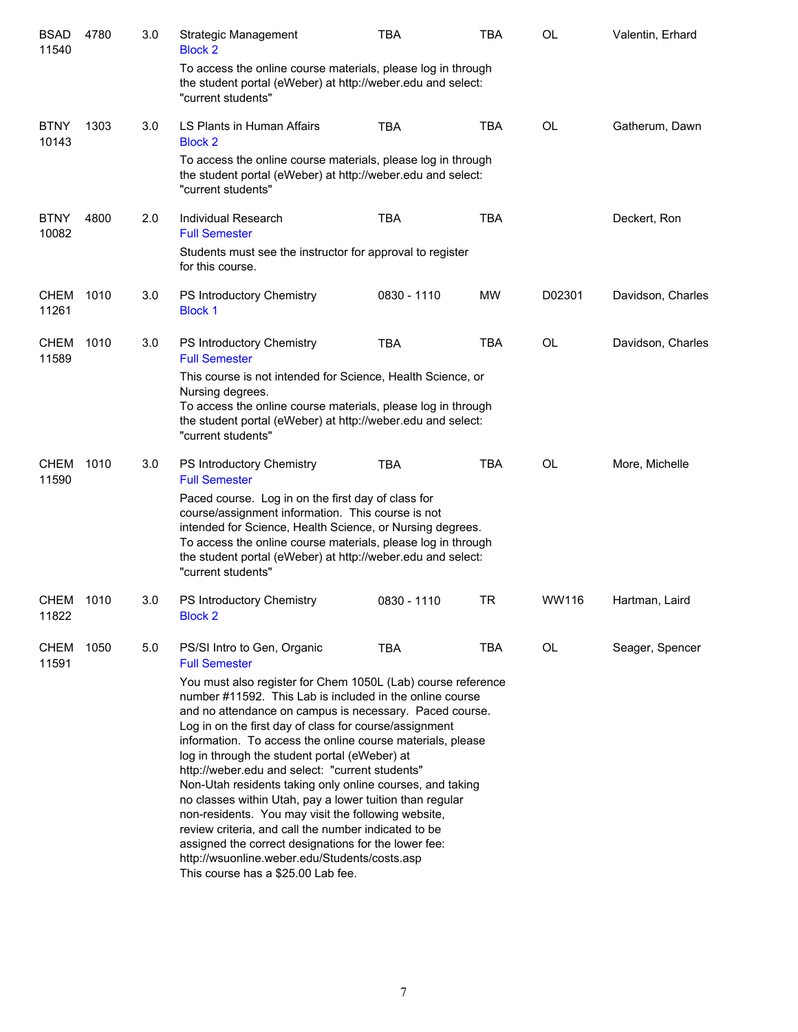| <b>BSAD</b><br>11540 | 4780 | 3.0 | Strategic Management<br><b>Block 2</b>                                                                                                                                                                                                                                                                                                                                                                                                                                                                                                                                                                                                                                                                                                                                                                 | <b>TBA</b>  | <b>TBA</b> | <b>OL</b> | Valentin, Erhard  |
|----------------------|------|-----|--------------------------------------------------------------------------------------------------------------------------------------------------------------------------------------------------------------------------------------------------------------------------------------------------------------------------------------------------------------------------------------------------------------------------------------------------------------------------------------------------------------------------------------------------------------------------------------------------------------------------------------------------------------------------------------------------------------------------------------------------------------------------------------------------------|-------------|------------|-----------|-------------------|
|                      |      |     | To access the online course materials, please log in through<br>the student portal (eWeber) at http://weber.edu and select:<br>"current students"                                                                                                                                                                                                                                                                                                                                                                                                                                                                                                                                                                                                                                                      |             |            |           |                   |
| <b>BTNY</b><br>10143 | 1303 | 3.0 | LS Plants in Human Affairs<br><b>Block 2</b>                                                                                                                                                                                                                                                                                                                                                                                                                                                                                                                                                                                                                                                                                                                                                           | TBA         | <b>TBA</b> | <b>OL</b> | Gatherum, Dawn    |
|                      |      |     | To access the online course materials, please log in through<br>the student portal (eWeber) at http://weber.edu and select:<br>"current students"                                                                                                                                                                                                                                                                                                                                                                                                                                                                                                                                                                                                                                                      |             |            |           |                   |
| <b>BTNY</b><br>10082 | 4800 | 2.0 | <b>Individual Research</b><br><b>Full Semester</b>                                                                                                                                                                                                                                                                                                                                                                                                                                                                                                                                                                                                                                                                                                                                                     | <b>TBA</b>  | <b>TBA</b> |           | Deckert, Ron      |
|                      |      |     | Students must see the instructor for approval to register<br>for this course.                                                                                                                                                                                                                                                                                                                                                                                                                                                                                                                                                                                                                                                                                                                          |             |            |           |                   |
| <b>CHEM</b><br>11261 | 1010 | 3.0 | PS Introductory Chemistry<br><b>Block 1</b>                                                                                                                                                                                                                                                                                                                                                                                                                                                                                                                                                                                                                                                                                                                                                            | 0830 - 1110 | MW         | D02301    | Davidson, Charles |
| <b>CHEM</b><br>11589 | 1010 | 3.0 | PS Introductory Chemistry<br><b>Full Semester</b>                                                                                                                                                                                                                                                                                                                                                                                                                                                                                                                                                                                                                                                                                                                                                      | <b>TBA</b>  | <b>TBA</b> | <b>OL</b> | Davidson, Charles |
|                      |      |     | This course is not intended for Science, Health Science, or<br>Nursing degrees.<br>To access the online course materials, please log in through<br>the student portal (eWeber) at http://weber.edu and select:<br>"current students"                                                                                                                                                                                                                                                                                                                                                                                                                                                                                                                                                                   |             |            |           |                   |
| <b>CHEM</b><br>11590 | 1010 | 3.0 | PS Introductory Chemistry<br><b>Full Semester</b>                                                                                                                                                                                                                                                                                                                                                                                                                                                                                                                                                                                                                                                                                                                                                      | <b>TBA</b>  | <b>TBA</b> | <b>OL</b> | More, Michelle    |
|                      |      |     | Paced course. Log in on the first day of class for<br>course/assignment information. This course is not<br>intended for Science, Health Science, or Nursing degrees.<br>To access the online course materials, please log in through<br>the student portal (eWeber) at http://weber.edu and select:<br>"current students"                                                                                                                                                                                                                                                                                                                                                                                                                                                                              |             |            |           |                   |
| CHEM<br>11822        | 1010 | 3.0 | PS Introductory Chemistry<br><b>Block 2</b>                                                                                                                                                                                                                                                                                                                                                                                                                                                                                                                                                                                                                                                                                                                                                            | 0830 - 1110 | TR         | WW116     | Hartman, Laird    |
| CHEM<br>11591        | 1050 | 5.0 | PS/SI Intro to Gen, Organic<br><b>Full Semester</b>                                                                                                                                                                                                                                                                                                                                                                                                                                                                                                                                                                                                                                                                                                                                                    | <b>TBA</b>  | <b>TBA</b> | <b>OL</b> | Seager, Spencer   |
|                      |      |     | You must also register for Chem 1050L (Lab) course reference<br>number #11592. This Lab is included in the online course<br>and no attendance on campus is necessary. Paced course.<br>Log in on the first day of class for course/assignment<br>information. To access the online course materials, please<br>log in through the student portal (eWeber) at<br>http://weber.edu and select: "current students"<br>Non-Utah residents taking only online courses, and taking<br>no classes within Utah, pay a lower tuition than regular<br>non-residents. You may visit the following website,<br>review criteria, and call the number indicated to be<br>assigned the correct designations for the lower fee:<br>http://wsuonline.weber.edu/Students/costs.asp<br>This course has a \$25.00 Lab fee. |             |            |           |                   |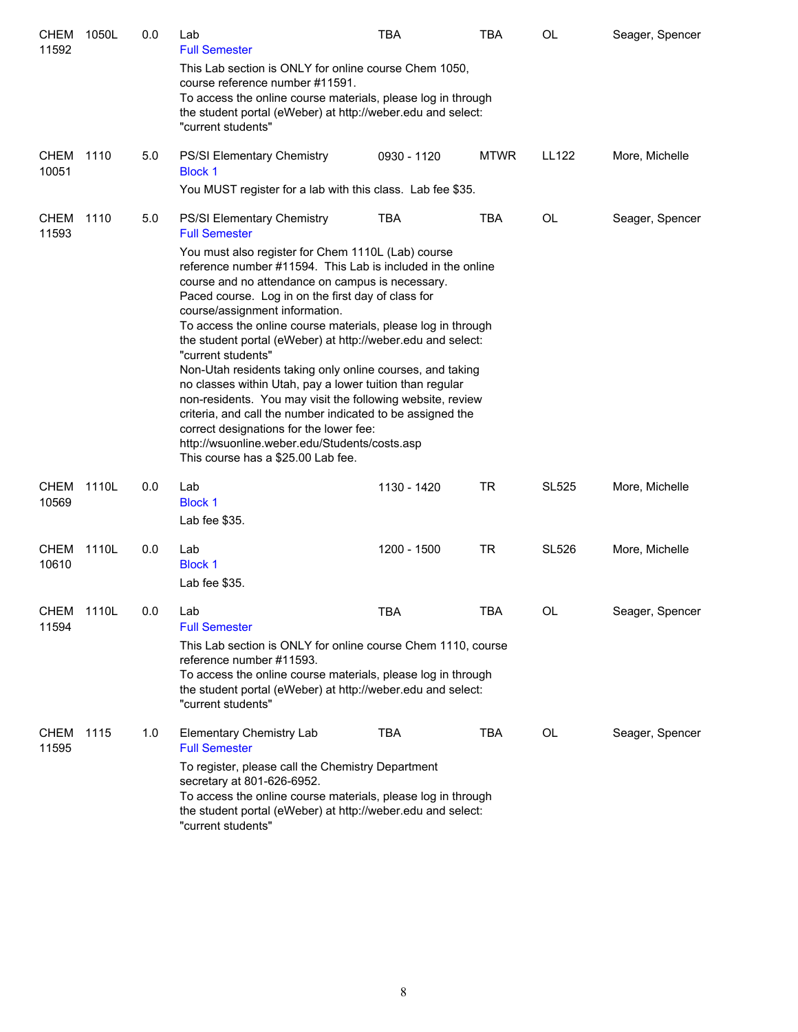| <b>CHEM</b><br>11592 | 1050L | 0.0 | Lab<br><b>Full Semester</b>                                                                                                                                                                                                                                                                                                                                                                                                                                                                                                                                                                                                                                                                                                                         | <b>TBA</b>  | <b>TBA</b>  | OL           | Seager, Spencer |
|----------------------|-------|-----|-----------------------------------------------------------------------------------------------------------------------------------------------------------------------------------------------------------------------------------------------------------------------------------------------------------------------------------------------------------------------------------------------------------------------------------------------------------------------------------------------------------------------------------------------------------------------------------------------------------------------------------------------------------------------------------------------------------------------------------------------------|-------------|-------------|--------------|-----------------|
|                      |       |     | This Lab section is ONLY for online course Chem 1050,<br>course reference number #11591.<br>To access the online course materials, please log in through<br>the student portal (eWeber) at http://weber.edu and select:<br>"current students"                                                                                                                                                                                                                                                                                                                                                                                                                                                                                                       |             |             |              |                 |
| <b>CHEM</b><br>10051 | 1110  | 5.0 | <b>PS/SI Elementary Chemistry</b><br><b>Block 1</b><br>You MUST register for a lab with this class. Lab fee \$35.                                                                                                                                                                                                                                                                                                                                                                                                                                                                                                                                                                                                                                   | 0930 - 1120 | <b>MTWR</b> | <b>LL122</b> | More, Michelle  |
| <b>CHEM</b><br>11593 | 1110  | 5.0 | <b>PS/SI Elementary Chemistry</b><br><b>Full Semester</b><br>You must also register for Chem 1110L (Lab) course                                                                                                                                                                                                                                                                                                                                                                                                                                                                                                                                                                                                                                     | <b>TBA</b>  | <b>TBA</b>  | OL           | Seager, Spencer |
|                      |       |     | reference number #11594. This Lab is included in the online<br>course and no attendance on campus is necessary.<br>Paced course. Log in on the first day of class for<br>course/assignment information.<br>To access the online course materials, please log in through<br>the student portal (eWeber) at http://weber.edu and select:<br>"current students"<br>Non-Utah residents taking only online courses, and taking<br>no classes within Utah, pay a lower tuition than regular<br>non-residents. You may visit the following website, review<br>criteria, and call the number indicated to be assigned the<br>correct designations for the lower fee:<br>http://wsuonline.weber.edu/Students/costs.asp<br>This course has a \$25.00 Lab fee. |             |             |              |                 |
| <b>CHEM</b><br>10569 | 1110L | 0.0 | Lab<br><b>Block 1</b><br>Lab fee \$35.                                                                                                                                                                                                                                                                                                                                                                                                                                                                                                                                                                                                                                                                                                              | 1130 - 1420 | TR          | <b>SL525</b> | More, Michelle  |
| <b>CHEM</b><br>10610 | 1110L | 0.0 | Lab<br><b>Block 1</b><br>Lab fee \$35.                                                                                                                                                                                                                                                                                                                                                                                                                                                                                                                                                                                                                                                                                                              | 1200 - 1500 | TR          | SL526        | More, Michelle  |
| CHEM 1110L<br>11594  |       | 0.0 | Lab<br><b>Full Semester</b><br>This Lab section is ONLY for online course Chem 1110, course<br>reference number #11593.<br>To access the online course materials, please log in through<br>the student portal (eWeber) at http://weber.edu and select:<br>"current students"                                                                                                                                                                                                                                                                                                                                                                                                                                                                        | <b>TBA</b>  | <b>TBA</b>  | OL           | Seager, Spencer |
| <b>CHEM</b><br>11595 | 1115  | 1.0 | Elementary Chemistry Lab<br><b>Full Semester</b><br>To register, please call the Chemistry Department<br>secretary at 801-626-6952.<br>To access the online course materials, please log in through<br>the student portal (eWeber) at http://weber.edu and select:<br>"current students"                                                                                                                                                                                                                                                                                                                                                                                                                                                            | <b>TBA</b>  | TBA         | OL           | Seager, Spencer |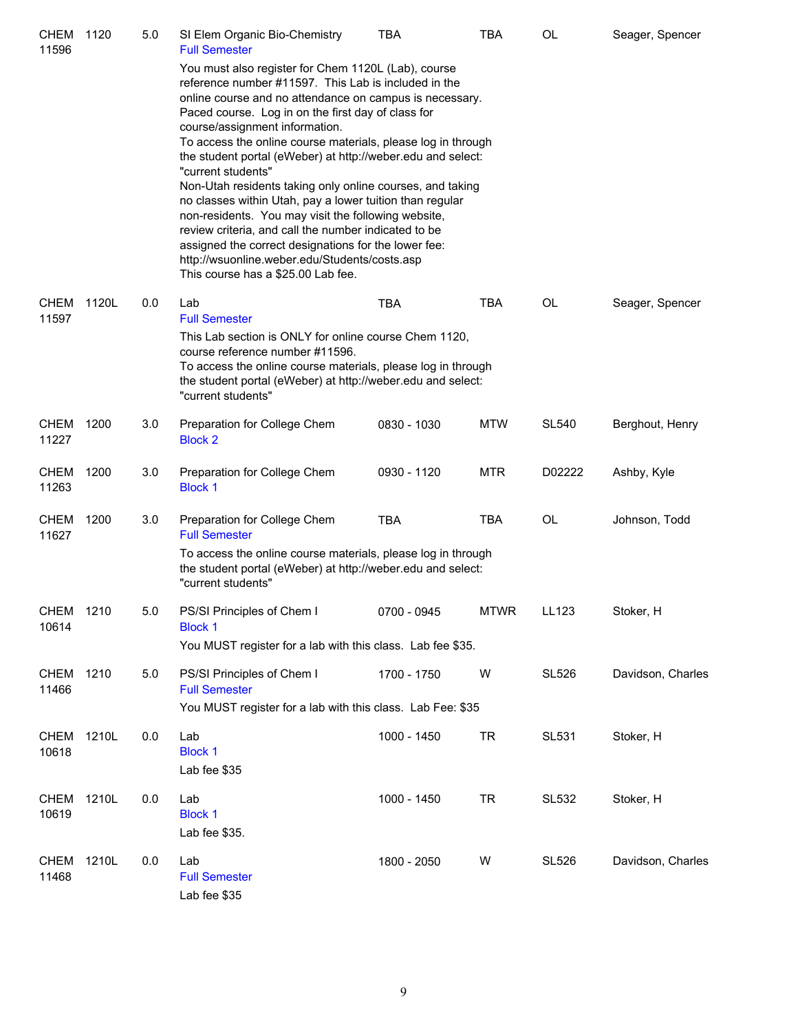| <b>CHEM</b><br>11596 | 1120  | 5.0 | SI Elem Organic Bio-Chemistry<br><b>Full Semester</b>                                                                                                                                                                                                                                                                                                                                                                                                                                                                                                                                                                                                                                                                                                                | <b>TBA</b>  | TBA         | OL           | Seager, Spencer   |
|----------------------|-------|-----|----------------------------------------------------------------------------------------------------------------------------------------------------------------------------------------------------------------------------------------------------------------------------------------------------------------------------------------------------------------------------------------------------------------------------------------------------------------------------------------------------------------------------------------------------------------------------------------------------------------------------------------------------------------------------------------------------------------------------------------------------------------------|-------------|-------------|--------------|-------------------|
|                      |       |     | You must also register for Chem 1120L (Lab), course<br>reference number #11597. This Lab is included in the<br>online course and no attendance on campus is necessary.<br>Paced course. Log in on the first day of class for<br>course/assignment information.<br>To access the online course materials, please log in through<br>the student portal (eWeber) at http://weber.edu and select:<br>"current students"<br>Non-Utah residents taking only online courses, and taking<br>no classes within Utah, pay a lower tuition than regular<br>non-residents. You may visit the following website,<br>review criteria, and call the number indicated to be<br>assigned the correct designations for the lower fee:<br>http://wsuonline.weber.edu/Students/costs.asp |             |             |              |                   |
| <b>CHEM</b>          | 1120L | 0.0 | This course has a \$25.00 Lab fee.<br>Lab                                                                                                                                                                                                                                                                                                                                                                                                                                                                                                                                                                                                                                                                                                                            | TBA         | <b>TBA</b>  | OL           | Seager, Spencer   |
| 11597                |       |     | <b>Full Semester</b><br>This Lab section is ONLY for online course Chem 1120,<br>course reference number #11596.<br>To access the online course materials, please log in through<br>the student portal (eWeber) at http://weber.edu and select:<br>"current students"                                                                                                                                                                                                                                                                                                                                                                                                                                                                                                |             |             |              |                   |
| <b>CHEM</b><br>11227 | 1200  | 3.0 | Preparation for College Chem<br><b>Block 2</b>                                                                                                                                                                                                                                                                                                                                                                                                                                                                                                                                                                                                                                                                                                                       | 0830 - 1030 | <b>MTW</b>  | <b>SL540</b> | Berghout, Henry   |
| <b>CHEM</b><br>11263 | 1200  | 3.0 | Preparation for College Chem<br><b>Block 1</b>                                                                                                                                                                                                                                                                                                                                                                                                                                                                                                                                                                                                                                                                                                                       | 0930 - 1120 | <b>MTR</b>  | D02222       | Ashby, Kyle       |
| CHEM<br>11627        | 1200  | 3.0 | Preparation for College Chem<br><b>Full Semester</b><br>To access the online course materials, please log in through<br>the student portal (eWeber) at http://weber.edu and select:                                                                                                                                                                                                                                                                                                                                                                                                                                                                                                                                                                                  | TBA         | <b>TBA</b>  | OL           | Johnson, Todd     |
|                      |       |     | "current students"                                                                                                                                                                                                                                                                                                                                                                                                                                                                                                                                                                                                                                                                                                                                                   |             |             |              |                   |
| CHEM<br>10614        | 1210  | 5.0 | PS/SI Principles of Chem I<br><b>Block 1</b><br>You MUST register for a lab with this class. Lab fee \$35.                                                                                                                                                                                                                                                                                                                                                                                                                                                                                                                                                                                                                                                           | 0700 - 0945 | <b>MTWR</b> | LL123        | Stoker, H         |
| CHEM<br>11466        | 1210  | 5.0 | PS/SI Principles of Chem I<br><b>Full Semester</b><br>You MUST register for a lab with this class. Lab Fee: \$35                                                                                                                                                                                                                                                                                                                                                                                                                                                                                                                                                                                                                                                     | 1700 - 1750 | W           | <b>SL526</b> | Davidson, Charles |
| <b>CHEM</b><br>10618 | 1210L | 0.0 | Lab<br><b>Block 1</b><br>Lab fee \$35                                                                                                                                                                                                                                                                                                                                                                                                                                                                                                                                                                                                                                                                                                                                | 1000 - 1450 | <b>TR</b>   | SL531        | Stoker, H         |
| <b>CHEM</b><br>10619 | 1210L | 0.0 | Lab<br><b>Block 1</b><br>Lab fee \$35.                                                                                                                                                                                                                                                                                                                                                                                                                                                                                                                                                                                                                                                                                                                               | 1000 - 1450 | <b>TR</b>   | <b>SL532</b> | Stoker, H         |
| <b>CHEM</b><br>11468 | 1210L | 0.0 | Lab<br><b>Full Semester</b><br>Lab fee \$35                                                                                                                                                                                                                                                                                                                                                                                                                                                                                                                                                                                                                                                                                                                          | 1800 - 2050 | W           | <b>SL526</b> | Davidson, Charles |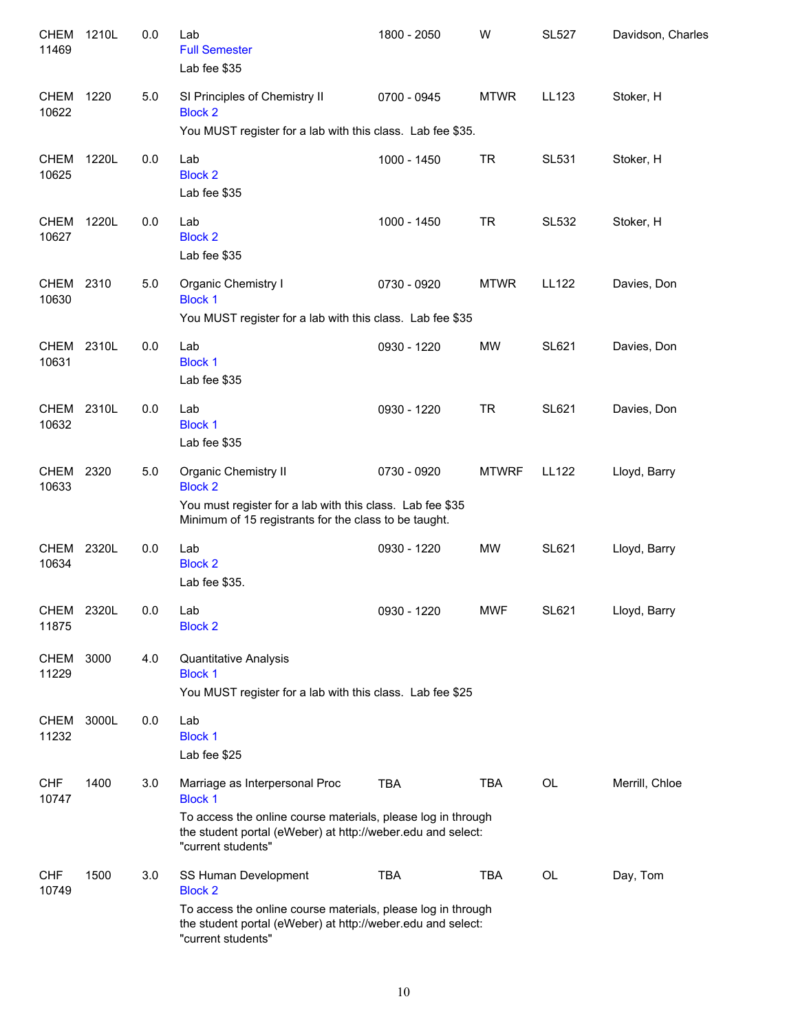| <b>CHEM</b><br>11469 | 1210L | $0.0\,$ | Lab<br><b>Full Semester</b><br>Lab fee \$35                                                                                                                                                           | 1800 - 2050 | W            | <b>SL527</b> | Davidson, Charles |
|----------------------|-------|---------|-------------------------------------------------------------------------------------------------------------------------------------------------------------------------------------------------------|-------------|--------------|--------------|-------------------|
| CHEM<br>10622        | 1220  | 5.0     | SI Principles of Chemistry II<br><b>Block 2</b><br>You MUST register for a lab with this class. Lab fee \$35.                                                                                         | 0700 - 0945 | <b>MTWR</b>  | LL123        | Stoker, H         |
| CHEM<br>10625        | 1220L | 0.0     | Lab<br><b>Block 2</b><br>Lab fee \$35                                                                                                                                                                 | 1000 - 1450 | <b>TR</b>    | <b>SL531</b> | Stoker, H         |
| CHEM<br>10627        | 1220L | 0.0     | Lab<br><b>Block 2</b><br>Lab fee \$35                                                                                                                                                                 | 1000 - 1450 | <b>TR</b>    | <b>SL532</b> | Stoker, H         |
| CHEM<br>10630        | 2310  | 5.0     | Organic Chemistry I<br><b>Block 1</b><br>You MUST register for a lab with this class. Lab fee \$35                                                                                                    | 0730 - 0920 | <b>MTWR</b>  | <b>LL122</b> | Davies, Don       |
| CHEM<br>10631        | 2310L | 0.0     | Lab<br><b>Block 1</b><br>Lab fee \$35                                                                                                                                                                 | 0930 - 1220 | MW           | <b>SL621</b> | Davies, Don       |
| CHEM<br>10632        | 2310L | 0.0     | Lab<br><b>Block 1</b><br>Lab fee \$35                                                                                                                                                                 | 0930 - 1220 | <b>TR</b>    | <b>SL621</b> | Davies, Don       |
| <b>CHEM</b><br>10633 | 2320  | 5.0     | Organic Chemistry II<br><b>Block 2</b><br>You must register for a lab with this class. Lab fee \$35<br>Minimum of 15 registrants for the class to be taught.                                          | 0730 - 0920 | <b>MTWRF</b> | LL122        | Lloyd, Barry      |
| <b>CHEM</b><br>10634 | 2320L | 0.0     | Lab<br><b>Block 2</b><br>Lab fee \$35.                                                                                                                                                                | 0930 - 1220 | <b>MW</b>    | <b>SL621</b> | Lloyd, Barry      |
| CHEM<br>11875        | 2320L | 0.0     | Lab<br><b>Block 2</b>                                                                                                                                                                                 | 0930 - 1220 | <b>MWF</b>   | SL621        | Lloyd, Barry      |
| <b>CHEM</b><br>11229 | 3000  | 4.0     | Quantitative Analysis<br><b>Block 1</b><br>You MUST register for a lab with this class. Lab fee \$25                                                                                                  |             |              |              |                   |
| <b>CHEM</b><br>11232 | 3000L | 0.0     | Lab<br><b>Block 1</b><br>Lab fee \$25                                                                                                                                                                 |             |              |              |                   |
| <b>CHF</b><br>10747  | 1400  | 3.0     | Marriage as Interpersonal Proc<br><b>Block 1</b><br>To access the online course materials, please log in through<br>the student portal (eWeber) at http://weber.edu and select:<br>"current students" | <b>TBA</b>  | <b>TBA</b>   | OL           | Merrill, Chloe    |
| <b>CHF</b><br>10749  | 1500  | 3.0     | SS Human Development<br><b>Block 2</b><br>To access the online course materials, please log in through<br>the student portal (eWeber) at http://weber.edu and select:<br>"current students"           | <b>TBA</b>  | TBA          | OL           | Day, Tom          |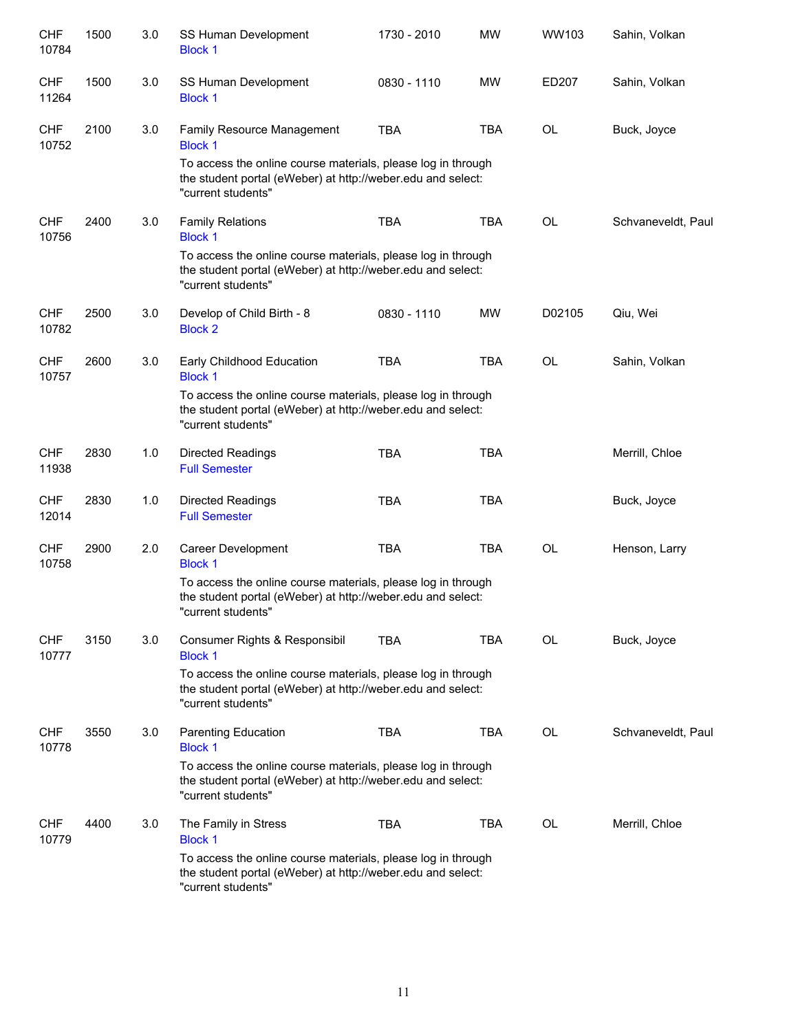| <b>CHF</b><br>10784 | 1500 | 3.0 | SS Human Development<br><b>Block 1</b>                                                                                                            | 1730 - 2010 | <b>MW</b>  | WW103     | Sahin, Volkan      |
|---------------------|------|-----|---------------------------------------------------------------------------------------------------------------------------------------------------|-------------|------------|-----------|--------------------|
| <b>CHF</b><br>11264 | 1500 | 3.0 | SS Human Development<br><b>Block 1</b>                                                                                                            | 0830 - 1110 | <b>MW</b>  | ED207     | Sahin, Volkan      |
| <b>CHF</b><br>10752 | 2100 | 3.0 | Family Resource Management<br><b>Block 1</b>                                                                                                      | <b>TBA</b>  | <b>TBA</b> | OL        | Buck, Joyce        |
|                     |      |     | To access the online course materials, please log in through<br>the student portal (eWeber) at http://weber.edu and select:<br>"current students" |             |            |           |                    |
| <b>CHF</b><br>10756 | 2400 | 3.0 | <b>Family Relations</b><br><b>Block 1</b>                                                                                                         | <b>TBA</b>  | <b>TBA</b> | <b>OL</b> | Schvaneveldt, Paul |
|                     |      |     | To access the online course materials, please log in through<br>the student portal (eWeber) at http://weber.edu and select:<br>"current students" |             |            |           |                    |
| <b>CHF</b><br>10782 | 2500 | 3.0 | Develop of Child Birth - 8<br><b>Block 2</b>                                                                                                      | 0830 - 1110 | <b>MW</b>  | D02105    | Qiu, Wei           |
| <b>CHF</b><br>10757 | 2600 | 3.0 | Early Childhood Education<br><b>Block 1</b>                                                                                                       | <b>TBA</b>  | <b>TBA</b> | <b>OL</b> | Sahin, Volkan      |
|                     |      |     | To access the online course materials, please log in through<br>the student portal (eWeber) at http://weber.edu and select:<br>"current students" |             |            |           |                    |
| <b>CHF</b><br>11938 | 2830 | 1.0 | <b>Directed Readings</b><br><b>Full Semester</b>                                                                                                  | <b>TBA</b>  | <b>TBA</b> |           | Merrill, Chloe     |
| <b>CHF</b><br>12014 | 2830 | 1.0 | <b>Directed Readings</b><br><b>Full Semester</b>                                                                                                  | <b>TBA</b>  | <b>TBA</b> |           | Buck, Joyce        |
| <b>CHF</b><br>10758 | 2900 | 2.0 | Career Development<br><b>Block 1</b>                                                                                                              | <b>TBA</b>  | <b>TBA</b> | <b>OL</b> | Henson, Larry      |
|                     |      |     | To access the online course materials, please log in through<br>the student portal (eWeber) at http://weber.edu and select:<br>"current students" |             |            |           |                    |
| <b>CHF</b><br>10777 | 3150 | 3.0 | Consumer Rights & Responsibil<br><b>Block 1</b>                                                                                                   | <b>TBA</b>  | TBA        | OL        | Buck, Joyce        |
|                     |      |     | To access the online course materials, please log in through<br>the student portal (eWeber) at http://weber.edu and select:<br>"current students" |             |            |           |                    |
| <b>CHF</b><br>10778 | 3550 | 3.0 | <b>Parenting Education</b><br><b>Block 1</b>                                                                                                      | TBA         | TBA        | <b>OL</b> | Schvaneveldt, Paul |
|                     |      |     | To access the online course materials, please log in through<br>the student portal (eWeber) at http://weber.edu and select:<br>"current students" |             |            |           |                    |
| <b>CHF</b><br>10779 | 4400 | 3.0 | The Family in Stress<br><b>Block 1</b>                                                                                                            | <b>TBA</b>  | TBA        | <b>OL</b> | Merrill, Chloe     |
|                     |      |     | To access the online course materials, please log in through<br>the student portal (eWeber) at http://weber.edu and select:<br>"current students" |             |            |           |                    |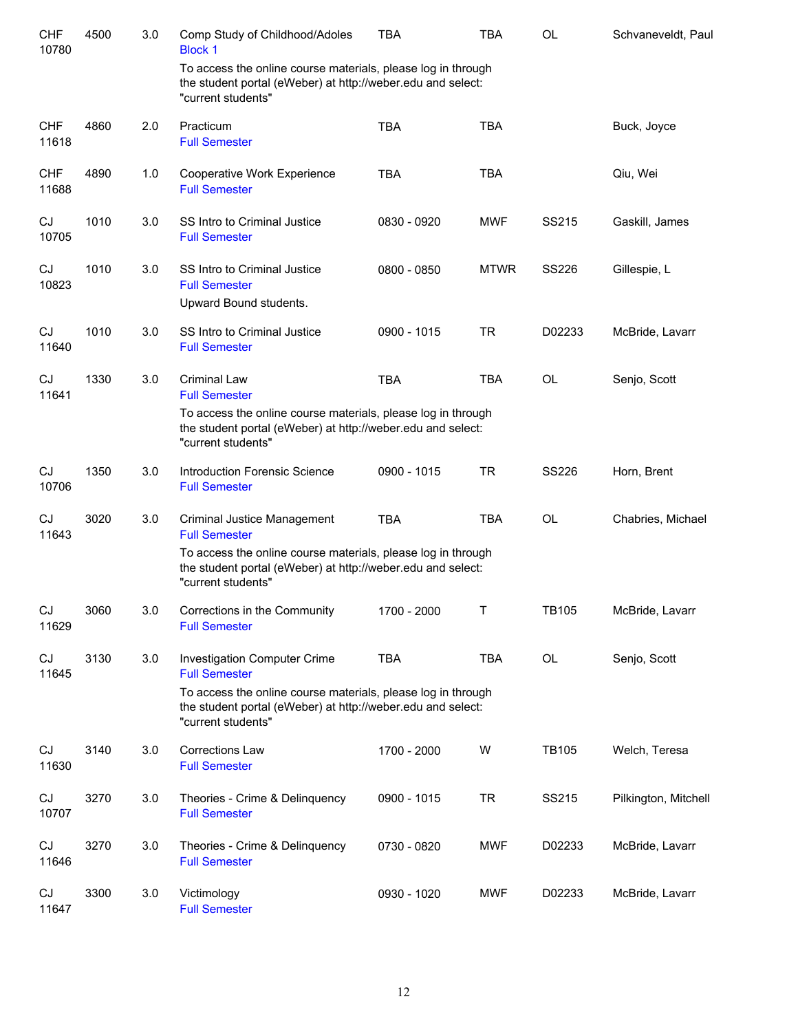| <b>CHF</b><br>10780 | 4500 | 3.0 | Comp Study of Childhood/Adoles<br><b>Block 1</b>                                                                                                  | <b>TBA</b>  | <b>TBA</b>  | <b>OL</b>    | Schvaneveldt, Paul   |
|---------------------|------|-----|---------------------------------------------------------------------------------------------------------------------------------------------------|-------------|-------------|--------------|----------------------|
|                     |      |     | To access the online course materials, please log in through<br>the student portal (eWeber) at http://weber.edu and select:<br>"current students" |             |             |              |                      |
| <b>CHF</b><br>11618 | 4860 | 2.0 | Practicum<br><b>Full Semester</b>                                                                                                                 | <b>TBA</b>  | <b>TBA</b>  |              | Buck, Joyce          |
| <b>CHF</b><br>11688 | 4890 | 1.0 | Cooperative Work Experience<br><b>Full Semester</b>                                                                                               | <b>TBA</b>  | <b>TBA</b>  |              | Qiu, Wei             |
| CJ<br>10705         | 1010 | 3.0 | SS Intro to Criminal Justice<br><b>Full Semester</b>                                                                                              | 0830 - 0920 | <b>MWF</b>  | SS215        | Gaskill, James       |
| CJ<br>10823         | 1010 | 3.0 | SS Intro to Criminal Justice<br><b>Full Semester</b><br>Upward Bound students.                                                                    | 0800 - 0850 | <b>MTWR</b> | <b>SS226</b> | Gillespie, L         |
| CJ<br>11640         | 1010 | 3.0 | SS Intro to Criminal Justice<br><b>Full Semester</b>                                                                                              | 0900 - 1015 | <b>TR</b>   | D02233       | McBride, Lavarr      |
| CJ<br>11641         | 1330 | 3.0 | <b>Criminal Law</b><br><b>Full Semester</b>                                                                                                       | <b>TBA</b>  | <b>TBA</b>  | <b>OL</b>    | Senjo, Scott         |
|                     |      |     | To access the online course materials, please log in through<br>the student portal (eWeber) at http://weber.edu and select:<br>"current students" |             |             |              |                      |
| CJ<br>10706         | 1350 | 3.0 | <b>Introduction Forensic Science</b><br><b>Full Semester</b>                                                                                      | 0900 - 1015 | <b>TR</b>   | <b>SS226</b> | Horn, Brent          |
| CJ<br>11643         | 3020 | 3.0 | Criminal Justice Management<br><b>Full Semester</b><br>To access the online course materials, please log in through                               | <b>TBA</b>  | <b>TBA</b>  | <b>OL</b>    | Chabries, Michael    |
|                     |      |     | the student portal (eWeber) at http://weber.edu and select:<br>"current students"                                                                 |             |             |              |                      |
| CJ<br>11629         | 3060 | 3.0 | Corrections in the Community<br><b>Full Semester</b>                                                                                              | 1700 - 2000 | Т           | <b>TB105</b> | McBride, Lavarr      |
| CJ<br>11645         | 3130 | 3.0 | <b>Investigation Computer Crime</b><br><b>Full Semester</b>                                                                                       | <b>TBA</b>  | <b>TBA</b>  | OL           | Senjo, Scott         |
|                     |      |     | To access the online course materials, please log in through<br>the student portal (eWeber) at http://weber.edu and select:<br>"current students" |             |             |              |                      |
| CJ<br>11630         | 3140 | 3.0 | <b>Corrections Law</b><br><b>Full Semester</b>                                                                                                    | 1700 - 2000 | W           | <b>TB105</b> | Welch, Teresa        |
| CJ<br>10707         | 3270 | 3.0 | Theories - Crime & Delinquency<br><b>Full Semester</b>                                                                                            | 0900 - 1015 | <b>TR</b>   | SS215        | Pilkington, Mitchell |
| CJ<br>11646         | 3270 | 3.0 | Theories - Crime & Delinquency<br><b>Full Semester</b>                                                                                            | 0730 - 0820 | <b>MWF</b>  | D02233       | McBride, Lavarr      |
| CJ<br>11647         | 3300 | 3.0 | Victimology<br><b>Full Semester</b>                                                                                                               | 0930 - 1020 | <b>MWF</b>  | D02233       | McBride, Lavarr      |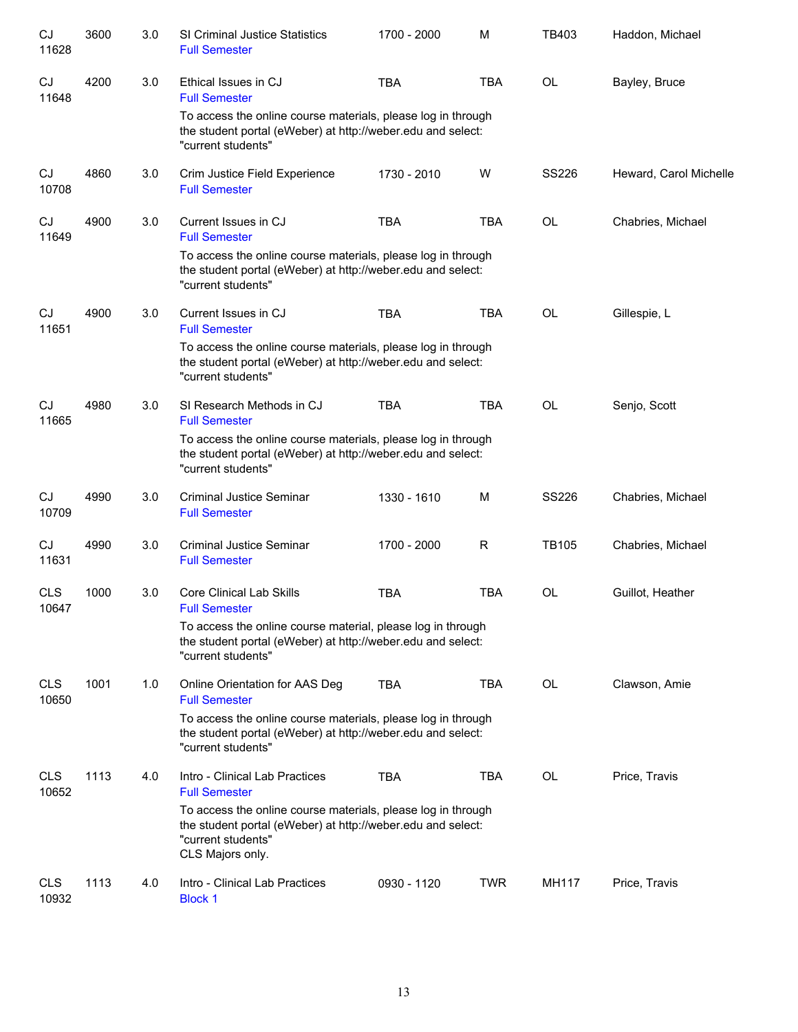| CJ<br>11628         | 3600 | 3.0 | <b>SI Criminal Justice Statistics</b><br><b>Full Semester</b>                                                                                                         | 1700 - 2000 | M          | TB403        | Haddon, Michael        |
|---------------------|------|-----|-----------------------------------------------------------------------------------------------------------------------------------------------------------------------|-------------|------------|--------------|------------------------|
| CJ<br>11648         | 4200 | 3.0 | Ethical Issues in CJ<br><b>Full Semester</b>                                                                                                                          | <b>TBA</b>  | <b>TBA</b> | OL           | Bayley, Bruce          |
|                     |      |     | To access the online course materials, please log in through<br>the student portal (eWeber) at http://weber.edu and select:<br>"current students"                     |             |            |              |                        |
| CJ<br>10708         | 4860 | 3.0 | Crim Justice Field Experience<br><b>Full Semester</b>                                                                                                                 | 1730 - 2010 | W          | <b>SS226</b> | Heward, Carol Michelle |
| CJ<br>11649         | 4900 | 3.0 | Current Issues in CJ<br><b>Full Semester</b>                                                                                                                          | <b>TBA</b>  | <b>TBA</b> | <b>OL</b>    | Chabries, Michael      |
|                     |      |     | To access the online course materials, please log in through<br>the student portal (eWeber) at http://weber.edu and select:<br>"current students"                     |             |            |              |                        |
| <b>CJ</b><br>11651  | 4900 | 3.0 | Current Issues in CJ<br><b>Full Semester</b>                                                                                                                          | <b>TBA</b>  | <b>TBA</b> | OL           | Gillespie, L           |
|                     |      |     | To access the online course materials, please log in through<br>the student portal (eWeber) at http://weber.edu and select:<br>"current students"                     |             |            |              |                        |
| <b>CJ</b><br>11665  | 4980 | 3.0 | SI Research Methods in CJ<br><b>Full Semester</b>                                                                                                                     | <b>TBA</b>  | <b>TBA</b> | <b>OL</b>    | Senjo, Scott           |
|                     |      |     | To access the online course materials, please log in through<br>the student portal (eWeber) at http://weber.edu and select:<br>"current students"                     |             |            |              |                        |
| CJ<br>10709         | 4990 | 3.0 | <b>Criminal Justice Seminar</b><br><b>Full Semester</b>                                                                                                               | 1330 - 1610 | M          | <b>SS226</b> | Chabries, Michael      |
| CJ<br>11631         | 4990 | 3.0 | <b>Criminal Justice Seminar</b><br><b>Full Semester</b>                                                                                                               | 1700 - 2000 | R          | <b>TB105</b> | Chabries, Michael      |
| <b>CLS</b><br>10647 | 1000 | 3.0 | <b>Core Clinical Lab Skills</b><br><b>Full Semester</b>                                                                                                               | <b>TBA</b>  | <b>TBA</b> | OL           | Guillot, Heather       |
|                     |      |     | To access the online course material, please log in through<br>the student portal (eWeber) at http://weber.edu and select:<br>"current students"                      |             |            |              |                        |
| <b>CLS</b><br>10650 | 1001 | 1.0 | Online Orientation for AAS Deg<br><b>Full Semester</b>                                                                                                                | <b>TBA</b>  | <b>TBA</b> | <b>OL</b>    | Clawson, Amie          |
|                     |      |     | To access the online course materials, please log in through<br>the student portal (eWeber) at http://weber.edu and select:<br>"current students"                     |             |            |              |                        |
| <b>CLS</b><br>10652 | 1113 | 4.0 | Intro - Clinical Lab Practices<br><b>Full Semester</b>                                                                                                                | <b>TBA</b>  | <b>TBA</b> | <b>OL</b>    | Price, Travis          |
|                     |      |     | To access the online course materials, please log in through<br>the student portal (eWeber) at http://weber.edu and select:<br>"current students"<br>CLS Majors only. |             |            |              |                        |
| <b>CLS</b><br>10932 | 1113 | 4.0 | Intro - Clinical Lab Practices<br><b>Block 1</b>                                                                                                                      | 0930 - 1120 | <b>TWR</b> | MH117        | Price, Travis          |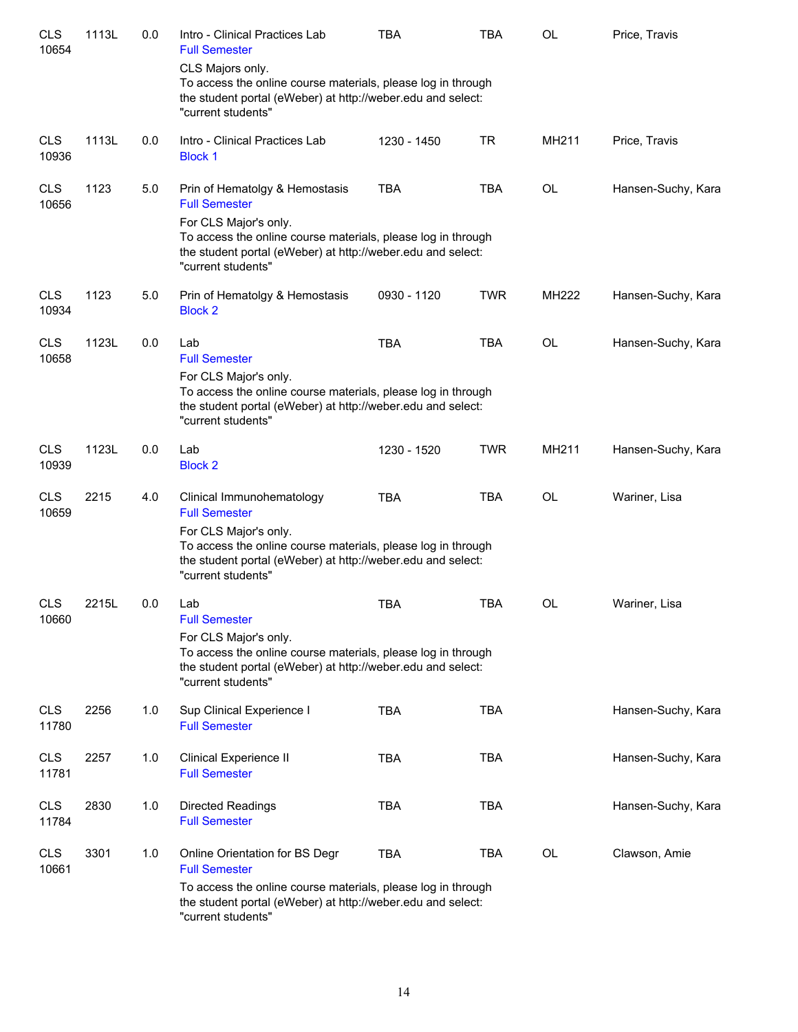| <b>CLS</b><br>10654 | 1113L | 0.0 | Intro - Clinical Practices Lab<br><b>Full Semester</b>                                                                                                                                                                               | <b>TBA</b>  | <b>TBA</b> | OL        | Price, Travis      |
|---------------------|-------|-----|--------------------------------------------------------------------------------------------------------------------------------------------------------------------------------------------------------------------------------------|-------------|------------|-----------|--------------------|
|                     |       |     | CLS Majors only.<br>To access the online course materials, please log in through<br>the student portal (eWeber) at http://weber.edu and select:<br>"current students"                                                                |             |            |           |                    |
| <b>CLS</b><br>10936 | 1113L | 0.0 | Intro - Clinical Practices Lab<br><b>Block 1</b>                                                                                                                                                                                     | 1230 - 1450 | <b>TR</b>  | MH211     | Price, Travis      |
| <b>CLS</b><br>10656 | 1123  | 5.0 | Prin of Hematolgy & Hemostasis<br><b>Full Semester</b><br>For CLS Major's only.<br>To access the online course materials, please log in through<br>the student portal (eWeber) at http://weber.edu and select:<br>"current students" | <b>TBA</b>  | <b>TBA</b> | OL        | Hansen-Suchy, Kara |
| <b>CLS</b><br>10934 | 1123  | 5.0 | Prin of Hematolgy & Hemostasis<br><b>Block 2</b>                                                                                                                                                                                     | 0930 - 1120 | <b>TWR</b> | MH222     | Hansen-Suchy, Kara |
| <b>CLS</b><br>10658 | 1123L | 0.0 | Lab<br><b>Full Semester</b><br>For CLS Major's only.<br>To access the online course materials, please log in through<br>the student portal (eWeber) at http://weber.edu and select:<br>"current students"                            | <b>TBA</b>  | <b>TBA</b> | <b>OL</b> | Hansen-Suchy, Kara |
| <b>CLS</b><br>10939 | 1123L | 0.0 | Lab<br><b>Block 2</b>                                                                                                                                                                                                                | 1230 - 1520 | <b>TWR</b> | MH211     | Hansen-Suchy, Kara |
| <b>CLS</b><br>10659 | 2215  | 4.0 | Clinical Immunohematology<br><b>Full Semester</b><br>For CLS Major's only.<br>To access the online course materials, please log in through<br>the student portal (eWeber) at http://weber.edu and select:<br>"current students"      | <b>TBA</b>  | <b>TBA</b> | <b>OL</b> | Wariner, Lisa      |
| <b>CLS</b><br>10660 | 2215L | 0.0 | Lab<br><b>Full Semester</b><br>For CLS Major's only.<br>To access the online course materials, please log in through<br>the student portal (eWeber) at http://weber.edu and select:<br>"current students"                            | <b>TBA</b>  | <b>TBA</b> | <b>OL</b> | Wariner, Lisa      |
| <b>CLS</b><br>11780 | 2256  | 1.0 | Sup Clinical Experience I<br><b>Full Semester</b>                                                                                                                                                                                    | <b>TBA</b>  | <b>TBA</b> |           | Hansen-Suchy, Kara |
| <b>CLS</b><br>11781 | 2257  | 1.0 | <b>Clinical Experience II</b><br><b>Full Semester</b>                                                                                                                                                                                | <b>TBA</b>  | <b>TBA</b> |           | Hansen-Suchy, Kara |
| <b>CLS</b><br>11784 | 2830  | 1.0 | <b>Directed Readings</b><br><b>Full Semester</b>                                                                                                                                                                                     | <b>TBA</b>  | <b>TBA</b> |           | Hansen-Suchy, Kara |
| <b>CLS</b><br>10661 | 3301  | 1.0 | Online Orientation for BS Degr<br><b>Full Semester</b><br>To access the online course materials, please log in through<br>the student portal (eWeber) at http://weber.edu and select:<br>"current students"                          | <b>TBA</b>  | <b>TBA</b> | OL        | Clawson, Amie      |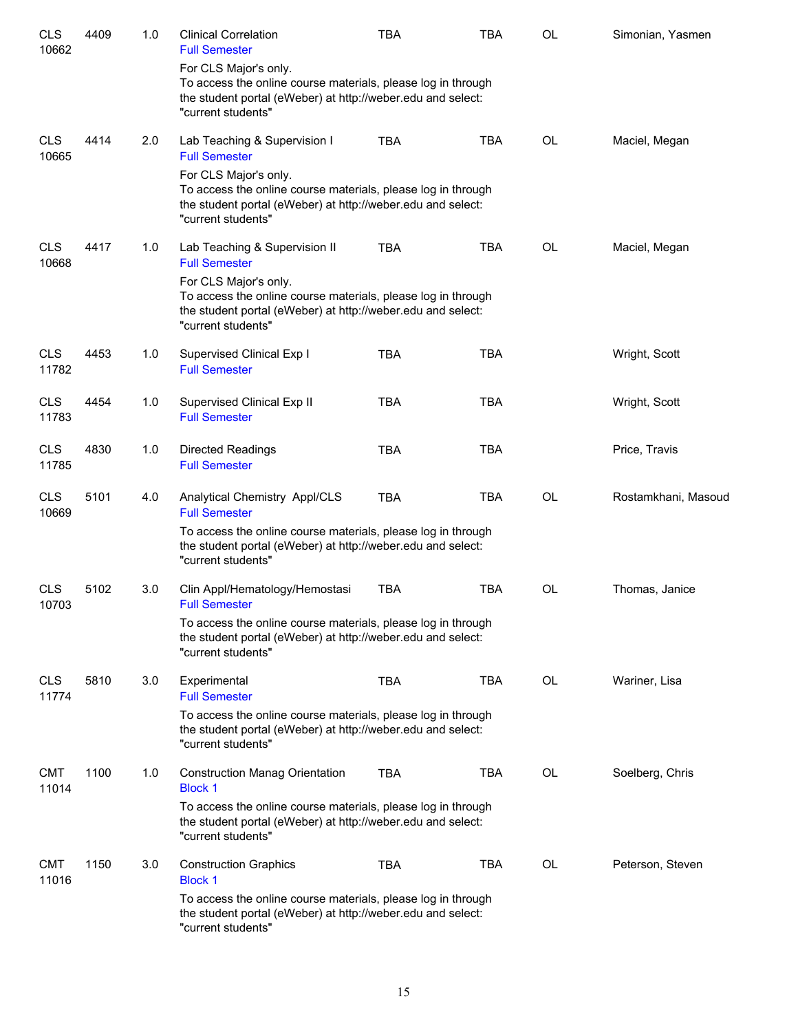| <b>CLS</b><br>10662 | 4409 | 1.0 | <b>Clinical Correlation</b><br><b>Full Semester</b>                                                                                                                        | <b>TBA</b> | <b>TBA</b> | OL        | Simonian, Yasmen    |
|---------------------|------|-----|----------------------------------------------------------------------------------------------------------------------------------------------------------------------------|------------|------------|-----------|---------------------|
|                     |      |     | For CLS Major's only.<br>To access the online course materials, please log in through<br>the student portal (eWeber) at http://weber.edu and select:<br>"current students" |            |            |           |                     |
| <b>CLS</b><br>10665 | 4414 | 2.0 | Lab Teaching & Supervision I<br><b>Full Semester</b>                                                                                                                       | <b>TBA</b> | <b>TBA</b> | OL        | Maciel, Megan       |
|                     |      |     | For CLS Major's only.<br>To access the online course materials, please log in through<br>the student portal (eWeber) at http://weber.edu and select:<br>"current students" |            |            |           |                     |
| <b>CLS</b><br>10668 | 4417 | 1.0 | Lab Teaching & Supervision II<br><b>Full Semester</b>                                                                                                                      | <b>TBA</b> | <b>TBA</b> | <b>OL</b> | Maciel, Megan       |
|                     |      |     | For CLS Major's only.<br>To access the online course materials, please log in through<br>the student portal (eWeber) at http://weber.edu and select:<br>"current students" |            |            |           |                     |
| <b>CLS</b><br>11782 | 4453 | 1.0 | Supervised Clinical Exp I<br><b>Full Semester</b>                                                                                                                          | <b>TBA</b> | <b>TBA</b> |           | Wright, Scott       |
| <b>CLS</b><br>11783 | 4454 | 1.0 | Supervised Clinical Exp II<br><b>Full Semester</b>                                                                                                                         | <b>TBA</b> | <b>TBA</b> |           | Wright, Scott       |
| <b>CLS</b><br>11785 | 4830 | 1.0 | <b>Directed Readings</b><br><b>Full Semester</b>                                                                                                                           | <b>TBA</b> | <b>TBA</b> |           | Price, Travis       |
| <b>CLS</b><br>10669 | 5101 | 4.0 | Analytical Chemistry Appl/CLS<br><b>Full Semester</b>                                                                                                                      | <b>TBA</b> | <b>TBA</b> | <b>OL</b> | Rostamkhani, Masoud |
|                     |      |     | To access the online course materials, please log in through<br>the student portal (eWeber) at http://weber.edu and select:<br>"current students"                          |            |            |           |                     |
| <b>CLS</b><br>10703 | 5102 | 3.0 | Clin Appl/Hematology/Hemostasi<br><b>Full Semester</b>                                                                                                                     | <b>TBA</b> | <b>TBA</b> | OL        | Thomas, Janice      |
|                     |      |     | To access the online course materials, please log in through<br>the student portal (eWeber) at http://weber.edu and select:<br>"current students"                          |            |            |           |                     |
| <b>CLS</b><br>11774 | 5810 | 3.0 | Experimental<br><b>Full Semester</b>                                                                                                                                       | <b>TBA</b> | <b>TBA</b> | <b>OL</b> | Wariner, Lisa       |
|                     |      |     | To access the online course materials, please log in through<br>the student portal (eWeber) at http://weber.edu and select:<br>"current students"                          |            |            |           |                     |
| <b>CMT</b><br>11014 | 1100 | 1.0 | <b>Construction Manag Orientation</b><br><b>Block 1</b>                                                                                                                    | <b>TBA</b> | <b>TBA</b> | OL        | Soelberg, Chris     |
|                     |      |     | To access the online course materials, please log in through<br>the student portal (eWeber) at http://weber.edu and select:<br>"current students"                          |            |            |           |                     |
| <b>CMT</b><br>11016 | 1150 | 3.0 | <b>Construction Graphics</b><br><b>Block 1</b>                                                                                                                             | <b>TBA</b> | <b>TBA</b> | OL        | Peterson, Steven    |
|                     |      |     | To access the online course materials, please log in through<br>the student portal (eWeber) at http://weber.edu and select:<br>"current students"                          |            |            |           |                     |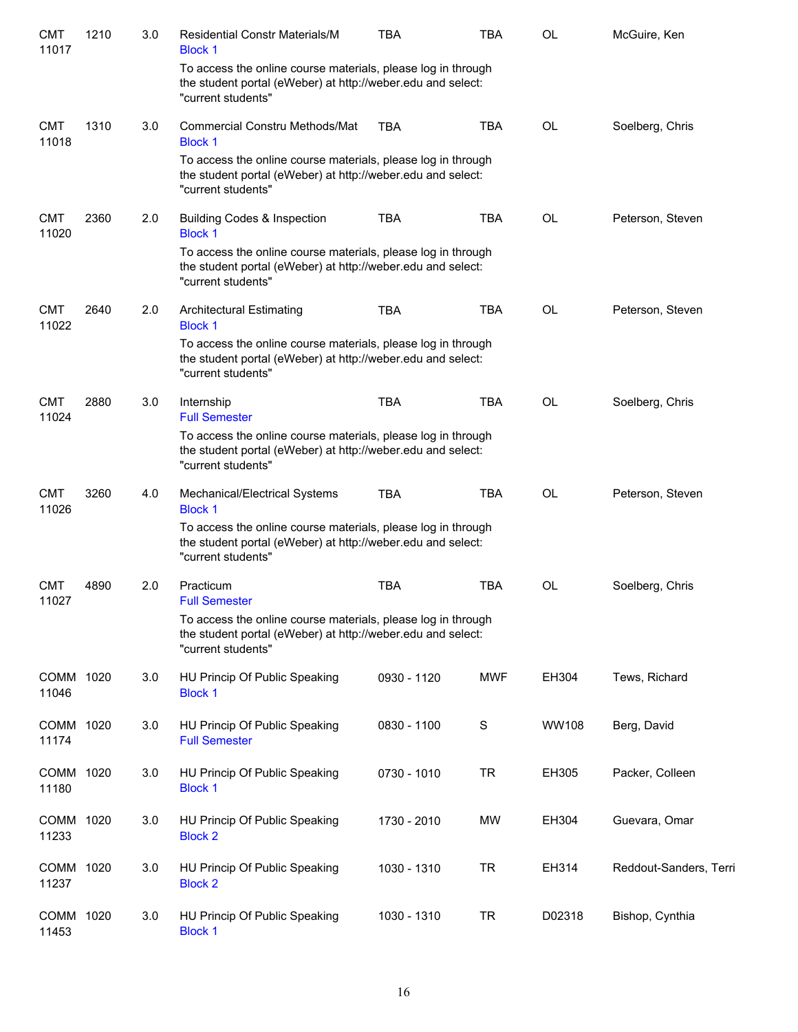| <b>CMT</b><br>11017 | 1210 | 3.0 | <b>Residential Constr Materials/M</b><br><b>Block 1</b>                                                                                           | <b>TBA</b>  | <b>TBA</b>  | <b>OL</b> | McGuire, Ken           |
|---------------------|------|-----|---------------------------------------------------------------------------------------------------------------------------------------------------|-------------|-------------|-----------|------------------------|
|                     |      |     | To access the online course materials, please log in through<br>the student portal (eWeber) at http://weber.edu and select:<br>"current students" |             |             |           |                        |
| <b>CMT</b><br>11018 | 1310 | 3.0 | <b>Commercial Constru Methods/Mat</b><br><b>Block 1</b>                                                                                           | TBA         | <b>TBA</b>  | OL        | Soelberg, Chris        |
|                     |      |     | To access the online course materials, please log in through<br>the student portal (eWeber) at http://weber.edu and select:<br>"current students" |             |             |           |                        |
| <b>CMT</b><br>11020 | 2360 | 2.0 | <b>Building Codes &amp; Inspection</b><br><b>Block 1</b>                                                                                          | <b>TBA</b>  | <b>TBA</b>  | <b>OL</b> | Peterson, Steven       |
|                     |      |     | To access the online course materials, please log in through<br>the student portal (eWeber) at http://weber.edu and select:<br>"current students" |             |             |           |                        |
| <b>CMT</b><br>11022 | 2640 | 2.0 | <b>Architectural Estimating</b><br><b>Block 1</b>                                                                                                 | <b>TBA</b>  | <b>TBA</b>  | <b>OL</b> | Peterson, Steven       |
|                     |      |     | To access the online course materials, please log in through<br>the student portal (eWeber) at http://weber.edu and select:<br>"current students" |             |             |           |                        |
| <b>CMT</b><br>11024 | 2880 | 3.0 | Internship<br><b>Full Semester</b>                                                                                                                | <b>TBA</b>  | <b>TBA</b>  | <b>OL</b> | Soelberg, Chris        |
|                     |      |     | To access the online course materials, please log in through<br>the student portal (eWeber) at http://weber.edu and select:<br>"current students" |             |             |           |                        |
| <b>CMT</b><br>11026 | 3260 | 4.0 | Mechanical/Electrical Systems<br><b>Block 1</b>                                                                                                   | <b>TBA</b>  | <b>TBA</b>  | <b>OL</b> | Peterson, Steven       |
|                     |      |     | To access the online course materials, please log in through<br>the student portal (eWeber) at http://weber.edu and select:<br>"current students" |             |             |           |                        |
| <b>CMT</b><br>11027 | 4890 | 2.0 | Practicum<br><b>Full Semester</b>                                                                                                                 | <b>TBA</b>  | <b>TBA</b>  | OL        | Soelberg, Chris        |
|                     |      |     | To access the online course materials, please log in through<br>the student portal (eWeber) at http://weber.edu and select:<br>"current students" |             |             |           |                        |
| COMM 1020<br>11046  |      | 3.0 | HU Princip Of Public Speaking<br><b>Block 1</b>                                                                                                   | 0930 - 1120 | <b>MWF</b>  | EH304     | Tews, Richard          |
| COMM<br>11174       | 1020 | 3.0 | HU Princip Of Public Speaking<br><b>Full Semester</b>                                                                                             | 0830 - 1100 | $\mathbf S$ | WW108     | Berg, David            |
| COMM<br>11180       | 1020 | 3.0 | HU Princip Of Public Speaking<br><b>Block 1</b>                                                                                                   | 0730 - 1010 | <b>TR</b>   | EH305     | Packer, Colleen        |
| COMM 1020<br>11233  |      | 3.0 | HU Princip Of Public Speaking<br><b>Block 2</b>                                                                                                   | 1730 - 2010 | <b>MW</b>   | EH304     | Guevara, Omar          |
| COMM 1020<br>11237  |      | 3.0 | HU Princip Of Public Speaking<br><b>Block 2</b>                                                                                                   | 1030 - 1310 | <b>TR</b>   | EH314     | Reddout-Sanders, Terri |
| COMM 1020<br>11453  |      | 3.0 | HU Princip Of Public Speaking<br><b>Block 1</b>                                                                                                   | 1030 - 1310 | <b>TR</b>   | D02318    | Bishop, Cynthia        |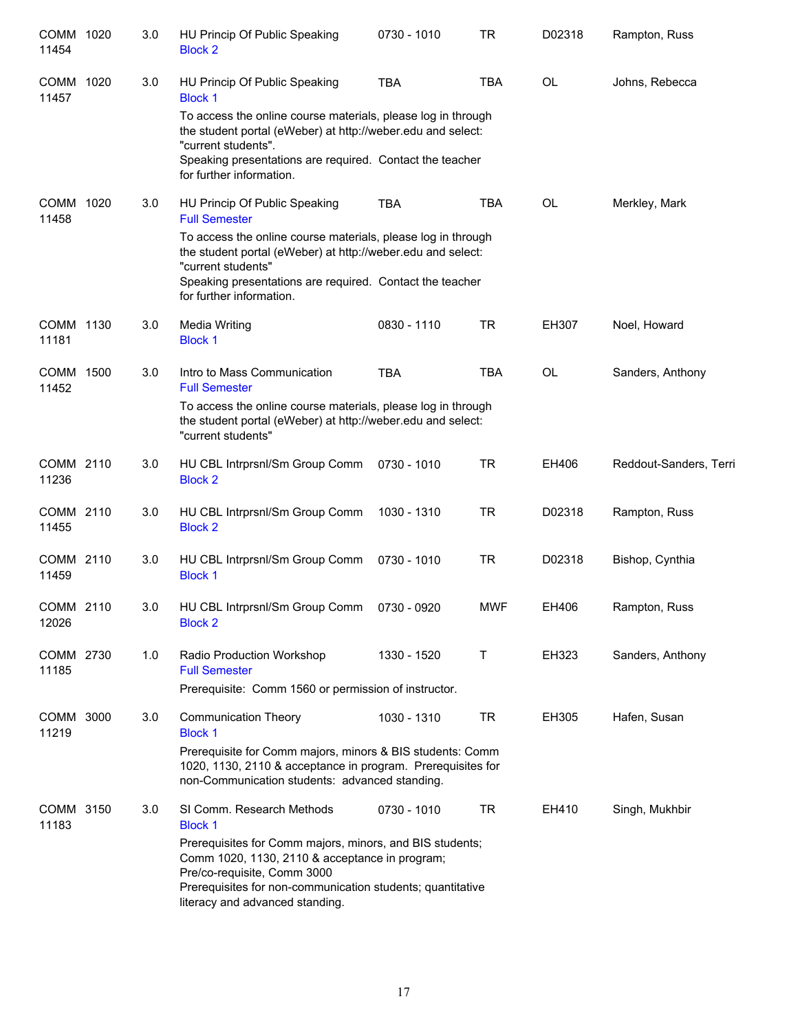| <b>COMM</b><br>11454 | 1020 | $3.0\,$ | HU Princip Of Public Speaking<br><b>Block 2</b>                                                                                                                                                                | 0730 - 1010 | <b>TR</b>  | D02318    | Rampton, Russ          |
|----------------------|------|---------|----------------------------------------------------------------------------------------------------------------------------------------------------------------------------------------------------------------|-------------|------------|-----------|------------------------|
| <b>COMM</b><br>11457 | 1020 | 3.0     | HU Princip Of Public Speaking<br><b>Block 1</b>                                                                                                                                                                | <b>TBA</b>  | <b>TBA</b> | <b>OL</b> | Johns, Rebecca         |
|                      |      |         | To access the online course materials, please log in through<br>the student portal (eWeber) at http://weber.edu and select:<br>"current students".<br>Speaking presentations are required. Contact the teacher |             |            |           |                        |
|                      |      |         | for further information.                                                                                                                                                                                       |             |            |           |                        |
| <b>COMM</b><br>11458 | 1020 | 3.0     | HU Princip Of Public Speaking<br><b>Full Semester</b>                                                                                                                                                          | <b>TBA</b>  | <b>TBA</b> | <b>OL</b> | Merkley, Mark          |
|                      |      |         | To access the online course materials, please log in through<br>the student portal (eWeber) at http://weber.edu and select:<br>"current students"                                                              |             |            |           |                        |
|                      |      |         | Speaking presentations are required. Contact the teacher<br>for further information.                                                                                                                           |             |            |           |                        |
| <b>COMM</b><br>11181 | 1130 | 3.0     | <b>Media Writing</b><br><b>Block 1</b>                                                                                                                                                                         | 0830 - 1110 | <b>TR</b>  | EH307     | Noel, Howard           |
| <b>COMM</b><br>11452 | 1500 | 3.0     | Intro to Mass Communication<br><b>Full Semester</b>                                                                                                                                                            | <b>TBA</b>  | <b>TBA</b> | <b>OL</b> | Sanders, Anthony       |
|                      |      |         | To access the online course materials, please log in through<br>the student portal (eWeber) at http://weber.edu and select:<br>"current students"                                                              |             |            |           |                        |
| COMM 2110<br>11236   |      | 3.0     | HU CBL Intrprsnl/Sm Group Comm<br><b>Block 2</b>                                                                                                                                                               | 0730 - 1010 | <b>TR</b>  | EH406     | Reddout-Sanders, Terri |
| <b>COMM</b><br>11455 | 2110 | 3.0     | HU CBL Intrprsnl/Sm Group Comm<br><b>Block 2</b>                                                                                                                                                               | 1030 - 1310 | <b>TR</b>  | D02318    | Rampton, Russ          |
| COMM<br>11459        | 2110 | 3.0     | HU CBL Intrprsnl/Sm Group Comm<br><b>Block 1</b>                                                                                                                                                               | 0730 - 1010 | <b>TR</b>  | D02318    | Bishop, Cynthia        |
| COMM 2110<br>12026   |      | 3.0     | HU CBL Intrprsnl/Sm Group Comm<br><b>Block 2</b>                                                                                                                                                               | 0730 - 0920 | <b>MWF</b> | EH406     | Rampton, Russ          |
| COMM 2730<br>11185   |      | 1.0     | Radio Production Workshop<br><b>Full Semester</b>                                                                                                                                                              | 1330 - 1520 | Т          | EH323     | Sanders, Anthony       |
|                      |      |         | Prerequisite: Comm 1560 or permission of instructor.                                                                                                                                                           |             |            |           |                        |
| COMM<br>11219        | 3000 | 3.0     | <b>Communication Theory</b><br><b>Block 1</b>                                                                                                                                                                  | 1030 - 1310 | TR         | EH305     | Hafen, Susan           |
|                      |      |         | Prerequisite for Comm majors, minors & BIS students: Comm<br>1020, 1130, 2110 & acceptance in program. Prerequisites for<br>non-Communication students: advanced standing.                                     |             |            |           |                        |
| COMM<br>11183        | 3150 | 3.0     | SI Comm. Research Methods<br><b>Block 1</b>                                                                                                                                                                    | 0730 - 1010 | <b>TR</b>  | EH410     | Singh, Mukhbir         |
|                      |      |         | Prerequisites for Comm majors, minors, and BIS students;<br>Comm 1020, 1130, 2110 & acceptance in program;<br>Pre/co-requisite, Comm 3000                                                                      |             |            |           |                        |
|                      |      |         | Prerequisites for non-communication students; quantitative<br>literacy and advanced standing.                                                                                                                  |             |            |           |                        |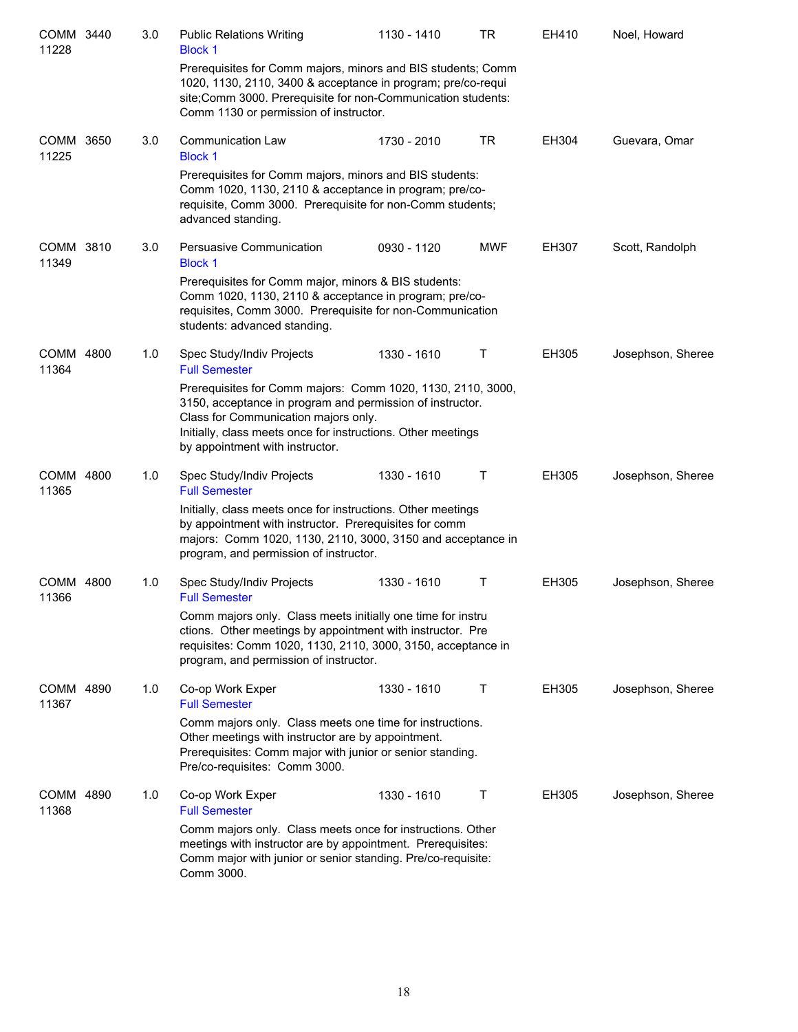| COMM 3440<br>11228 | 3.0 | <b>Public Relations Writing</b><br><b>Block 1</b>                                                                                                                                                                                                                   | 1130 - 1410 | TR         | EH410        | Noel, Howard      |
|--------------------|-----|---------------------------------------------------------------------------------------------------------------------------------------------------------------------------------------------------------------------------------------------------------------------|-------------|------------|--------------|-------------------|
|                    |     | Prerequisites for Comm majors, minors and BIS students; Comm<br>1020, 1130, 2110, 3400 & acceptance in program; pre/co-requi<br>site; Comm 3000. Prerequisite for non-Communication students:<br>Comm 1130 or permission of instructor.                             |             |            |              |                   |
| COMM 3650<br>11225 | 3.0 | <b>Communication Law</b><br><b>Block 1</b>                                                                                                                                                                                                                          | 1730 - 2010 | TR         | EH304        | Guevara, Omar     |
|                    |     | Prerequisites for Comm majors, minors and BIS students:<br>Comm 1020, 1130, 2110 & acceptance in program; pre/co-<br>requisite, Comm 3000. Prerequisite for non-Comm students;<br>advanced standing.                                                                |             |            |              |                   |
| COMM 3810<br>11349 | 3.0 | Persuasive Communication<br><b>Block 1</b>                                                                                                                                                                                                                          | 0930 - 1120 | <b>MWF</b> | EH307        | Scott, Randolph   |
|                    |     | Prerequisites for Comm major, minors & BIS students:<br>Comm 1020, 1130, 2110 & acceptance in program; pre/co-<br>requisites, Comm 3000. Prerequisite for non-Communication<br>students: advanced standing.                                                         |             |            |              |                   |
| COMM 4800<br>11364 | 1.0 | Spec Study/Indiv Projects<br><b>Full Semester</b>                                                                                                                                                                                                                   | 1330 - 1610 | Т          | <b>EH305</b> | Josephson, Sheree |
|                    |     | Prerequisites for Comm majors: Comm 1020, 1130, 2110, 3000,<br>3150, acceptance in program and permission of instructor.<br>Class for Communication majors only.<br>Initially, class meets once for instructions. Other meetings<br>by appointment with instructor. |             |            |              |                   |
| COMM 4800<br>11365 | 1.0 | Spec Study/Indiv Projects<br><b>Full Semester</b>                                                                                                                                                                                                                   | 1330 - 1610 | Т          | <b>EH305</b> | Josephson, Sheree |
|                    |     | Initially, class meets once for instructions. Other meetings<br>by appointment with instructor. Prerequisites for comm<br>majors: Comm 1020, 1130, 2110, 3000, 3150 and acceptance in<br>program, and permission of instructor.                                     |             |            |              |                   |
| COMM 4800<br>11366 | 1.0 | Spec Study/Indiv Projects<br><b>Full Semester</b>                                                                                                                                                                                                                   | 1330 - 1610 | т          | EH305        | Josephson, Sheree |
|                    |     | Comm majors only. Class meets initially one time for instru<br>ctions. Other meetings by appointment with instructor. Pre<br>requisites: Comm 1020, 1130, 2110, 3000, 3150, acceptance in<br>program, and permission of instructor.                                 |             |            |              |                   |
| COMM 4890<br>11367 | 1.0 | Co-op Work Exper<br><b>Full Semester</b>                                                                                                                                                                                                                            | 1330 - 1610 | т          | <b>EH305</b> | Josephson, Sheree |
|                    |     | Comm majors only. Class meets one time for instructions.<br>Other meetings with instructor are by appointment.<br>Prerequisites: Comm major with junior or senior standing.<br>Pre/co-requisites: Comm 3000.                                                        |             |            |              |                   |
| COMM 4890<br>11368 | 1.0 | Co-op Work Exper<br><b>Full Semester</b>                                                                                                                                                                                                                            | 1330 - 1610 | Τ          | EH305        | Josephson, Sheree |
|                    |     | Comm majors only. Class meets once for instructions. Other<br>meetings with instructor are by appointment. Prerequisites:<br>Comm major with junior or senior standing. Pre/co-requisite:<br>Comm 3000.                                                             |             |            |              |                   |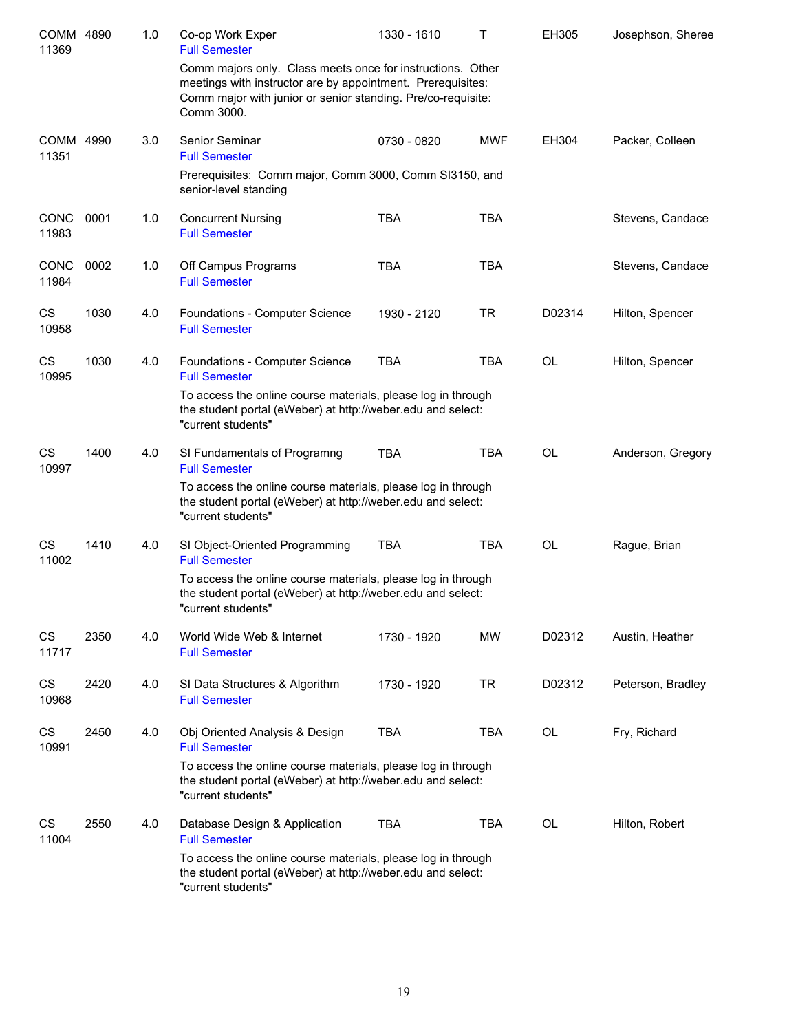| COMM 4890<br>11369   |      | 1.0 | Co-op Work Exper<br><b>Full Semester</b>                                                                                                                                                                | 1330 - 1610 | Τ          | EH305     | Josephson, Sheree |
|----------------------|------|-----|---------------------------------------------------------------------------------------------------------------------------------------------------------------------------------------------------------|-------------|------------|-----------|-------------------|
|                      |      |     | Comm majors only. Class meets once for instructions. Other<br>meetings with instructor are by appointment. Prerequisites:<br>Comm major with junior or senior standing. Pre/co-requisite:<br>Comm 3000. |             |            |           |                   |
| COMM 4990<br>11351   |      | 3.0 | <b>Senior Seminar</b><br><b>Full Semester</b>                                                                                                                                                           | 0730 - 0820 | <b>MWF</b> | EH304     | Packer, Colleen   |
|                      |      |     | Prerequisites: Comm major, Comm 3000, Comm SI3150, and<br>senior-level standing                                                                                                                         |             |            |           |                   |
| <b>CONC</b><br>11983 | 0001 | 1.0 | <b>Concurrent Nursing</b><br><b>Full Semester</b>                                                                                                                                                       | <b>TBA</b>  | <b>TBA</b> |           | Stevens, Candace  |
| <b>CONC</b><br>11984 | 0002 | 1.0 | Off Campus Programs<br><b>Full Semester</b>                                                                                                                                                             | <b>TBA</b>  | <b>TBA</b> |           | Stevens, Candace  |
| CS<br>10958          | 1030 | 4.0 | Foundations - Computer Science<br><b>Full Semester</b>                                                                                                                                                  | 1930 - 2120 | <b>TR</b>  | D02314    | Hilton, Spencer   |
| CS<br>10995          | 1030 | 4.0 | Foundations - Computer Science<br><b>Full Semester</b>                                                                                                                                                  | <b>TBA</b>  | <b>TBA</b> | <b>OL</b> | Hilton, Spencer   |
|                      |      |     | To access the online course materials, please log in through<br>the student portal (eWeber) at http://weber.edu and select:<br>"current students"                                                       |             |            |           |                   |
| <b>CS</b><br>10997   | 1400 | 4.0 | SI Fundamentals of Programng<br><b>Full Semester</b>                                                                                                                                                    | TBA         | <b>TBA</b> | <b>OL</b> | Anderson, Gregory |
|                      |      |     | To access the online course materials, please log in through<br>the student portal (eWeber) at http://weber.edu and select:<br>"current students"                                                       |             |            |           |                   |
| <b>CS</b><br>11002   | 1410 | 4.0 | SI Object-Oriented Programming<br><b>Full Semester</b>                                                                                                                                                  | <b>TBA</b>  | <b>TBA</b> | <b>OL</b> | Rague, Brian      |
|                      |      |     | To access the online course materials, please log in through<br>the student portal (eWeber) at http://weber.edu and select:<br>"current students"                                                       |             |            |           |                   |
| CS<br>11717          | 2350 | 4.0 | World Wide Web & Internet<br><b>Full Semester</b>                                                                                                                                                       | 1730 - 1920 | <b>MW</b>  | D02312    | Austin, Heather   |
| CS<br>10968          | 2420 | 4.0 | SI Data Structures & Algorithm<br><b>Full Semester</b>                                                                                                                                                  | 1730 - 1920 | <b>TR</b>  | D02312    | Peterson, Bradley |
| CS<br>10991          | 2450 | 4.0 | Obj Oriented Analysis & Design<br><b>Full Semester</b>                                                                                                                                                  | <b>TBA</b>  | TBA        | OL        | Fry, Richard      |
|                      |      |     | To access the online course materials, please log in through<br>the student portal (eWeber) at http://weber.edu and select:<br>"current students"                                                       |             |            |           |                   |
| CS<br>11004          | 2550 | 4.0 | Database Design & Application<br><b>Full Semester</b>                                                                                                                                                   | <b>TBA</b>  | TBA        | OL        | Hilton, Robert    |
|                      |      |     | To access the online course materials, please log in through<br>the student portal (eWeber) at http://weber.edu and select:<br>"current students"                                                       |             |            |           |                   |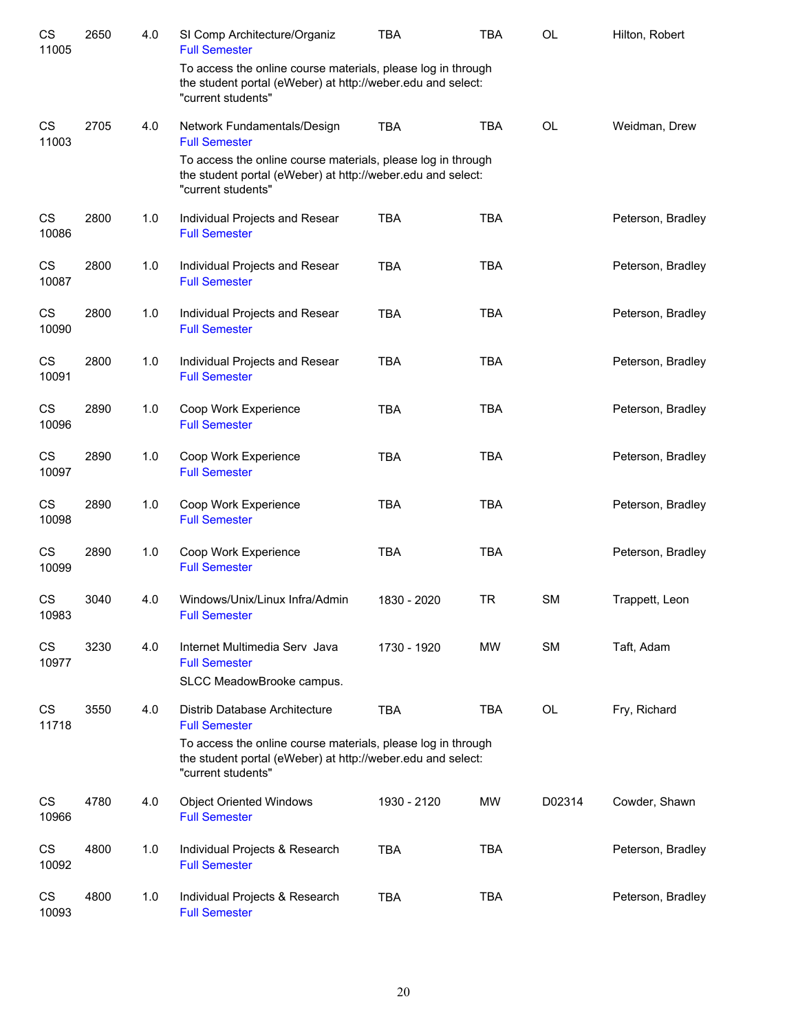| CS<br>11005        | 2650 | 4.0 | SI Comp Architecture/Organiz<br><b>Full Semester</b>                                                                                              | <b>TBA</b>  | <b>TBA</b> | <b>OL</b> | Hilton, Robert    |
|--------------------|------|-----|---------------------------------------------------------------------------------------------------------------------------------------------------|-------------|------------|-----------|-------------------|
|                    |      |     | To access the online course materials, please log in through<br>the student portal (eWeber) at http://weber.edu and select:<br>"current students" |             |            |           |                   |
| <b>CS</b><br>11003 | 2705 | 4.0 | Network Fundamentals/Design<br><b>Full Semester</b>                                                                                               | <b>TBA</b>  | <b>TBA</b> | <b>OL</b> | Weidman, Drew     |
|                    |      |     | To access the online course materials, please log in through<br>the student portal (eWeber) at http://weber.edu and select:<br>"current students" |             |            |           |                   |
| <b>CS</b><br>10086 | 2800 | 1.0 | Individual Projects and Resear<br><b>Full Semester</b>                                                                                            | <b>TBA</b>  | <b>TBA</b> |           | Peterson, Bradley |
| CS<br>10087        | 2800 | 1.0 | Individual Projects and Resear<br><b>Full Semester</b>                                                                                            | <b>TBA</b>  | <b>TBA</b> |           | Peterson, Bradley |
| CS<br>10090        | 2800 | 1.0 | Individual Projects and Resear<br><b>Full Semester</b>                                                                                            | <b>TBA</b>  | <b>TBA</b> |           | Peterson, Bradley |
| CS<br>10091        | 2800 | 1.0 | Individual Projects and Resear<br><b>Full Semester</b>                                                                                            | <b>TBA</b>  | <b>TBA</b> |           | Peterson, Bradley |
| CS<br>10096        | 2890 | 1.0 | Coop Work Experience<br><b>Full Semester</b>                                                                                                      | <b>TBA</b>  | <b>TBA</b> |           | Peterson, Bradley |
| CS<br>10097        | 2890 | 1.0 | Coop Work Experience<br><b>Full Semester</b>                                                                                                      | <b>TBA</b>  | <b>TBA</b> |           | Peterson, Bradley |
| CS<br>10098        | 2890 | 1.0 | Coop Work Experience<br><b>Full Semester</b>                                                                                                      | <b>TBA</b>  | <b>TBA</b> |           | Peterson, Bradley |
| CS<br>10099        | 2890 | 1.0 | Coop Work Experience<br><b>Full Semester</b>                                                                                                      | <b>TBA</b>  | <b>TBA</b> |           | Peterson, Bradley |
| CS<br>10983        | 3040 | 4.0 | Windows/Unix/Linux Infra/Admin<br><b>Full Semester</b>                                                                                            | 1830 - 2020 | <b>TR</b>  | <b>SM</b> | Trappett, Leon    |
| CS<br>10977        | 3230 | 4.0 | Internet Multimedia Serv Java<br><b>Full Semester</b><br>SLCC MeadowBrooke campus.                                                                | 1730 - 1920 | <b>MW</b>  | <b>SM</b> | Taft, Adam        |
| CS<br>11718        | 3550 | 4.0 | Distrib Database Architecture<br><b>Full Semester</b>                                                                                             | <b>TBA</b>  | <b>TBA</b> | OL        | Fry, Richard      |
|                    |      |     | To access the online course materials, please log in through<br>the student portal (eWeber) at http://weber.edu and select:<br>"current students" |             |            |           |                   |
| CS<br>10966        | 4780 | 4.0 | <b>Object Oriented Windows</b><br><b>Full Semester</b>                                                                                            | 1930 - 2120 | MW         | D02314    | Cowder, Shawn     |
| CS<br>10092        | 4800 | 1.0 | Individual Projects & Research<br><b>Full Semester</b>                                                                                            | <b>TBA</b>  | <b>TBA</b> |           | Peterson, Bradley |
| CS<br>10093        | 4800 | 1.0 | Individual Projects & Research<br><b>Full Semester</b>                                                                                            | <b>TBA</b>  | <b>TBA</b> |           | Peterson, Bradley |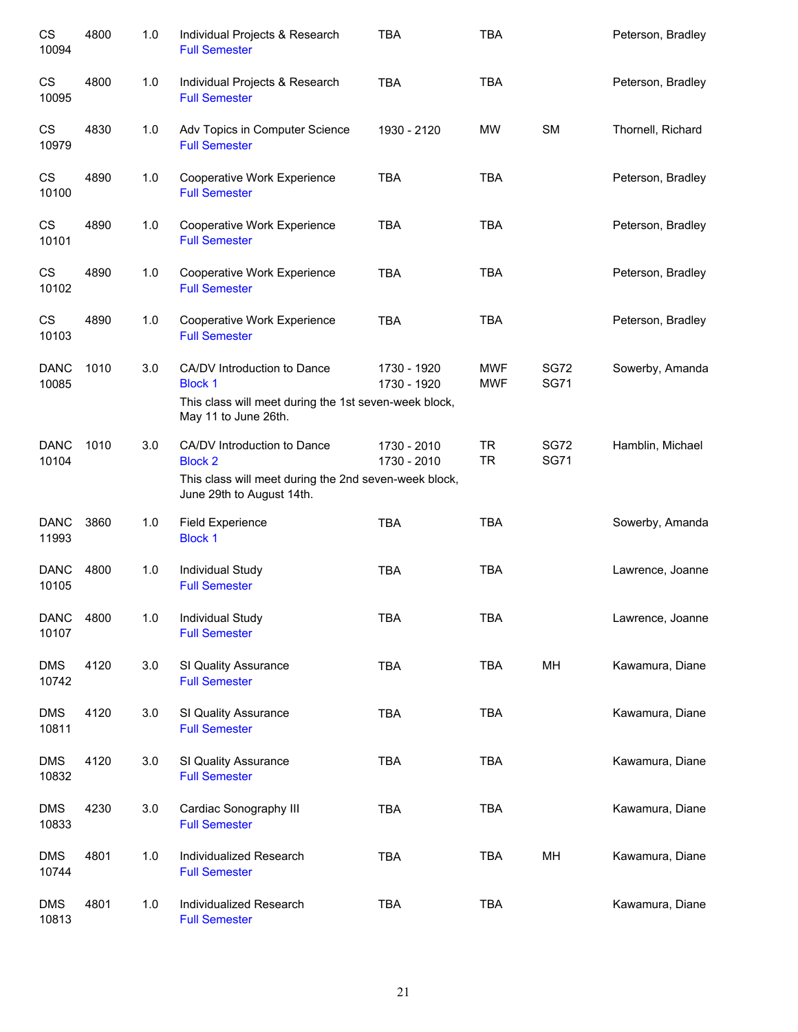| CS<br>10094          | 4800 | 1.0 | Individual Projects & Research<br><b>Full Semester</b>                                                                              | <b>TBA</b>                 | <b>TBA</b>               |                            | Peterson, Bradley |
|----------------------|------|-----|-------------------------------------------------------------------------------------------------------------------------------------|----------------------------|--------------------------|----------------------------|-------------------|
| CS<br>10095          | 4800 | 1.0 | Individual Projects & Research<br><b>Full Semester</b>                                                                              | <b>TBA</b>                 | <b>TBA</b>               |                            | Peterson, Bradley |
| CS<br>10979          | 4830 | 1.0 | Adv Topics in Computer Science<br><b>Full Semester</b>                                                                              | 1930 - 2120                | MW                       | <b>SM</b>                  | Thornell, Richard |
| CS<br>10100          | 4890 | 1.0 | Cooperative Work Experience<br><b>Full Semester</b>                                                                                 | <b>TBA</b>                 | <b>TBA</b>               |                            | Peterson, Bradley |
| CS<br>10101          | 4890 | 1.0 | Cooperative Work Experience<br><b>Full Semester</b>                                                                                 | <b>TBA</b>                 | <b>TBA</b>               |                            | Peterson, Bradley |
| CS<br>10102          | 4890 | 1.0 | Cooperative Work Experience<br><b>Full Semester</b>                                                                                 | <b>TBA</b>                 | <b>TBA</b>               |                            | Peterson, Bradley |
| CS<br>10103          | 4890 | 1.0 | Cooperative Work Experience<br><b>Full Semester</b>                                                                                 | <b>TBA</b>                 | <b>TBA</b>               |                            | Peterson, Bradley |
| <b>DANC</b><br>10085 | 1010 | 3.0 | CA/DV Introduction to Dance<br><b>Block 1</b><br>This class will meet during the 1st seven-week block,<br>May 11 to June 26th.      | 1730 - 1920<br>1730 - 1920 | <b>MWF</b><br><b>MWF</b> | <b>SG72</b><br><b>SG71</b> | Sowerby, Amanda   |
| <b>DANC</b><br>10104 | 1010 | 3.0 | CA/DV Introduction to Dance<br><b>Block 2</b><br>This class will meet during the 2nd seven-week block,<br>June 29th to August 14th. | 1730 - 2010<br>1730 - 2010 | <b>TR</b><br><b>TR</b>   | <b>SG72</b><br><b>SG71</b> | Hamblin, Michael  |
| <b>DANC</b><br>11993 | 3860 | 1.0 | <b>Field Experience</b><br><b>Block 1</b>                                                                                           | <b>TBA</b>                 | <b>TBA</b>               |                            | Sowerby, Amanda   |
| <b>DANC</b><br>10105 | 4800 | 1.0 | <b>Individual Study</b><br><b>Full Semester</b>                                                                                     | <b>TBA</b>                 | <b>TBA</b>               |                            | Lawrence, Joanne  |
| <b>DANC</b><br>10107 | 4800 | 1.0 | Individual Study<br><b>Full Semester</b>                                                                                            | TBA                        | <b>TBA</b>               |                            | Lawrence, Joanne  |
| <b>DMS</b><br>10742  | 4120 | 3.0 | SI Quality Assurance<br><b>Full Semester</b>                                                                                        | <b>TBA</b>                 | <b>TBA</b>               | MH                         | Kawamura, Diane   |
| <b>DMS</b><br>10811  | 4120 | 3.0 | SI Quality Assurance<br><b>Full Semester</b>                                                                                        | <b>TBA</b>                 | <b>TBA</b>               |                            | Kawamura, Diane   |
| <b>DMS</b><br>10832  | 4120 | 3.0 | SI Quality Assurance<br><b>Full Semester</b>                                                                                        | <b>TBA</b>                 | <b>TBA</b>               |                            | Kawamura, Diane   |
| <b>DMS</b><br>10833  | 4230 | 3.0 | Cardiac Sonography III<br><b>Full Semester</b>                                                                                      | <b>TBA</b>                 | <b>TBA</b>               |                            | Kawamura, Diane   |
| <b>DMS</b><br>10744  | 4801 | 1.0 | Individualized Research<br><b>Full Semester</b>                                                                                     | <b>TBA</b>                 | <b>TBA</b>               | MH                         | Kawamura, Diane   |
| <b>DMS</b><br>10813  | 4801 | 1.0 | Individualized Research<br><b>Full Semester</b>                                                                                     | <b>TBA</b>                 | <b>TBA</b>               |                            | Kawamura, Diane   |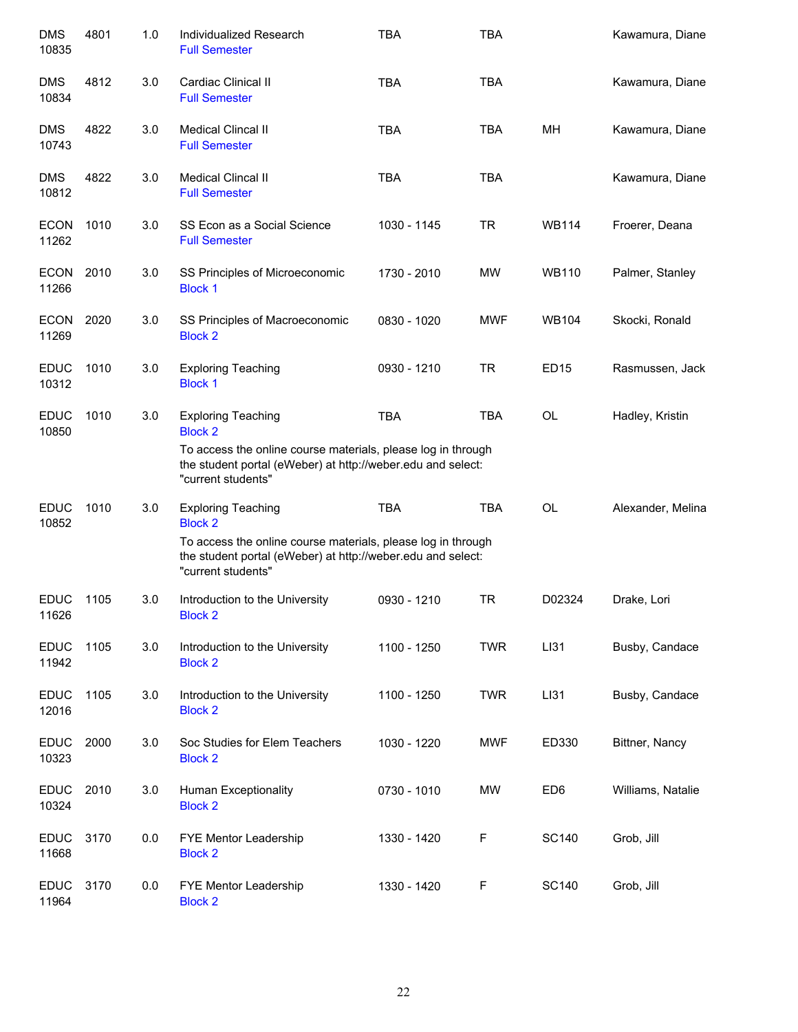| <b>DMS</b><br>10835  | 4801 | 1.0 | Individualized Research<br><b>Full Semester</b>                                                                                                   | <b>TBA</b>  | <b>TBA</b>  |                 | Kawamura, Diane   |
|----------------------|------|-----|---------------------------------------------------------------------------------------------------------------------------------------------------|-------------|-------------|-----------------|-------------------|
| <b>DMS</b><br>10834  | 4812 | 3.0 | Cardiac Clinical II<br><b>Full Semester</b>                                                                                                       | <b>TBA</b>  | <b>TBA</b>  |                 | Kawamura, Diane   |
| <b>DMS</b><br>10743  | 4822 | 3.0 | Medical Clincal II<br><b>Full Semester</b>                                                                                                        | <b>TBA</b>  | <b>TBA</b>  | MH              | Kawamura, Diane   |
| <b>DMS</b><br>10812  | 4822 | 3.0 | <b>Medical Clincal II</b><br><b>Full Semester</b>                                                                                                 | <b>TBA</b>  | <b>TBA</b>  |                 | Kawamura, Diane   |
| <b>ECON</b><br>11262 | 1010 | 3.0 | SS Econ as a Social Science<br><b>Full Semester</b>                                                                                               | 1030 - 1145 | <b>TR</b>   | <b>WB114</b>    | Froerer, Deana    |
| <b>ECON</b><br>11266 | 2010 | 3.0 | SS Principles of Microeconomic<br><b>Block 1</b>                                                                                                  | 1730 - 2010 | MW          | <b>WB110</b>    | Palmer, Stanley   |
| <b>ECON</b><br>11269 | 2020 | 3.0 | SS Principles of Macroeconomic<br><b>Block 2</b>                                                                                                  | 0830 - 1020 | <b>MWF</b>  | <b>WB104</b>    | Skocki, Ronald    |
| <b>EDUC</b><br>10312 | 1010 | 3.0 | <b>Exploring Teaching</b><br><b>Block 1</b>                                                                                                       | 0930 - 1210 | <b>TR</b>   | <b>ED15</b>     | Rasmussen, Jack   |
| <b>EDUC</b><br>10850 | 1010 | 3.0 | <b>Exploring Teaching</b><br><b>Block 2</b>                                                                                                       | <b>TBA</b>  | <b>TBA</b>  | <b>OL</b>       | Hadley, Kristin   |
|                      |      |     | To access the online course materials, please log in through<br>the student portal (eWeber) at http://weber.edu and select:<br>"current students" |             |             |                 |                   |
| <b>EDUC</b><br>10852 | 1010 | 3.0 | <b>Exploring Teaching</b><br><b>Block 2</b>                                                                                                       | <b>TBA</b>  | <b>TBA</b>  | <b>OL</b>       | Alexander, Melina |
|                      |      |     | To access the online course materials, please log in through<br>the student portal (eWeber) at http://weber.edu and select:<br>"current students" |             |             |                 |                   |
| <b>EDUC</b><br>11626 | 1105 | 3.0 | Introduction to the University<br><b>Block 2</b>                                                                                                  | 0930 - 1210 | <b>TR</b>   | D02324          | Drake, Lori       |
| <b>EDUC</b><br>11942 | 1105 | 3.0 | Introduction to the University<br><b>Block 2</b>                                                                                                  | 1100 - 1250 | <b>TWR</b>  | LI31            | Busby, Candace    |
| <b>EDUC</b><br>12016 | 1105 | 3.0 | Introduction to the University<br><b>Block 2</b>                                                                                                  | 1100 - 1250 | <b>TWR</b>  | LI31            | Busby, Candace    |
| <b>EDUC</b><br>10323 | 2000 | 3.0 | Soc Studies for Elem Teachers<br><b>Block 2</b>                                                                                                   | 1030 - 1220 | <b>MWF</b>  | ED330           | Bittner, Nancy    |
| <b>EDUC</b><br>10324 | 2010 | 3.0 | Human Exceptionality<br><b>Block 2</b>                                                                                                            | 0730 - 1010 | <b>MW</b>   | ED <sub>6</sub> | Williams, Natalie |
| <b>EDUC</b><br>11668 | 3170 | 0.0 | FYE Mentor Leadership<br><b>Block 2</b>                                                                                                           | 1330 - 1420 | $\mathsf F$ | <b>SC140</b>    | Grob, Jill        |
| <b>EDUC</b><br>11964 | 3170 | 0.0 | FYE Mentor Leadership<br><b>Block 2</b>                                                                                                           | 1330 - 1420 | F           | <b>SC140</b>    | Grob, Jill        |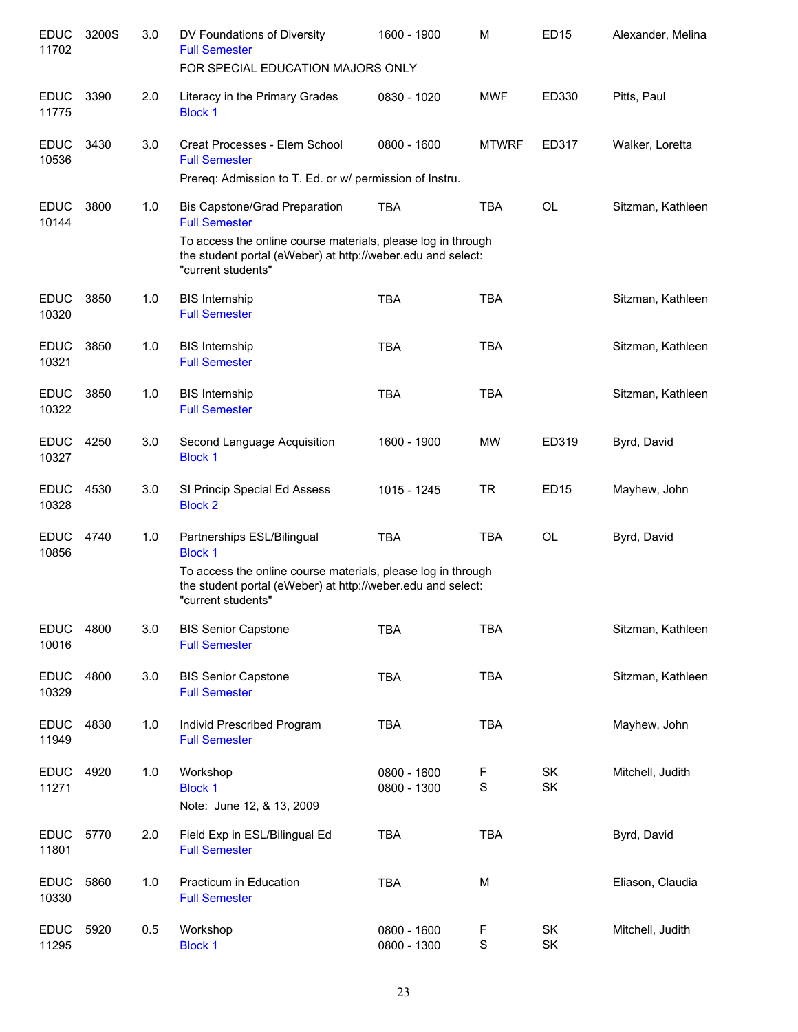| <b>EDUC</b><br>11702 | 3200S | 3.0 | DV Foundations of Diversity<br><b>Full Semester</b>                                                                                               | 1600 - 1900                | M                | <b>ED15</b>     | Alexander, Melina |
|----------------------|-------|-----|---------------------------------------------------------------------------------------------------------------------------------------------------|----------------------------|------------------|-----------------|-------------------|
|                      |       |     | FOR SPECIAL EDUCATION MAJORS ONLY                                                                                                                 |                            |                  |                 |                   |
| <b>EDUC</b><br>11775 | 3390  | 2.0 | Literacy in the Primary Grades<br><b>Block 1</b>                                                                                                  | 0830 - 1020                | <b>MWF</b>       | ED330           | Pitts, Paul       |
| <b>EDUC</b><br>10536 | 3430  | 3.0 | Creat Processes - Elem School<br><b>Full Semester</b>                                                                                             | 0800 - 1600                | <b>MTWRF</b>     | ED317           | Walker, Loretta   |
|                      |       |     | Prereq: Admission to T. Ed. or w/ permission of Instru.                                                                                           |                            |                  |                 |                   |
| <b>EDUC</b><br>10144 | 3800  | 1.0 | <b>Bis Capstone/Grad Preparation</b><br><b>Full Semester</b>                                                                                      | <b>TBA</b>                 | <b>TBA</b>       | <b>OL</b>       | Sitzman, Kathleen |
|                      |       |     | To access the online course materials, please log in through<br>the student portal (eWeber) at http://weber.edu and select:<br>"current students" |                            |                  |                 |                   |
| <b>EDUC</b><br>10320 | 3850  | 1.0 | <b>BIS Internship</b><br><b>Full Semester</b>                                                                                                     | <b>TBA</b>                 | <b>TBA</b>       |                 | Sitzman, Kathleen |
| <b>EDUC</b><br>10321 | 3850  | 1.0 | <b>BIS Internship</b><br><b>Full Semester</b>                                                                                                     | <b>TBA</b>                 | <b>TBA</b>       |                 | Sitzman, Kathleen |
| <b>EDUC</b><br>10322 | 3850  | 1.0 | <b>BIS Internship</b><br><b>Full Semester</b>                                                                                                     | <b>TBA</b>                 | <b>TBA</b>       |                 | Sitzman, Kathleen |
| <b>EDUC</b><br>10327 | 4250  | 3.0 | Second Language Acquisition<br><b>Block 1</b>                                                                                                     | 1600 - 1900                | <b>MW</b>        | ED319           | Byrd, David       |
| <b>EDUC</b><br>10328 | 4530  | 3.0 | SI Princip Special Ed Assess<br><b>Block 2</b>                                                                                                    | 1015 - 1245                | <b>TR</b>        | <b>ED15</b>     | Mayhew, John      |
| <b>EDUC</b><br>10856 | 4740  | 1.0 | Partnerships ESL/Bilingual<br><b>Block 1</b>                                                                                                      | <b>TBA</b>                 | <b>TBA</b>       | OL              | Byrd, David       |
|                      |       |     | To access the online course materials, please log in through<br>the student portal (eWeber) at http://weber.edu and select:<br>"current students" |                            |                  |                 |                   |
| <b>EDUC</b><br>10016 | 4800  | 3.0 | <b>BIS Senior Capstone</b><br><b>Full Semester</b>                                                                                                | <b>TBA</b>                 | <b>TBA</b>       |                 | Sitzman, Kathleen |
| <b>EDUC</b><br>10329 | 4800  | 3.0 | <b>BIS Senior Capstone</b><br><b>Full Semester</b>                                                                                                | <b>TBA</b>                 | <b>TBA</b>       |                 | Sitzman, Kathleen |
| <b>EDUC</b><br>11949 | 4830  | 1.0 | Individ Prescribed Program<br><b>Full Semester</b>                                                                                                | <b>TBA</b>                 | <b>TBA</b>       |                 | Mayhew, John      |
| <b>EDUC</b><br>11271 | 4920  | 1.0 | Workshop<br><b>Block 1</b><br>Note: June 12, & 13, 2009                                                                                           | 0800 - 1600<br>0800 - 1300 | F<br>S           | SK<br><b>SK</b> | Mitchell, Judith  |
| <b>EDUC</b><br>11801 | 5770  | 2.0 | Field Exp in ESL/Bilingual Ed<br><b>Full Semester</b>                                                                                             | <b>TBA</b>                 | <b>TBA</b>       |                 | Byrd, David       |
| <b>EDUC</b><br>10330 | 5860  | 1.0 | Practicum in Education<br><b>Full Semester</b>                                                                                                    | <b>TBA</b>                 | M                |                 | Eliason, Claudia  |
| <b>EDUC</b><br>11295 | 5920  | 0.5 | Workshop<br><b>Block 1</b>                                                                                                                        | 0800 - 1600<br>0800 - 1300 | F<br>$\mathbf S$ | SK<br>SK        | Mitchell, Judith  |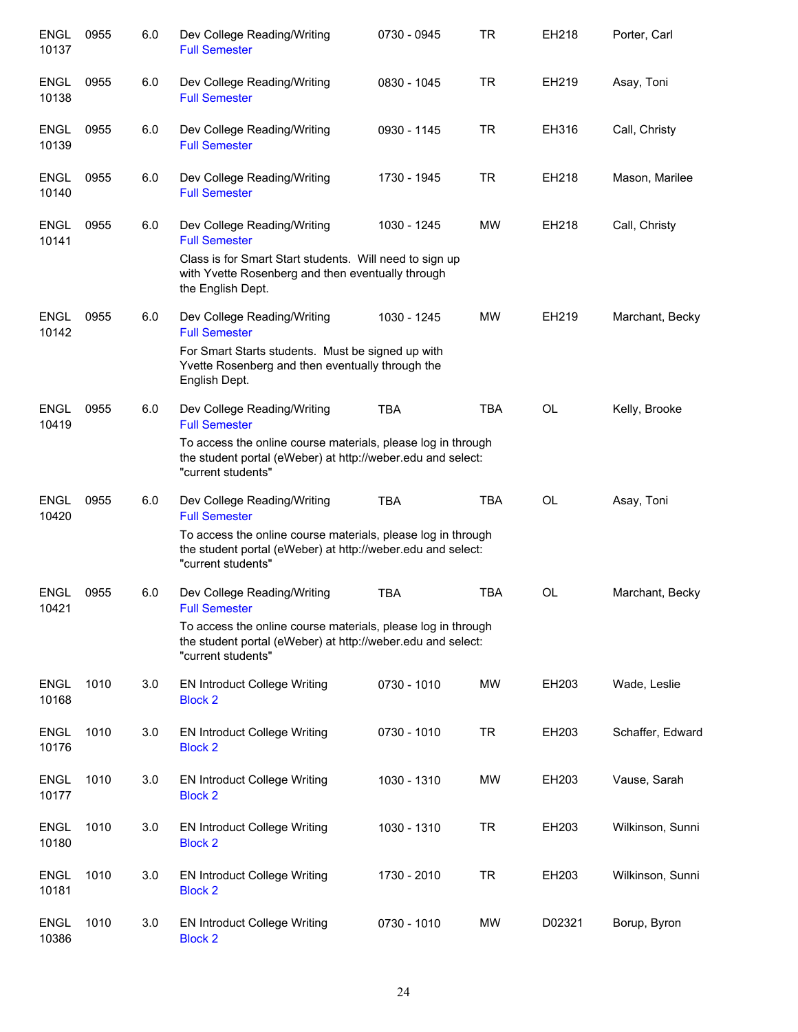| <b>ENGL</b><br>10137 | 0955 | 6.0 | Dev College Reading/Writing<br><b>Full Semester</b>                                                                                                                                                      | 0730 - 0945 | <b>TR</b>  | EH218     | Porter, Carl     |
|----------------------|------|-----|----------------------------------------------------------------------------------------------------------------------------------------------------------------------------------------------------------|-------------|------------|-----------|------------------|
| <b>ENGL</b><br>10138 | 0955 | 6.0 | Dev College Reading/Writing<br><b>Full Semester</b>                                                                                                                                                      | 0830 - 1045 | <b>TR</b>  | EH219     | Asay, Toni       |
| <b>ENGL</b><br>10139 | 0955 | 6.0 | Dev College Reading/Writing<br><b>Full Semester</b>                                                                                                                                                      | 0930 - 1145 | <b>TR</b>  | EH316     | Call, Christy    |
| ENGL<br>10140        | 0955 | 6.0 | Dev College Reading/Writing<br><b>Full Semester</b>                                                                                                                                                      | 1730 - 1945 | <b>TR</b>  | EH218     | Mason, Marilee   |
| ENGL<br>10141        | 0955 | 6.0 | Dev College Reading/Writing<br><b>Full Semester</b><br>Class is for Smart Start students. Will need to sign up<br>with Yvette Rosenberg and then eventually through<br>the English Dept.                 | 1030 - 1245 | <b>MW</b>  | EH218     | Call, Christy    |
| <b>ENGL</b><br>10142 | 0955 | 6.0 | Dev College Reading/Writing<br><b>Full Semester</b><br>For Smart Starts students. Must be signed up with<br>Yvette Rosenberg and then eventually through the<br>English Dept.                            | 1030 - 1245 | MW         | EH219     | Marchant, Becky  |
| <b>ENGL</b><br>10419 | 0955 | 6.0 | Dev College Reading/Writing<br><b>Full Semester</b><br>To access the online course materials, please log in through<br>the student portal (eWeber) at http://weber.edu and select:<br>"current students" | <b>TBA</b>  | <b>TBA</b> | <b>OL</b> | Kelly, Brooke    |
| <b>ENGL</b><br>10420 | 0955 | 6.0 | Dev College Reading/Writing<br><b>Full Semester</b><br>To access the online course materials, please log in through<br>the student portal (eWeber) at http://weber.edu and select:<br>"current students" | <b>TBA</b>  | <b>TBA</b> | <b>OL</b> | Asay, Toni       |
| <b>ENGL</b><br>10421 | 0955 | 6.0 | Dev College Reading/Writing<br><b>Full Semester</b><br>To access the online course materials, please log in through<br>the student portal (eWeber) at http://weber.edu and select:<br>"current students" | <b>TBA</b>  | <b>TBA</b> | OL        | Marchant, Becky  |
| <b>ENGL</b><br>10168 | 1010 | 3.0 | <b>EN Introduct College Writing</b><br><b>Block 2</b>                                                                                                                                                    | 0730 - 1010 | MW         | EH203     | Wade, Leslie     |
| <b>ENGL</b><br>10176 | 1010 | 3.0 | <b>EN Introduct College Writing</b><br><b>Block 2</b>                                                                                                                                                    | 0730 - 1010 | <b>TR</b>  | EH203     | Schaffer, Edward |
| <b>ENGL</b><br>10177 | 1010 | 3.0 | <b>EN Introduct College Writing</b><br><b>Block 2</b>                                                                                                                                                    | 1030 - 1310 | MW         | EH203     | Vause, Sarah     |
| <b>ENGL</b><br>10180 | 1010 | 3.0 | <b>EN Introduct College Writing</b><br><b>Block 2</b>                                                                                                                                                    | 1030 - 1310 | TR         | EH203     | Wilkinson, Sunni |
| <b>ENGL</b><br>10181 | 1010 | 3.0 | <b>EN Introduct College Writing</b><br><b>Block 2</b>                                                                                                                                                    | 1730 - 2010 | <b>TR</b>  | EH203     | Wilkinson, Sunni |
| ENGL<br>10386        | 1010 | 3.0 | <b>EN Introduct College Writing</b><br><b>Block 2</b>                                                                                                                                                    | 0730 - 1010 | MW         | D02321    | Borup, Byron     |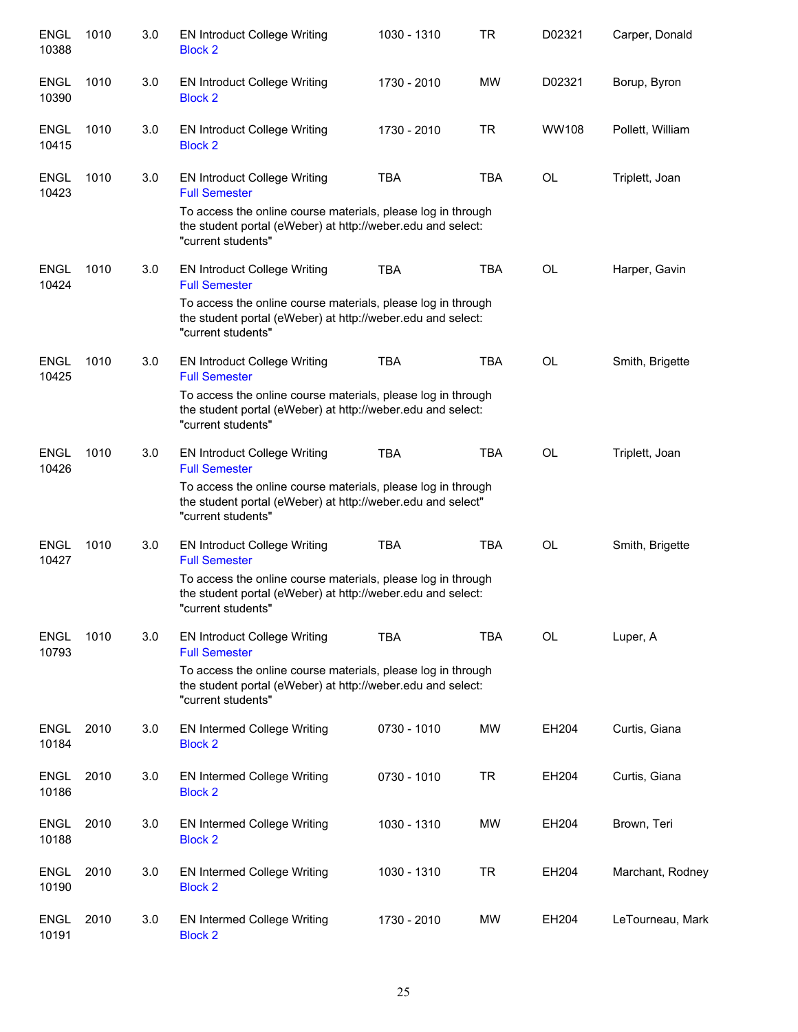| <b>ENGL</b><br>10388 | 1010 | 3.0 | <b>EN Introduct College Writing</b><br><b>Block 2</b>                                                                                             | 1030 - 1310 | <b>TR</b>  | D02321    | Carper, Donald   |
|----------------------|------|-----|---------------------------------------------------------------------------------------------------------------------------------------------------|-------------|------------|-----------|------------------|
| <b>ENGL</b><br>10390 | 1010 | 3.0 | <b>EN Introduct College Writing</b><br><b>Block 2</b>                                                                                             | 1730 - 2010 | MW         | D02321    | Borup, Byron     |
| <b>ENGL</b><br>10415 | 1010 | 3.0 | EN Introduct College Writing<br><b>Block 2</b>                                                                                                    | 1730 - 2010 | <b>TR</b>  | WW108     | Pollett, William |
| <b>ENGL</b><br>10423 | 1010 | 3.0 | <b>EN Introduct College Writing</b><br><b>Full Semester</b>                                                                                       | <b>TBA</b>  | <b>TBA</b> | OL        | Triplett, Joan   |
|                      |      |     | To access the online course materials, please log in through<br>the student portal (eWeber) at http://weber.edu and select:<br>"current students" |             |            |           |                  |
| <b>ENGL</b><br>10424 | 1010 | 3.0 | <b>EN Introduct College Writing</b><br><b>Full Semester</b>                                                                                       | <b>TBA</b>  | <b>TBA</b> | OL        | Harper, Gavin    |
|                      |      |     | To access the online course materials, please log in through<br>the student portal (eWeber) at http://weber.edu and select:<br>"current students" |             |            |           |                  |
| <b>ENGL</b><br>10425 | 1010 | 3.0 | <b>EN Introduct College Writing</b><br><b>Full Semester</b>                                                                                       | <b>TBA</b>  | <b>TBA</b> | OL        | Smith, Brigette  |
|                      |      |     | To access the online course materials, please log in through<br>the student portal (eWeber) at http://weber.edu and select:<br>"current students" |             |            |           |                  |
| <b>ENGL</b><br>10426 | 1010 | 3.0 | <b>EN Introduct College Writing</b><br><b>Full Semester</b>                                                                                       | <b>TBA</b>  | <b>TBA</b> | <b>OL</b> | Triplett, Joan   |
|                      |      |     | To access the online course materials, please log in through<br>the student portal (eWeber) at http://weber.edu and select"<br>"current students" |             |            |           |                  |
| <b>ENGL</b><br>10427 | 1010 | 3.0 | <b>EN Introduct College Writing</b><br><b>Full Semester</b>                                                                                       | <b>TBA</b>  | <b>TBA</b> | <b>OL</b> | Smith, Brigette  |
|                      |      |     | To access the online course materials, please log in through<br>the student portal (eWeber) at http://weber.edu and select:<br>"current students" |             |            |           |                  |
| <b>ENGL</b><br>10793 | 1010 | 3.0 | <b>EN Introduct College Writing</b><br><b>Full Semester</b>                                                                                       | <b>TBA</b>  | <b>TBA</b> | <b>OL</b> | Luper, A         |
|                      |      |     | To access the online course materials, please log in through<br>the student portal (eWeber) at http://weber.edu and select:<br>"current students" |             |            |           |                  |
| <b>ENGL</b><br>10184 | 2010 | 3.0 | <b>EN Intermed College Writing</b><br><b>Block 2</b>                                                                                              | 0730 - 1010 | MW         | EH204     | Curtis, Giana    |
| <b>ENGL</b><br>10186 | 2010 | 3.0 | <b>EN Intermed College Writing</b><br><b>Block 2</b>                                                                                              | 0730 - 1010 | TR         | EH204     | Curtis, Giana    |
| <b>ENGL</b><br>10188 | 2010 | 3.0 | EN Intermed College Writing<br><b>Block 2</b>                                                                                                     | 1030 - 1310 | MW         | EH204     | Brown, Teri      |
| <b>ENGL</b><br>10190 | 2010 | 3.0 | EN Intermed College Writing<br><b>Block 2</b>                                                                                                     | 1030 - 1310 | TR         | EH204     | Marchant, Rodney |
| <b>ENGL</b><br>10191 | 2010 | 3.0 | <b>EN Intermed College Writing</b><br><b>Block 2</b>                                                                                              | 1730 - 2010 | MW         | EH204     | LeTourneau, Mark |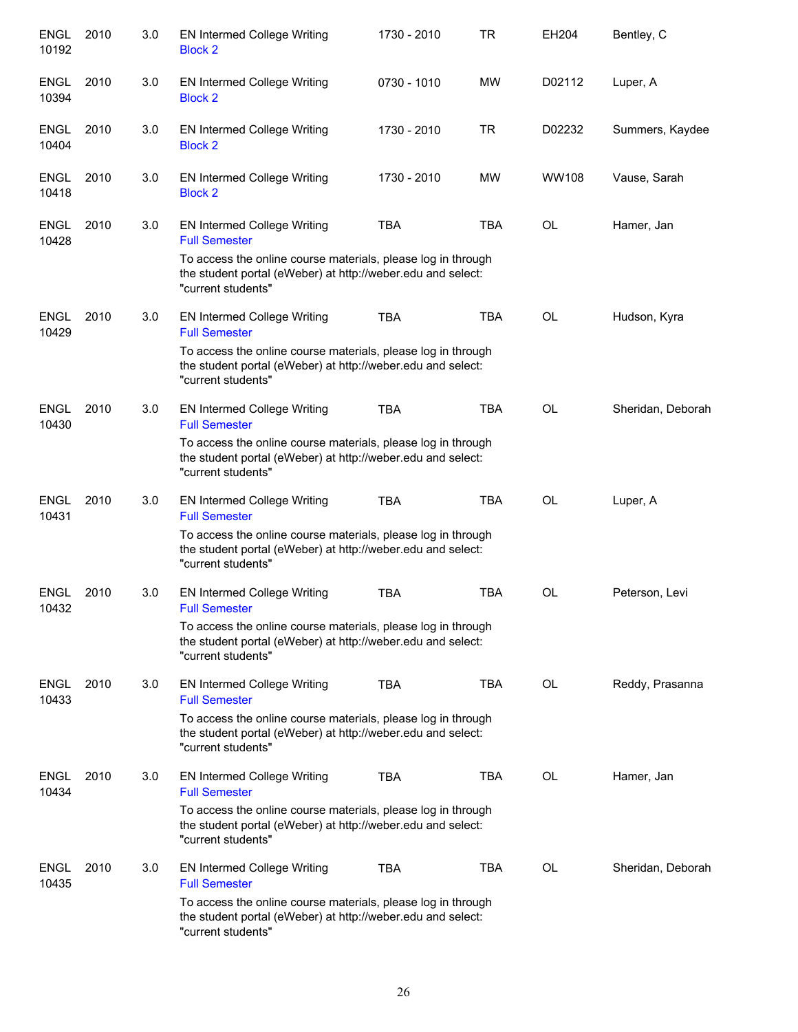| <b>ENGL</b><br>10192 | 2010 | 3.0 | <b>EN Intermed College Writing</b><br><b>Block 2</b>                                                                                              | 1730 - 2010 | <b>TR</b>  | EH204        | Bentley, C        |
|----------------------|------|-----|---------------------------------------------------------------------------------------------------------------------------------------------------|-------------|------------|--------------|-------------------|
| <b>ENGL</b><br>10394 | 2010 | 3.0 | EN Intermed College Writing<br><b>Block 2</b>                                                                                                     | 0730 - 1010 | MW         | D02112       | Luper, A          |
| <b>ENGL</b><br>10404 | 2010 | 3.0 | <b>EN Intermed College Writing</b><br><b>Block 2</b>                                                                                              | 1730 - 2010 | <b>TR</b>  | D02232       | Summers, Kaydee   |
| <b>ENGL</b><br>10418 | 2010 | 3.0 | EN Intermed College Writing<br><b>Block 2</b>                                                                                                     | 1730 - 2010 | MW         | <b>WW108</b> | Vause, Sarah      |
| <b>ENGL</b><br>10428 | 2010 | 3.0 | <b>EN Intermed College Writing</b><br><b>Full Semester</b>                                                                                        | <b>TBA</b>  | <b>TBA</b> | OL           | Hamer, Jan        |
|                      |      |     | To access the online course materials, please log in through<br>the student portal (eWeber) at http://weber.edu and select:<br>"current students" |             |            |              |                   |
| <b>ENGL</b><br>10429 | 2010 | 3.0 | <b>EN Intermed College Writing</b><br><b>Full Semester</b>                                                                                        | <b>TBA</b>  | <b>TBA</b> | <b>OL</b>    | Hudson, Kyra      |
|                      |      |     | To access the online course materials, please log in through<br>the student portal (eWeber) at http://weber.edu and select:<br>"current students" |             |            |              |                   |
| <b>ENGL</b><br>10430 | 2010 | 3.0 | <b>EN Intermed College Writing</b><br><b>Full Semester</b>                                                                                        | <b>TBA</b>  | <b>TBA</b> | <b>OL</b>    | Sheridan, Deborah |
|                      |      |     | To access the online course materials, please log in through<br>the student portal (eWeber) at http://weber.edu and select:<br>"current students" |             |            |              |                   |
| <b>ENGL</b><br>10431 | 2010 | 3.0 | <b>EN Intermed College Writing</b><br><b>Full Semester</b>                                                                                        | <b>TBA</b>  | <b>TBA</b> | <b>OL</b>    | Luper, A          |
|                      |      |     | To access the online course materials, please log in through<br>the student portal (eWeber) at http://weber.edu and select:<br>"current students" |             |            |              |                   |
| <b>ENGL</b><br>10432 | 2010 | 3.0 | <b>EN Intermed College Writing</b><br><b>Full Semester</b>                                                                                        | <b>TBA</b>  | <b>TBA</b> | OL           | Peterson, Levi    |
|                      |      |     | To access the online course materials, please log in through<br>the student portal (eWeber) at http://weber.edu and select:<br>"current students" |             |            |              |                   |
| <b>ENGL</b><br>10433 | 2010 | 3.0 | <b>EN Intermed College Writing</b><br><b>Full Semester</b>                                                                                        | <b>TBA</b>  | <b>TBA</b> | OL           | Reddy, Prasanna   |
|                      |      |     | To access the online course materials, please log in through<br>the student portal (eWeber) at http://weber.edu and select:<br>"current students" |             |            |              |                   |
| <b>ENGL</b><br>10434 | 2010 | 3.0 | EN Intermed College Writing<br><b>Full Semester</b>                                                                                               | <b>TBA</b>  | <b>TBA</b> | <b>OL</b>    | Hamer, Jan        |
|                      |      |     | To access the online course materials, please log in through<br>the student portal (eWeber) at http://weber.edu and select:<br>"current students" |             |            |              |                   |
| <b>ENGL</b><br>10435 | 2010 | 3.0 | <b>EN Intermed College Writing</b><br><b>Full Semester</b>                                                                                        | <b>TBA</b>  | <b>TBA</b> | <b>OL</b>    | Sheridan, Deborah |
|                      |      |     | To access the online course materials, please log in through<br>the student portal (eWeber) at http://weber.edu and select:<br>"current students" |             |            |              |                   |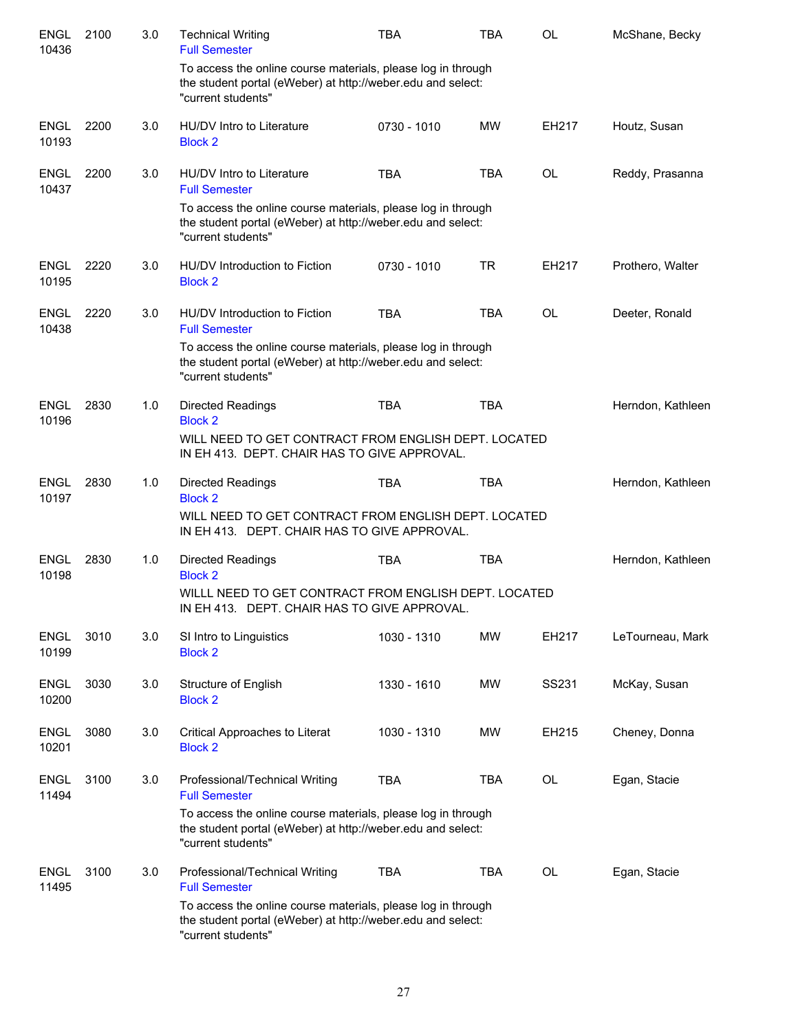| <b>ENGL</b><br>10436 | 2100 | 3.0 | <b>Technical Writing</b><br><b>Full Semester</b>                                                                                                  | <b>TBA</b>  | <b>TBA</b> | OL        | McShane, Becky    |
|----------------------|------|-----|---------------------------------------------------------------------------------------------------------------------------------------------------|-------------|------------|-----------|-------------------|
|                      |      |     | To access the online course materials, please log in through<br>the student portal (eWeber) at http://weber.edu and select:<br>"current students" |             |            |           |                   |
| <b>ENGL</b><br>10193 | 2200 | 3.0 | HU/DV Intro to Literature<br><b>Block 2</b>                                                                                                       | 0730 - 1010 | <b>MW</b>  | EH217     | Houtz, Susan      |
| <b>ENGL</b><br>10437 | 2200 | 3.0 | HU/DV Intro to Literature<br><b>Full Semester</b>                                                                                                 | <b>TBA</b>  | <b>TBA</b> | <b>OL</b> | Reddy, Prasanna   |
|                      |      |     | To access the online course materials, please log in through<br>the student portal (eWeber) at http://weber.edu and select:<br>"current students" |             |            |           |                   |
| <b>ENGL</b><br>10195 | 2220 | 3.0 | HU/DV Introduction to Fiction<br><b>Block 2</b>                                                                                                   | 0730 - 1010 | <b>TR</b>  | EH217     | Prothero, Walter  |
| <b>ENGL</b><br>10438 | 2220 | 3.0 | HU/DV Introduction to Fiction<br><b>Full Semester</b>                                                                                             | <b>TBA</b>  | <b>TBA</b> | <b>OL</b> | Deeter, Ronald    |
|                      |      |     | To access the online course materials, please log in through<br>the student portal (eWeber) at http://weber.edu and select:<br>"current students" |             |            |           |                   |
| <b>ENGL</b><br>10196 | 2830 | 1.0 | <b>Directed Readings</b><br><b>Block 2</b>                                                                                                        | <b>TBA</b>  | <b>TBA</b> |           | Herndon, Kathleen |
|                      |      |     | WILL NEED TO GET CONTRACT FROM ENGLISH DEPT. LOCATED<br>IN EH 413. DEPT. CHAIR HAS TO GIVE APPROVAL.                                              |             |            |           |                   |
| <b>ENGL</b><br>10197 | 2830 | 1.0 | <b>Directed Readings</b><br><b>Block 2</b>                                                                                                        | <b>TBA</b>  | <b>TBA</b> |           | Herndon, Kathleen |
|                      |      |     | WILL NEED TO GET CONTRACT FROM ENGLISH DEPT. LOCATED<br>IN EH 413. DEPT. CHAIR HAS TO GIVE APPROVAL.                                              |             |            |           |                   |
| <b>ENGL</b><br>10198 | 2830 | 1.0 | <b>Directed Readings</b><br><b>Block 2</b>                                                                                                        | <b>TBA</b>  | <b>TBA</b> |           | Herndon, Kathleen |
|                      |      |     | WILLL NEED TO GET CONTRACT FROM ENGLISH DEPT. LOCATED<br>IN EH 413. DEPT. CHAIR HAS TO GIVE APPROVAL                                              |             |            |           |                   |
| <b>ENGL</b><br>10199 | 3010 | 3.0 | SI Intro to Linguistics<br><b>Block 2</b>                                                                                                         | 1030 - 1310 | MW         | EH217     | LeTourneau, Mark  |
| <b>ENGL</b><br>10200 | 3030 | 3.0 | Structure of English<br><b>Block 2</b>                                                                                                            | 1330 - 1610 | MW         | SS231     | McKay, Susan      |
| <b>ENGL</b><br>10201 | 3080 | 3.0 | Critical Approaches to Literat<br><b>Block 2</b>                                                                                                  | 1030 - 1310 | MW         | EH215     | Cheney, Donna     |
| <b>ENGL</b><br>11494 | 3100 | 3.0 | Professional/Technical Writing<br><b>Full Semester</b>                                                                                            | <b>TBA</b>  | <b>TBA</b> | OL        | Egan, Stacie      |
|                      |      |     | To access the online course materials, please log in through<br>the student portal (eWeber) at http://weber.edu and select:<br>"current students" |             |            |           |                   |
| <b>ENGL</b><br>11495 | 3100 | 3.0 | Professional/Technical Writing<br><b>Full Semester</b>                                                                                            | <b>TBA</b>  | <b>TBA</b> | <b>OL</b> | Egan, Stacie      |
|                      |      |     | To access the online course materials, please log in through<br>the student portal (eWeber) at http://weber.edu and select:<br>"current students" |             |            |           |                   |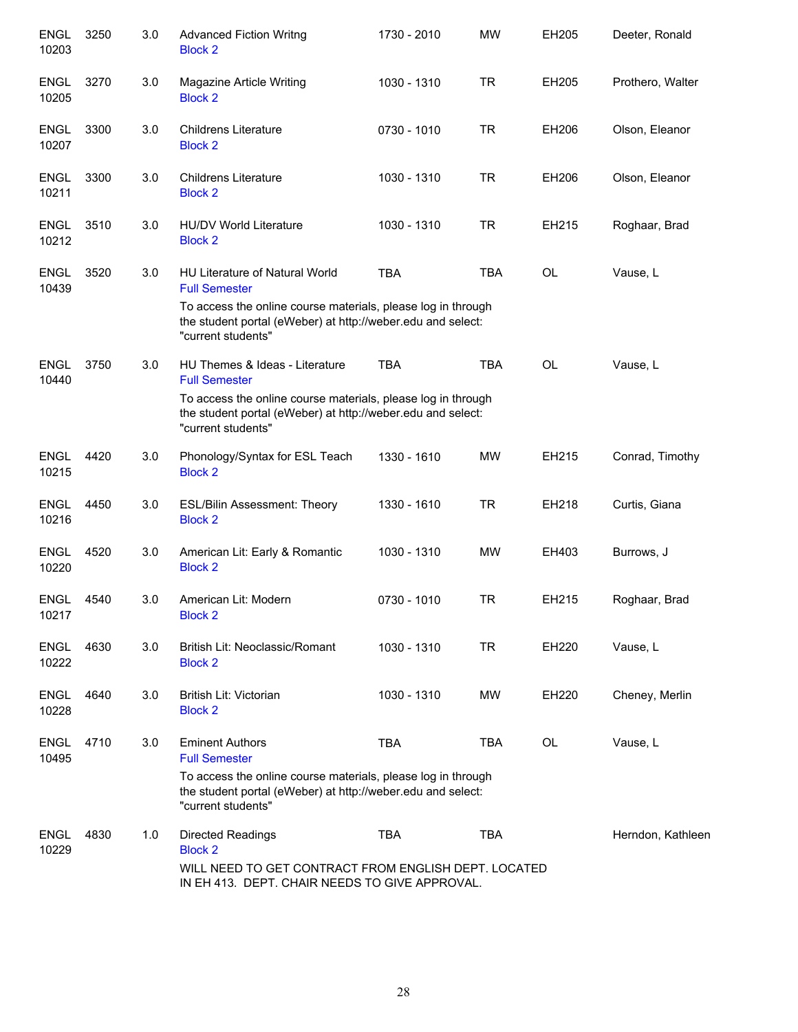| ENGL<br>10203        | 3250 | 3.0 | <b>Advanced Fiction Writng</b><br><b>Block 2</b>                                                                                                                                                            | 1730 - 2010 | <b>MW</b>  | EH205     | Deeter, Ronald    |
|----------------------|------|-----|-------------------------------------------------------------------------------------------------------------------------------------------------------------------------------------------------------------|-------------|------------|-----------|-------------------|
| <b>ENGL</b><br>10205 | 3270 | 3.0 | Magazine Article Writing<br><b>Block 2</b>                                                                                                                                                                  | 1030 - 1310 | <b>TR</b>  | EH205     | Prothero, Walter  |
| <b>ENGL</b><br>10207 | 3300 | 3.0 | <b>Childrens Literature</b><br><b>Block 2</b>                                                                                                                                                               | 0730 - 1010 | <b>TR</b>  | EH206     | Olson, Eleanor    |
| <b>ENGL</b><br>10211 | 3300 | 3.0 | <b>Childrens Literature</b><br><b>Block 2</b>                                                                                                                                                               | 1030 - 1310 | <b>TR</b>  | EH206     | Olson, Eleanor    |
| <b>ENGL</b><br>10212 | 3510 | 3.0 | <b>HU/DV World Literature</b><br><b>Block 2</b>                                                                                                                                                             | 1030 - 1310 | <b>TR</b>  | EH215     | Roghaar, Brad     |
| <b>ENGL</b><br>10439 | 3520 | 3.0 | HU Literature of Natural World<br><b>Full Semester</b><br>To access the online course materials, please log in through<br>the student portal (eWeber) at http://weber.edu and select:<br>"current students" | <b>TBA</b>  | <b>TBA</b> | <b>OL</b> | Vause, L          |
| <b>ENGL</b><br>10440 | 3750 | 3.0 | HU Themes & Ideas - Literature<br><b>Full Semester</b><br>To access the online course materials, please log in through<br>the student portal (eWeber) at http://weber.edu and select:<br>"current students" | <b>TBA</b>  | <b>TBA</b> | <b>OL</b> | Vause, L          |
| <b>ENGL</b><br>10215 | 4420 | 3.0 | Phonology/Syntax for ESL Teach<br><b>Block 2</b>                                                                                                                                                            | 1330 - 1610 | <b>MW</b>  | EH215     | Conrad, Timothy   |
| <b>ENGL</b><br>10216 | 4450 | 3.0 | <b>ESL/Bilin Assessment: Theory</b><br><b>Block 2</b>                                                                                                                                                       | 1330 - 1610 | <b>TR</b>  | EH218     | Curtis, Giana     |
| <b>ENGL</b><br>10220 | 4520 | 3.0 | American Lit: Early & Romantic<br><b>Block 2</b>                                                                                                                                                            | 1030 - 1310 | <b>MW</b>  | EH403     | Burrows, J        |
| <b>ENGL</b><br>10217 | 4540 | 3.0 | American Lit: Modern<br><b>Block 2</b>                                                                                                                                                                      | 0730 - 1010 | <b>TR</b>  | EH215     | Roghaar, Brad     |
| <b>ENGL</b><br>10222 | 4630 | 3.0 | British Lit: Neoclassic/Romant<br><b>Block 2</b>                                                                                                                                                            | 1030 - 1310 | <b>TR</b>  | EH220     | Vause, L          |
| <b>ENGL</b><br>10228 | 4640 | 3.0 | <b>British Lit: Victorian</b><br><b>Block 2</b>                                                                                                                                                             | 1030 - 1310 | MW         | EH220     | Cheney, Merlin    |
| <b>ENGL</b><br>10495 | 4710 | 3.0 | <b>Eminent Authors</b><br><b>Full Semester</b><br>To access the online course materials, please log in through<br>the student portal (eWeber) at http://weber.edu and select:<br>"current students"         | <b>TBA</b>  | <b>TBA</b> | <b>OL</b> | Vause, L          |
| <b>ENGL</b><br>10229 | 4830 | 1.0 | Directed Readings<br><b>Block 2</b><br>WILL NEED TO GET CONTRACT FROM ENGLISH DEPT. LOCATED<br>IN EH 413. DEPT. CHAIR NEEDS TO GIVE APPROVAL.                                                               | <b>TBA</b>  | <b>TBA</b> |           | Herndon, Kathleen |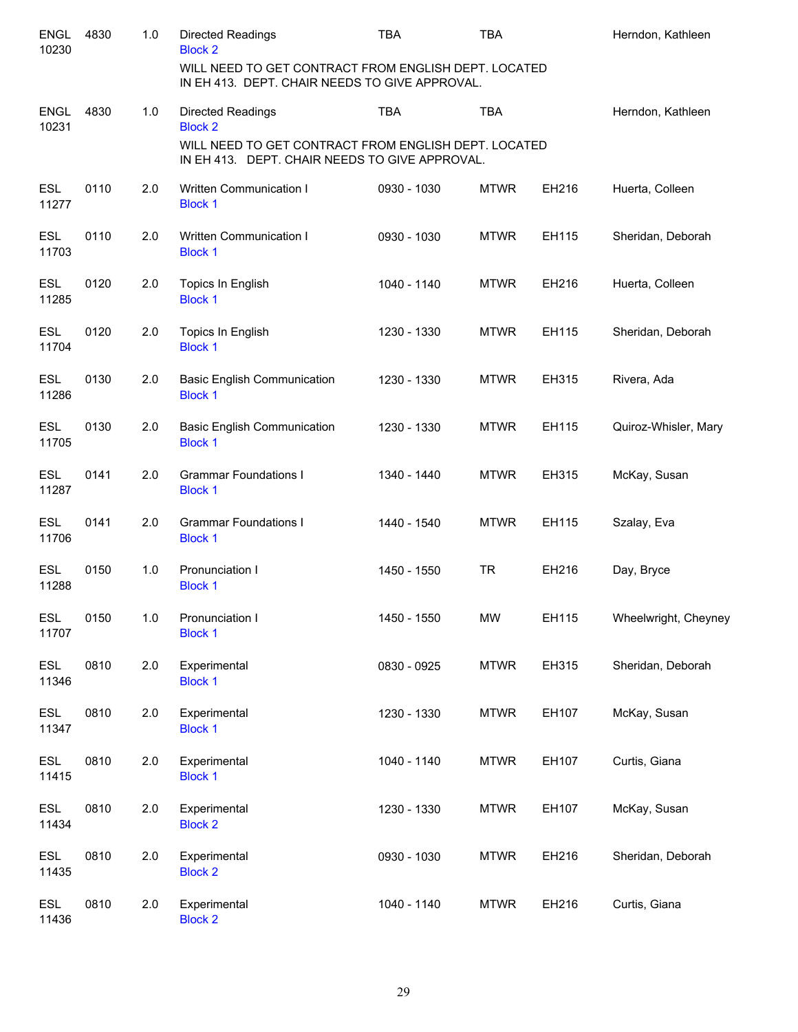| <b>ENGL</b><br>10230 | 4830 | 1.0   | <b>Directed Readings</b><br><b>Block 2</b>                                                             | <b>TBA</b>  | <b>TBA</b>  |       | Herndon, Kathleen    |
|----------------------|------|-------|--------------------------------------------------------------------------------------------------------|-------------|-------------|-------|----------------------|
|                      |      |       | WILL NEED TO GET CONTRACT FROM ENGLISH DEPT. LOCATED<br>IN EH 413. DEPT. CHAIR NEEDS TO GIVE APPROVAL. |             |             |       |                      |
| <b>ENGL</b><br>10231 | 4830 | 1.0   | <b>Directed Readings</b><br><b>Block 2</b>                                                             | <b>TBA</b>  | <b>TBA</b>  |       | Herndon, Kathleen    |
|                      |      |       | WILL NEED TO GET CONTRACT FROM ENGLISH DEPT. LOCATED<br>IN EH 413. DEPT. CHAIR NEEDS TO GIVE APPROVAL. |             |             |       |                      |
| <b>ESL</b><br>11277  | 0110 | 2.0   | Written Communication I<br><b>Block 1</b>                                                              | 0930 - 1030 | <b>MTWR</b> | EH216 | Huerta, Colleen      |
| <b>ESL</b><br>11703  | 0110 | 2.0   | Written Communication I<br><b>Block 1</b>                                                              | 0930 - 1030 | <b>MTWR</b> | EH115 | Sheridan, Deborah    |
| <b>ESL</b><br>11285  | 0120 | 2.0   | Topics In English<br><b>Block 1</b>                                                                    | 1040 - 1140 | <b>MTWR</b> | EH216 | Huerta, Colleen      |
| <b>ESL</b><br>11704  | 0120 | 2.0   | Topics In English<br><b>Block 1</b>                                                                    | 1230 - 1330 | <b>MTWR</b> | EH115 | Sheridan, Deborah    |
| <b>ESL</b><br>11286  | 0130 | 2.0   | <b>Basic English Communication</b><br><b>Block 1</b>                                                   | 1230 - 1330 | <b>MTWR</b> | EH315 | Rivera, Ada          |
| <b>ESL</b><br>11705  | 0130 | 2.0   | <b>Basic English Communication</b><br><b>Block 1</b>                                                   | 1230 - 1330 | <b>MTWR</b> | EH115 | Quiroz-Whisler, Mary |
| <b>ESL</b><br>11287  | 0141 | 2.0   | <b>Grammar Foundations I</b><br><b>Block 1</b>                                                         | 1340 - 1440 | <b>MTWR</b> | EH315 | McKay, Susan         |
| <b>ESL</b><br>11706  | 0141 | 2.0   | <b>Grammar Foundations I</b><br><b>Block 1</b>                                                         | 1440 - 1540 | <b>MTWR</b> | EH115 | Szalay, Eva          |
| <b>ESL</b><br>11288  | 0150 | 1.0   | Pronunciation I<br><b>Block 1</b>                                                                      | 1450 - 1550 | <b>TR</b>   | EH216 | Day, Bryce           |
| <b>ESL</b><br>11707  | 0150 | $1.0$ | Pronunciation I<br><b>Block 1</b>                                                                      | 1450 - 1550 | <b>MW</b>   | EH115 | Wheelwright, Cheyney |
| <b>ESL</b><br>11346  | 0810 | 2.0   | Experimental<br><b>Block 1</b>                                                                         | 0830 - 0925 | <b>MTWR</b> | EH315 | Sheridan, Deborah    |
| <b>ESL</b><br>11347  | 0810 | 2.0   | Experimental<br><b>Block 1</b>                                                                         | 1230 - 1330 | <b>MTWR</b> | EH107 | McKay, Susan         |
| <b>ESL</b><br>11415  | 0810 | 2.0   | Experimental<br><b>Block 1</b>                                                                         | 1040 - 1140 | <b>MTWR</b> | EH107 | Curtis, Giana        |
| <b>ESL</b><br>11434  | 0810 | 2.0   | Experimental<br><b>Block 2</b>                                                                         | 1230 - 1330 | <b>MTWR</b> | EH107 | McKay, Susan         |
| <b>ESL</b><br>11435  | 0810 | 2.0   | Experimental<br><b>Block 2</b>                                                                         | 0930 - 1030 | <b>MTWR</b> | EH216 | Sheridan, Deborah    |
| <b>ESL</b><br>11436  | 0810 | 2.0   | Experimental<br><b>Block 2</b>                                                                         | 1040 - 1140 | <b>MTWR</b> | EH216 | Curtis, Giana        |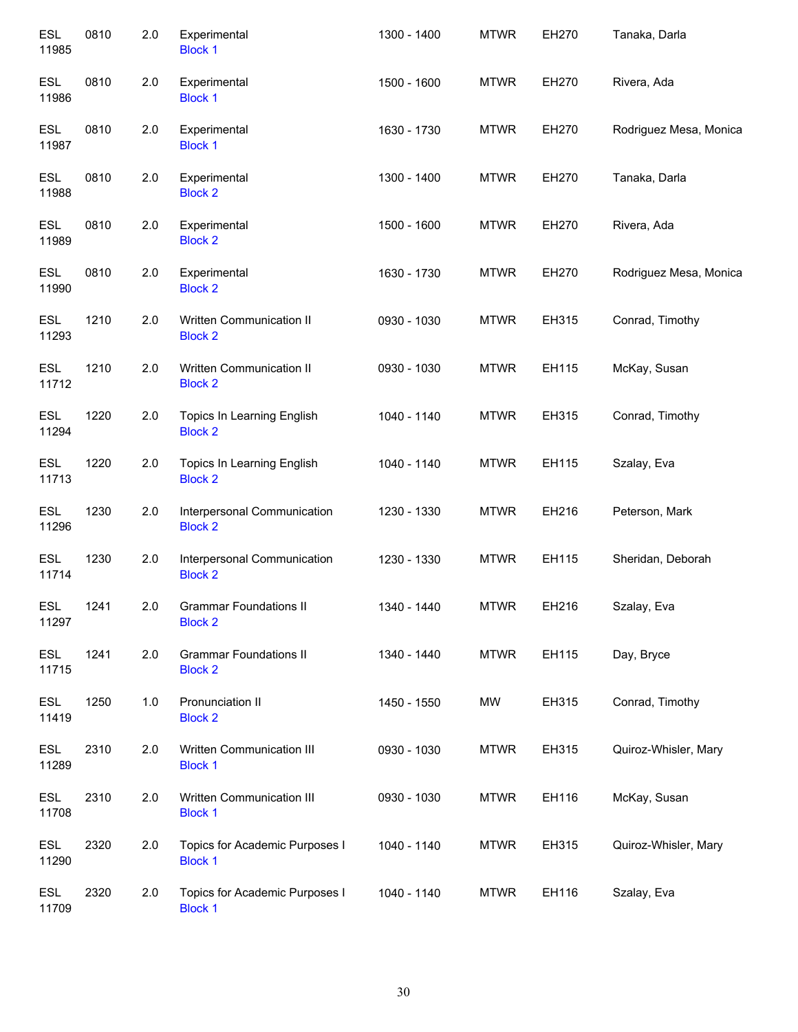| <b>ESL</b><br>11985 | 0810 | 2.0 | Experimental<br><b>Block 1</b>                   | 1300 - 1400 | <b>MTWR</b> | EH270 | Tanaka, Darla          |
|---------------------|------|-----|--------------------------------------------------|-------------|-------------|-------|------------------------|
| <b>ESL</b><br>11986 | 0810 | 2.0 | Experimental<br><b>Block 1</b>                   | 1500 - 1600 | <b>MTWR</b> | EH270 | Rivera, Ada            |
| <b>ESL</b><br>11987 | 0810 | 2.0 | Experimental<br><b>Block 1</b>                   | 1630 - 1730 | <b>MTWR</b> | EH270 | Rodriguez Mesa, Monica |
| <b>ESL</b><br>11988 | 0810 | 2.0 | Experimental<br><b>Block 2</b>                   | 1300 - 1400 | <b>MTWR</b> | EH270 | Tanaka, Darla          |
| <b>ESL</b><br>11989 | 0810 | 2.0 | Experimental<br><b>Block 2</b>                   | 1500 - 1600 | <b>MTWR</b> | EH270 | Rivera, Ada            |
| <b>ESL</b><br>11990 | 0810 | 2.0 | Experimental<br><b>Block 2</b>                   | 1630 - 1730 | <b>MTWR</b> | EH270 | Rodriguez Mesa, Monica |
| <b>ESL</b><br>11293 | 1210 | 2.0 | Written Communication II<br><b>Block 2</b>       | 0930 - 1030 | <b>MTWR</b> | EH315 | Conrad, Timothy        |
| <b>ESL</b><br>11712 | 1210 | 2.0 | Written Communication II<br><b>Block 2</b>       | 0930 - 1030 | <b>MTWR</b> | EH115 | McKay, Susan           |
| <b>ESL</b><br>11294 | 1220 | 2.0 | Topics In Learning English<br><b>Block 2</b>     | 1040 - 1140 | <b>MTWR</b> | EH315 | Conrad, Timothy        |
| <b>ESL</b><br>11713 | 1220 | 2.0 | Topics In Learning English<br><b>Block 2</b>     | 1040 - 1140 | <b>MTWR</b> | EH115 | Szalay, Eva            |
| <b>ESL</b><br>11296 | 1230 | 2.0 | Interpersonal Communication<br><b>Block 2</b>    | 1230 - 1330 | <b>MTWR</b> | EH216 | Peterson, Mark         |
| <b>ESL</b><br>11714 | 1230 | 2.0 | Interpersonal Communication<br><b>Block 2</b>    | 1230 - 1330 | <b>MTWR</b> | EH115 | Sheridan, Deborah      |
| ESL<br>11297        | 1241 | 2.0 | <b>Grammar Foundations II</b><br><b>Block 2</b>  | 1340 - 1440 | <b>MTWR</b> | EH216 | Szalay, Eva            |
| <b>ESL</b><br>11715 | 1241 | 2.0 | <b>Grammar Foundations II</b><br><b>Block 2</b>  | 1340 - 1440 | <b>MTWR</b> | EH115 | Day, Bryce             |
| <b>ESL</b><br>11419 | 1250 | 1.0 | Pronunciation II<br><b>Block 2</b>               | 1450 - 1550 | MW          | EH315 | Conrad, Timothy        |
| <b>ESL</b><br>11289 | 2310 | 2.0 | Written Communication III<br><b>Block 1</b>      | 0930 - 1030 | <b>MTWR</b> | EH315 | Quiroz-Whisler, Mary   |
| <b>ESL</b><br>11708 | 2310 | 2.0 | Written Communication III<br><b>Block 1</b>      | 0930 - 1030 | <b>MTWR</b> | EH116 | McKay, Susan           |
| <b>ESL</b><br>11290 | 2320 | 2.0 | Topics for Academic Purposes I<br><b>Block 1</b> | 1040 - 1140 | <b>MTWR</b> | EH315 | Quiroz-Whisler, Mary   |
| <b>ESL</b><br>11709 | 2320 | 2.0 | Topics for Academic Purposes I<br><b>Block 1</b> | 1040 - 1140 | <b>MTWR</b> | EH116 | Szalay, Eva            |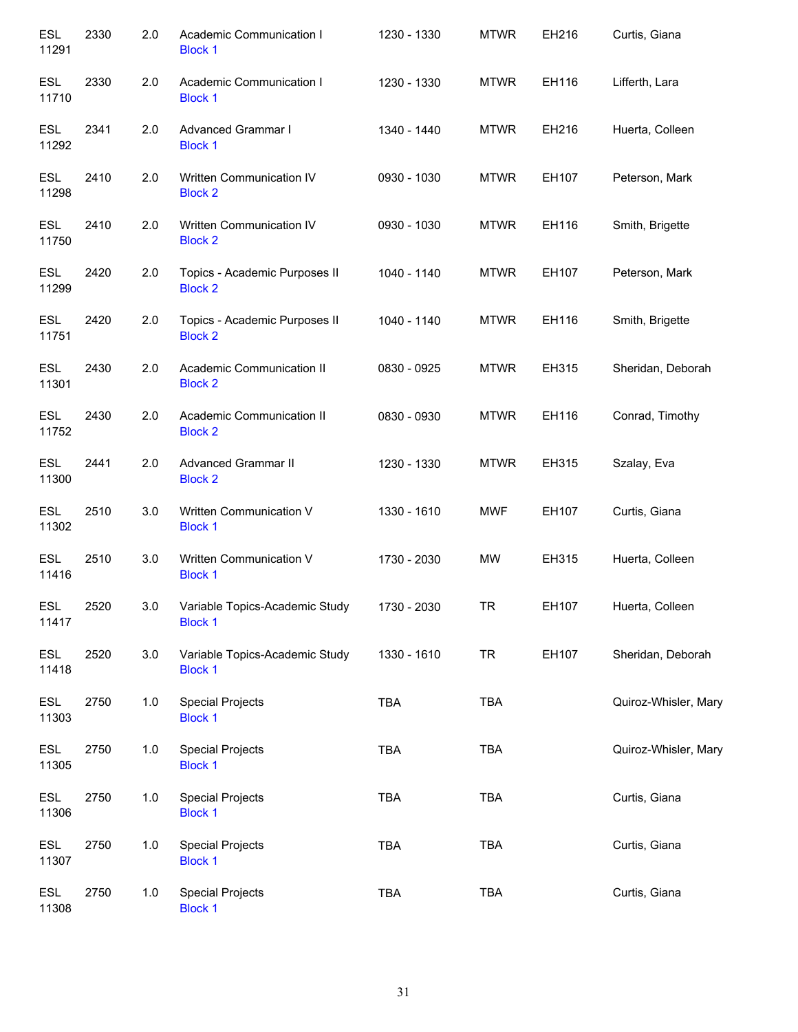| <b>ESL</b><br>11291 | 2330 | 2.0 | Academic Communication I<br><b>Block 1</b>       | 1230 - 1330 | <b>MTWR</b> | EH216 | Curtis, Giana        |
|---------------------|------|-----|--------------------------------------------------|-------------|-------------|-------|----------------------|
| <b>ESL</b><br>11710 | 2330 | 2.0 | Academic Communication I<br><b>Block 1</b>       | 1230 - 1330 | <b>MTWR</b> | EH116 | Lifferth, Lara       |
| <b>ESL</b><br>11292 | 2341 | 2.0 | Advanced Grammar I<br><b>Block 1</b>             | 1340 - 1440 | <b>MTWR</b> | EH216 | Huerta, Colleen      |
| ESL<br>11298        | 2410 | 2.0 | Written Communication IV<br><b>Block 2</b>       | 0930 - 1030 | <b>MTWR</b> | EH107 | Peterson, Mark       |
| <b>ESL</b><br>11750 | 2410 | 2.0 | Written Communication IV<br><b>Block 2</b>       | 0930 - 1030 | <b>MTWR</b> | EH116 | Smith, Brigette      |
| ESL<br>11299        | 2420 | 2.0 | Topics - Academic Purposes II<br><b>Block 2</b>  | 1040 - 1140 | <b>MTWR</b> | EH107 | Peterson, Mark       |
| <b>ESL</b><br>11751 | 2420 | 2.0 | Topics - Academic Purposes II<br><b>Block 2</b>  | 1040 - 1140 | <b>MTWR</b> | EH116 | Smith, Brigette      |
| <b>ESL</b><br>11301 | 2430 | 2.0 | Academic Communication II<br><b>Block 2</b>      | 0830 - 0925 | <b>MTWR</b> | EH315 | Sheridan, Deborah    |
| <b>ESL</b><br>11752 | 2430 | 2.0 | Academic Communication II<br><b>Block 2</b>      | 0830 - 0930 | <b>MTWR</b> | EH116 | Conrad, Timothy      |
| <b>ESL</b><br>11300 | 2441 | 2.0 | <b>Advanced Grammar II</b><br><b>Block 2</b>     | 1230 - 1330 | <b>MTWR</b> | EH315 | Szalay, Eva          |
| <b>ESL</b><br>11302 | 2510 | 3.0 | Written Communication V<br><b>Block 1</b>        | 1330 - 1610 | <b>MWF</b>  | EH107 | Curtis, Giana        |
| <b>ESL</b><br>11416 | 2510 | 3.0 | Written Communication V<br><b>Block 1</b>        | 1730 - 2030 | <b>MW</b>   | EH315 | Huerta, Colleen      |
| <b>ESL</b><br>11417 | 2520 | 3.0 | Variable Topics-Academic Study<br><b>Block 1</b> | 1730 - 2030 | <b>TR</b>   | EH107 | Huerta, Colleen      |
| <b>ESL</b><br>11418 | 2520 | 3.0 | Variable Topics-Academic Study<br><b>Block 1</b> | 1330 - 1610 | <b>TR</b>   | EH107 | Sheridan, Deborah    |
| <b>ESL</b><br>11303 | 2750 | 1.0 | <b>Special Projects</b><br><b>Block 1</b>        | <b>TBA</b>  | <b>TBA</b>  |       | Quiroz-Whisler, Mary |
| ESL<br>11305        | 2750 | 1.0 | <b>Special Projects</b><br><b>Block 1</b>        | TBA         | <b>TBA</b>  |       | Quiroz-Whisler, Mary |
| <b>ESL</b><br>11306 | 2750 | 1.0 | <b>Special Projects</b><br><b>Block 1</b>        | <b>TBA</b>  | <b>TBA</b>  |       | Curtis, Giana        |
| ESL<br>11307        | 2750 | 1.0 | <b>Special Projects</b><br><b>Block 1</b>        | <b>TBA</b>  | <b>TBA</b>  |       | Curtis, Giana        |
| <b>ESL</b><br>11308 | 2750 | 1.0 | <b>Special Projects</b><br><b>Block 1</b>        | <b>TBA</b>  | <b>TBA</b>  |       | Curtis, Giana        |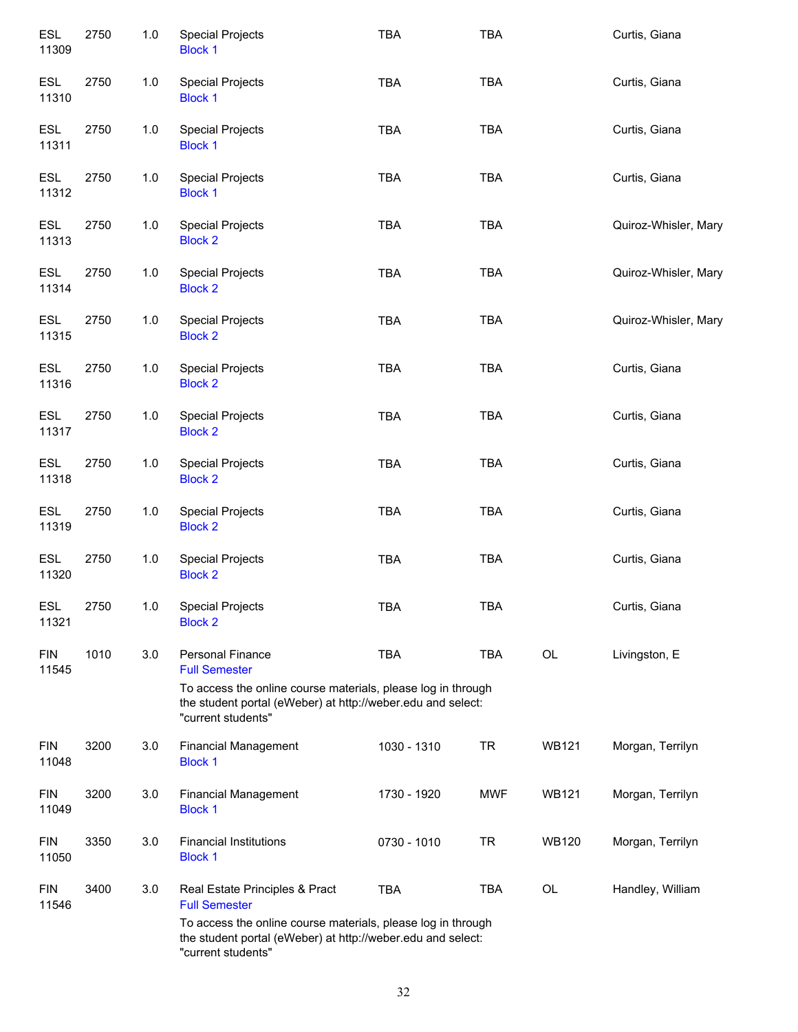| ESL<br>11309        | 2750 | 1.0   | <b>Special Projects</b><br><b>Block 1</b>                                                                                                         | <b>TBA</b>  | <b>TBA</b> |              | Curtis, Giana        |
|---------------------|------|-------|---------------------------------------------------------------------------------------------------------------------------------------------------|-------------|------------|--------------|----------------------|
| <b>ESL</b><br>11310 | 2750 | $1.0$ | <b>Special Projects</b><br><b>Block 1</b>                                                                                                         | <b>TBA</b>  | <b>TBA</b> |              | Curtis, Giana        |
| <b>ESL</b><br>11311 | 2750 | $1.0$ | <b>Special Projects</b><br><b>Block 1</b>                                                                                                         | <b>TBA</b>  | <b>TBA</b> |              | Curtis, Giana        |
| <b>ESL</b><br>11312 | 2750 | $1.0$ | <b>Special Projects</b><br><b>Block 1</b>                                                                                                         | <b>TBA</b>  | <b>TBA</b> |              | Curtis, Giana        |
| <b>ESL</b><br>11313 | 2750 | $1.0$ | <b>Special Projects</b><br><b>Block 2</b>                                                                                                         | <b>TBA</b>  | <b>TBA</b> |              | Quiroz-Whisler, Mary |
| <b>ESL</b><br>11314 | 2750 | 1.0   | <b>Special Projects</b><br><b>Block 2</b>                                                                                                         | <b>TBA</b>  | <b>TBA</b> |              | Quiroz-Whisler, Mary |
| ESL<br>11315        | 2750 | $1.0$ | <b>Special Projects</b><br><b>Block 2</b>                                                                                                         | <b>TBA</b>  | <b>TBA</b> |              | Quiroz-Whisler, Mary |
| ESL<br>11316        | 2750 | 1.0   | <b>Special Projects</b><br><b>Block 2</b>                                                                                                         | <b>TBA</b>  | <b>TBA</b> |              | Curtis, Giana        |
| ESL<br>11317        | 2750 | 1.0   | <b>Special Projects</b><br><b>Block 2</b>                                                                                                         | <b>TBA</b>  | <b>TBA</b> |              | Curtis, Giana        |
| <b>ESL</b><br>11318 | 2750 | $1.0$ | <b>Special Projects</b><br><b>Block 2</b>                                                                                                         | TBA         | <b>TBA</b> |              | Curtis, Giana        |
| <b>ESL</b><br>11319 | 2750 | 1.0   | <b>Special Projects</b><br><b>Block 2</b>                                                                                                         | <b>TBA</b>  | <b>TBA</b> |              | Curtis, Giana        |
| <b>ESL</b><br>11320 | 2750 | $1.0$ | <b>Special Projects</b><br><b>Block 2</b>                                                                                                         | <b>TBA</b>  | <b>TBA</b> |              | Curtis, Giana        |
| <b>ESL</b><br>11321 | 2750 | 1.0   | <b>Special Projects</b><br><b>Block 2</b>                                                                                                         | <b>TBA</b>  | <b>TBA</b> |              | Curtis, Giana        |
| <b>FIN</b><br>11545 | 1010 | 3.0   | <b>Personal Finance</b><br><b>Full Semester</b>                                                                                                   | <b>TBA</b>  | <b>TBA</b> | <b>OL</b>    | Livingston, E        |
|                     |      |       | To access the online course materials, please log in through<br>the student portal (eWeber) at http://weber.edu and select:<br>"current students" |             |            |              |                      |
| <b>FIN</b><br>11048 | 3200 | 3.0   | <b>Financial Management</b><br><b>Block 1</b>                                                                                                     | 1030 - 1310 | <b>TR</b>  | <b>WB121</b> | Morgan, Terrilyn     |
| <b>FIN</b><br>11049 | 3200 | 3.0   | <b>Financial Management</b><br><b>Block 1</b>                                                                                                     | 1730 - 1920 | <b>MWF</b> | <b>WB121</b> | Morgan, Terrilyn     |
| <b>FIN</b><br>11050 | 3350 | 3.0   | <b>Financial Institutions</b><br><b>Block 1</b>                                                                                                   | 0730 - 1010 | <b>TR</b>  | <b>WB120</b> | Morgan, Terrilyn     |
| <b>FIN</b><br>11546 | 3400 | 3.0   | Real Estate Principles & Pract<br><b>Full Semester</b>                                                                                            | <b>TBA</b>  | <b>TBA</b> | <b>OL</b>    | Handley, William     |
|                     |      |       | To access the online course materials, please log in through<br>the student portal (eWeber) at http://weber.edu and select:<br>"current students" |             |            |              |                      |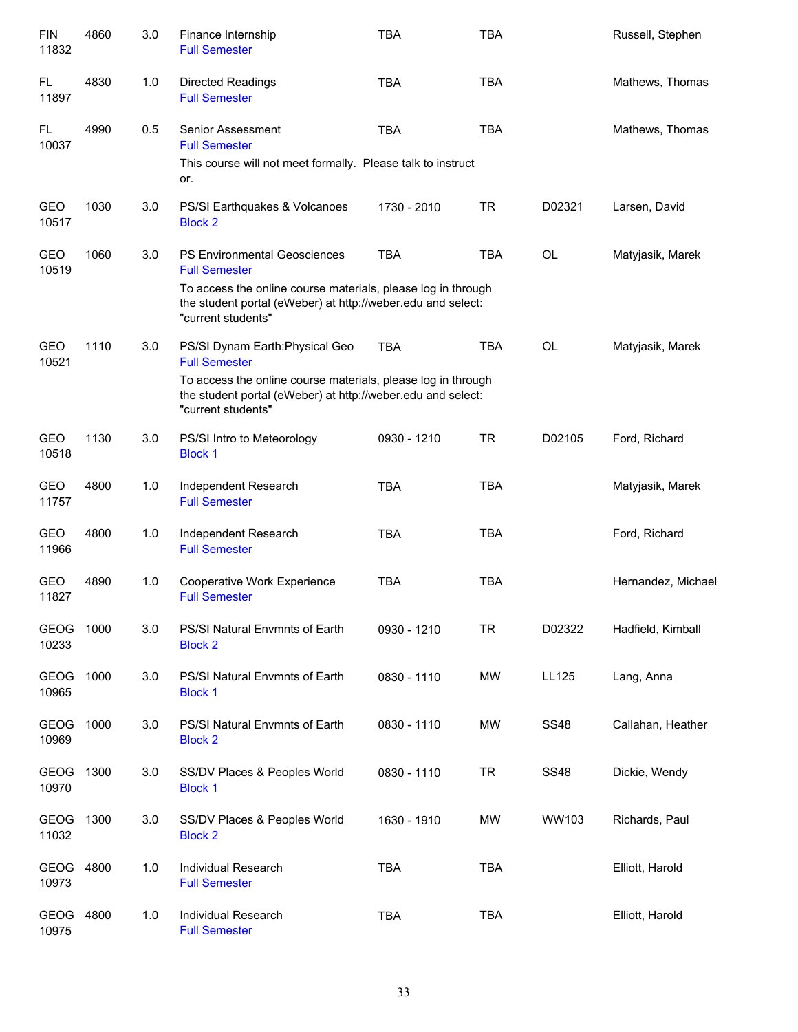| <b>FIN</b><br>11832  | 4860 | 3.0 | Finance Internship<br><b>Full Semester</b>                                                                                                        | <b>TBA</b>  | <b>TBA</b> |             | Russell, Stephen   |
|----------------------|------|-----|---------------------------------------------------------------------------------------------------------------------------------------------------|-------------|------------|-------------|--------------------|
| FL.<br>11897         | 4830 | 1.0 | <b>Directed Readings</b><br><b>Full Semester</b>                                                                                                  | <b>TBA</b>  | <b>TBA</b> |             | Mathews, Thomas    |
| FL.<br>10037         | 4990 | 0.5 | Senior Assessment<br><b>Full Semester</b>                                                                                                         | <b>TBA</b>  | <b>TBA</b> |             | Mathews, Thomas    |
|                      |      |     | This course will not meet formally. Please talk to instruct<br>or.                                                                                |             |            |             |                    |
| GEO<br>10517         | 1030 | 3.0 | PS/SI Earthquakes & Volcanoes<br><b>Block 2</b>                                                                                                   | 1730 - 2010 | <b>TR</b>  | D02321      | Larsen, David      |
| <b>GEO</b><br>10519  | 1060 | 3.0 | <b>PS Environmental Geosciences</b><br><b>Full Semester</b>                                                                                       | <b>TBA</b>  | <b>TBA</b> | <b>OL</b>   | Matyjasik, Marek   |
|                      |      |     | To access the online course materials, please log in through<br>the student portal (eWeber) at http://weber.edu and select:<br>"current students" |             |            |             |                    |
| <b>GEO</b><br>10521  | 1110 | 3.0 | PS/SI Dynam Earth: Physical Geo<br><b>Full Semester</b>                                                                                           | <b>TBA</b>  | <b>TBA</b> | <b>OL</b>   | Matyjasik, Marek   |
|                      |      |     | To access the online course materials, please log in through<br>the student portal (eWeber) at http://weber.edu and select:<br>"current students" |             |            |             |                    |
| <b>GEO</b><br>10518  | 1130 | 3.0 | PS/SI Intro to Meteorology<br><b>Block 1</b>                                                                                                      | 0930 - 1210 | <b>TR</b>  | D02105      | Ford, Richard      |
| GEO<br>11757         | 4800 | 1.0 | Independent Research<br><b>Full Semester</b>                                                                                                      | <b>TBA</b>  | <b>TBA</b> |             | Matyjasik, Marek   |
| <b>GEO</b><br>11966  | 4800 | 1.0 | Independent Research<br><b>Full Semester</b>                                                                                                      | <b>TBA</b>  | <b>TBA</b> |             | Ford, Richard      |
| GEO<br>11827         | 4890 | 1.0 | Cooperative Work Experience<br><b>Full Semester</b>                                                                                               | <b>TBA</b>  | <b>TBA</b> |             | Hernandez, Michael |
| <b>GEOG</b><br>10233 | 1000 | 3.0 | PS/SI Natural Envmnts of Earth<br><b>Block 2</b>                                                                                                  | 0930 - 1210 | <b>TR</b>  | D02322      | Hadfield, Kimball  |
| <b>GEOG</b><br>10965 | 1000 | 3.0 | PS/SI Natural Envmnts of Earth<br><b>Block 1</b>                                                                                                  | 0830 - 1110 | <b>MW</b>  | LL125       | Lang, Anna         |
| <b>GEOG</b><br>10969 | 1000 | 3.0 | PS/SI Natural Envmnts of Earth<br><b>Block 2</b>                                                                                                  | 0830 - 1110 | MW         | <b>SS48</b> | Callahan, Heather  |
| <b>GEOG</b><br>10970 | 1300 | 3.0 | SS/DV Places & Peoples World<br><b>Block 1</b>                                                                                                    | 0830 - 1110 | <b>TR</b>  | <b>SS48</b> | Dickie, Wendy      |
| <b>GEOG</b><br>11032 | 1300 | 3.0 | SS/DV Places & Peoples World<br><b>Block 2</b>                                                                                                    | 1630 - 1910 | <b>MW</b>  | WW103       | Richards, Paul     |
| <b>GEOG</b><br>10973 | 4800 | 1.0 | <b>Individual Research</b><br><b>Full Semester</b>                                                                                                | <b>TBA</b>  | <b>TBA</b> |             | Elliott, Harold    |
| <b>GEOG</b><br>10975 | 4800 | 1.0 | Individual Research<br><b>Full Semester</b>                                                                                                       | <b>TBA</b>  | <b>TBA</b> |             | Elliott, Harold    |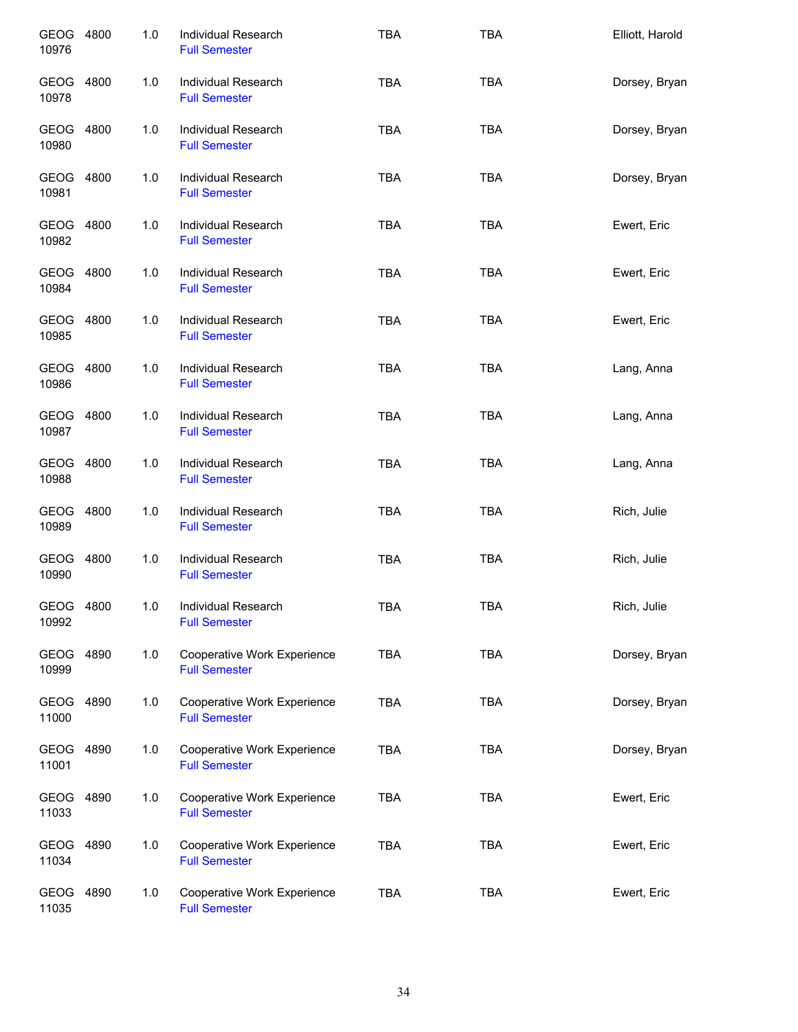| GEOG 4800<br>10976 | 1.0 | Individual Research<br><b>Full Semester</b>         | <b>TBA</b> | <b>TBA</b> | Elliott, Harold |
|--------------------|-----|-----------------------------------------------------|------------|------------|-----------------|
| GEOG 4800<br>10978 | 1.0 | <b>Individual Research</b><br><b>Full Semester</b>  | <b>TBA</b> | <b>TBA</b> | Dorsey, Bryan   |
| GEOG 4800<br>10980 | 1.0 | <b>Individual Research</b><br><b>Full Semester</b>  | <b>TBA</b> | <b>TBA</b> | Dorsey, Bryan   |
| GEOG 4800<br>10981 | 1.0 | Individual Research<br><b>Full Semester</b>         | <b>TBA</b> | <b>TBA</b> | Dorsey, Bryan   |
| GEOG 4800<br>10982 | 1.0 | Individual Research<br><b>Full Semester</b>         | <b>TBA</b> | <b>TBA</b> | Ewert, Eric     |
| GEOG 4800<br>10984 | 1.0 | Individual Research<br><b>Full Semester</b>         | <b>TBA</b> | <b>TBA</b> | Ewert, Eric     |
| GEOG 4800<br>10985 | 1.0 | Individual Research<br><b>Full Semester</b>         | <b>TBA</b> | <b>TBA</b> | Ewert, Eric     |
| GEOG 4800<br>10986 | 1.0 | Individual Research<br><b>Full Semester</b>         | <b>TBA</b> | <b>TBA</b> | Lang, Anna      |
| GEOG 4800<br>10987 | 1.0 | Individual Research<br><b>Full Semester</b>         | <b>TBA</b> | <b>TBA</b> | Lang, Anna      |
| GEOG 4800<br>10988 | 1.0 | Individual Research<br><b>Full Semester</b>         | <b>TBA</b> | <b>TBA</b> | Lang, Anna      |
| GEOG 4800<br>10989 | 1.0 | Individual Research<br><b>Full Semester</b>         | <b>TBA</b> | <b>TBA</b> | Rich, Julie     |
| GEOG 4800<br>10990 | 1.0 | Individual Research<br><b>Full Semester</b>         | <b>TBA</b> | <b>TBA</b> | Rich, Julie     |
| GEOG 4800<br>10992 | 1.0 | Individual Research<br><b>Full Semester</b>         | <b>TBA</b> | <b>TBA</b> | Rich, Julie     |
| GEOG 4890<br>10999 | 1.0 | Cooperative Work Experience<br><b>Full Semester</b> | <b>TBA</b> | <b>TBA</b> | Dorsey, Bryan   |
| GEOG 4890<br>11000 | 1.0 | Cooperative Work Experience<br><b>Full Semester</b> | <b>TBA</b> | <b>TBA</b> | Dorsey, Bryan   |
| GEOG 4890<br>11001 | 1.0 | Cooperative Work Experience<br><b>Full Semester</b> | <b>TBA</b> | <b>TBA</b> | Dorsey, Bryan   |
| GEOG 4890<br>11033 | 1.0 | Cooperative Work Experience<br><b>Full Semester</b> | <b>TBA</b> | <b>TBA</b> | Ewert, Eric     |
| GEOG 4890<br>11034 | 1.0 | Cooperative Work Experience<br><b>Full Semester</b> | <b>TBA</b> | <b>TBA</b> | Ewert, Eric     |
| GEOG 4890<br>11035 | 1.0 | Cooperative Work Experience<br><b>Full Semester</b> | TBA        | <b>TBA</b> | Ewert, Eric     |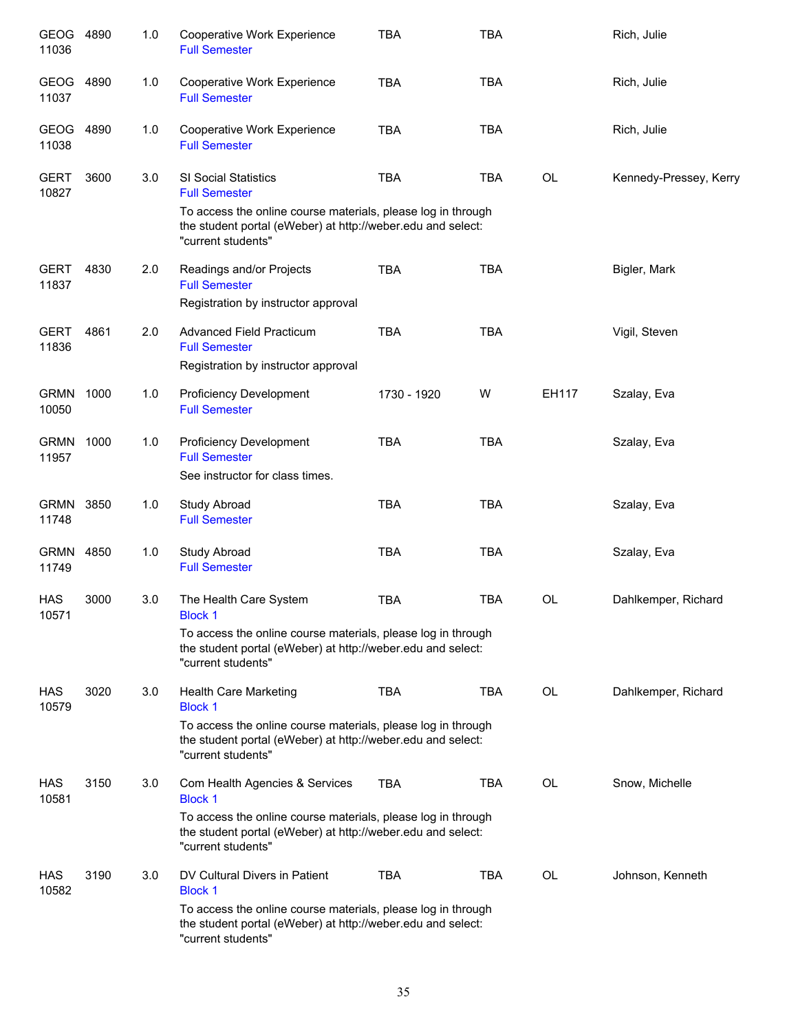| GEOG<br>11036        | 4890 | 1.0 | Cooperative Work Experience<br><b>Full Semester</b>                                                                                                                                                   | <b>TBA</b>  | <b>TBA</b> |           | Rich, Julie            |
|----------------------|------|-----|-------------------------------------------------------------------------------------------------------------------------------------------------------------------------------------------------------|-------------|------------|-----------|------------------------|
| GEOG<br>11037        | 4890 | 1.0 | Cooperative Work Experience<br><b>Full Semester</b>                                                                                                                                                   | <b>TBA</b>  | <b>TBA</b> |           | Rich, Julie            |
| GEOG<br>11038        | 4890 | 1.0 | Cooperative Work Experience<br><b>Full Semester</b>                                                                                                                                                   | <b>TBA</b>  | <b>TBA</b> |           | Rich, Julie            |
| <b>GERT</b><br>10827 | 3600 | 3.0 | SI Social Statistics<br><b>Full Semester</b><br>To access the online course materials, please log in through<br>the student portal (eWeber) at http://weber.edu and select:<br>"current students"     | <b>TBA</b>  | <b>TBA</b> | <b>OL</b> | Kennedy-Pressey, Kerry |
| <b>GERT</b><br>11837 | 4830 | 2.0 | Readings and/or Projects<br><b>Full Semester</b><br>Registration by instructor approval                                                                                                               | <b>TBA</b>  | <b>TBA</b> |           | Bigler, Mark           |
| <b>GERT</b><br>11836 | 4861 | 2.0 | <b>Advanced Field Practicum</b><br><b>Full Semester</b><br>Registration by instructor approval                                                                                                        | <b>TBA</b>  | <b>TBA</b> |           | Vigil, Steven          |
| <b>GRMN</b><br>10050 | 1000 | 1.0 | <b>Proficiency Development</b><br><b>Full Semester</b>                                                                                                                                                | 1730 - 1920 | W          | EH117     | Szalay, Eva            |
| <b>GRMN</b><br>11957 | 1000 | 1.0 | <b>Proficiency Development</b><br><b>Full Semester</b><br>See instructor for class times.                                                                                                             | <b>TBA</b>  | <b>TBA</b> |           | Szalay, Eva            |
| <b>GRMN</b><br>11748 | 3850 | 1.0 | Study Abroad<br><b>Full Semester</b>                                                                                                                                                                  | <b>TBA</b>  | <b>TBA</b> |           | Szalay, Eva            |
| <b>GRMN</b><br>11749 | 4850 | 1.0 | <b>Study Abroad</b><br><b>Full Semester</b>                                                                                                                                                           | <b>TBA</b>  | <b>TBA</b> |           | Szalay, Eva            |
| <b>HAS</b><br>10571  | 3000 | 3.0 | The Health Care System<br><b>Block 1</b>                                                                                                                                                              | <b>TBA</b>  | <b>TBA</b> | <b>OL</b> | Dahlkemper, Richard    |
|                      |      |     | To access the online course materials, please log in through<br>the student portal (eWeber) at http://weber.edu and select:<br>"current students"                                                     |             |            |           |                        |
| HAS<br>10579         | 3020 | 3.0 | Health Care Marketing<br><b>Block 1</b><br>To access the online course materials, please log in through<br>the student portal (eWeber) at http://weber.edu and select:<br>"current students"          | <b>TBA</b>  | TBA        | OL        | Dahlkemper, Richard    |
| HAS<br>10581         | 3150 | 3.0 | Com Health Agencies & Services<br><b>Block 1</b><br>To access the online course materials, please log in through<br>the student portal (eWeber) at http://weber.edu and select:<br>"current students" | TBA         | TBA        | OL        | Snow, Michelle         |
| <b>HAS</b><br>10582  | 3190 | 3.0 | DV Cultural Divers in Patient<br><b>Block 1</b><br>To access the online course materials, please log in through<br>the student portal (eWeber) at http://weber.edu and select:<br>"current students"  | <b>TBA</b>  | TBA        | OL        | Johnson, Kenneth       |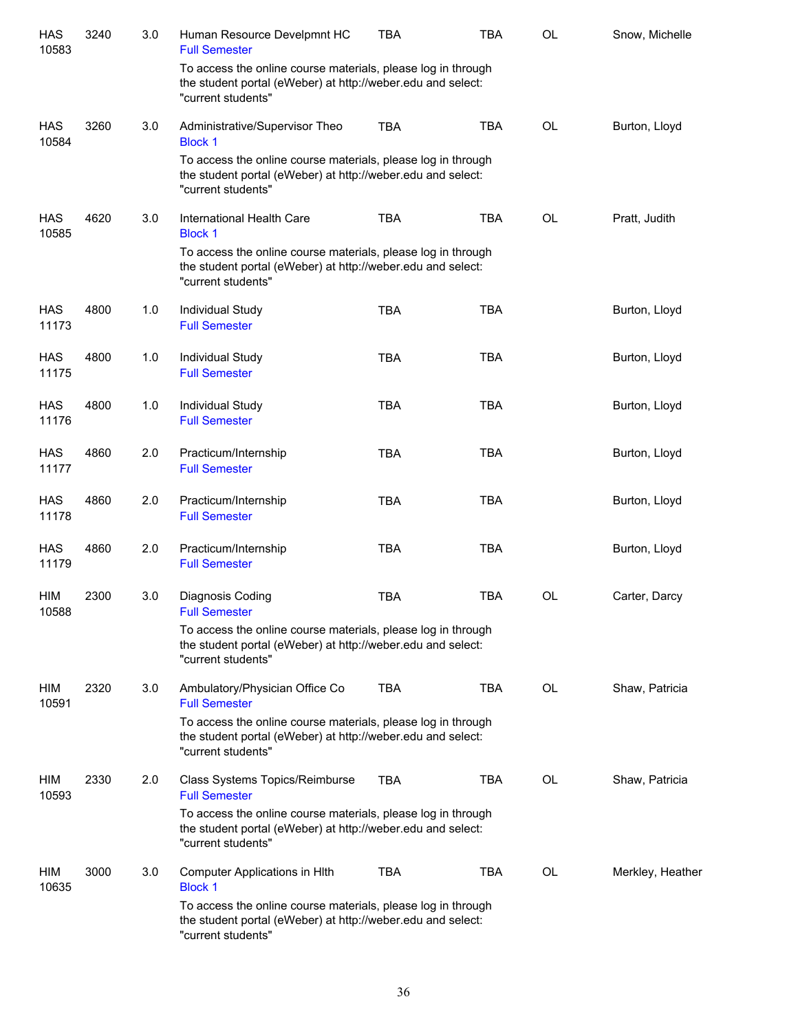| HAS<br>10583        | 3240 | 3.0 | Human Resource Develpmnt HC<br><b>Full Semester</b>                                                                                               | <b>TBA</b> | <b>TBA</b> | OL        | Snow, Michelle   |
|---------------------|------|-----|---------------------------------------------------------------------------------------------------------------------------------------------------|------------|------------|-----------|------------------|
|                     |      |     | To access the online course materials, please log in through<br>the student portal (eWeber) at http://weber.edu and select:<br>"current students" |            |            |           |                  |
| <b>HAS</b><br>10584 | 3260 | 3.0 | Administrative/Supervisor Theo<br><b>Block 1</b>                                                                                                  | <b>TBA</b> | <b>TBA</b> | <b>OL</b> | Burton, Lloyd    |
|                     |      |     | To access the online course materials, please log in through<br>the student portal (eWeber) at http://weber.edu and select:<br>"current students" |            |            |           |                  |
| <b>HAS</b><br>10585 | 4620 | 3.0 | International Health Care<br><b>Block 1</b>                                                                                                       | <b>TBA</b> | <b>TBA</b> | OL        | Pratt, Judith    |
|                     |      |     | To access the online course materials, please log in through<br>the student portal (eWeber) at http://weber.edu and select:<br>"current students" |            |            |           |                  |
| <b>HAS</b><br>11173 | 4800 | 1.0 | Individual Study<br><b>Full Semester</b>                                                                                                          | <b>TBA</b> | <b>TBA</b> |           | Burton, Lloyd    |
| <b>HAS</b><br>11175 | 4800 | 1.0 | Individual Study<br><b>Full Semester</b>                                                                                                          | <b>TBA</b> | <b>TBA</b> |           | Burton, Lloyd    |
| <b>HAS</b><br>11176 | 4800 | 1.0 | Individual Study<br><b>Full Semester</b>                                                                                                          | <b>TBA</b> | <b>TBA</b> |           | Burton, Lloyd    |
| <b>HAS</b><br>11177 | 4860 | 2.0 | Practicum/Internship<br><b>Full Semester</b>                                                                                                      | <b>TBA</b> | <b>TBA</b> |           | Burton, Lloyd    |
| <b>HAS</b><br>11178 | 4860 | 2.0 | Practicum/Internship<br><b>Full Semester</b>                                                                                                      | <b>TBA</b> | <b>TBA</b> |           | Burton, Lloyd    |
| <b>HAS</b><br>11179 | 4860 | 2.0 | Practicum/Internship<br><b>Full Semester</b>                                                                                                      | <b>TBA</b> | <b>TBA</b> |           | Burton, Lloyd    |
| <b>HIM</b><br>10588 | 2300 | 3.0 | Diagnosis Coding<br><b>Full Semester</b>                                                                                                          | <b>TBA</b> | <b>TBA</b> | OL        | Carter, Darcy    |
|                     |      |     | To access the online course materials, please log in through<br>the student portal (eWeber) at http://weber.edu and select:<br>"current students" |            |            |           |                  |
| HIM<br>10591        | 2320 | 3.0 | Ambulatory/Physician Office Co<br><b>Full Semester</b>                                                                                            | <b>TBA</b> | TBA        | <b>OL</b> | Shaw, Patricia   |
|                     |      |     | To access the online course materials, please log in through<br>the student portal (eWeber) at http://weber.edu and select:<br>"current students" |            |            |           |                  |
| <b>HIM</b><br>10593 | 2330 | 2.0 | Class Systems Topics/Reimburse<br><b>Full Semester</b>                                                                                            | <b>TBA</b> | <b>TBA</b> | OL        | Shaw, Patricia   |
|                     |      |     | To access the online course materials, please log in through<br>the student portal (eWeber) at http://weber.edu and select:<br>"current students" |            |            |           |                  |
| <b>HIM</b><br>10635 | 3000 | 3.0 | Computer Applications in HIth<br><b>Block 1</b>                                                                                                   | <b>TBA</b> | <b>TBA</b> | OL        | Merkley, Heather |
|                     |      |     | To access the online course materials, please log in through<br>the student portal (eWeber) at http://weber.edu and select:<br>"current students" |            |            |           |                  |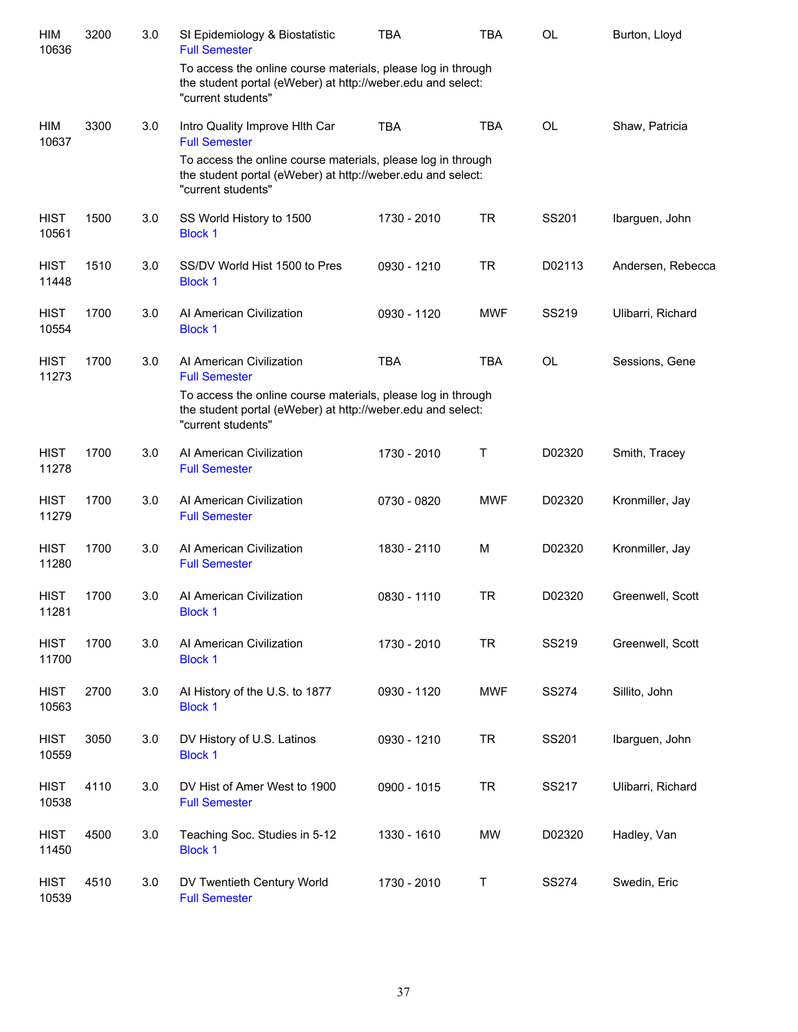| HIM<br>10636         | 3200 | 3.0 | SI Epidemiology & Biostatistic<br><b>Full Semester</b>                                                                                            | <b>TBA</b>  | <b>TBA</b> | <b>OL</b>    | Burton, Lloyd     |
|----------------------|------|-----|---------------------------------------------------------------------------------------------------------------------------------------------------|-------------|------------|--------------|-------------------|
|                      |      |     | To access the online course materials, please log in through<br>the student portal (eWeber) at http://weber.edu and select:<br>"current students" |             |            |              |                   |
| HIM<br>10637         | 3300 | 3.0 | Intro Quality Improve Hith Car<br><b>Full Semester</b>                                                                                            | <b>TBA</b>  | <b>TBA</b> | <b>OL</b>    | Shaw, Patricia    |
|                      |      |     | To access the online course materials, please log in through<br>the student portal (eWeber) at http://weber.edu and select:<br>"current students" |             |            |              |                   |
| <b>HIST</b><br>10561 | 1500 | 3.0 | SS World History to 1500<br><b>Block 1</b>                                                                                                        | 1730 - 2010 | <b>TR</b>  | SS201        | Ibarguen, John    |
| <b>HIST</b><br>11448 | 1510 | 3.0 | SS/DV World Hist 1500 to Pres<br><b>Block 1</b>                                                                                                   | 0930 - 1210 | <b>TR</b>  | D02113       | Andersen, Rebecca |
| <b>HIST</b><br>10554 | 1700 | 3.0 | Al American Civilization<br><b>Block 1</b>                                                                                                        | 0930 - 1120 | <b>MWF</b> | SS219        | Ulibarri, Richard |
| <b>HIST</b><br>11273 | 1700 | 3.0 | Al American Civilization<br><b>Full Semester</b>                                                                                                  | <b>TBA</b>  | <b>TBA</b> | <b>OL</b>    | Sessions, Gene    |
|                      |      |     | To access the online course materials, please log in through<br>the student portal (eWeber) at http://weber.edu and select:<br>"current students" |             |            |              |                   |
| <b>HIST</b><br>11278 | 1700 | 3.0 | Al American Civilization<br><b>Full Semester</b>                                                                                                  | 1730 - 2010 | Т          | D02320       | Smith, Tracey     |
| <b>HIST</b><br>11279 | 1700 | 3.0 | Al American Civilization<br><b>Full Semester</b>                                                                                                  | 0730 - 0820 | <b>MWF</b> | D02320       | Kronmiller, Jay   |
| <b>HIST</b><br>11280 | 1700 | 3.0 | Al American Civilization<br><b>Full Semester</b>                                                                                                  | 1830 - 2110 | М          | D02320       | Kronmiller, Jay   |
| <b>HIST</b><br>11281 | 1700 | 3.0 | Al American Civilization<br><b>Block 1</b>                                                                                                        | 0830 - 1110 | <b>TR</b>  | D02320       | Greenwell, Scott  |
| <b>HIST</b><br>11700 | 1700 | 3.0 | Al American Civilization<br><b>Block 1</b>                                                                                                        | 1730 - 2010 | <b>TR</b>  | SS219        | Greenwell, Scott  |
| <b>HIST</b><br>10563 | 2700 | 3.0 | Al History of the U.S. to 1877<br><b>Block 1</b>                                                                                                  | 0930 - 1120 | <b>MWF</b> | <b>SS274</b> | Sillito, John     |
| <b>HIST</b><br>10559 | 3050 | 3.0 | DV History of U.S. Latinos<br><b>Block 1</b>                                                                                                      | 0930 - 1210 | <b>TR</b>  | SS201        | Ibarguen, John    |
| <b>HIST</b><br>10538 | 4110 | 3.0 | DV Hist of Amer West to 1900<br><b>Full Semester</b>                                                                                              | 0900 - 1015 | <b>TR</b>  | SS217        | Ulibarri, Richard |
| <b>HIST</b><br>11450 | 4500 | 3.0 | Teaching Soc. Studies in 5-12<br><b>Block 1</b>                                                                                                   | 1330 - 1610 | <b>MW</b>  | D02320       | Hadley, Van       |
| <b>HIST</b><br>10539 | 4510 | 3.0 | DV Twentieth Century World<br><b>Full Semester</b>                                                                                                | 1730 - 2010 | Τ          | <b>SS274</b> | Swedin, Eric      |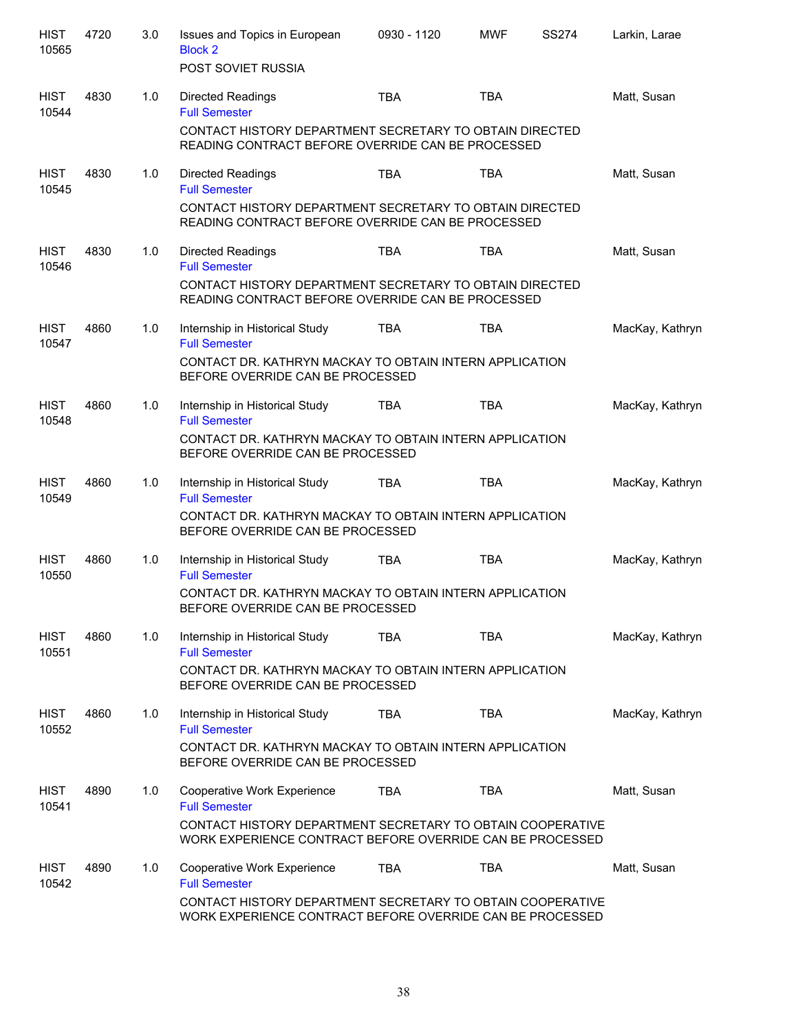| <b>HIST</b><br>10565 | 4720 | 3.0 | Issues and Topics in European<br><b>Block 2</b><br>POST SOVIET RUSSIA                                                                                                          | 0930 - 1120 | <b>MWF</b> | <b>SS274</b> | Larkin, Larae   |
|----------------------|------|-----|--------------------------------------------------------------------------------------------------------------------------------------------------------------------------------|-------------|------------|--------------|-----------------|
| <b>HIST</b><br>10544 | 4830 | 1.0 | <b>Directed Readings</b><br><b>Full Semester</b><br>CONTACT HISTORY DEPARTMENT SECRETARY TO OBTAIN DIRECTED<br>READING CONTRACT BEFORE OVERRIDE CAN BE PROCESSED               | <b>TBA</b>  | <b>TBA</b> |              | Matt, Susan     |
| <b>HIST</b><br>10545 | 4830 | 1.0 | <b>Directed Readings</b><br><b>Full Semester</b><br>CONTACT HISTORY DEPARTMENT SECRETARY TO OBTAIN DIRECTED<br>READING CONTRACT BEFORE OVERRIDE CAN BE PROCESSED               | TBA         | <b>TBA</b> |              | Matt, Susan     |
| <b>HIST</b><br>10546 | 4830 | 1.0 | <b>Directed Readings</b><br><b>Full Semester</b><br>CONTACT HISTORY DEPARTMENT SECRETARY TO OBTAIN DIRECTED<br>READING CONTRACT BEFORE OVERRIDE CAN BE PROCESSED               | <b>TBA</b>  | <b>TBA</b> |              | Matt, Susan     |
| <b>HIST</b><br>10547 | 4860 | 1.0 | Internship in Historical Study<br><b>Full Semester</b><br>CONTACT DR. KATHRYN MACKAY TO OBTAIN INTERN APPLICATION<br>BEFORE OVERRIDE CAN BE PROCESSED                          | TBA         | <b>TBA</b> |              | MacKay, Kathryn |
| <b>HIST</b><br>10548 | 4860 | 1.0 | Internship in Historical Study<br><b>Full Semester</b><br>CONTACT DR. KATHRYN MACKAY TO OBTAIN INTERN APPLICATION<br>BEFORE OVERRIDE CAN BE PROCESSED                          | <b>TBA</b>  | <b>TBA</b> |              | MacKay, Kathryn |
| <b>HIST</b><br>10549 | 4860 | 1.0 | Internship in Historical Study<br><b>Full Semester</b><br>CONTACT DR. KATHRYN MACKAY TO OBTAIN INTERN APPLICATION<br>BEFORE OVERRIDE CAN BE PROCESSED                          | <b>TBA</b>  | <b>TBA</b> |              | MacKay, Kathryn |
| <b>HIST</b><br>10550 | 4860 | 1.0 | Internship in Historical Study<br><b>Full Semester</b><br>CONTACT DR. KATHRYN MACKAY TO OBTAIN INTERN APPLICATION<br>BEFORE OVERRIDE CAN BE PROCESSED                          | <b>TBA</b>  | <b>TBA</b> |              | MacKay, Kathryn |
| <b>HIST</b><br>10551 | 4860 | 1.0 | Internship in Historical Study<br><b>Full Semester</b><br>CONTACT DR. KATHRYN MACKAY TO OBTAIN INTERN APPLICATION<br>BEFORE OVERRIDE CAN BE PROCESSED                          | TBA         | <b>TBA</b> |              | MacKay, Kathryn |
| <b>HIST</b><br>10552 | 4860 | 1.0 | Internship in Historical Study<br><b>Full Semester</b><br>CONTACT DR. KATHRYN MACKAY TO OBTAIN INTERN APPLICATION<br>BEFORE OVERRIDE CAN BE PROCESSED                          | TBA         | <b>TBA</b> |              | MacKay, Kathryn |
| <b>HIST</b><br>10541 | 4890 | 1.0 | Cooperative Work Experience<br><b>Full Semester</b><br>CONTACT HISTORY DEPARTMENT SECRETARY TO OBTAIN COOPERATIVE<br>WORK EXPERIENCE CONTRACT BEFORE OVERRIDE CAN BE PROCESSED | TBA         | <b>TBA</b> |              | Matt, Susan     |
| <b>HIST</b><br>10542 | 4890 | 1.0 | Cooperative Work Experience<br><b>Full Semester</b><br>CONTACT HISTORY DEPARTMENT SECRETARY TO OBTAIN COOPERATIVE<br>WORK EXPERIENCE CONTRACT BEFORE OVERRIDE CAN BE PROCESSED | <b>TBA</b>  | <b>TBA</b> |              | Matt, Susan     |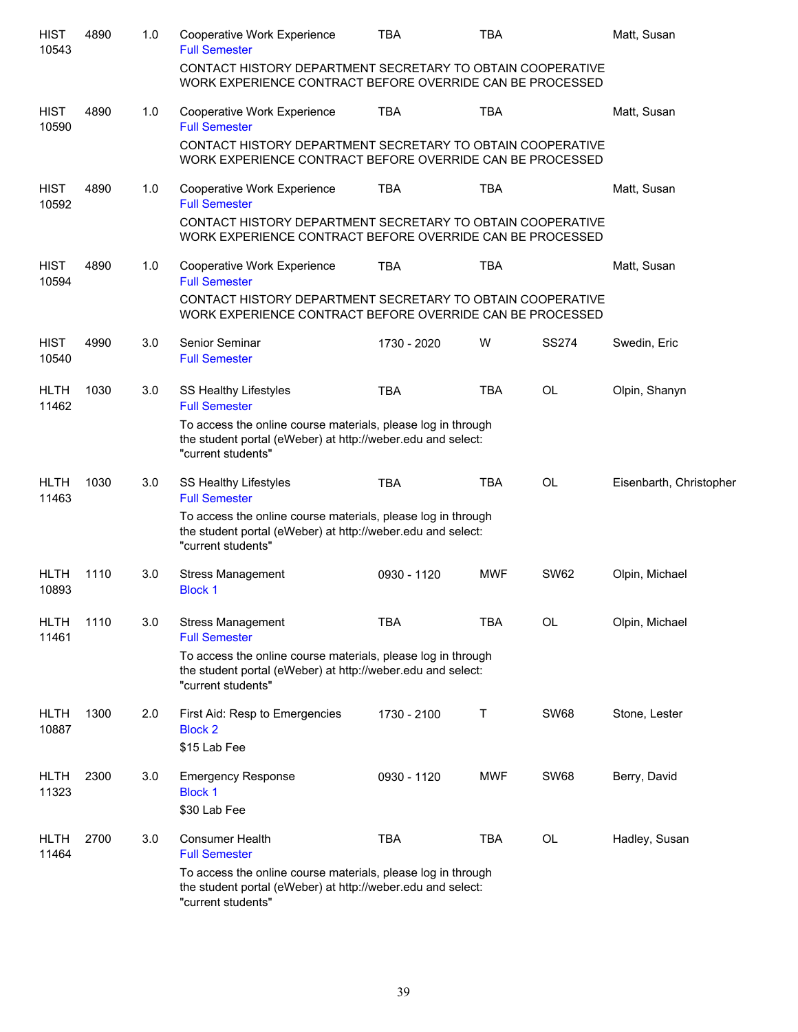| <b>HIST</b><br>10543 | 4890 | 1.0 | Cooperative Work Experience<br><b>Full Semester</b><br>CONTACT HISTORY DEPARTMENT SECRETARY TO OBTAIN COOPERATIVE<br>WORK EXPERIENCE CONTRACT BEFORE OVERRIDE CAN BE PROCESSED | <b>TBA</b>  | <b>TBA</b> |              | Matt, Susan             |
|----------------------|------|-----|--------------------------------------------------------------------------------------------------------------------------------------------------------------------------------|-------------|------------|--------------|-------------------------|
| <b>HIST</b>          | 4890 | 1.0 | Cooperative Work Experience                                                                                                                                                    | <b>TBA</b>  | <b>TBA</b> |              | Matt, Susan             |
| 10590                |      |     | <b>Full Semester</b><br>CONTACT HISTORY DEPARTMENT SECRETARY TO OBTAIN COOPERATIVE<br>WORK EXPERIENCE CONTRACT BEFORE OVERRIDE CAN BE PROCESSED                                |             |            |              |                         |
| <b>HIST</b><br>10592 | 4890 | 1.0 | Cooperative Work Experience<br><b>Full Semester</b>                                                                                                                            | <b>TBA</b>  | <b>TBA</b> |              | Matt, Susan             |
|                      |      |     | CONTACT HISTORY DEPARTMENT SECRETARY TO OBTAIN COOPERATIVE<br>WORK EXPERIENCE CONTRACT BEFORE OVERRIDE CAN BE PROCESSED                                                        |             |            |              |                         |
| <b>HIST</b><br>10594 | 4890 | 1.0 | Cooperative Work Experience<br><b>Full Semester</b>                                                                                                                            | <b>TBA</b>  | <b>TBA</b> |              | Matt, Susan             |
|                      |      |     | CONTACT HISTORY DEPARTMENT SECRETARY TO OBTAIN COOPERATIVE<br>WORK EXPERIENCE CONTRACT BEFORE OVERRIDE CAN BE PROCESSED                                                        |             |            |              |                         |
| <b>HIST</b><br>10540 | 4990 | 3.0 | Senior Seminar<br><b>Full Semester</b>                                                                                                                                         | 1730 - 2020 | W          | <b>SS274</b> | Swedin, Eric            |
| <b>HLTH</b><br>11462 | 1030 | 3.0 | SS Healthy Lifestyles<br><b>Full Semester</b>                                                                                                                                  | <b>TBA</b>  | <b>TBA</b> | OL           | Olpin, Shanyn           |
|                      |      |     | To access the online course materials, please log in through<br>the student portal (eWeber) at http://weber.edu and select:<br>"current students"                              |             |            |              |                         |
| <b>HLTH</b><br>11463 | 1030 | 3.0 | <b>SS Healthy Lifestyles</b><br><b>Full Semester</b>                                                                                                                           | <b>TBA</b>  | <b>TBA</b> | <b>OL</b>    | Eisenbarth, Christopher |
|                      |      |     | To access the online course materials, please log in through<br>the student portal (eWeber) at http://weber.edu and select:<br>"current students"                              |             |            |              |                         |
| <b>HLTH</b><br>10893 | 1110 | 3.0 | <b>Stress Management</b><br><b>Block 1</b>                                                                                                                                     | 0930 - 1120 | <b>MWF</b> | <b>SW62</b>  | Olpin, Michael          |
| <b>HLTH</b><br>11461 | 1110 | 3.0 | <b>Stress Management</b><br><b>Full Semester</b>                                                                                                                               | <b>TBA</b>  | <b>TBA</b> | <b>OL</b>    | Olpin, Michael          |
|                      |      |     | To access the online course materials, please log in through<br>the student portal (eWeber) at http://weber.edu and select:<br>"current students"                              |             |            |              |                         |
| <b>HLTH</b><br>10887 | 1300 | 2.0 | First Aid: Resp to Emergencies<br><b>Block 2</b>                                                                                                                               | 1730 - 2100 | Τ          | <b>SW68</b>  | Stone, Lester           |
|                      |      |     | \$15 Lab Fee                                                                                                                                                                   |             |            |              |                         |
| <b>HLTH</b><br>11323 | 2300 | 3.0 | <b>Emergency Response</b><br><b>Block 1</b>                                                                                                                                    | 0930 - 1120 | <b>MWF</b> | <b>SW68</b>  | Berry, David            |
|                      |      |     | \$30 Lab Fee                                                                                                                                                                   |             |            |              |                         |
| <b>HLTH</b><br>11464 | 2700 | 3.0 | <b>Consumer Health</b><br><b>Full Semester</b>                                                                                                                                 | <b>TBA</b>  | <b>TBA</b> | OL           | Hadley, Susan           |
|                      |      |     | To access the online course materials, please log in through<br>the student portal (eWeber) at http://weber.edu and select:<br>"current students"                              |             |            |              |                         |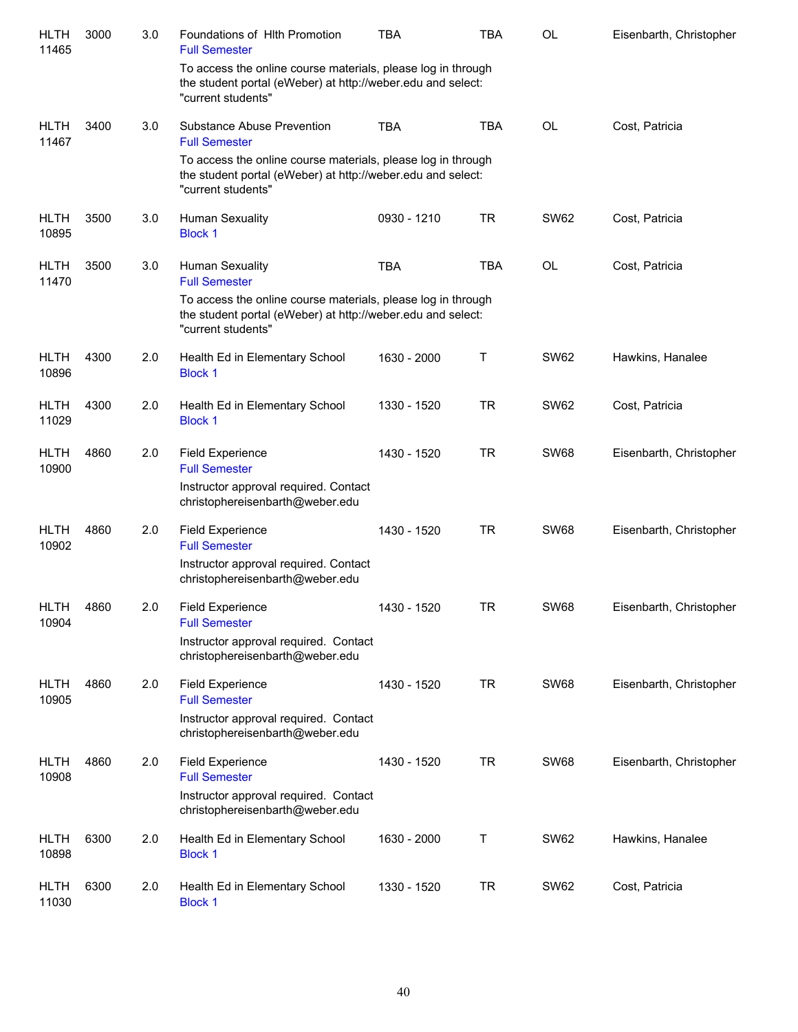| HLTH<br>11465        | 3000 | 3.0 | Foundations of Hith Promotion<br><b>Full Semester</b>                                                                                             | TBA         | <b>TBA</b> | <b>OL</b>   | Eisenbarth, Christopher |
|----------------------|------|-----|---------------------------------------------------------------------------------------------------------------------------------------------------|-------------|------------|-------------|-------------------------|
|                      |      |     | To access the online course materials, please log in through<br>the student portal (eWeber) at http://weber.edu and select:<br>"current students" |             |            |             |                         |
| <b>HLTH</b><br>11467 | 3400 | 3.0 | Substance Abuse Prevention<br><b>Full Semester</b>                                                                                                | <b>TBA</b>  | <b>TBA</b> | <b>OL</b>   | Cost, Patricia          |
|                      |      |     | To access the online course materials, please log in through<br>the student portal (eWeber) at http://weber.edu and select:<br>"current students" |             |            |             |                         |
| <b>HLTH</b><br>10895 | 3500 | 3.0 | Human Sexuality<br><b>Block 1</b>                                                                                                                 | 0930 - 1210 | <b>TR</b>  | <b>SW62</b> | Cost, Patricia          |
| <b>HLTH</b><br>11470 | 3500 | 3.0 | <b>Human Sexuality</b><br><b>Full Semester</b>                                                                                                    | <b>TBA</b>  | <b>TBA</b> | <b>OL</b>   | Cost, Patricia          |
|                      |      |     | To access the online course materials, please log in through<br>the student portal (eWeber) at http://weber.edu and select:<br>"current students" |             |            |             |                         |
| <b>HLTH</b><br>10896 | 4300 | 2.0 | Health Ed in Elementary School<br><b>Block 1</b>                                                                                                  | 1630 - 2000 | Т          | <b>SW62</b> | Hawkins, Hanalee        |
| <b>HLTH</b><br>11029 | 4300 | 2.0 | Health Ed in Elementary School<br><b>Block 1</b>                                                                                                  | 1330 - 1520 | <b>TR</b>  | <b>SW62</b> | Cost, Patricia          |
| <b>HLTH</b><br>10900 | 4860 | 2.0 | <b>Field Experience</b><br><b>Full Semester</b>                                                                                                   | 1430 - 1520 | <b>TR</b>  | <b>SW68</b> | Eisenbarth, Christopher |
|                      |      |     | Instructor approval required. Contact<br>christophereisenbarth@weber.edu                                                                          |             |            |             |                         |
| <b>HLTH</b><br>10902 | 4860 | 2.0 | <b>Field Experience</b><br><b>Full Semester</b>                                                                                                   | 1430 - 1520 | <b>TR</b>  | <b>SW68</b> | Eisenbarth, Christopher |
|                      |      |     | Instructor approval required. Contact<br>christophereisenbarth@weber.edu                                                                          |             |            |             |                         |
| <b>HLTH</b><br>10904 | 4860 | 2.0 | <b>Field Experience</b><br><b>Full Semester</b>                                                                                                   | 1430 - 1520 | TR         | <b>SW68</b> | Eisenbarth, Christopher |
|                      |      |     | Instructor approval required. Contact<br>christophereisenbarth@weber.edu                                                                          |             |            |             |                         |
| <b>HLTH</b><br>10905 | 4860 | 2.0 | <b>Field Experience</b><br><b>Full Semester</b>                                                                                                   | 1430 - 1520 | <b>TR</b>  | <b>SW68</b> | Eisenbarth, Christopher |
|                      |      |     | Instructor approval required. Contact<br>christophereisenbarth@weber.edu                                                                          |             |            |             |                         |
| <b>HLTH</b><br>10908 | 4860 | 2.0 | <b>Field Experience</b><br><b>Full Semester</b>                                                                                                   | 1430 - 1520 | <b>TR</b>  | <b>SW68</b> | Eisenbarth, Christopher |
|                      |      |     | Instructor approval required. Contact<br>christophereisenbarth@weber.edu                                                                          |             |            |             |                         |
| <b>HLTH</b><br>10898 | 6300 | 2.0 | Health Ed in Elementary School<br><b>Block 1</b>                                                                                                  | 1630 - 2000 | Τ          | <b>SW62</b> | Hawkins, Hanalee        |
| <b>HLTH</b><br>11030 | 6300 | 2.0 | Health Ed in Elementary School<br><b>Block 1</b>                                                                                                  | 1330 - 1520 | <b>TR</b>  | <b>SW62</b> | Cost, Patricia          |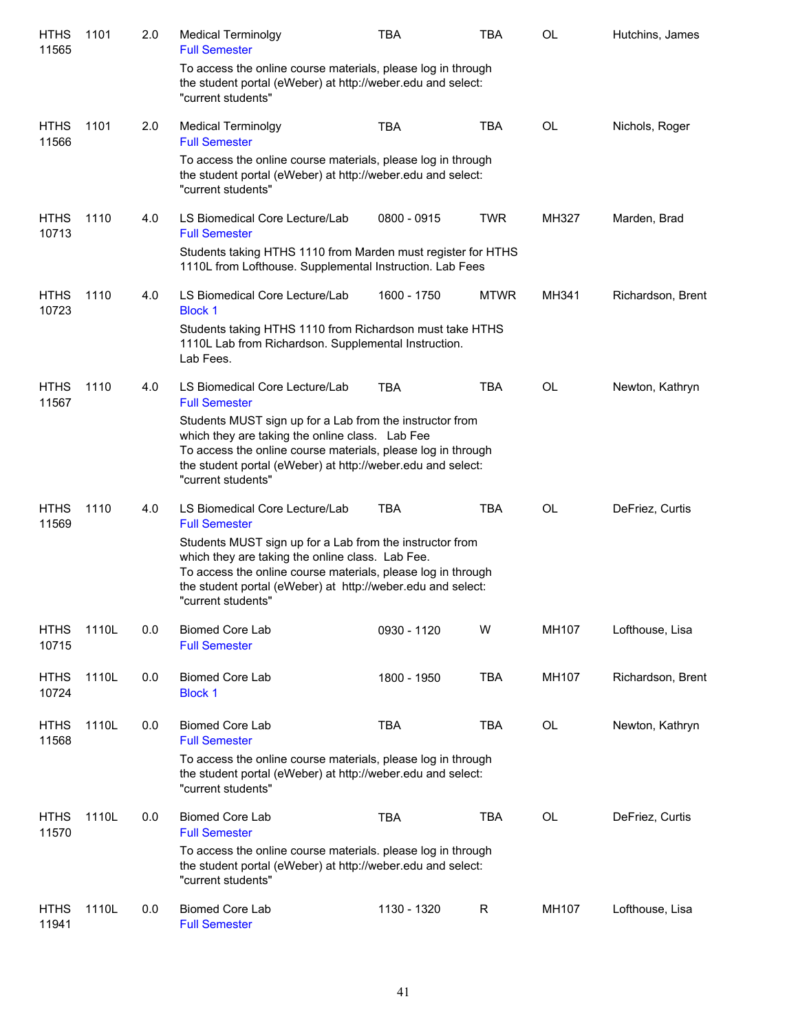| <b>HTHS</b><br>11565 | 1101  | 2.0 | <b>Medical Terminolgy</b><br><b>Full Semester</b>                                                                                                                                                                                                                 | <b>TBA</b>    | <b>TBA</b>  | OL        | Hutchins, James   |
|----------------------|-------|-----|-------------------------------------------------------------------------------------------------------------------------------------------------------------------------------------------------------------------------------------------------------------------|---------------|-------------|-----------|-------------------|
|                      |       |     | To access the online course materials, please log in through<br>the student portal (eWeber) at http://weber.edu and select:<br>"current students"                                                                                                                 |               |             |           |                   |
| <b>HTHS</b><br>11566 | 1101  | 2.0 | <b>Medical Terminolgy</b><br><b>Full Semester</b>                                                                                                                                                                                                                 | <b>TBA</b>    | <b>TBA</b>  | OL        | Nichols, Roger    |
|                      |       |     | To access the online course materials, please log in through<br>the student portal (eWeber) at http://weber.edu and select:<br>"current students"                                                                                                                 |               |             |           |                   |
| <b>HTHS</b><br>10713 | 1110  | 4.0 | LS Biomedical Core Lecture/Lab<br><b>Full Semester</b>                                                                                                                                                                                                            | $0800 - 0915$ | <b>TWR</b>  | MH327     | Marden, Brad      |
|                      |       |     | Students taking HTHS 1110 from Marden must register for HTHS<br>1110L from Lofthouse. Supplemental Instruction. Lab Fees                                                                                                                                          |               |             |           |                   |
| <b>HTHS</b><br>10723 | 1110  | 4.0 | LS Biomedical Core Lecture/Lab<br><b>Block 1</b>                                                                                                                                                                                                                  | 1600 - 1750   | <b>MTWR</b> | MH341     | Richardson, Brent |
|                      |       |     | Students taking HTHS 1110 from Richardson must take HTHS<br>1110L Lab from Richardson. Supplemental Instruction.<br>Lab Fees.                                                                                                                                     |               |             |           |                   |
| <b>HTHS</b><br>11567 | 1110  | 4.0 | LS Biomedical Core Lecture/Lab<br><b>Full Semester</b>                                                                                                                                                                                                            | <b>TBA</b>    | <b>TBA</b>  | <b>OL</b> | Newton, Kathryn   |
|                      |       |     | Students MUST sign up for a Lab from the instructor from<br>which they are taking the online class. Lab Fee<br>To access the online course materials, please log in through<br>the student portal (eWeber) at http://weber.edu and select:<br>"current students"  |               |             |           |                   |
| <b>HTHS</b><br>11569 | 1110  | 4.0 | LS Biomedical Core Lecture/Lab<br><b>Full Semester</b>                                                                                                                                                                                                            | <b>TBA</b>    | <b>TBA</b>  | <b>OL</b> | DeFriez, Curtis   |
|                      |       |     | Students MUST sign up for a Lab from the instructor from<br>which they are taking the online class. Lab Fee.<br>To access the online course materials, please log in through<br>the student portal (eWeber) at http://weber.edu and select:<br>"current students" |               |             |           |                   |
| <b>HTHS</b><br>10715 | 1110L | 0.0 | <b>Biomed Core Lab</b><br><b>Full Semester</b>                                                                                                                                                                                                                    | 0930 - 1120   | W           | MH107     | Lofthouse, Lisa   |
| <b>HTHS</b><br>10724 | 1110L | 0.0 | <b>Biomed Core Lab</b><br><b>Block 1</b>                                                                                                                                                                                                                          | 1800 - 1950   | <b>TBA</b>  | MH107     | Richardson, Brent |
| <b>HTHS</b><br>11568 | 1110L | 0.0 | <b>Biomed Core Lab</b><br><b>Full Semester</b>                                                                                                                                                                                                                    | <b>TBA</b>    | <b>TBA</b>  | OL        | Newton, Kathryn   |
|                      |       |     | To access the online course materials, please log in through<br>the student portal (eWeber) at http://weber.edu and select:<br>"current students"                                                                                                                 |               |             |           |                   |
| <b>HTHS</b><br>11570 | 1110L | 0.0 | <b>Biomed Core Lab</b><br><b>Full Semester</b>                                                                                                                                                                                                                    | <b>TBA</b>    | <b>TBA</b>  | OL        | DeFriez, Curtis   |
|                      |       |     | To access the online course materials. please log in through<br>the student portal (eWeber) at http://weber.edu and select:<br>"current students"                                                                                                                 |               |             |           |                   |
| <b>HTHS</b><br>11941 | 1110L | 0.0 | <b>Biomed Core Lab</b><br><b>Full Semester</b>                                                                                                                                                                                                                    | 1130 - 1320   | $\mathsf R$ | MH107     | Lofthouse, Lisa   |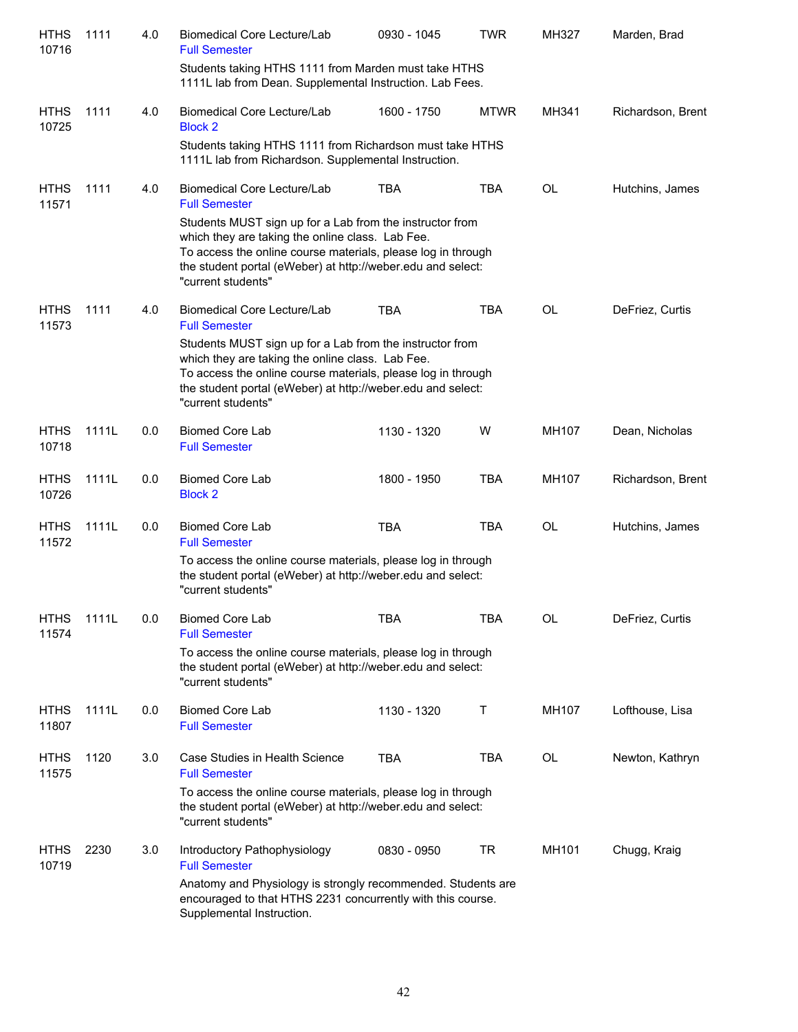| <b>HTHS</b><br>10716 | 1111  | 4.0 | Biomedical Core Lecture/Lab<br><b>Full Semester</b>                                                                                                                                                                                                               | 0930 - 1045 | <b>TWR</b>  | MH327     | Marden, Brad      |
|----------------------|-------|-----|-------------------------------------------------------------------------------------------------------------------------------------------------------------------------------------------------------------------------------------------------------------------|-------------|-------------|-----------|-------------------|
|                      |       |     | Students taking HTHS 1111 from Marden must take HTHS<br>1111L lab from Dean. Supplemental Instruction. Lab Fees.                                                                                                                                                  |             |             |           |                   |
| <b>HTHS</b><br>10725 | 1111  | 4.0 | <b>Biomedical Core Lecture/Lab</b><br><b>Block 2</b>                                                                                                                                                                                                              | 1600 - 1750 | <b>MTWR</b> | MH341     | Richardson, Brent |
|                      |       |     | Students taking HTHS 1111 from Richardson must take HTHS<br>1111L lab from Richardson. Supplemental Instruction.                                                                                                                                                  |             |             |           |                   |
| <b>HTHS</b><br>11571 | 1111  | 4.0 | <b>Biomedical Core Lecture/Lab</b><br><b>Full Semester</b>                                                                                                                                                                                                        | <b>TBA</b>  | <b>TBA</b>  | <b>OL</b> | Hutchins, James   |
|                      |       |     | Students MUST sign up for a Lab from the instructor from<br>which they are taking the online class. Lab Fee.<br>To access the online course materials, please log in through<br>the student portal (eWeber) at http://weber.edu and select:<br>"current students" |             |             |           |                   |
| <b>HTHS</b><br>11573 | 1111  | 4.0 | Biomedical Core Lecture/Lab<br><b>Full Semester</b>                                                                                                                                                                                                               | <b>TBA</b>  | <b>TBA</b>  | <b>OL</b> | DeFriez, Curtis   |
|                      |       |     | Students MUST sign up for a Lab from the instructor from<br>which they are taking the online class. Lab Fee.<br>To access the online course materials, please log in through<br>the student portal (eWeber) at http://weber.edu and select:<br>"current students" |             |             |           |                   |
| <b>HTHS</b><br>10718 | 1111L | 0.0 | <b>Biomed Core Lab</b><br><b>Full Semester</b>                                                                                                                                                                                                                    | 1130 - 1320 | W           | MH107     | Dean, Nicholas    |
| <b>HTHS</b><br>10726 | 1111L | 0.0 | <b>Biomed Core Lab</b><br><b>Block 2</b>                                                                                                                                                                                                                          | 1800 - 1950 | <b>TBA</b>  | MH107     | Richardson, Brent |
| <b>HTHS</b><br>11572 | 1111L | 0.0 | <b>Biomed Core Lab</b><br><b>Full Semester</b>                                                                                                                                                                                                                    | <b>TBA</b>  | <b>TBA</b>  | <b>OL</b> | Hutchins, James   |
|                      |       |     | To access the online course materials, please log in through<br>the student portal (eWeber) at http://weber.edu and select:<br>"current students"                                                                                                                 |             |             |           |                   |
| <b>HTHS</b><br>11574 | 1111L | 0.0 | <b>Biomed Core Lab</b><br><b>Full Semester</b>                                                                                                                                                                                                                    | TBA         | TBA         | OL        | DeFriez, Curtis   |
|                      |       |     | To access the online course materials, please log in through<br>the student portal (eWeber) at http://weber.edu and select:<br>"current students"                                                                                                                 |             |             |           |                   |
| <b>HTHS</b><br>11807 | 1111L | 0.0 | <b>Biomed Core Lab</b><br><b>Full Semester</b>                                                                                                                                                                                                                    | 1130 - 1320 | Τ           | MH107     | Lofthouse, Lisa   |
| <b>HTHS</b><br>11575 | 1120  | 3.0 | Case Studies in Health Science<br><b>Full Semester</b>                                                                                                                                                                                                            | <b>TBA</b>  | <b>TBA</b>  | OL        | Newton, Kathryn   |
|                      |       |     | To access the online course materials, please log in through<br>the student portal (eWeber) at http://weber.edu and select:<br>"current students"                                                                                                                 |             |             |           |                   |
| <b>HTHS</b><br>10719 | 2230  | 3.0 | Introductory Pathophysiology<br><b>Full Semester</b>                                                                                                                                                                                                              | 0830 - 0950 | TR          | MH101     | Chugg, Kraig      |
|                      |       |     | Anatomy and Physiology is strongly recommended. Students are<br>encouraged to that HTHS 2231 concurrently with this course.<br>Supplemental Instruction.                                                                                                          |             |             |           |                   |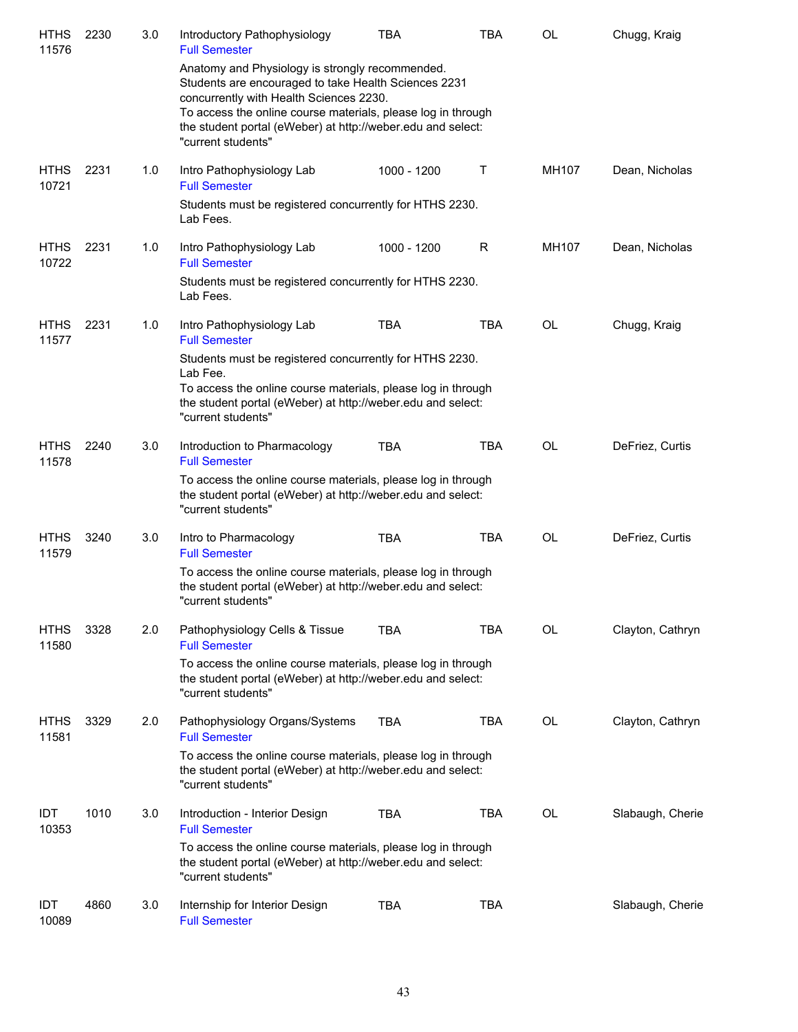| <b>HTHS</b><br>11576 | 2230 | 3.0 | Introductory Pathophysiology<br><b>Full Semester</b>                                                                                                                                                                                                                                                    | TBA         | <b>TBA</b> | <b>OL</b> | Chugg, Kraig     |
|----------------------|------|-----|---------------------------------------------------------------------------------------------------------------------------------------------------------------------------------------------------------------------------------------------------------------------------------------------------------|-------------|------------|-----------|------------------|
|                      |      |     | Anatomy and Physiology is strongly recommended.<br>Students are encouraged to take Health Sciences 2231<br>concurrently with Health Sciences 2230.<br>To access the online course materials, please log in through<br>the student portal (eWeber) at http://weber.edu and select:<br>"current students" |             |            |           |                  |
| <b>HTHS</b><br>10721 | 2231 | 1.0 | Intro Pathophysiology Lab<br><b>Full Semester</b>                                                                                                                                                                                                                                                       | 1000 - 1200 | Τ          | MH107     | Dean, Nicholas   |
|                      |      |     | Students must be registered concurrently for HTHS 2230.<br>Lab Fees.                                                                                                                                                                                                                                    |             |            |           |                  |
| <b>HTHS</b><br>10722 | 2231 | 1.0 | Intro Pathophysiology Lab<br><b>Full Semester</b>                                                                                                                                                                                                                                                       | 1000 - 1200 | R          | MH107     | Dean, Nicholas   |
|                      |      |     | Students must be registered concurrently for HTHS 2230.<br>Lab Fees.                                                                                                                                                                                                                                    |             |            |           |                  |
| <b>HTHS</b><br>11577 | 2231 | 1.0 | Intro Pathophysiology Lab<br><b>Full Semester</b>                                                                                                                                                                                                                                                       | <b>TBA</b>  | <b>TBA</b> | <b>OL</b> | Chugg, Kraig     |
|                      |      |     | Students must be registered concurrently for HTHS 2230.<br>Lab Fee.                                                                                                                                                                                                                                     |             |            |           |                  |
|                      |      |     | To access the online course materials, please log in through<br>the student portal (eWeber) at http://weber.edu and select:<br>"current students"                                                                                                                                                       |             |            |           |                  |
| <b>HTHS</b><br>11578 | 2240 | 3.0 | Introduction to Pharmacology<br><b>Full Semester</b>                                                                                                                                                                                                                                                    | <b>TBA</b>  | <b>TBA</b> | <b>OL</b> | DeFriez, Curtis  |
|                      |      |     | To access the online course materials, please log in through<br>the student portal (eWeber) at http://weber.edu and select:<br>"current students"                                                                                                                                                       |             |            |           |                  |
| <b>HTHS</b><br>11579 | 3240 | 3.0 | Intro to Pharmacology<br><b>Full Semester</b>                                                                                                                                                                                                                                                           | <b>TBA</b>  | <b>TBA</b> | OL        | DeFriez, Curtis  |
|                      |      |     | To access the online course materials, please log in through<br>the student portal (eWeber) at http://weber.edu and select:<br>"current students"                                                                                                                                                       |             |            |           |                  |
| <b>HTHS</b><br>11580 | 3328 | 2.0 | Pathophysiology Cells & Tissue<br><b>Full Semester</b>                                                                                                                                                                                                                                                  | <b>TBA</b>  | <b>TBA</b> | OL        | Clayton, Cathryn |
|                      |      |     | To access the online course materials, please log in through<br>the student portal (eWeber) at http://weber.edu and select:<br>"current students"                                                                                                                                                       |             |            |           |                  |
| <b>HTHS</b><br>11581 | 3329 | 2.0 | Pathophysiology Organs/Systems<br><b>Full Semester</b>                                                                                                                                                                                                                                                  | <b>TBA</b>  | TBA        | OL        | Clayton, Cathryn |
|                      |      |     | To access the online course materials, please log in through<br>the student portal (eWeber) at http://weber.edu and select:<br>"current students"                                                                                                                                                       |             |            |           |                  |
| IDT<br>10353         | 1010 | 3.0 | Introduction - Interior Design<br><b>Full Semester</b>                                                                                                                                                                                                                                                  | <b>TBA</b>  | TBA        | OL        | Slabaugh, Cherie |
|                      |      |     | To access the online course materials, please log in through<br>the student portal (eWeber) at http://weber.edu and select:<br>"current students"                                                                                                                                                       |             |            |           |                  |
| IDT<br>10089         | 4860 | 3.0 | Internship for Interior Design<br><b>Full Semester</b>                                                                                                                                                                                                                                                  | <b>TBA</b>  | TBA        |           | Slabaugh, Cherie |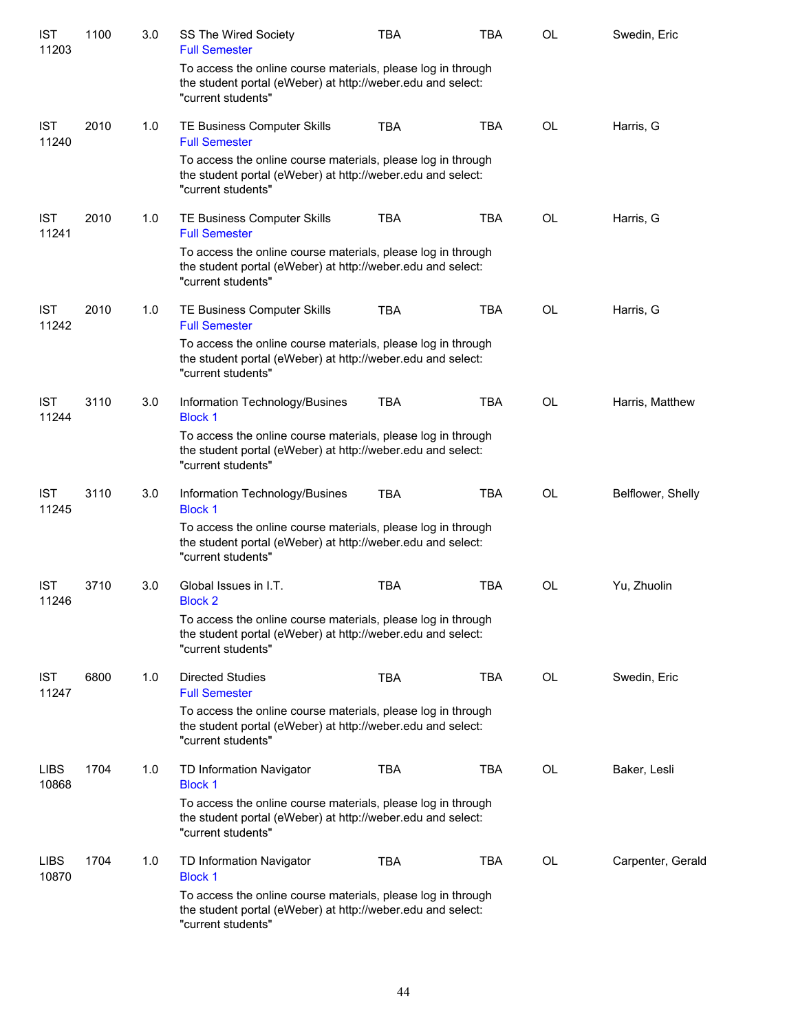| <b>IST</b><br>11203  | 1100 | 3.0 | SS The Wired Society<br><b>Full Semester</b>                                                                                                      | <b>TBA</b> | <b>TBA</b> | <b>OL</b> | Swedin, Eric      |
|----------------------|------|-----|---------------------------------------------------------------------------------------------------------------------------------------------------|------------|------------|-----------|-------------------|
|                      |      |     | To access the online course materials, please log in through<br>the student portal (eWeber) at http://weber.edu and select:<br>"current students" |            |            |           |                   |
| <b>IST</b><br>11240  | 2010 | 1.0 | TE Business Computer Skills<br><b>Full Semester</b>                                                                                               | <b>TBA</b> | <b>TBA</b> | <b>OL</b> | Harris, G         |
|                      |      |     | To access the online course materials, please log in through<br>the student portal (eWeber) at http://weber.edu and select:<br>"current students" |            |            |           |                   |
| <b>IST</b><br>11241  | 2010 | 1.0 | TE Business Computer Skills<br><b>Full Semester</b>                                                                                               | <b>TBA</b> | <b>TBA</b> | <b>OL</b> | Harris, G         |
|                      |      |     | To access the online course materials, please log in through<br>the student portal (eWeber) at http://weber.edu and select:<br>"current students" |            |            |           |                   |
| <b>IST</b><br>11242  | 2010 | 1.0 | TE Business Computer Skills<br><b>Full Semester</b>                                                                                               | <b>TBA</b> | <b>TBA</b> | <b>OL</b> | Harris, G         |
|                      |      |     | To access the online course materials, please log in through<br>the student portal (eWeber) at http://weber.edu and select:<br>"current students" |            |            |           |                   |
| <b>IST</b><br>11244  | 3110 | 3.0 | Information Technology/Busines<br><b>Block 1</b>                                                                                                  | <b>TBA</b> | <b>TBA</b> | <b>OL</b> | Harris, Matthew   |
|                      |      |     | To access the online course materials, please log in through<br>the student portal (eWeber) at http://weber.edu and select:<br>"current students" |            |            |           |                   |
| <b>IST</b><br>11245  | 3110 | 3.0 | Information Technology/Busines<br><b>Block 1</b>                                                                                                  | <b>TBA</b> | <b>TBA</b> | <b>OL</b> | Belflower, Shelly |
|                      |      |     | To access the online course materials, please log in through<br>the student portal (eWeber) at http://weber.edu and select:<br>"current students" |            |            |           |                   |
| <b>IST</b><br>11246  | 3710 | 3.0 | Global Issues in I.T.<br><b>Block 2</b>                                                                                                           | <b>TBA</b> | <b>TBA</b> | OL        | Yu, Zhuolin       |
|                      |      |     | To access the online course materials, please log in through<br>the student portal (eWeber) at http://weber.edu and select:<br>"current students" |            |            |           |                   |
| <b>IST</b><br>11247  | 6800 | 1.0 | <b>Directed Studies</b><br><b>Full Semester</b>                                                                                                   | <b>TBA</b> | <b>TBA</b> | OL        | Swedin, Eric      |
|                      |      |     | To access the online course materials, please log in through<br>the student portal (eWeber) at http://weber.edu and select:<br>"current students" |            |            |           |                   |
| <b>LIBS</b><br>10868 | 1704 | 1.0 | TD Information Navigator<br><b>Block 1</b>                                                                                                        | <b>TBA</b> | <b>TBA</b> | OL        | Baker, Lesli      |
|                      |      |     | To access the online course materials, please log in through<br>the student portal (eWeber) at http://weber.edu and select:<br>"current students" |            |            |           |                   |
| <b>LIBS</b><br>10870 | 1704 | 1.0 | TD Information Navigator<br><b>Block 1</b>                                                                                                        | <b>TBA</b> | TBA        | OL        | Carpenter, Gerald |
|                      |      |     | To access the online course materials, please log in through<br>the student portal (eWeber) at http://weber.edu and select:<br>"current students" |            |            |           |                   |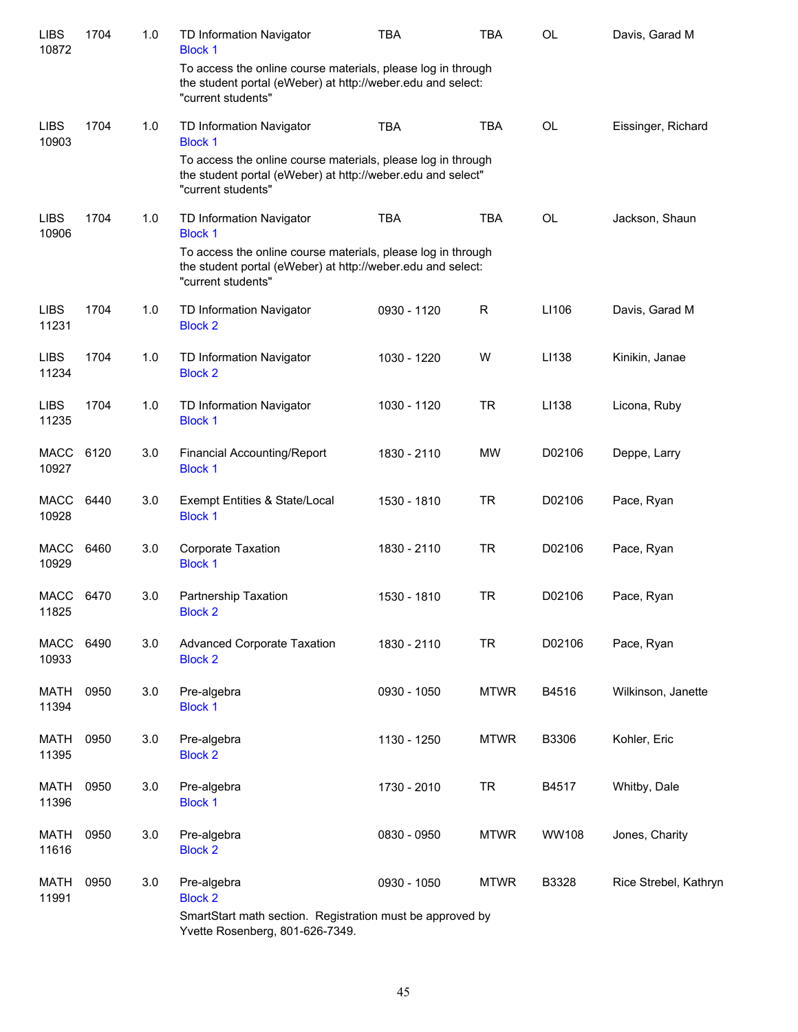| <b>LIBS</b><br>10872 | 1704 | 1.0     | TD Information Navigator<br><b>Block 1</b>                                                                                                        | <b>TBA</b>  | <b>TBA</b>  | <b>OL</b>    | Davis, Garad M        |
|----------------------|------|---------|---------------------------------------------------------------------------------------------------------------------------------------------------|-------------|-------------|--------------|-----------------------|
|                      |      |         | To access the online course materials, please log in through<br>the student portal (eWeber) at http://weber.edu and select:<br>"current students" |             |             |              |                       |
| <b>LIBS</b><br>10903 | 1704 | 1.0     | TD Information Navigator<br><b>Block 1</b>                                                                                                        | <b>TBA</b>  | <b>TBA</b>  | <b>OL</b>    | Eissinger, Richard    |
|                      |      |         | To access the online course materials, please log in through<br>the student portal (eWeber) at http://weber.edu and select"<br>"current students" |             |             |              |                       |
| <b>LIBS</b><br>10906 | 1704 | 1.0     | TD Information Navigator<br><b>Block 1</b>                                                                                                        | <b>TBA</b>  | <b>TBA</b>  | <b>OL</b>    | Jackson, Shaun        |
|                      |      |         | To access the online course materials, please log in through<br>the student portal (eWeber) at http://weber.edu and select:<br>"current students" |             |             |              |                       |
| <b>LIBS</b><br>11231 | 1704 | 1.0     | TD Information Navigator<br><b>Block 2</b>                                                                                                        | 0930 - 1120 | $\mathsf R$ | LI106        | Davis, Garad M        |
| <b>LIBS</b><br>11234 | 1704 | 1.0     | TD Information Navigator<br><b>Block 2</b>                                                                                                        | 1030 - 1220 | W           | LI138        | Kinikin, Janae        |
| <b>LIBS</b><br>11235 | 1704 | 1.0     | TD Information Navigator<br><b>Block 1</b>                                                                                                        | 1030 - 1120 | <b>TR</b>   | LI138        | Licona, Ruby          |
| <b>MACC</b><br>10927 | 6120 | 3.0     | <b>Financial Accounting/Report</b><br><b>Block 1</b>                                                                                              | 1830 - 2110 | <b>MW</b>   | D02106       | Deppe, Larry          |
| <b>MACC</b><br>10928 | 6440 | 3.0     | Exempt Entities & State/Local<br><b>Block 1</b>                                                                                                   | 1530 - 1810 | <b>TR</b>   | D02106       | Pace, Ryan            |
| <b>MACC</b><br>10929 | 6460 | 3.0     | Corporate Taxation<br><b>Block 1</b>                                                                                                              | 1830 - 2110 | <b>TR</b>   | D02106       | Pace, Ryan            |
| MACC<br>11825        | 6470 | 3.0     | Partnership Taxation<br><b>Block 2</b>                                                                                                            | 1530 - 1810 | <b>TR</b>   | D02106       | Pace, Ryan            |
| <b>MACC</b><br>10933 | 6490 | $3.0\,$ | <b>Advanced Corporate Taxation</b><br><b>Block 2</b>                                                                                              | 1830 - 2110 | <b>TR</b>   | D02106       | Pace, Ryan            |
| <b>MATH</b><br>11394 | 0950 | 3.0     | Pre-algebra<br><b>Block 1</b>                                                                                                                     | 0930 - 1050 | <b>MTWR</b> | B4516        | Wilkinson, Janette    |
| <b>MATH</b><br>11395 | 0950 | 3.0     | Pre-algebra<br><b>Block 2</b>                                                                                                                     | 1130 - 1250 | <b>MTWR</b> | B3306        | Kohler, Eric          |
| <b>MATH</b><br>11396 | 0950 | 3.0     | Pre-algebra<br><b>Block 1</b>                                                                                                                     | 1730 - 2010 | <b>TR</b>   | B4517        | Whitby, Dale          |
| <b>MATH</b><br>11616 | 0950 | 3.0     | Pre-algebra<br><b>Block 2</b>                                                                                                                     | 0830 - 0950 | <b>MTWR</b> | <b>WW108</b> | Jones, Charity        |
| <b>MATH</b><br>11991 | 0950 | 3.0     | Pre-algebra<br><b>Block 2</b>                                                                                                                     | 0930 - 1050 | <b>MTWR</b> | B3328        | Rice Strebel, Kathryn |
|                      |      |         | SmartStart math section. Registration must be approved by                                                                                         |             |             |              |                       |

Yvette Rosenberg, 801-626-7349.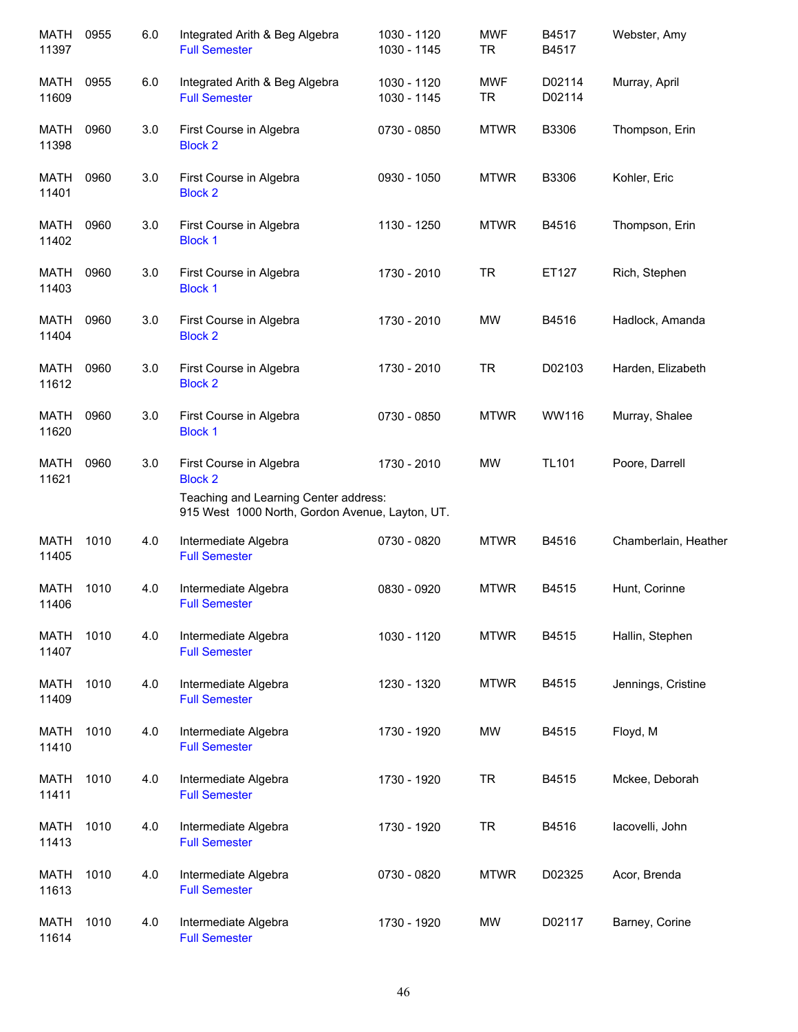| <b>MATH</b><br>11397 | 0955 | 6.0 | Integrated Arith & Beg Algebra<br><b>Full Semester</b>                                                                                | 1030 - 1120<br>1030 - 1145 | <b>MWF</b><br><b>TR</b> | B4517<br>B4517   | Webster, Amy         |
|----------------------|------|-----|---------------------------------------------------------------------------------------------------------------------------------------|----------------------------|-------------------------|------------------|----------------------|
| <b>MATH</b><br>11609 | 0955 | 6.0 | Integrated Arith & Beg Algebra<br><b>Full Semester</b>                                                                                | 1030 - 1120<br>1030 - 1145 | <b>MWF</b><br><b>TR</b> | D02114<br>D02114 | Murray, April        |
| MATH<br>11398        | 0960 | 3.0 | First Course in Algebra<br><b>Block 2</b>                                                                                             | 0730 - 0850                | <b>MTWR</b>             | B3306            | Thompson, Erin       |
| MATH<br>11401        | 0960 | 3.0 | First Course in Algebra<br><b>Block 2</b>                                                                                             | 0930 - 1050                | <b>MTWR</b>             | B3306            | Kohler, Eric         |
| MATH<br>11402        | 0960 | 3.0 | First Course in Algebra<br><b>Block 1</b>                                                                                             | 1130 - 1250                | <b>MTWR</b>             | B4516            | Thompson, Erin       |
| MATH<br>11403        | 0960 | 3.0 | First Course in Algebra<br><b>Block 1</b>                                                                                             | 1730 - 2010                | <b>TR</b>               | ET127            | Rich, Stephen        |
| <b>MATH</b><br>11404 | 0960 | 3.0 | First Course in Algebra<br><b>Block 2</b>                                                                                             | 1730 - 2010                | <b>MW</b>               | B4516            | Hadlock, Amanda      |
| <b>MATH</b><br>11612 | 0960 | 3.0 | First Course in Algebra<br><b>Block 2</b>                                                                                             | 1730 - 2010                | <b>TR</b>               | D02103           | Harden, Elizabeth    |
| <b>MATH</b><br>11620 | 0960 | 3.0 | First Course in Algebra<br><b>Block 1</b>                                                                                             | 0730 - 0850                | <b>MTWR</b>             | WW116            | Murray, Shalee       |
| <b>MATH</b><br>11621 | 0960 | 3.0 | First Course in Algebra<br><b>Block 2</b><br>Teaching and Learning Center address:<br>915 West 1000 North, Gordon Avenue, Layton, UT. | 1730 - 2010                | <b>MW</b>               | <b>TL101</b>     | Poore, Darrell       |
| <b>MATH</b><br>11405 | 1010 | 4.0 | Intermediate Algebra<br><b>Full Semester</b>                                                                                          | 0730 - 0820                | <b>MTWR</b>             | B4516            | Chamberlain, Heather |
| <b>MATH</b><br>11406 | 1010 | 4.0 | Intermediate Algebra<br><b>Full Semester</b>                                                                                          | 0830 - 0920                | <b>MTWR</b>             | B4515            | Hunt, Corinne        |
| MATH<br>11407        | 1010 | 4.0 | Intermediate Algebra<br><b>Full Semester</b>                                                                                          | 1030 - 1120                | <b>MTWR</b>             | B4515            | Hallin, Stephen      |
| MATH<br>11409        | 1010 | 4.0 | Intermediate Algebra<br><b>Full Semester</b>                                                                                          | 1230 - 1320                | <b>MTWR</b>             | B4515            | Jennings, Cristine   |
| <b>MATH</b><br>11410 | 1010 | 4.0 | Intermediate Algebra<br><b>Full Semester</b>                                                                                          | 1730 - 1920                | <b>MW</b>               | B4515            | Floyd, M             |
| <b>MATH</b><br>11411 | 1010 | 4.0 | Intermediate Algebra<br><b>Full Semester</b>                                                                                          | 1730 - 1920                | <b>TR</b>               | B4515            | Mckee, Deborah       |
| <b>MATH</b><br>11413 | 1010 | 4.0 | Intermediate Algebra<br><b>Full Semester</b>                                                                                          | 1730 - 1920                | <b>TR</b>               | B4516            | lacovelli, John      |
| <b>MATH</b><br>11613 | 1010 | 4.0 | Intermediate Algebra<br><b>Full Semester</b>                                                                                          | 0730 - 0820                | <b>MTWR</b>             | D02325           | Acor, Brenda         |
| <b>MATH</b><br>11614 | 1010 | 4.0 | Intermediate Algebra<br><b>Full Semester</b>                                                                                          | 1730 - 1920                | <b>MW</b>               | D02117           | Barney, Corine       |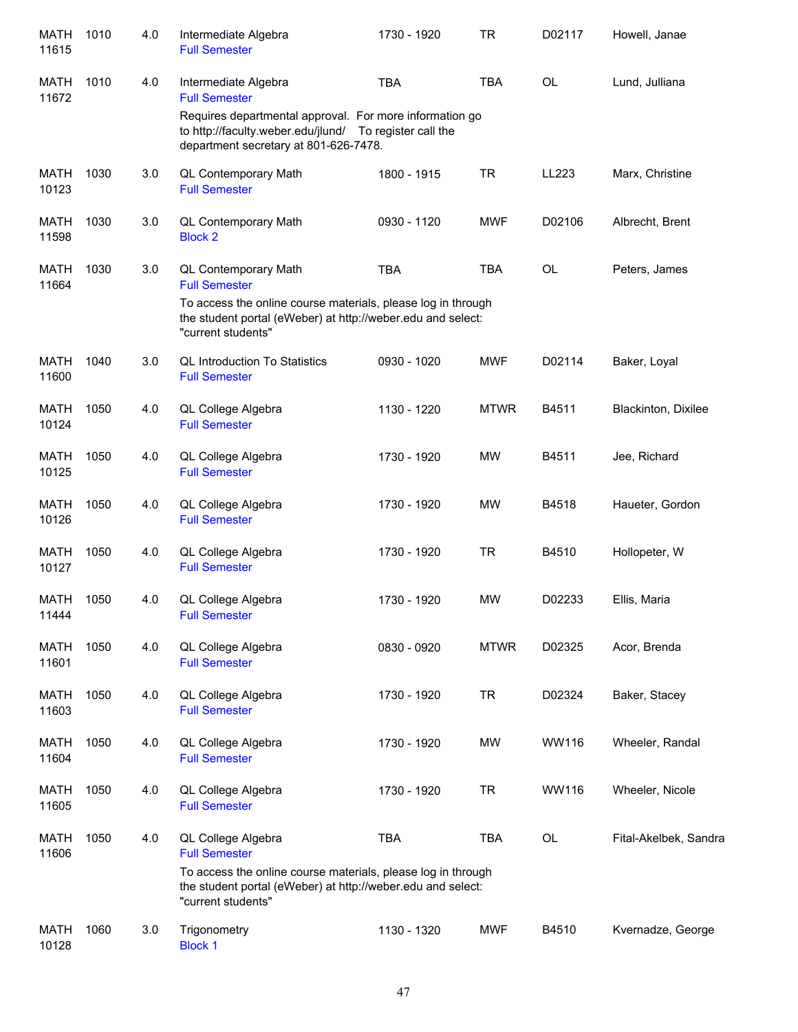| <b>MATH</b><br>11615 | 1010 | 4.0 | Intermediate Algebra<br><b>Full Semester</b>                                                                                                                | 1730 - 1920 | <b>TR</b>   | D02117    | Howell, Janae         |
|----------------------|------|-----|-------------------------------------------------------------------------------------------------------------------------------------------------------------|-------------|-------------|-----------|-----------------------|
| MATH<br>11672        | 1010 | 4.0 | Intermediate Algebra<br><b>Full Semester</b>                                                                                                                | <b>TBA</b>  | <b>TBA</b>  | <b>OL</b> | Lund, Julliana        |
|                      |      |     | Requires departmental approval. For more information go<br>to http://faculty.weber.edu/jlund/ To register call the<br>department secretary at 801-626-7478. |             |             |           |                       |
| <b>MATH</b><br>10123 | 1030 | 3.0 | <b>QL Contemporary Math</b><br><b>Full Semester</b>                                                                                                         | 1800 - 1915 | <b>TR</b>   | LL223     | Marx, Christine       |
| <b>MATH</b><br>11598 | 1030 | 3.0 | <b>QL Contemporary Math</b><br><b>Block 2</b>                                                                                                               | 0930 - 1120 | <b>MWF</b>  | D02106    | Albrecht, Brent       |
| <b>MATH</b><br>11664 | 1030 | 3.0 | <b>QL Contemporary Math</b><br><b>Full Semester</b>                                                                                                         | <b>TBA</b>  | <b>TBA</b>  | <b>OL</b> | Peters, James         |
|                      |      |     | To access the online course materials, please log in through<br>the student portal (eWeber) at http://weber.edu and select:<br>"current students"           |             |             |           |                       |
| <b>MATH</b><br>11600 | 1040 | 3.0 | <b>QL Introduction To Statistics</b><br><b>Full Semester</b>                                                                                                | 0930 - 1020 | <b>MWF</b>  | D02114    | Baker, Loyal          |
| <b>MATH</b><br>10124 | 1050 | 4.0 | QL College Algebra<br><b>Full Semester</b>                                                                                                                  | 1130 - 1220 | <b>MTWR</b> | B4511     | Blackinton, Dixilee   |
| <b>MATH</b><br>10125 | 1050 | 4.0 | QL College Algebra<br><b>Full Semester</b>                                                                                                                  | 1730 - 1920 | <b>MW</b>   | B4511     | Jee, Richard          |
| <b>MATH</b><br>10126 | 1050 | 4.0 | QL College Algebra<br><b>Full Semester</b>                                                                                                                  | 1730 - 1920 | <b>MW</b>   | B4518     | Haueter, Gordon       |
| <b>MATH</b><br>10127 | 1050 | 4.0 | QL College Algebra<br><b>Full Semester</b>                                                                                                                  | 1730 - 1920 | <b>TR</b>   | B4510     | Hollopeter, W         |
| <b>MATH</b><br>11444 | 1050 | 4.0 | QL College Algebra<br><b>Full Semester</b>                                                                                                                  | 1730 - 1920 | <b>MW</b>   | D02233    | Ellis, Maria          |
| <b>MATH</b><br>11601 | 1050 | 4.0 | QL College Algebra<br><b>Full Semester</b>                                                                                                                  | 0830 - 0920 | <b>MTWR</b> | D02325    | Acor, Brenda          |
| <b>MATH</b><br>11603 | 1050 | 4.0 | QL College Algebra<br><b>Full Semester</b>                                                                                                                  | 1730 - 1920 | <b>TR</b>   | D02324    | Baker, Stacey         |
| <b>MATH</b><br>11604 | 1050 | 4.0 | QL College Algebra<br><b>Full Semester</b>                                                                                                                  | 1730 - 1920 | <b>MW</b>   | WW116     | Wheeler, Randal       |
| <b>MATH</b><br>11605 | 1050 | 4.0 | QL College Algebra<br><b>Full Semester</b>                                                                                                                  | 1730 - 1920 | <b>TR</b>   | WW116     | Wheeler, Nicole       |
| <b>MATH</b><br>11606 | 1050 | 4.0 | QL College Algebra<br><b>Full Semester</b>                                                                                                                  | <b>TBA</b>  | <b>TBA</b>  | OL        | Fital-Akelbek, Sandra |
|                      |      |     | To access the online course materials, please log in through<br>the student portal (eWeber) at http://weber.edu and select:<br>"current students"           |             |             |           |                       |
| <b>MATH</b><br>10128 | 1060 | 3.0 | Trigonometry<br><b>Block 1</b>                                                                                                                              | 1130 - 1320 | <b>MWF</b>  | B4510     | Kvernadze, George     |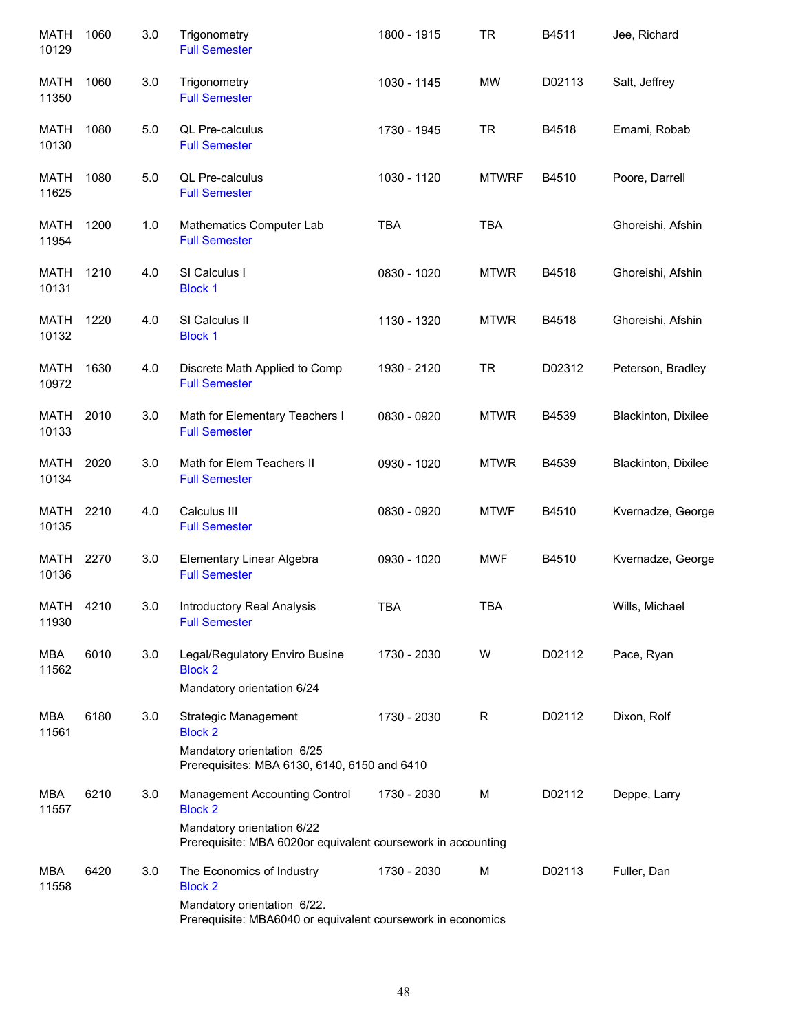| <b>MATH</b><br>10129 | 1060 | 3.0 | Trigonometry<br><b>Full Semester</b>                                                       | 1800 - 1915 | <b>TR</b>    | B4511  | Jee, Richard        |
|----------------------|------|-----|--------------------------------------------------------------------------------------------|-------------|--------------|--------|---------------------|
| MATH<br>11350        | 1060 | 3.0 | Trigonometry<br><b>Full Semester</b>                                                       | 1030 - 1145 | <b>MW</b>    | D02113 | Salt, Jeffrey       |
| <b>MATH</b><br>10130 | 1080 | 5.0 | QL Pre-calculus<br><b>Full Semester</b>                                                    | 1730 - 1945 | <b>TR</b>    | B4518  | Emami, Robab        |
| MATH<br>11625        | 1080 | 5.0 | QL Pre-calculus<br><b>Full Semester</b>                                                    | 1030 - 1120 | <b>MTWRF</b> | B4510  | Poore, Darrell      |
| <b>MATH</b><br>11954 | 1200 | 1.0 | Mathematics Computer Lab<br><b>Full Semester</b>                                           | <b>TBA</b>  | <b>TBA</b>   |        | Ghoreishi, Afshin   |
| <b>MATH</b><br>10131 | 1210 | 4.0 | SI Calculus I<br><b>Block 1</b>                                                            | 0830 - 1020 | <b>MTWR</b>  | B4518  | Ghoreishi, Afshin   |
| <b>MATH</b><br>10132 | 1220 | 4.0 | SI Calculus II<br><b>Block 1</b>                                                           | 1130 - 1320 | <b>MTWR</b>  | B4518  | Ghoreishi, Afshin   |
| <b>MATH</b><br>10972 | 1630 | 4.0 | Discrete Math Applied to Comp<br><b>Full Semester</b>                                      | 1930 - 2120 | <b>TR</b>    | D02312 | Peterson, Bradley   |
| <b>MATH</b><br>10133 | 2010 | 3.0 | Math for Elementary Teachers I<br><b>Full Semester</b>                                     | 0830 - 0920 | <b>MTWR</b>  | B4539  | Blackinton, Dixilee |
| <b>MATH</b><br>10134 | 2020 | 3.0 | Math for Elem Teachers II<br><b>Full Semester</b>                                          | 0930 - 1020 | <b>MTWR</b>  | B4539  | Blackinton, Dixilee |
| <b>MATH</b><br>10135 | 2210 | 4.0 | Calculus III<br><b>Full Semester</b>                                                       | 0830 - 0920 | <b>MTWF</b>  | B4510  | Kvernadze, George   |
| <b>MATH</b><br>10136 | 2270 | 3.0 | Elementary Linear Algebra<br><b>Full Semester</b>                                          | 0930 - 1020 | MWF          | B4510  | Kvernadze, George   |
| <b>MATH</b><br>11930 | 4210 | 3.0 | Introductory Real Analysis<br><b>Full Semester</b>                                         | <b>TBA</b>  | <b>TBA</b>   |        | Wills, Michael      |
| <b>MBA</b><br>11562  | 6010 | 3.0 | Legal/Regulatory Enviro Busine<br><b>Block 2</b><br>Mandatory orientation 6/24             | 1730 - 2030 | W            | D02112 | Pace, Ryan          |
| <b>MBA</b><br>11561  | 6180 | 3.0 | Strategic Management<br><b>Block 2</b>                                                     | 1730 - 2030 | R            | D02112 | Dixon, Rolf         |
|                      |      |     | Mandatory orientation 6/25<br>Prerequisites: MBA 6130, 6140, 6150 and 6410                 |             |              |        |                     |
| MBA<br>11557         | 6210 | 3.0 | Management Accounting Control<br><b>Block 2</b>                                            | 1730 - 2030 | М            | D02112 | Deppe, Larry        |
|                      |      |     | Mandatory orientation 6/22<br>Prerequisite: MBA 6020or equivalent coursework in accounting |             |              |        |                     |
| MBA<br>11558         | 6420 | 3.0 | The Economics of Industry<br><b>Block 2</b>                                                | 1730 - 2030 | M            | D02113 | Fuller, Dan         |
|                      |      |     | Mandatory orientation 6/22.<br>Prerequisite: MBA6040 or equivalent coursework in economics |             |              |        |                     |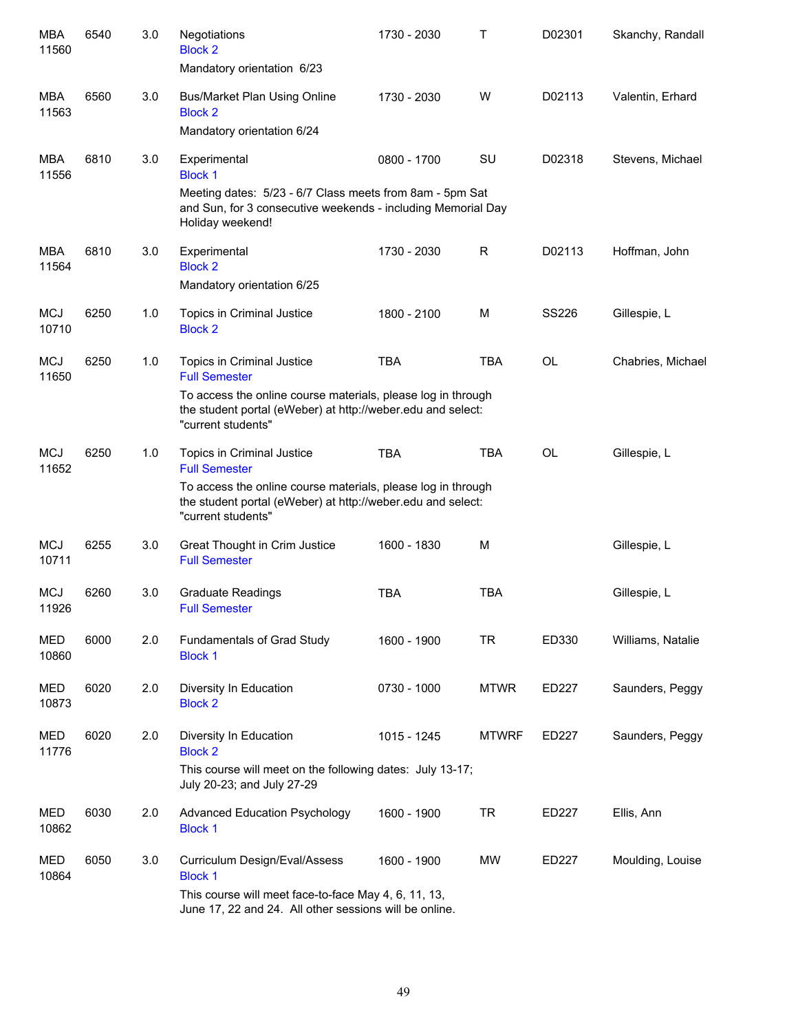| <b>MBA</b><br>11560 | 6540 | 3.0 | Negotiations<br><b>Block 2</b><br>Mandatory orientation 6/23                                                                                                                                            | 1730 - 2030 | Τ            | D02301       | Skanchy, Randall  |
|---------------------|------|-----|---------------------------------------------------------------------------------------------------------------------------------------------------------------------------------------------------------|-------------|--------------|--------------|-------------------|
| <b>MBA</b><br>11563 | 6560 | 3.0 | <b>Bus/Market Plan Using Online</b><br><b>Block 2</b><br>Mandatory orientation 6/24                                                                                                                     | 1730 - 2030 | W            | D02113       | Valentin, Erhard  |
| <b>MBA</b><br>11556 | 6810 | 3.0 | Experimental<br><b>Block 1</b><br>Meeting dates: 5/23 - 6/7 Class meets from 8am - 5pm Sat<br>and Sun, for 3 consecutive weekends - including Memorial Day<br>Holiday weekend!                          | 0800 - 1700 | <b>SU</b>    | D02318       | Stevens, Michael  |
| <b>MBA</b><br>11564 | 6810 | 3.0 | Experimental<br><b>Block 2</b><br>Mandatory orientation 6/25                                                                                                                                            | 1730 - 2030 | R            | D02113       | Hoffman, John     |
| <b>MCJ</b><br>10710 | 6250 | 1.0 | Topics in Criminal Justice<br><b>Block 2</b>                                                                                                                                                            | 1800 - 2100 | M            | <b>SS226</b> | Gillespie, L      |
| <b>MCJ</b><br>11650 | 6250 | 1.0 | Topics in Criminal Justice<br><b>Full Semester</b><br>To access the online course materials, please log in through<br>the student portal (eWeber) at http://weber.edu and select:<br>"current students" | <b>TBA</b>  | <b>TBA</b>   | OL           | Chabries, Michael |
| <b>MCJ</b><br>11652 | 6250 | 1.0 | Topics in Criminal Justice<br><b>Full Semester</b><br>To access the online course materials, please log in through<br>the student portal (eWeber) at http://weber.edu and select:<br>"current students" | <b>TBA</b>  | <b>TBA</b>   | <b>OL</b>    | Gillespie, L      |
| <b>MCJ</b><br>10711 | 6255 | 3.0 | Great Thought in Crim Justice<br><b>Full Semester</b>                                                                                                                                                   | 1600 - 1830 | M            |              | Gillespie, L      |
| <b>MCJ</b><br>11926 | 6260 | 3.0 | <b>Graduate Readings</b><br><b>Full Semester</b>                                                                                                                                                        | <b>TBA</b>  | <b>TBA</b>   |              | Gillespie, L      |
| MED<br>10860        | 6000 | 2.0 | Fundamentals of Grad Study<br><b>Block 1</b>                                                                                                                                                            | 1600 - 1900 | <b>TR</b>    | ED330        | Williams, Natalie |
| MED<br>10873        | 6020 | 2.0 | Diversity In Education<br><b>Block 2</b>                                                                                                                                                                | 0730 - 1000 | <b>MTWR</b>  | ED227        | Saunders, Peggy   |
| MED<br>11776        | 6020 | 2.0 | Diversity In Education<br><b>Block 2</b><br>This course will meet on the following dates: July 13-17;<br>July 20-23; and July 27-29                                                                     | 1015 - 1245 | <b>MTWRF</b> | ED227        | Saunders, Peggy   |
| MED<br>10862        | 6030 | 2.0 | <b>Advanced Education Psychology</b><br><b>Block 1</b>                                                                                                                                                  | 1600 - 1900 | <b>TR</b>    | ED227        | Ellis, Ann        |
| MED<br>10864        | 6050 | 3.0 | Curriculum Design/Eval/Assess<br><b>Block 1</b><br>This course will meet face-to-face May 4, 6, 11, 13,                                                                                                 | 1600 - 1900 | MW           | ED227        | Moulding, Louise  |
|                     |      |     | June 17, 22 and 24. All other sessions will be online.                                                                                                                                                  |             |              |              |                   |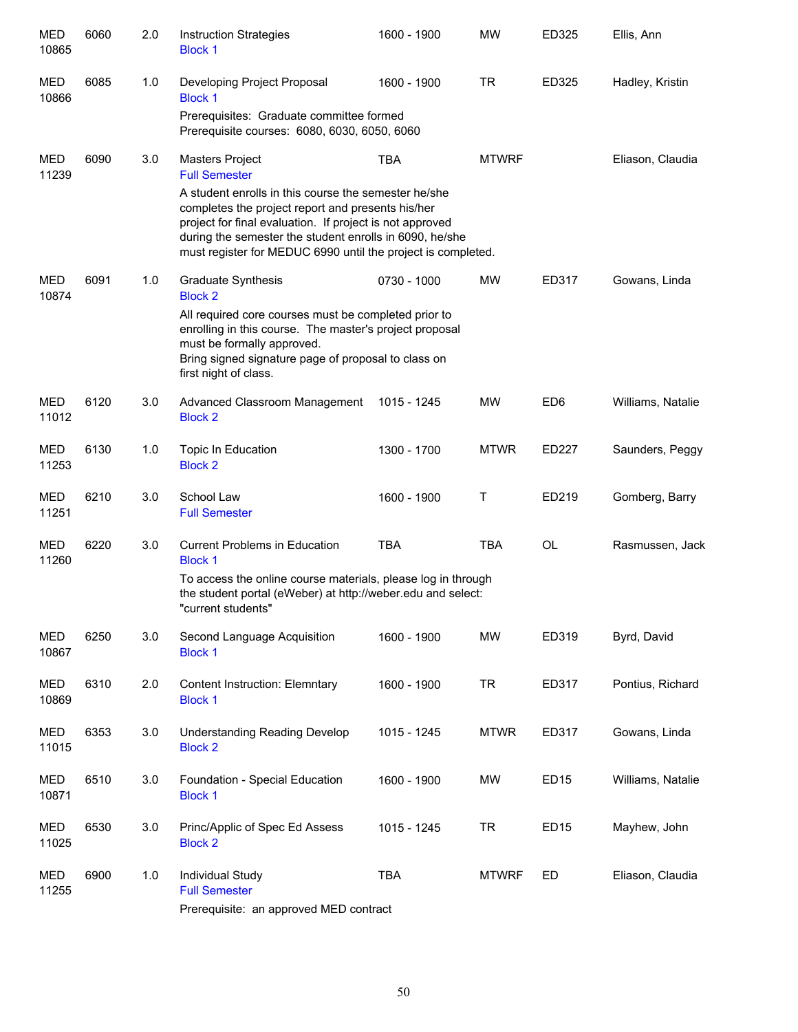| <b>MED</b><br>10865 | 6060 | 2.0 | <b>Instruction Strategies</b><br><b>Block 1</b>                                                                                                                                                                                                                                                  | 1600 - 1900 | <b>MW</b>    | ED325            | Ellis, Ann        |  |  |  |
|---------------------|------|-----|--------------------------------------------------------------------------------------------------------------------------------------------------------------------------------------------------------------------------------------------------------------------------------------------------|-------------|--------------|------------------|-------------------|--|--|--|
| <b>MED</b><br>10866 | 6085 | 1.0 | Developing Project Proposal<br><b>Block 1</b>                                                                                                                                                                                                                                                    | 1600 - 1900 | <b>TR</b>    | ED325            | Hadley, Kristin   |  |  |  |
|                     |      |     | Prerequisites: Graduate committee formed<br>Prerequisite courses: 6080, 6030, 6050, 6060                                                                                                                                                                                                         |             |              |                  |                   |  |  |  |
| MED<br>11239        | 6090 | 3.0 | Masters Project<br><b>Full Semester</b>                                                                                                                                                                                                                                                          | <b>TBA</b>  | <b>MTWRF</b> |                  | Eliason, Claudia  |  |  |  |
|                     |      |     | A student enrolls in this course the semester he/she<br>completes the project report and presents his/her<br>project for final evaluation. If project is not approved<br>during the semester the student enrolls in 6090, he/she<br>must register for MEDUC 6990 until the project is completed. |             |              |                  |                   |  |  |  |
| <b>MED</b><br>10874 | 6091 | 1.0 | <b>Graduate Synthesis</b><br><b>Block 2</b>                                                                                                                                                                                                                                                      | 0730 - 1000 | <b>MW</b>    | ED317            | Gowans, Linda     |  |  |  |
|                     |      |     | All required core courses must be completed prior to<br>enrolling in this course. The master's project proposal<br>must be formally approved.                                                                                                                                                    |             |              |                  |                   |  |  |  |
|                     |      |     | Bring signed signature page of proposal to class on<br>first night of class.                                                                                                                                                                                                                     |             |              |                  |                   |  |  |  |
| <b>MED</b><br>11012 | 6120 | 3.0 | Advanced Classroom Management<br><b>Block 2</b>                                                                                                                                                                                                                                                  | 1015 - 1245 | <b>MW</b>    | ED <sub>6</sub>  | Williams, Natalie |  |  |  |
| <b>MED</b><br>11253 | 6130 | 1.0 | Topic In Education<br><b>Block 2</b>                                                                                                                                                                                                                                                             | 1300 - 1700 | <b>MTWR</b>  | <b>ED227</b>     | Saunders, Peggy   |  |  |  |
| <b>MED</b><br>11251 | 6210 | 3.0 | School Law<br><b>Full Semester</b>                                                                                                                                                                                                                                                               | 1600 - 1900 | Τ            | ED219            | Gomberg, Barry    |  |  |  |
| <b>MED</b><br>11260 | 6220 | 3.0 | <b>Current Problems in Education</b><br><b>Block 1</b>                                                                                                                                                                                                                                           | <b>TBA</b>  | <b>TBA</b>   | <b>OL</b>        | Rasmussen, Jack   |  |  |  |
|                     |      |     | To access the online course materials, please log in through<br>the student portal (eWeber) at http://weber.edu and select:<br>"current students"                                                                                                                                                |             |              |                  |                   |  |  |  |
| <b>MED</b><br>10867 | 6250 | 3.0 | Second Language Acquisition<br><b>Block 1</b>                                                                                                                                                                                                                                                    | 1600 - 1900 | <b>MW</b>    | ED319            | Byrd, David       |  |  |  |
| MED<br>10869        | 6310 | 2.0 | <b>Content Instruction: Elemntary</b><br><b>Block 1</b>                                                                                                                                                                                                                                          | 1600 - 1900 | <b>TR</b>    | ED317            | Pontius, Richard  |  |  |  |
| MED<br>11015        | 6353 | 3.0 | <b>Understanding Reading Develop</b><br><b>Block 2</b>                                                                                                                                                                                                                                           | 1015 - 1245 | <b>MTWR</b>  | ED317            | Gowans, Linda     |  |  |  |
| MED<br>10871        | 6510 | 3.0 | Foundation - Special Education<br><b>Block 1</b>                                                                                                                                                                                                                                                 | 1600 - 1900 | MW           | ED <sub>15</sub> | Williams, Natalie |  |  |  |
| MED<br>11025        | 6530 | 3.0 | Princ/Applic of Spec Ed Assess<br><b>Block 2</b>                                                                                                                                                                                                                                                 | 1015 - 1245 | <b>TR</b>    | ED <sub>15</sub> | Mayhew, John      |  |  |  |
| <b>MED</b><br>11255 | 6900 | 1.0 | Individual Study<br><b>Full Semester</b><br>Prerequisite: an approved MED contract                                                                                                                                                                                                               | <b>TBA</b>  | <b>MTWRF</b> | ED               | Eliason, Claudia  |  |  |  |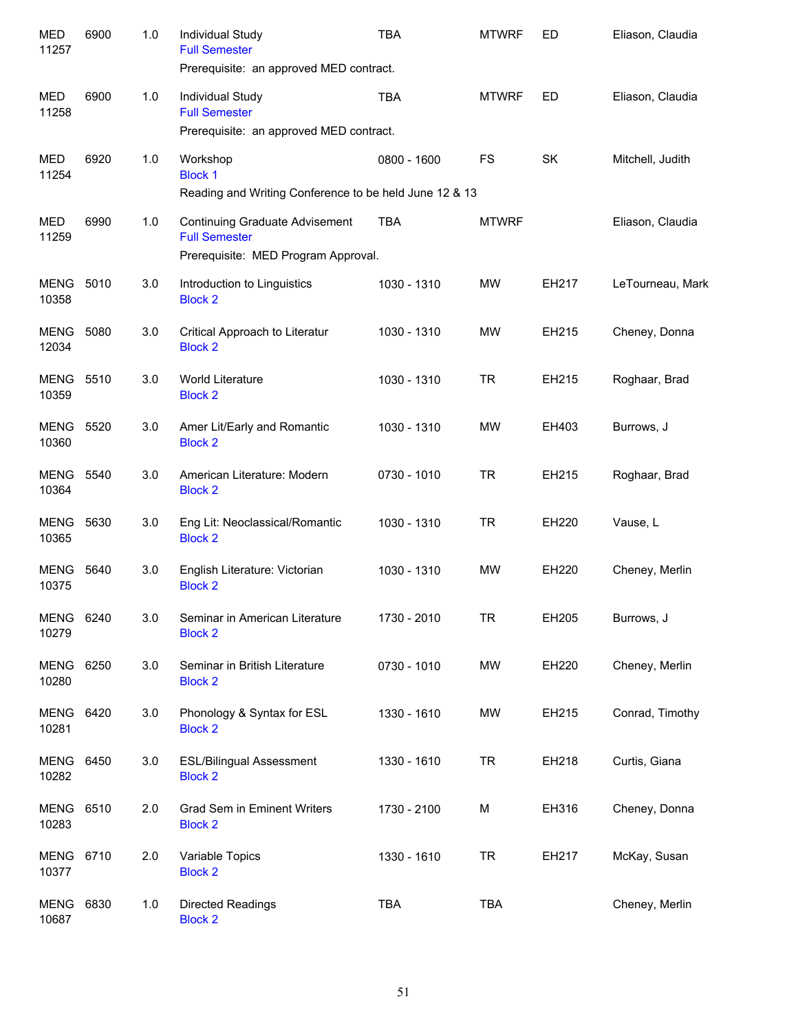| <b>MED</b><br>11257       | 6900 | 1.0 | Individual Study<br><b>Full Semester</b><br>Prerequisite: an approved MED contract.                  | <b>TBA</b>  | <b>MTWRF</b> | ED        | Eliason, Claudia |
|---------------------------|------|-----|------------------------------------------------------------------------------------------------------|-------------|--------------|-----------|------------------|
| <b>MED</b><br>11258       | 6900 | 1.0 | Individual Study<br><b>Full Semester</b><br>Prerequisite: an approved MED contract.                  | <b>TBA</b>  | <b>MTWRF</b> | ED        | Eliason, Claudia |
| MED<br>11254              | 6920 | 1.0 | Workshop<br><b>Block 1</b><br>Reading and Writing Conference to be held June 12 & 13                 | 0800 - 1600 | FS           | <b>SK</b> | Mitchell, Judith |
| MED<br>11259              | 6990 | 1.0 | <b>Continuing Graduate Advisement</b><br><b>Full Semester</b><br>Prerequisite: MED Program Approval. | <b>TBA</b>  | <b>MTWRF</b> |           | Eliason, Claudia |
| MENG<br>10358             | 5010 | 3.0 | Introduction to Linguistics<br><b>Block 2</b>                                                        | 1030 - 1310 | MW           | EH217     | LeTourneau, Mark |
| <b>MENG</b><br>12034      | 5080 | 3.0 | Critical Approach to Literatur<br><b>Block 2</b>                                                     | 1030 - 1310 | <b>MW</b>    | EH215     | Cheney, Donna    |
| <b>MENG 5510</b><br>10359 |      | 3.0 | World Literature<br><b>Block 2</b>                                                                   | 1030 - 1310 | <b>TR</b>    | EH215     | Roghaar, Brad    |
| <b>MENG 5520</b><br>10360 |      | 3.0 | Amer Lit/Early and Romantic<br><b>Block 2</b>                                                        | 1030 - 1310 | <b>MW</b>    | EH403     | Burrows, J       |
| <b>MENG 5540</b><br>10364 |      | 3.0 | American Literature: Modern<br><b>Block 2</b>                                                        | 0730 - 1010 | <b>TR</b>    | EH215     | Roghaar, Brad    |
| <b>MENG</b><br>10365      | 5630 | 3.0 | Eng Lit: Neoclassical/Romantic<br><b>Block 2</b>                                                     | 1030 - 1310 | <b>TR</b>    | EH220     | Vause, L         |
| <b>MENG</b><br>10375      | 5640 | 3.0 | English Literature: Victorian<br><b>Block 2</b>                                                      | 1030 - 1310 | <b>MW</b>    | EH220     | Cheney, Merlin   |
| MENG 6240<br>10279        |      | 3.0 | Seminar in American Literature<br><b>Block 2</b>                                                     | 1730 - 2010 | <b>TR</b>    | EH205     | Burrows, J       |
| MENG<br>10280             | 6250 | 3.0 | Seminar in British Literature<br><b>Block 2</b>                                                      | 0730 - 1010 | MW           | EH220     | Cheney, Merlin   |
| <b>MENG 6420</b><br>10281 |      | 3.0 | Phonology & Syntax for ESL<br><b>Block 2</b>                                                         | 1330 - 1610 | MW           | EH215     | Conrad, Timothy  |
| <b>MENG 6450</b><br>10282 |      | 3.0 | <b>ESL/Bilingual Assessment</b><br><b>Block 2</b>                                                    | 1330 - 1610 | <b>TR</b>    | EH218     | Curtis, Giana    |
| <b>MENG 6510</b><br>10283 |      | 2.0 | Grad Sem in Eminent Writers<br><b>Block 2</b>                                                        | 1730 - 2100 | M            | EH316     | Cheney, Donna    |
| MENG 6710<br>10377        |      | 2.0 | Variable Topics<br><b>Block 2</b>                                                                    | 1330 - 1610 | <b>TR</b>    | EH217     | McKay, Susan     |
| <b>MENG 6830</b><br>10687 |      | 1.0 | Directed Readings<br><b>Block 2</b>                                                                  | <b>TBA</b>  | <b>TBA</b>   |           | Cheney, Merlin   |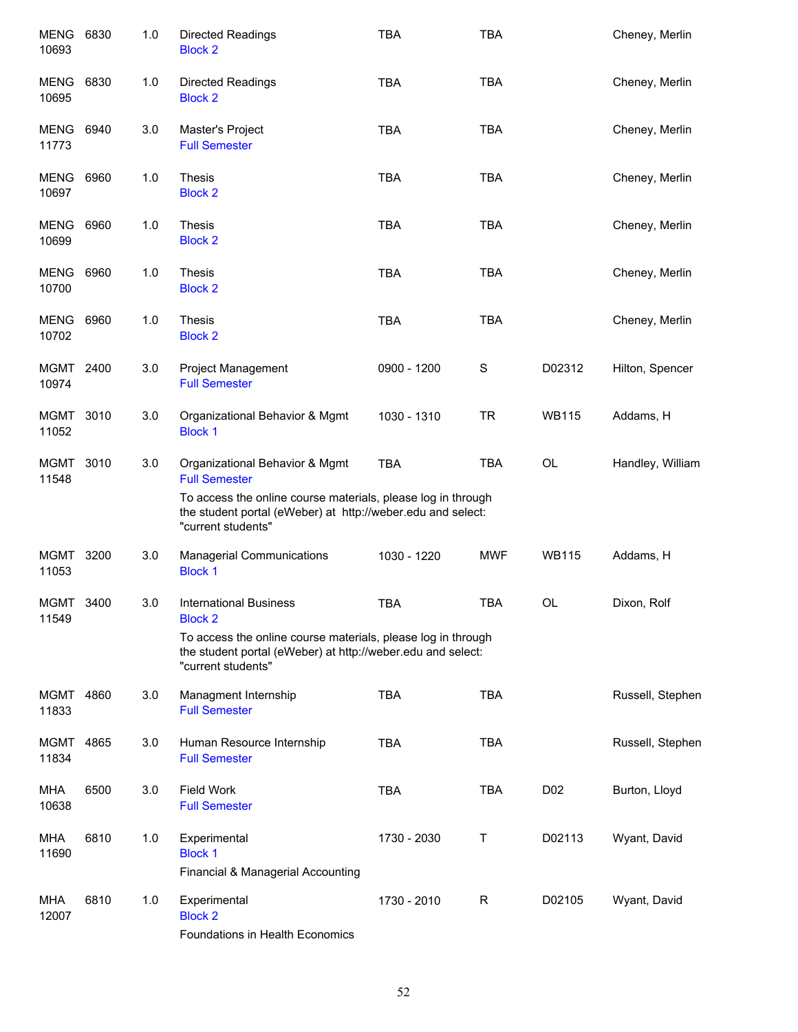| MENG 6830<br>10693        |      | 1.0 | Directed Readings<br><b>Block 2</b>                                                                                                                                                   | TBA         | TBA          |                 | Cheney, Merlin   |
|---------------------------|------|-----|---------------------------------------------------------------------------------------------------------------------------------------------------------------------------------------|-------------|--------------|-----------------|------------------|
| MENG<br>10695             | 6830 | 1.0 | Directed Readings<br><b>Block 2</b>                                                                                                                                                   | <b>TBA</b>  | <b>TBA</b>   |                 | Cheney, Merlin   |
| MENG<br>11773             | 6940 | 3.0 | Master's Project<br><b>Full Semester</b>                                                                                                                                              | <b>TBA</b>  | <b>TBA</b>   |                 | Cheney, Merlin   |
| MENG<br>10697             | 6960 | 1.0 | <b>Thesis</b><br><b>Block 2</b>                                                                                                                                                       | <b>TBA</b>  | <b>TBA</b>   |                 | Cheney, Merlin   |
| <b>MENG</b><br>10699      | 6960 | 1.0 | <b>Thesis</b><br><b>Block 2</b>                                                                                                                                                       | <b>TBA</b>  | <b>TBA</b>   |                 | Cheney, Merlin   |
| MENG<br>10700             | 6960 | 1.0 | Thesis<br><b>Block 2</b>                                                                                                                                                              | <b>TBA</b>  | <b>TBA</b>   |                 | Cheney, Merlin   |
| <b>MENG 6960</b><br>10702 |      | 1.0 | <b>Thesis</b><br><b>Block 2</b>                                                                                                                                                       | <b>TBA</b>  | <b>TBA</b>   |                 | Cheney, Merlin   |
| MGMT 2400<br>10974        |      | 3.0 | Project Management<br><b>Full Semester</b>                                                                                                                                            | 0900 - 1200 | S            | D02312          | Hilton, Spencer  |
| MGMT<br>11052             | 3010 | 3.0 | Organizational Behavior & Mgmt<br><b>Block 1</b>                                                                                                                                      | 1030 - 1310 | <b>TR</b>    | <b>WB115</b>    | Addams, H        |
| MGMT<br>11548             | 3010 | 3.0 | Organizational Behavior & Mgmt<br><b>Full Semester</b><br>To access the online course materials, please log in through<br>the student portal (eWeber) at http://weber.edu and select: | <b>TBA</b>  | <b>TBA</b>   | OL              | Handley, William |
|                           |      |     | "current students"                                                                                                                                                                    |             |              |                 |                  |
| MGMT<br>11053             | 3200 | 3.0 | <b>Managerial Communications</b><br><b>Block 1</b>                                                                                                                                    | 1030 - 1220 | <b>MWF</b>   | <b>WB115</b>    | Addams, H        |
| MGMT<br>11549             | 3400 | 3.0 | <b>International Business</b><br><b>Block 2</b>                                                                                                                                       | <b>TBA</b>  | <b>TBA</b>   | <b>OL</b>       | Dixon, Rolf      |
|                           |      |     | To access the online course materials, please log in through<br>the student portal (eWeber) at http://weber.edu and select:<br>"current students"                                     |             |              |                 |                  |
| MGMT<br>11833             | 4860 | 3.0 | Managment Internship<br><b>Full Semester</b>                                                                                                                                          | <b>TBA</b>  | <b>TBA</b>   |                 | Russell, Stephen |
| <b>MGMT</b><br>11834      | 4865 | 3.0 | Human Resource Internship<br><b>Full Semester</b>                                                                                                                                     | <b>TBA</b>  | <b>TBA</b>   |                 | Russell, Stephen |
| MHA<br>10638              | 6500 | 3.0 | <b>Field Work</b><br><b>Full Semester</b>                                                                                                                                             | <b>TBA</b>  | <b>TBA</b>   | D <sub>02</sub> | Burton, Lloyd    |
| <b>MHA</b><br>11690       | 6810 | 1.0 | Experimental<br><b>Block 1</b><br>Financial & Managerial Accounting                                                                                                                   | 1730 - 2030 | Т            | D02113          | Wyant, David     |
| MHA<br>12007              | 6810 | 1.0 | Experimental<br><b>Block 2</b><br>Foundations in Health Economics                                                                                                                     | 1730 - 2010 | $\mathsf{R}$ | D02105          | Wyant, David     |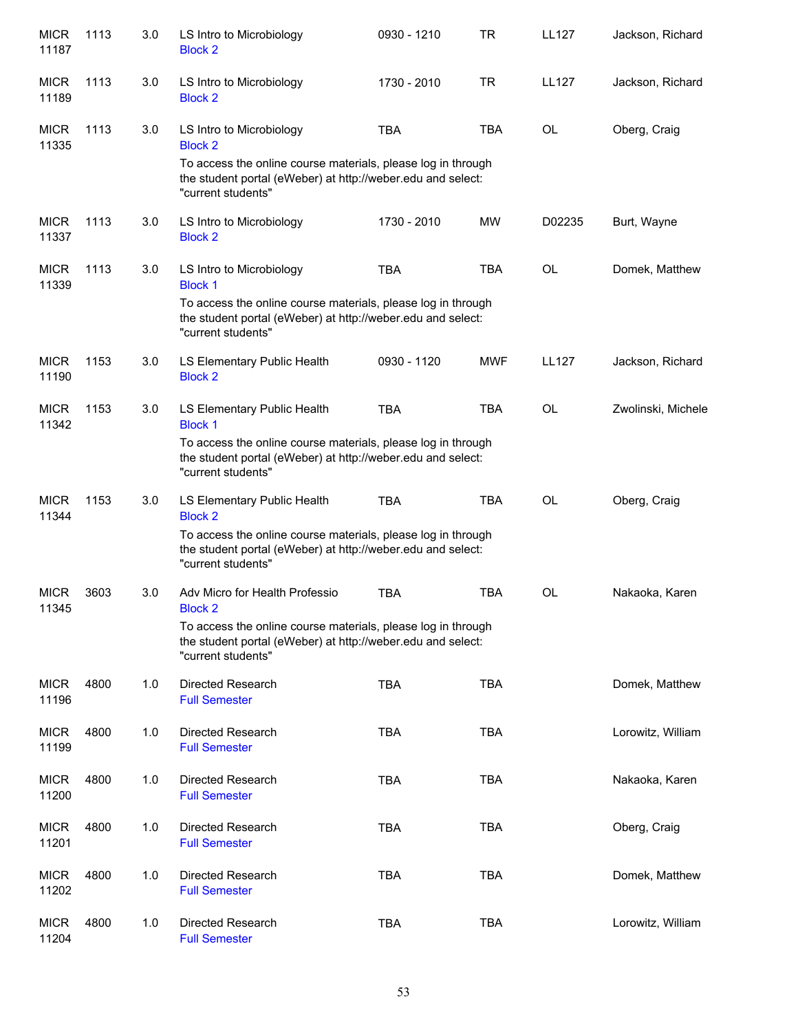| <b>MICR</b><br>11187 | 1113 | 3.0 | LS Intro to Microbiology<br><b>Block 2</b>                                                                                                        | 0930 - 1210 | <b>TR</b>  | <b>LL127</b> | Jackson, Richard   |
|----------------------|------|-----|---------------------------------------------------------------------------------------------------------------------------------------------------|-------------|------------|--------------|--------------------|
| <b>MICR</b><br>11189 | 1113 | 3.0 | LS Intro to Microbiology<br><b>Block 2</b>                                                                                                        | 1730 - 2010 | <b>TR</b>  | <b>LL127</b> | Jackson, Richard   |
| <b>MICR</b><br>11335 | 1113 | 3.0 | LS Intro to Microbiology<br><b>Block 2</b>                                                                                                        | <b>TBA</b>  | <b>TBA</b> | OL           | Oberg, Craig       |
|                      |      |     | To access the online course materials, please log in through<br>the student portal (eWeber) at http://weber.edu and select:<br>"current students" |             |            |              |                    |
| <b>MICR</b><br>11337 | 1113 | 3.0 | LS Intro to Microbiology<br><b>Block 2</b>                                                                                                        | 1730 - 2010 | MW         | D02235       | Burt, Wayne        |
| <b>MICR</b><br>11339 | 1113 | 3.0 | LS Intro to Microbiology<br><b>Block 1</b>                                                                                                        | <b>TBA</b>  | <b>TBA</b> | <b>OL</b>    | Domek, Matthew     |
|                      |      |     | To access the online course materials, please log in through<br>the student portal (eWeber) at http://weber.edu and select:<br>"current students" |             |            |              |                    |
| <b>MICR</b><br>11190 | 1153 | 3.0 | LS Elementary Public Health<br><b>Block 2</b>                                                                                                     | 0930 - 1120 | <b>MWF</b> | <b>LL127</b> | Jackson, Richard   |
| <b>MICR</b><br>11342 | 1153 | 3.0 | LS Elementary Public Health<br><b>Block 1</b>                                                                                                     | <b>TBA</b>  | <b>TBA</b> | <b>OL</b>    | Zwolinski, Michele |
|                      |      |     | To access the online course materials, please log in through<br>the student portal (eWeber) at http://weber.edu and select:<br>"current students" |             |            |              |                    |
| <b>MICR</b><br>11344 | 1153 | 3.0 | LS Elementary Public Health<br><b>Block 2</b>                                                                                                     | <b>TBA</b>  | <b>TBA</b> | <b>OL</b>    | Oberg, Craig       |
|                      |      |     | To access the online course materials, please log in through<br>the student portal (eWeber) at http://weber.edu and select:<br>"current students" |             |            |              |                    |
| <b>MICR</b><br>11345 | 3603 | 3.0 | Adv Micro for Health Professio<br><b>Block 2</b>                                                                                                  | <b>TBA</b>  | <b>TBA</b> | <b>OL</b>    | Nakaoka, Karen     |
|                      |      |     | To access the online course materials, please log in through<br>the student portal (eWeber) at http://weber.edu and select:<br>"current students" |             |            |              |                    |
| <b>MICR</b><br>11196 | 4800 | 1.0 | Directed Research<br><b>Full Semester</b>                                                                                                         | <b>TBA</b>  | <b>TBA</b> |              | Domek, Matthew     |
| <b>MICR</b><br>11199 | 4800 | 1.0 | Directed Research<br><b>Full Semester</b>                                                                                                         | <b>TBA</b>  | <b>TBA</b> |              | Lorowitz, William  |
| <b>MICR</b><br>11200 | 4800 | 1.0 | Directed Research<br><b>Full Semester</b>                                                                                                         | <b>TBA</b>  | <b>TBA</b> |              | Nakaoka, Karen     |
| <b>MICR</b><br>11201 | 4800 | 1.0 | Directed Research<br><b>Full Semester</b>                                                                                                         | <b>TBA</b>  | <b>TBA</b> |              | Oberg, Craig       |
| <b>MICR</b><br>11202 | 4800 | 1.0 | Directed Research<br><b>Full Semester</b>                                                                                                         | <b>TBA</b>  | <b>TBA</b> |              | Domek, Matthew     |
| <b>MICR</b><br>11204 | 4800 | 1.0 | Directed Research<br><b>Full Semester</b>                                                                                                         | <b>TBA</b>  | <b>TBA</b> |              | Lorowitz, William  |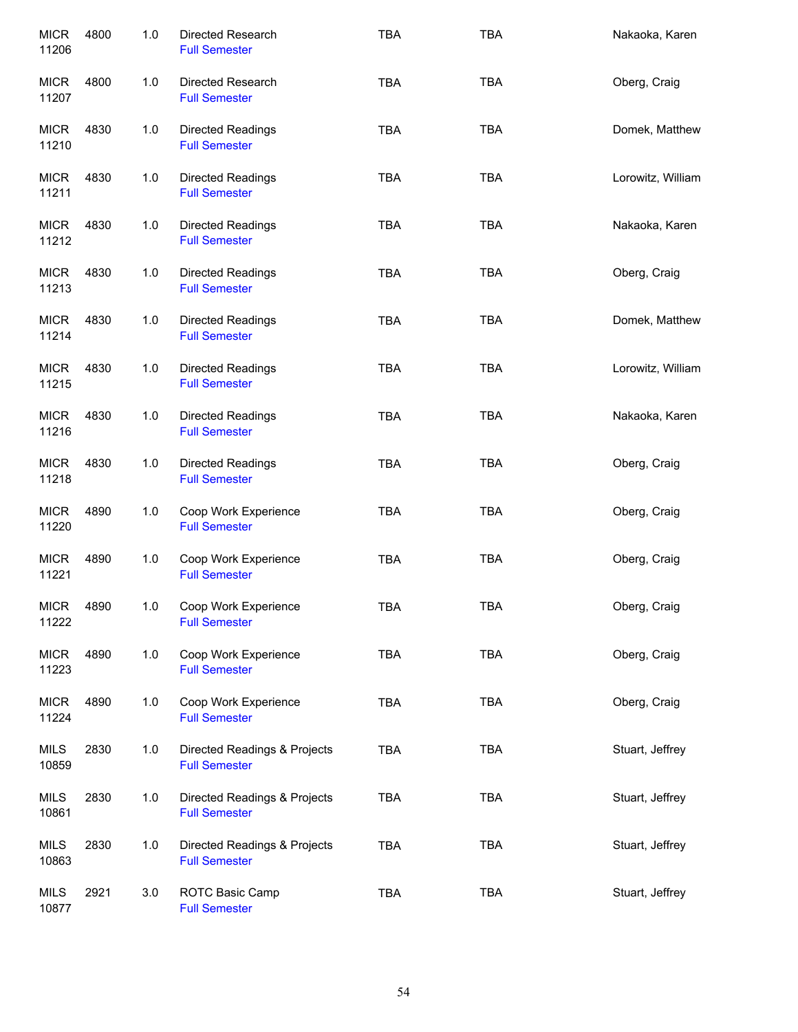| <b>MICR</b><br>11206 | 4800 | 1.0 | Directed Research<br><b>Full Semester</b>            | <b>TBA</b> | <b>TBA</b> | Nakaoka, Karen    |
|----------------------|------|-----|------------------------------------------------------|------------|------------|-------------------|
| <b>MICR</b><br>11207 | 4800 | 1.0 | Directed Research<br><b>Full Semester</b>            | <b>TBA</b> | <b>TBA</b> | Oberg, Craig      |
| <b>MICR</b><br>11210 | 4830 | 1.0 | Directed Readings<br><b>Full Semester</b>            | <b>TBA</b> | <b>TBA</b> | Domek, Matthew    |
| <b>MICR</b><br>11211 | 4830 | 1.0 | Directed Readings<br><b>Full Semester</b>            | <b>TBA</b> | <b>TBA</b> | Lorowitz, William |
| <b>MICR</b><br>11212 | 4830 | 1.0 | Directed Readings<br><b>Full Semester</b>            | <b>TBA</b> | <b>TBA</b> | Nakaoka, Karen    |
| <b>MICR</b><br>11213 | 4830 | 1.0 | Directed Readings<br><b>Full Semester</b>            | <b>TBA</b> | <b>TBA</b> | Oberg, Craig      |
| <b>MICR</b><br>11214 | 4830 | 1.0 | Directed Readings<br><b>Full Semester</b>            | <b>TBA</b> | <b>TBA</b> | Domek, Matthew    |
| <b>MICR</b><br>11215 | 4830 | 1.0 | Directed Readings<br><b>Full Semester</b>            | <b>TBA</b> | <b>TBA</b> | Lorowitz, William |
| <b>MICR</b><br>11216 | 4830 | 1.0 | Directed Readings<br><b>Full Semester</b>            | <b>TBA</b> | <b>TBA</b> | Nakaoka, Karen    |
| <b>MICR</b><br>11218 | 4830 | 1.0 | Directed Readings<br><b>Full Semester</b>            | <b>TBA</b> | <b>TBA</b> | Oberg, Craig      |
| <b>MICR</b><br>11220 | 4890 | 1.0 | Coop Work Experience<br><b>Full Semester</b>         | <b>TBA</b> | <b>TBA</b> | Oberg, Craig      |
| <b>MICR</b><br>11221 | 4890 | 1.0 | Coop Work Experience<br><b>Full Semester</b>         | <b>TBA</b> | <b>TBA</b> | Oberg, Craig      |
| <b>MICR</b><br>11222 | 4890 | 1.0 | Coop Work Experience<br><b>Full Semester</b>         | <b>TBA</b> | <b>TBA</b> | Oberg, Craig      |
| <b>MICR</b><br>11223 | 4890 | 1.0 | Coop Work Experience<br><b>Full Semester</b>         | <b>TBA</b> | <b>TBA</b> | Oberg, Craig      |
| <b>MICR</b><br>11224 | 4890 | 1.0 | Coop Work Experience<br><b>Full Semester</b>         | <b>TBA</b> | <b>TBA</b> | Oberg, Craig      |
| <b>MILS</b><br>10859 | 2830 | 1.0 | Directed Readings & Projects<br><b>Full Semester</b> | <b>TBA</b> | <b>TBA</b> | Stuart, Jeffrey   |
| <b>MILS</b><br>10861 | 2830 | 1.0 | Directed Readings & Projects<br><b>Full Semester</b> | <b>TBA</b> | <b>TBA</b> | Stuart, Jeffrey   |
| <b>MILS</b><br>10863 | 2830 | 1.0 | Directed Readings & Projects<br><b>Full Semester</b> | <b>TBA</b> | <b>TBA</b> | Stuart, Jeffrey   |
| <b>MILS</b><br>10877 | 2921 | 3.0 | ROTC Basic Camp<br><b>Full Semester</b>              | <b>TBA</b> | <b>TBA</b> | Stuart, Jeffrey   |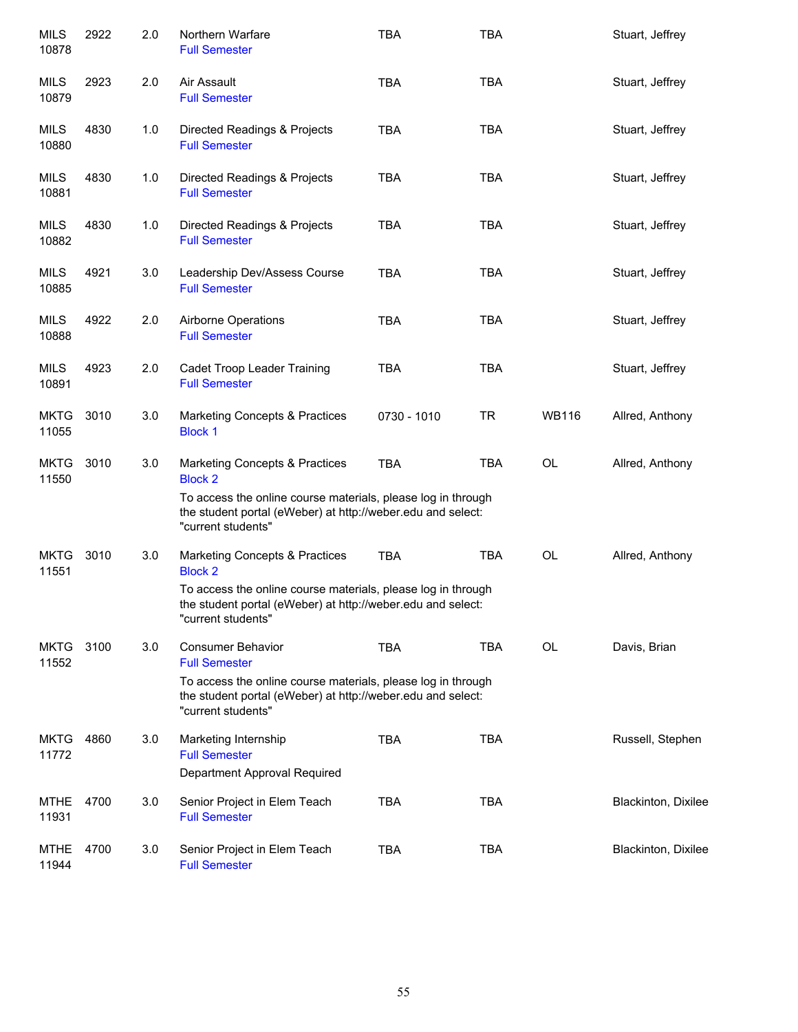| <b>MILS</b><br>10878 | 2922 | 2.0 | Northern Warfare<br><b>Full Semester</b>                                                                                                          | <b>TBA</b>  | <b>TBA</b> |              | Stuart, Jeffrey     |
|----------------------|------|-----|---------------------------------------------------------------------------------------------------------------------------------------------------|-------------|------------|--------------|---------------------|
| <b>MILS</b><br>10879 | 2923 | 2.0 | Air Assault<br><b>Full Semester</b>                                                                                                               | <b>TBA</b>  | <b>TBA</b> |              | Stuart, Jeffrey     |
| MILS<br>10880        | 4830 | 1.0 | Directed Readings & Projects<br><b>Full Semester</b>                                                                                              | <b>TBA</b>  | <b>TBA</b> |              | Stuart, Jeffrey     |
| MILS<br>10881        | 4830 | 1.0 | Directed Readings & Projects<br><b>Full Semester</b>                                                                                              | <b>TBA</b>  | <b>TBA</b> |              | Stuart, Jeffrey     |
| MILS<br>10882        | 4830 | 1.0 | Directed Readings & Projects<br><b>Full Semester</b>                                                                                              | <b>TBA</b>  | <b>TBA</b> |              | Stuart, Jeffrey     |
| MILS<br>10885        | 4921 | 3.0 | Leadership Dev/Assess Course<br><b>Full Semester</b>                                                                                              | <b>TBA</b>  | <b>TBA</b> |              | Stuart, Jeffrey     |
| <b>MILS</b><br>10888 | 4922 | 2.0 | Airborne Operations<br><b>Full Semester</b>                                                                                                       | <b>TBA</b>  | <b>TBA</b> |              | Stuart, Jeffrey     |
| MILS<br>10891        | 4923 | 2.0 | Cadet Troop Leader Training<br><b>Full Semester</b>                                                                                               | <b>TBA</b>  | <b>TBA</b> |              | Stuart, Jeffrey     |
| <b>MKTG</b><br>11055 | 3010 | 3.0 | <b>Marketing Concepts &amp; Practices</b><br><b>Block 1</b>                                                                                       | 0730 - 1010 | <b>TR</b>  | <b>WB116</b> | Allred, Anthony     |
| <b>MKTG</b><br>11550 | 3010 | 3.0 | Marketing Concepts & Practices<br><b>Block 2</b>                                                                                                  | <b>TBA</b>  | <b>TBA</b> | OL           | Allred, Anthony     |
|                      |      |     | To access the online course materials, please log in through<br>the student portal (eWeber) at http://weber.edu and select:<br>"current students" |             |            |              |                     |
| <b>MKTG</b><br>11551 | 3010 | 3.0 | <b>Marketing Concepts &amp; Practices</b><br><b>Block 2</b>                                                                                       | <b>TBA</b>  | <b>TBA</b> | OL           | Allred, Anthony     |
|                      |      |     | To access the online course materials, please log in through<br>the student portal (eWeber) at http://weber.edu and select:<br>"current students" |             |            |              |                     |
| <b>MKTG</b><br>11552 | 3100 | 3.0 | <b>Consumer Behavior</b><br><b>Full Semester</b>                                                                                                  | <b>TBA</b>  | <b>TBA</b> | <b>OL</b>    | Davis, Brian        |
|                      |      |     | To access the online course materials, please log in through<br>the student portal (eWeber) at http://weber.edu and select:<br>"current students" |             |            |              |                     |
| <b>MKTG</b><br>11772 | 4860 | 3.0 | Marketing Internship<br><b>Full Semester</b>                                                                                                      | <b>TBA</b>  | <b>TBA</b> |              | Russell, Stephen    |
| <b>MTHE</b>          | 4700 | 3.0 | Department Approval Required<br>Senior Project in Elem Teach                                                                                      | <b>TBA</b>  | <b>TBA</b> |              | Blackinton, Dixilee |
| 11931                |      |     | <b>Full Semester</b>                                                                                                                              |             |            |              |                     |
| <b>MTHE</b><br>11944 | 4700 | 3.0 | Senior Project in Elem Teach<br><b>Full Semester</b>                                                                                              | <b>TBA</b>  | <b>TBA</b> |              | Blackinton, Dixilee |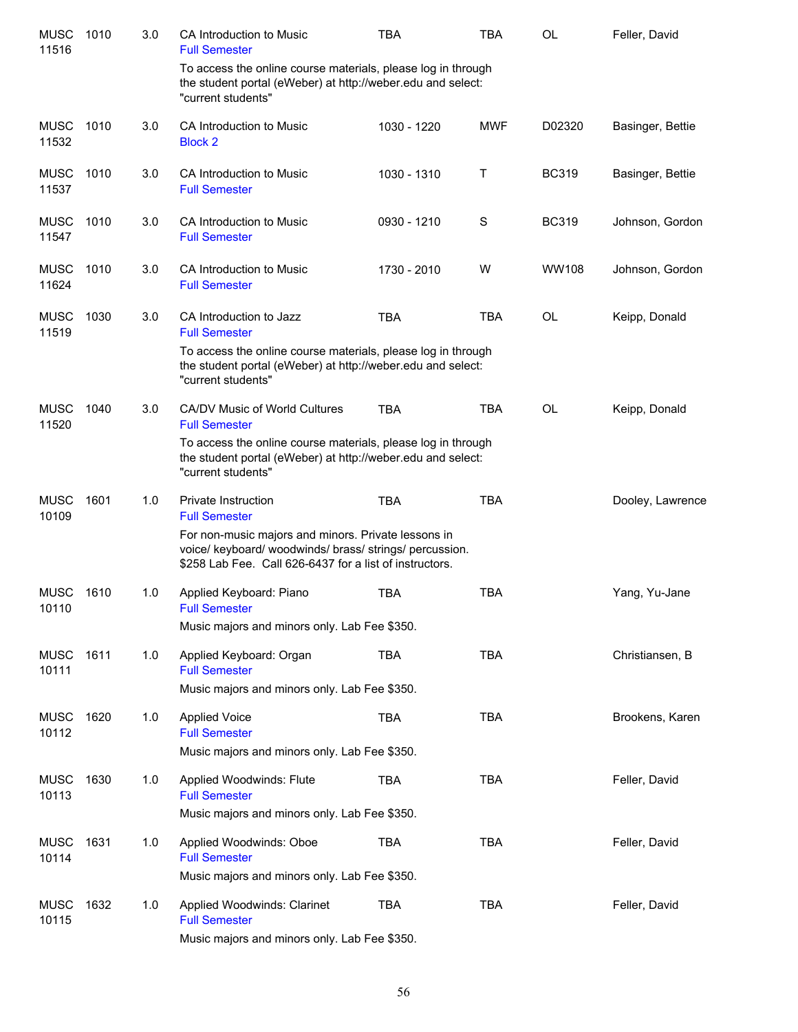| <b>MUSC</b><br>11516 | 1010 | 3.0 | CA Introduction to Music<br><b>Full Semester</b>                                                                                                                          | <b>TBA</b>  | <b>TBA</b> | OL           | Feller, David    |
|----------------------|------|-----|---------------------------------------------------------------------------------------------------------------------------------------------------------------------------|-------------|------------|--------------|------------------|
|                      |      |     | To access the online course materials, please log in through<br>the student portal (eWeber) at http://weber.edu and select:<br>"current students"                         |             |            |              |                  |
| <b>MUSC</b><br>11532 | 1010 | 3.0 | CA Introduction to Music<br><b>Block 2</b>                                                                                                                                | 1030 - 1220 | <b>MWF</b> | D02320       | Basinger, Bettie |
| <b>MUSC</b><br>11537 | 1010 | 3.0 | CA Introduction to Music<br><b>Full Semester</b>                                                                                                                          | 1030 - 1310 | Τ          | <b>BC319</b> | Basinger, Bettie |
| <b>MUSC</b><br>11547 | 1010 | 3.0 | CA Introduction to Music<br><b>Full Semester</b>                                                                                                                          | 0930 - 1210 | S          | <b>BC319</b> | Johnson, Gordon  |
| <b>MUSC</b><br>11624 | 1010 | 3.0 | CA Introduction to Music<br><b>Full Semester</b>                                                                                                                          | 1730 - 2010 | W          | <b>WW108</b> | Johnson, Gordon  |
| <b>MUSC</b><br>11519 | 1030 | 3.0 | CA Introduction to Jazz<br><b>Full Semester</b>                                                                                                                           | <b>TBA</b>  | <b>TBA</b> | OL           | Keipp, Donald    |
|                      |      |     | To access the online course materials, please log in through<br>the student portal (eWeber) at http://weber.edu and select:<br>"current students"                         |             |            |              |                  |
| <b>MUSC</b><br>11520 | 1040 | 3.0 | <b>CA/DV Music of World Cultures</b><br><b>Full Semester</b>                                                                                                              | <b>TBA</b>  | <b>TBA</b> | OL           | Keipp, Donald    |
|                      |      |     | To access the online course materials, please log in through<br>the student portal (eWeber) at http://weber.edu and select:<br>"current students"                         |             |            |              |                  |
| <b>MUSC</b><br>10109 | 1601 | 1.0 | <b>Private Instruction</b><br><b>Full Semester</b>                                                                                                                        | <b>TBA</b>  | <b>TBA</b> |              | Dooley, Lawrence |
|                      |      |     | For non-music majors and minors. Private lessons in<br>voice/ keyboard/ woodwinds/ brass/ strings/ percussion.<br>\$258 Lab Fee. Call 626-6437 for a list of instructors. |             |            |              |                  |
| <b>MUSC</b><br>10110 | 1610 | 1.0 | Applied Keyboard: Piano<br><b>Full Semester</b><br>Music majors and minors only. Lab Fee \$350.                                                                           | <b>TBA</b>  | <b>TBA</b> |              | Yang, Yu-Jane    |
|                      | 1611 |     |                                                                                                                                                                           |             | <b>TBA</b> |              | Christiansen, B  |
| <b>MUSC</b><br>10111 |      | 1.0 | Applied Keyboard: Organ<br><b>Full Semester</b><br>Music majors and minors only. Lab Fee \$350.                                                                           | <b>TBA</b>  |            |              |                  |
| <b>MUSC</b>          | 1620 | 1.0 | <b>Applied Voice</b>                                                                                                                                                      | <b>TBA</b>  | <b>TBA</b> |              | Brookens, Karen  |
| 10112                |      |     | <b>Full Semester</b><br>Music majors and minors only. Lab Fee \$350.                                                                                                      |             |            |              |                  |
| <b>MUSC</b><br>10113 | 1630 | 1.0 | Applied Woodwinds: Flute<br><b>Full Semester</b>                                                                                                                          | TBA         | <b>TBA</b> |              | Feller, David    |
|                      |      |     | Music majors and minors only. Lab Fee \$350.                                                                                                                              |             |            |              |                  |
| <b>MUSC</b><br>10114 | 1631 | 1.0 | Applied Woodwinds: Oboe<br><b>Full Semester</b>                                                                                                                           | TBA         | <b>TBA</b> |              | Feller, David    |
|                      |      |     | Music majors and minors only. Lab Fee \$350.                                                                                                                              |             |            |              |                  |
| <b>MUSC</b><br>10115 | 1632 | 1.0 | Applied Woodwinds: Clarinet<br><b>Full Semester</b><br>Music majors and minors only. Lab Fee \$350.                                                                       | <b>TBA</b>  | <b>TBA</b> |              | Feller, David    |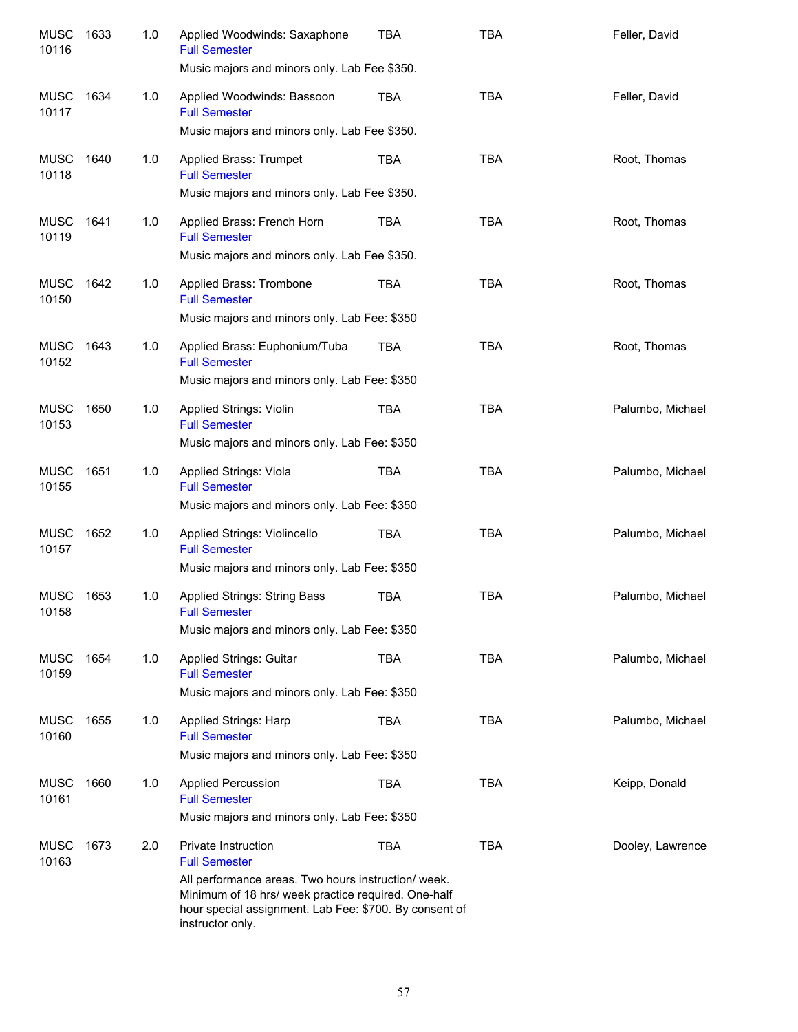| <b>MUSC</b><br>10116 | 1633 | 1.0 | Applied Woodwinds: Saxaphone<br><b>Full Semester</b><br>Music majors and minors only. Lab Fee \$350.                                                                                                                                    | <b>TBA</b> | <b>TBA</b> | Feller, David    |
|----------------------|------|-----|-----------------------------------------------------------------------------------------------------------------------------------------------------------------------------------------------------------------------------------------|------------|------------|------------------|
| MUSC<br>10117        | 1634 | 1.0 | Applied Woodwinds: Bassoon<br><b>Full Semester</b><br>Music majors and minors only. Lab Fee \$350.                                                                                                                                      | <b>TBA</b> | <b>TBA</b> | Feller, David    |
| <b>MUSC</b><br>10118 | 1640 | 1.0 | Applied Brass: Trumpet<br><b>Full Semester</b><br>Music majors and minors only. Lab Fee \$350.                                                                                                                                          | TBA        | <b>TBA</b> | Root, Thomas     |
| MUSC<br>10119        | 1641 | 1.0 | Applied Brass: French Horn<br><b>Full Semester</b><br>Music majors and minors only. Lab Fee \$350.                                                                                                                                      | TBA        | <b>TBA</b> | Root, Thomas     |
| MUSC<br>10150        | 1642 | 1.0 | Applied Brass: Trombone<br><b>Full Semester</b><br>Music majors and minors only. Lab Fee: \$350                                                                                                                                         | TBA        | <b>TBA</b> | Root, Thomas     |
| MUSC<br>10152        | 1643 | 1.0 | Applied Brass: Euphonium/Tuba<br><b>Full Semester</b><br>Music majors and minors only. Lab Fee: \$350                                                                                                                                   | TBA        | <b>TBA</b> | Root, Thomas     |
| <b>MUSC</b><br>10153 | 1650 | 1.0 | Applied Strings: Violin<br><b>Full Semester</b><br>Music majors and minors only. Lab Fee: \$350                                                                                                                                         | TBA        | <b>TBA</b> | Palumbo, Michael |
| <b>MUSC</b><br>10155 | 1651 | 1.0 | Applied Strings: Viola<br><b>Full Semester</b><br>Music majors and minors only. Lab Fee: \$350                                                                                                                                          | TBA        | <b>TBA</b> | Palumbo, Michael |
| <b>MUSC</b><br>10157 | 1652 | 1.0 | Applied Strings: Violincello<br><b>Full Semester</b><br>Music majors and minors only. Lab Fee: \$350                                                                                                                                    | TBA        | <b>TBA</b> | Palumbo, Michael |
| <b>MUSC</b><br>10158 | 1653 | 1.0 | Applied Strings: String Bass<br><b>Full Semester</b><br>Music majors and minors only. Lab Fee: \$350                                                                                                                                    | <b>TBA</b> | <b>TBA</b> | Palumbo, Michael |
| MUSC<br>10159        | 1654 | 1.0 | <b>Applied Strings: Guitar</b><br><b>Full Semester</b><br>Music majors and minors only. Lab Fee: \$350                                                                                                                                  | TBA        | <b>TBA</b> | Palumbo, Michael |
| MUSC<br>10160        | 1655 | 1.0 | <b>Applied Strings: Harp</b><br><b>Full Semester</b><br>Music majors and minors only. Lab Fee: \$350                                                                                                                                    | TBA        | <b>TBA</b> | Palumbo, Michael |
| <b>MUSC</b><br>10161 | 1660 | 1.0 | <b>Applied Percussion</b><br><b>Full Semester</b><br>Music majors and minors only. Lab Fee: \$350                                                                                                                                       | TBA        | <b>TBA</b> | Keipp, Donald    |
| <b>MUSC</b><br>10163 | 1673 | 2.0 | Private Instruction<br><b>Full Semester</b><br>All performance areas. Two hours instruction/ week.<br>Minimum of 18 hrs/ week practice required. One-half<br>hour special assignment. Lab Fee: \$700. By consent of<br>instructor only. | <b>TBA</b> | <b>TBA</b> | Dooley, Lawrence |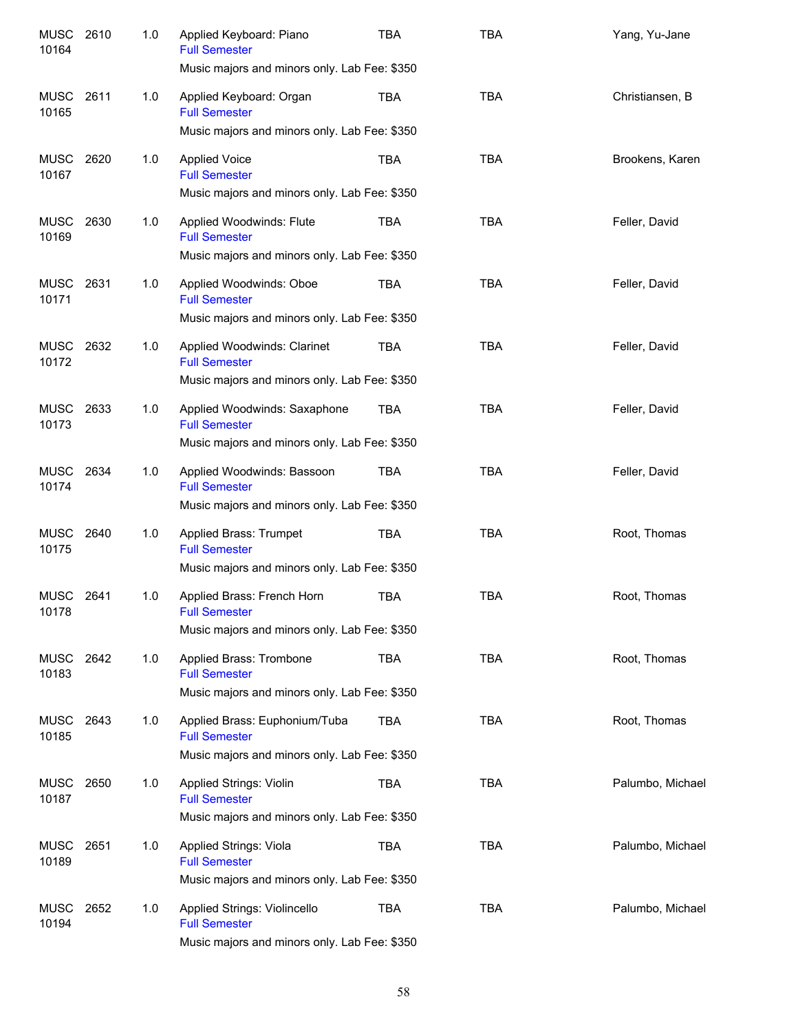| <b>MUSC</b><br>10164 | 2610 | 1.0 | Applied Keyboard: Piano<br><b>Full Semester</b><br>Music majors and minors only. Lab Fee: \$350        | <b>TBA</b> | <b>TBA</b> | Yang, Yu-Jane    |
|----------------------|------|-----|--------------------------------------------------------------------------------------------------------|------------|------------|------------------|
| <b>MUSC</b><br>10165 | 2611 | 1.0 | Applied Keyboard: Organ<br><b>Full Semester</b><br>Music majors and minors only. Lab Fee: \$350        | <b>TBA</b> | <b>TBA</b> | Christiansen, B  |
| <b>MUSC</b><br>10167 | 2620 | 1.0 | <b>Applied Voice</b><br><b>Full Semester</b><br>Music majors and minors only. Lab Fee: \$350           | <b>TBA</b> | <b>TBA</b> | Brookens, Karen  |
| <b>MUSC</b><br>10169 | 2630 | 1.0 | Applied Woodwinds: Flute<br><b>Full Semester</b><br>Music majors and minors only. Lab Fee: \$350       | <b>TBA</b> | <b>TBA</b> | Feller, David    |
| <b>MUSC</b><br>10171 | 2631 | 1.0 | Applied Woodwinds: Oboe<br><b>Full Semester</b><br>Music majors and minors only. Lab Fee: \$350        | <b>TBA</b> | <b>TBA</b> | Feller, David    |
| <b>MUSC</b><br>10172 | 2632 | 1.0 | Applied Woodwinds: Clarinet<br><b>Full Semester</b><br>Music majors and minors only. Lab Fee: \$350    | <b>TBA</b> | <b>TBA</b> | Feller, David    |
| <b>MUSC</b><br>10173 | 2633 | 1.0 | Applied Woodwinds: Saxaphone<br><b>Full Semester</b><br>Music majors and minors only. Lab Fee: \$350   | <b>TBA</b> | <b>TBA</b> | Feller, David    |
| <b>MUSC</b><br>10174 | 2634 | 1.0 | Applied Woodwinds: Bassoon<br><b>Full Semester</b><br>Music majors and minors only. Lab Fee: \$350     | <b>TBA</b> | <b>TBA</b> | Feller, David    |
| <b>MUSC</b><br>10175 | 2640 | 1.0 | Applied Brass: Trumpet<br><b>Full Semester</b><br>Music majors and minors only. Lab Fee: \$350         | <b>TBA</b> | <b>TBA</b> | Root, Thomas     |
| <b>MUSC</b><br>10178 | 2641 | 1.0 | Applied Brass: French Horn<br><b>Full Semester</b><br>Music majors and minors only. Lab Fee: \$350     | <b>TBA</b> | <b>TBA</b> | Root, Thomas     |
| <b>MUSC</b><br>10183 | 2642 | 1.0 | Applied Brass: Trombone<br><b>Full Semester</b><br>Music majors and minors only. Lab Fee: \$350        | <b>TBA</b> | <b>TBA</b> | Root, Thomas     |
| <b>MUSC</b><br>10185 | 2643 | 1.0 | Applied Brass: Euphonium/Tuba<br><b>Full Semester</b><br>Music majors and minors only. Lab Fee: \$350  | <b>TBA</b> | <b>TBA</b> | Root, Thomas     |
| <b>MUSC</b><br>10187 | 2650 | 1.0 | <b>Applied Strings: Violin</b><br><b>Full Semester</b><br>Music majors and minors only. Lab Fee: \$350 | <b>TBA</b> | <b>TBA</b> | Palumbo, Michael |
| <b>MUSC</b><br>10189 | 2651 | 1.0 | Applied Strings: Viola<br><b>Full Semester</b><br>Music majors and minors only. Lab Fee: \$350         | <b>TBA</b> | TBA        | Palumbo, Michael |
| <b>MUSC</b><br>10194 | 2652 | 1.0 | Applied Strings: Violincello<br><b>Full Semester</b><br>Music majors and minors only. Lab Fee: \$350   | <b>TBA</b> | TBA        | Palumbo, Michael |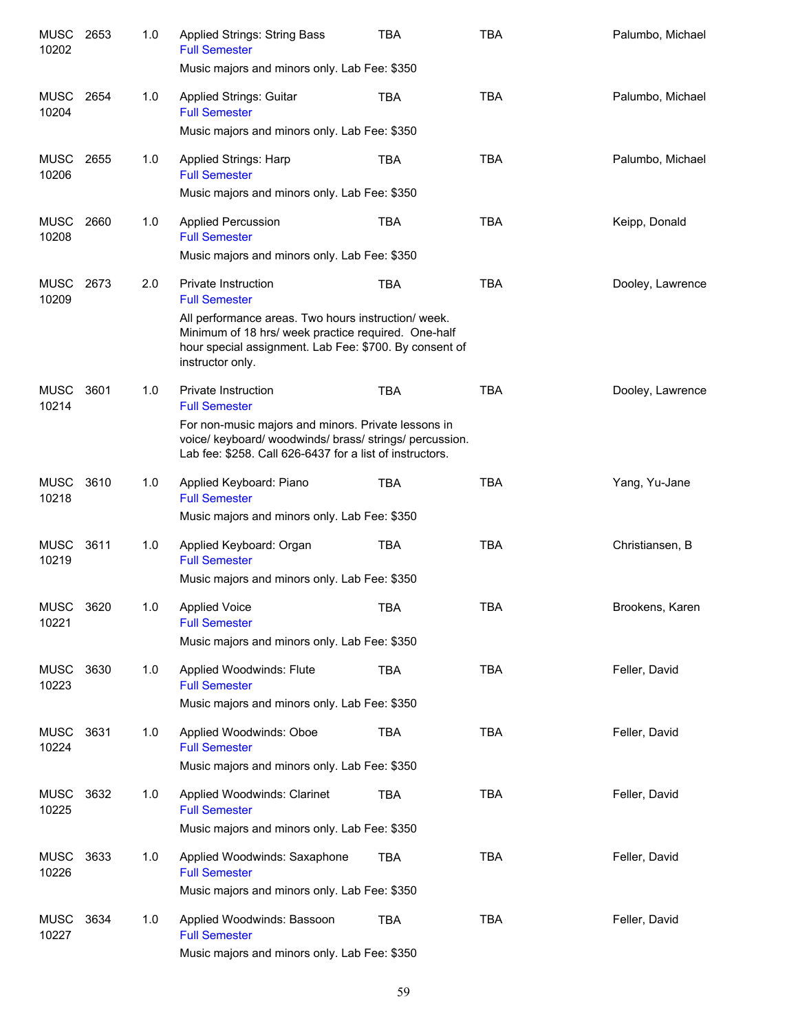| <b>MUSC</b><br>10202 | 2653 | 1.0 | Applied Strings: String Bass<br><b>Full Semester</b>                                                                                                                                    | TBA        | <b>TBA</b> | Palumbo, Michael |
|----------------------|------|-----|-----------------------------------------------------------------------------------------------------------------------------------------------------------------------------------------|------------|------------|------------------|
|                      |      |     | Music majors and minors only. Lab Fee: \$350                                                                                                                                            |            |            |                  |
| MUSC<br>10204        | 2654 | 1.0 | <b>Applied Strings: Guitar</b><br><b>Full Semester</b>                                                                                                                                  | <b>TBA</b> | <b>TBA</b> | Palumbo, Michael |
|                      |      |     | Music majors and minors only. Lab Fee: \$350                                                                                                                                            |            |            |                  |
| <b>MUSC</b><br>10206 | 2655 | 1.0 | <b>Applied Strings: Harp</b><br><b>Full Semester</b>                                                                                                                                    | <b>TBA</b> | <b>TBA</b> | Palumbo, Michael |
|                      |      |     | Music majors and minors only. Lab Fee: \$350                                                                                                                                            |            |            |                  |
| <b>MUSC</b><br>10208 | 2660 | 1.0 | <b>Applied Percussion</b><br><b>Full Semester</b>                                                                                                                                       | <b>TBA</b> | <b>TBA</b> | Keipp, Donald    |
|                      |      |     | Music majors and minors only. Lab Fee: \$350                                                                                                                                            |            |            |                  |
| <b>MUSC</b><br>10209 | 2673 | 2.0 | <b>Private Instruction</b><br><b>Full Semester</b>                                                                                                                                      | <b>TBA</b> | <b>TBA</b> | Dooley, Lawrence |
|                      |      |     | All performance areas. Two hours instruction/week.<br>Minimum of 18 hrs/ week practice required. One-half<br>hour special assignment. Lab Fee: \$700. By consent of<br>instructor only. |            |            |                  |
| <b>MUSC</b><br>10214 | 3601 | 1.0 | Private Instruction<br><b>Full Semester</b>                                                                                                                                             | <b>TBA</b> | <b>TBA</b> | Dooley, Lawrence |
|                      |      |     | For non-music majors and minors. Private lessons in<br>voice/ keyboard/ woodwinds/ brass/ strings/ percussion.<br>Lab fee: \$258. Call 626-6437 for a list of instructors.              |            |            |                  |
| <b>MUSC</b><br>10218 | 3610 | 1.0 | Applied Keyboard: Piano<br><b>Full Semester</b><br>Music majors and minors only. Lab Fee: \$350                                                                                         | <b>TBA</b> | <b>TBA</b> | Yang, Yu-Jane    |
|                      |      |     |                                                                                                                                                                                         |            |            |                  |
| <b>MUSC</b><br>10219 | 3611 | 1.0 | Applied Keyboard: Organ<br><b>Full Semester</b><br>Music majors and minors only. Lab Fee: \$350                                                                                         | <b>TBA</b> | <b>TBA</b> | Christiansen, B  |
|                      |      |     |                                                                                                                                                                                         |            |            |                  |
| <b>MUSC</b><br>10221 | 3620 | 1.0 | <b>Applied Voice</b><br><b>Full Semester</b>                                                                                                                                            | <b>TBA</b> | <b>TBA</b> | Brookens, Karen  |
|                      |      |     | Music majors and minors only. Lab Fee: \$350                                                                                                                                            |            |            |                  |
| MUSC<br>10223        | 3630 | 1.0 | Applied Woodwinds: Flute<br><b>Full Semester</b>                                                                                                                                        | <b>TBA</b> | <b>TBA</b> | Feller, David    |
|                      |      |     | Music majors and minors only. Lab Fee: \$350                                                                                                                                            |            |            |                  |
| MUSC<br>10224        | 3631 | 1.0 | Applied Woodwinds: Oboe<br><b>Full Semester</b>                                                                                                                                         | <b>TBA</b> | <b>TBA</b> | Feller, David    |
|                      |      |     | Music majors and minors only. Lab Fee: \$350                                                                                                                                            |            |            |                  |
| MUSC<br>10225        | 3632 | 1.0 | Applied Woodwinds: Clarinet<br><b>Full Semester</b>                                                                                                                                     | <b>TBA</b> | <b>TBA</b> | Feller, David    |
|                      |      |     | Music majors and minors only. Lab Fee: \$350                                                                                                                                            |            |            |                  |
| MUSC<br>10226        | 3633 | 1.0 | Applied Woodwinds: Saxaphone<br><b>Full Semester</b>                                                                                                                                    | <b>TBA</b> | <b>TBA</b> | Feller, David    |
|                      |      |     | Music majors and minors only. Lab Fee: \$350                                                                                                                                            |            |            |                  |
| MUSC<br>10227        | 3634 | 1.0 | Applied Woodwinds: Bassoon<br><b>Full Semester</b>                                                                                                                                      | TBA        | <b>TBA</b> | Feller, David    |
|                      |      |     | Music majors and minors only. Lab Fee: \$350                                                                                                                                            |            |            |                  |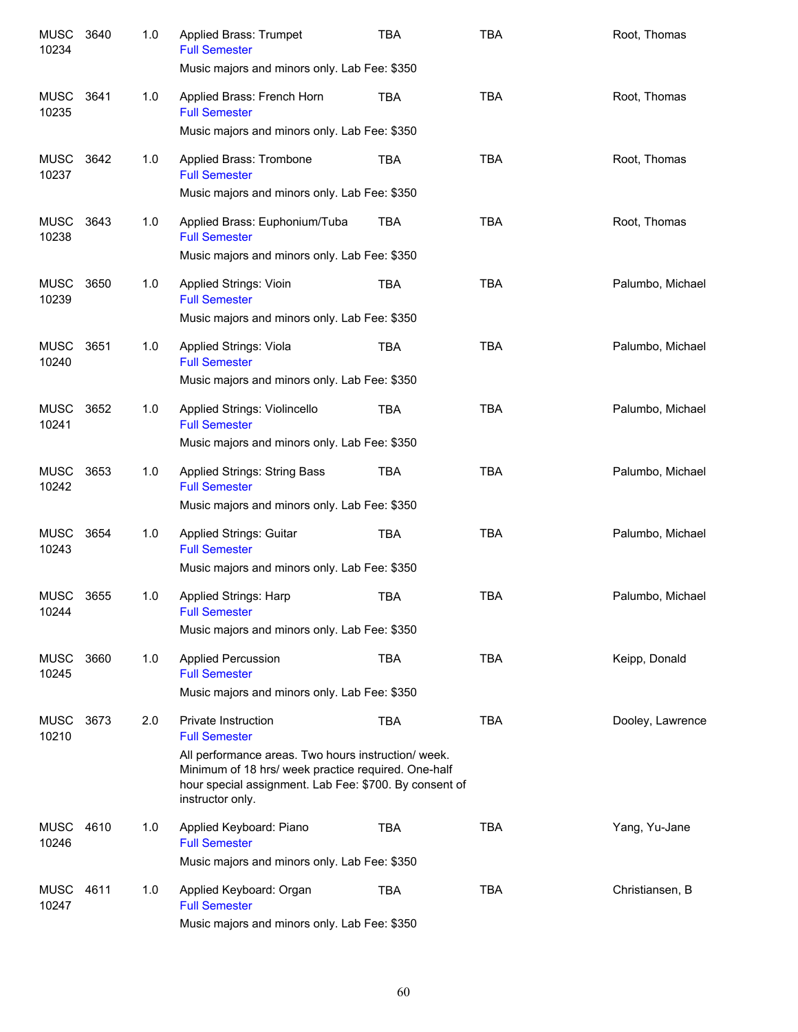| <b>MUSC</b><br>10234 | 3640 | 1.0 | Applied Brass: Trumpet<br><b>Full Semester</b><br>Music majors and minors only. Lab Fee: \$350                                                                                                                                          | <b>TBA</b> | <b>TBA</b> | Root, Thomas     |
|----------------------|------|-----|-----------------------------------------------------------------------------------------------------------------------------------------------------------------------------------------------------------------------------------------|------------|------------|------------------|
| <b>MUSC</b><br>10235 | 3641 | 1.0 | Applied Brass: French Horn<br><b>Full Semester</b><br>Music majors and minors only. Lab Fee: \$350                                                                                                                                      | TBA        | <b>TBA</b> | Root, Thomas     |
| MUSC<br>10237        | 3642 | 1.0 | Applied Brass: Trombone<br><b>Full Semester</b><br>Music majors and minors only. Lab Fee: \$350                                                                                                                                         | TBA        | <b>TBA</b> | Root, Thomas     |
| MUSC<br>10238        | 3643 | 1.0 | Applied Brass: Euphonium/Tuba<br><b>Full Semester</b><br>Music majors and minors only. Lab Fee: \$350                                                                                                                                   | <b>TBA</b> | <b>TBA</b> | Root, Thomas     |
| MUSC<br>10239        | 3650 | 1.0 | <b>Applied Strings: Vioin</b><br><b>Full Semester</b><br>Music majors and minors only. Lab Fee: \$350                                                                                                                                   | <b>TBA</b> | <b>TBA</b> | Palumbo, Michael |
| <b>MUSC</b><br>10240 | 3651 | 1.0 | <b>Applied Strings: Viola</b><br><b>Full Semester</b><br>Music majors and minors only. Lab Fee: \$350                                                                                                                                   | TBA        | <b>TBA</b> | Palumbo, Michael |
| <b>MUSC</b><br>10241 | 3652 | 1.0 | Applied Strings: Violincello<br><b>Full Semester</b><br>Music majors and minors only. Lab Fee: \$350                                                                                                                                    | <b>TBA</b> | <b>TBA</b> | Palumbo, Michael |
| <b>MUSC</b><br>10242 | 3653 | 1.0 | Applied Strings: String Bass<br><b>Full Semester</b><br>Music majors and minors only. Lab Fee: \$350                                                                                                                                    | <b>TBA</b> | <b>TBA</b> | Palumbo, Michael |
| <b>MUSC</b><br>10243 | 3654 | 1.0 | Applied Strings: Guitar<br><b>Full Semester</b><br>Music majors and minors only. Lab Fee: \$350                                                                                                                                         | <b>TBA</b> | <b>TBA</b> | Palumbo, Michael |
| <b>MUSC</b><br>10244 | 3655 | 1.0 | Applied Strings: Harp<br><b>Full Semester</b><br>Music majors and minors only. Lab Fee: \$350                                                                                                                                           | <b>TBA</b> | <b>TBA</b> | Palumbo, Michael |
| <b>MUSC</b><br>10245 | 3660 | 1.0 | <b>Applied Percussion</b><br><b>Full Semester</b><br>Music majors and minors only. Lab Fee: \$350                                                                                                                                       | <b>TBA</b> | <b>TBA</b> | Keipp, Donald    |
| <b>MUSC</b><br>10210 | 3673 | 2.0 | Private Instruction<br><b>Full Semester</b><br>All performance areas. Two hours instruction/ week.<br>Minimum of 18 hrs/ week practice required. One-half<br>hour special assignment. Lab Fee: \$700. By consent of<br>instructor only. | <b>TBA</b> | <b>TBA</b> | Dooley, Lawrence |
| MUSC<br>10246        | 4610 | 1.0 | Applied Keyboard: Piano<br><b>Full Semester</b><br>Music majors and minors only. Lab Fee: \$350                                                                                                                                         | <b>TBA</b> | <b>TBA</b> | Yang, Yu-Jane    |
| MUSC<br>10247        | 4611 | 1.0 | Applied Keyboard: Organ<br><b>Full Semester</b><br>Music majors and minors only. Lab Fee: \$350                                                                                                                                         | <b>TBA</b> | <b>TBA</b> | Christiansen, B  |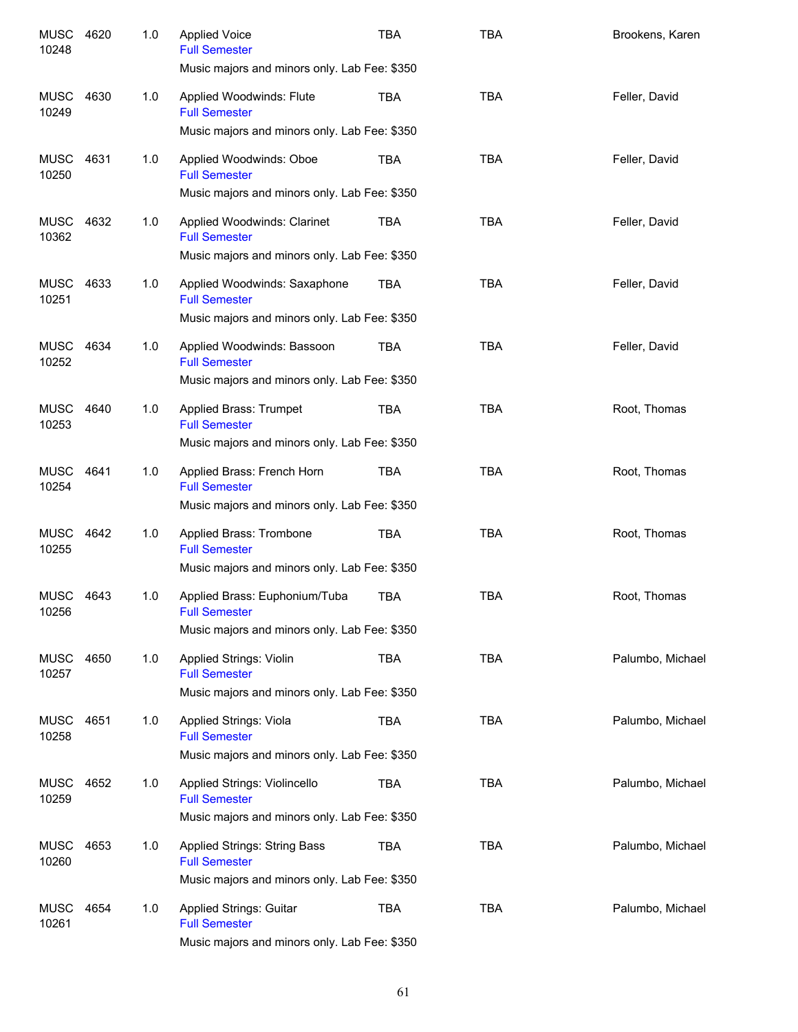| <b>MUSC</b><br>10248 | 4620 | 1.0 | <b>Applied Voice</b><br><b>Full Semester</b><br>Music majors and minors only. Lab Fee: \$350         | <b>TBA</b> | <b>TBA</b> | Brookens, Karen  |
|----------------------|------|-----|------------------------------------------------------------------------------------------------------|------------|------------|------------------|
| <b>MUSC</b><br>10249 | 4630 | 1.0 | Applied Woodwinds: Flute<br><b>Full Semester</b>                                                     | <b>TBA</b> | <b>TBA</b> | Feller, David    |
|                      |      |     | Music majors and minors only. Lab Fee: \$350                                                         |            |            |                  |
| MUSC<br>10250        | 4631 | 1.0 | Applied Woodwinds: Oboe<br><b>Full Semester</b>                                                      | <b>TBA</b> | <b>TBA</b> | Feller, David    |
|                      |      |     | Music majors and minors only. Lab Fee: \$350                                                         |            |            |                  |
| MUSC<br>10362        | 4632 | 1.0 | Applied Woodwinds: Clarinet<br><b>Full Semester</b>                                                  | <b>TBA</b> | <b>TBA</b> | Feller, David    |
|                      |      |     | Music majors and minors only. Lab Fee: \$350                                                         |            |            |                  |
| <b>MUSC</b><br>10251 | 4633 | 1.0 | Applied Woodwinds: Saxaphone<br><b>Full Semester</b><br>Music majors and minors only. Lab Fee: \$350 | <b>TBA</b> | <b>TBA</b> | Feller, David    |
| MUSC                 | 4634 | 1.0 | Applied Woodwinds: Bassoon                                                                           | TBA        | <b>TBA</b> | Feller, David    |
| 10252                |      |     | <b>Full Semester</b><br>Music majors and minors only. Lab Fee: \$350                                 |            |            |                  |
| <b>MUSC</b>          | 4640 |     |                                                                                                      |            | <b>TBA</b> |                  |
| 10253                |      | 1.0 | Applied Brass: Trumpet<br><b>Full Semester</b><br>Music majors and minors only. Lab Fee: \$350       | <b>TBA</b> |            | Root, Thomas     |
| <b>MUSC</b>          | 4641 | 1.0 | Applied Brass: French Horn                                                                           | <b>TBA</b> | <b>TBA</b> | Root, Thomas     |
| 10254                |      |     | <b>Full Semester</b><br>Music majors and minors only. Lab Fee: \$350                                 |            |            |                  |
| <b>MUSC</b>          | 4642 | 1.0 | Applied Brass: Trombone                                                                              | <b>TBA</b> | <b>TBA</b> | Root, Thomas     |
| 10255                |      |     | <b>Full Semester</b><br>Music majors and minors only. Lab Fee: \$350                                 |            |            |                  |
| <b>MUSC</b>          | 4643 | 1.0 | Applied Brass: Euphonium/Tuba                                                                        | <b>TBA</b> | <b>TBA</b> | Root, Thomas     |
| 10256                |      |     | <b>Full Semester</b><br>Music majors and minors only. Lab Fee: \$350                                 |            |            |                  |
| MUSC                 | 4650 | 1.0 | <b>Applied Strings: Violin</b>                                                                       | <b>TBA</b> | <b>TBA</b> | Palumbo, Michael |
| 10257                |      |     | <b>Full Semester</b><br>Music majors and minors only. Lab Fee: \$350                                 |            |            |                  |
| <b>MUSC</b><br>10258 | 4651 | 1.0 | Applied Strings: Viola<br><b>Full Semester</b>                                                       | TBA        | <b>TBA</b> | Palumbo, Michael |
|                      |      |     | Music majors and minors only. Lab Fee: \$350                                                         |            |            |                  |
| <b>MUSC</b><br>10259 | 4652 | 1.0 | Applied Strings: Violincello<br><b>Full Semester</b>                                                 | TBA        | <b>TBA</b> | Palumbo, Michael |
|                      |      |     | Music majors and minors only. Lab Fee: \$350                                                         |            |            |                  |
| <b>MUSC</b><br>10260 | 4653 | 1.0 | Applied Strings: String Bass<br><b>Full Semester</b>                                                 | <b>TBA</b> | <b>TBA</b> | Palumbo, Michael |
|                      |      |     | Music majors and minors only. Lab Fee: \$350                                                         |            |            |                  |
| <b>MUSC</b><br>10261 | 4654 | 1.0 | Applied Strings: Guitar<br><b>Full Semester</b>                                                      | <b>TBA</b> | <b>TBA</b> | Palumbo, Michael |
|                      |      |     | Music majors and minors only. Lab Fee: \$350                                                         |            |            |                  |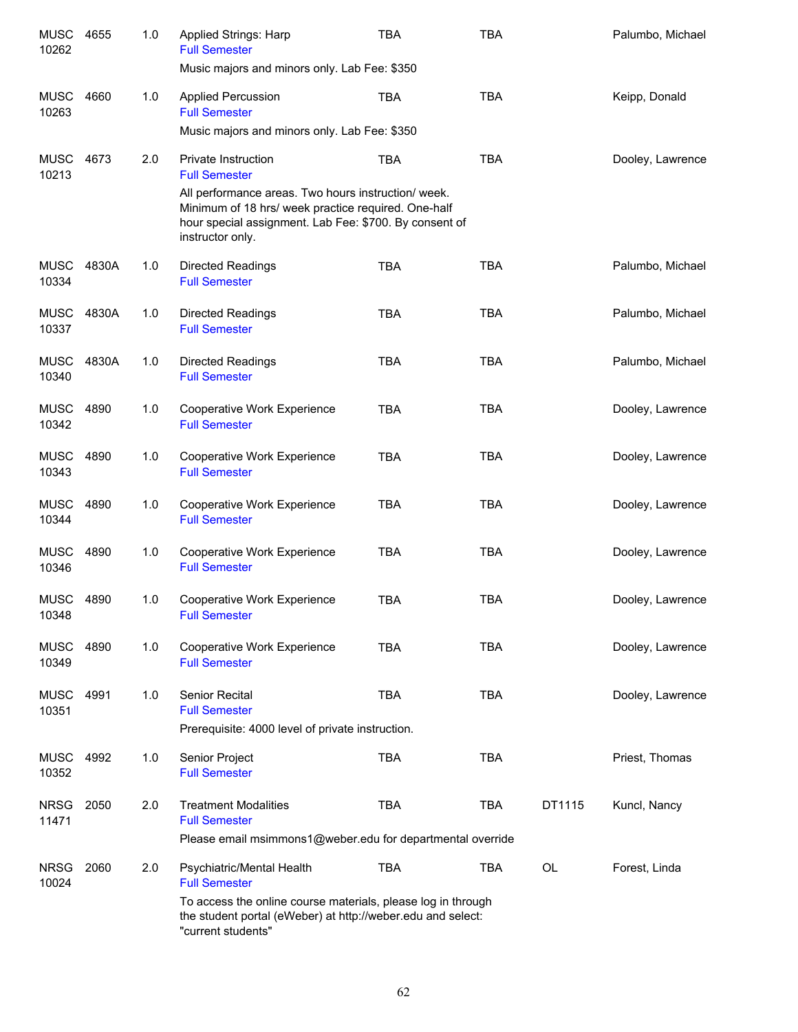| <b>MUSC</b><br>10262 | 4655  | 1.0 | Applied Strings: Harp<br><b>Full Semester</b>                                                                                                                                           | <b>TBA</b> | <b>TBA</b> |           | Palumbo, Michael |  |  |
|----------------------|-------|-----|-----------------------------------------------------------------------------------------------------------------------------------------------------------------------------------------|------------|------------|-----------|------------------|--|--|
|                      |       |     | Music majors and minors only. Lab Fee: \$350                                                                                                                                            |            |            |           |                  |  |  |
| MUSC<br>10263        | 4660  | 1.0 | <b>Applied Percussion</b><br><b>Full Semester</b>                                                                                                                                       | <b>TBA</b> | <b>TBA</b> |           | Keipp, Donald    |  |  |
|                      |       |     | Music majors and minors only. Lab Fee: \$350                                                                                                                                            |            |            |           |                  |  |  |
| <b>MUSC</b><br>10213 | 4673  | 2.0 | Private Instruction<br><b>Full Semester</b>                                                                                                                                             | <b>TBA</b> | <b>TBA</b> |           | Dooley, Lawrence |  |  |
|                      |       |     | All performance areas. Two hours instruction/week.<br>Minimum of 18 hrs/ week practice required. One-half<br>hour special assignment. Lab Fee: \$700. By consent of<br>instructor only. |            |            |           |                  |  |  |
| <b>MUSC</b><br>10334 | 4830A | 1.0 | Directed Readings<br><b>Full Semester</b>                                                                                                                                               | <b>TBA</b> | <b>TBA</b> |           | Palumbo, Michael |  |  |
| <b>MUSC</b><br>10337 | 4830A | 1.0 | <b>Directed Readings</b><br><b>Full Semester</b>                                                                                                                                        | <b>TBA</b> | <b>TBA</b> |           | Palumbo, Michael |  |  |
| <b>MUSC</b><br>10340 | 4830A | 1.0 | <b>Directed Readings</b><br><b>Full Semester</b>                                                                                                                                        | <b>TBA</b> | <b>TBA</b> |           | Palumbo, Michael |  |  |
| MUSC<br>10342        | 4890  | 1.0 | Cooperative Work Experience<br><b>Full Semester</b>                                                                                                                                     | <b>TBA</b> | <b>TBA</b> |           | Dooley, Lawrence |  |  |
| <b>MUSC</b><br>10343 | 4890  | 1.0 | Cooperative Work Experience<br><b>Full Semester</b>                                                                                                                                     | <b>TBA</b> | <b>TBA</b> |           | Dooley, Lawrence |  |  |
| <b>MUSC</b><br>10344 | 4890  | 1.0 | Cooperative Work Experience<br><b>Full Semester</b>                                                                                                                                     | <b>TBA</b> | <b>TBA</b> |           | Dooley, Lawrence |  |  |
| <b>MUSC</b><br>10346 | 4890  | 1.0 | Cooperative Work Experience<br><b>Full Semester</b>                                                                                                                                     | <b>TBA</b> | <b>TBA</b> |           | Dooley, Lawrence |  |  |
| <b>MUSC</b><br>10348 | 4890  | 1.0 | Cooperative Work Experience<br><b>Full Semester</b>                                                                                                                                     | <b>TBA</b> | <b>TBA</b> |           | Dooley, Lawrence |  |  |
| <b>MUSC</b><br>10349 | 4890  | 1.0 | Cooperative Work Experience<br><b>Full Semester</b>                                                                                                                                     | <b>TBA</b> | <b>TBA</b> |           | Dooley, Lawrence |  |  |
| <b>MUSC</b><br>10351 | 4991  | 1.0 | Senior Recital<br><b>Full Semester</b>                                                                                                                                                  | <b>TBA</b> | <b>TBA</b> |           | Dooley, Lawrence |  |  |
|                      |       |     | Prerequisite: 4000 level of private instruction.                                                                                                                                        |            |            |           |                  |  |  |
| <b>MUSC</b><br>10352 | 4992  | 1.0 | Senior Project<br><b>Full Semester</b>                                                                                                                                                  | <b>TBA</b> | <b>TBA</b> |           | Priest, Thomas   |  |  |
| <b>NRSG</b><br>11471 | 2050  | 2.0 | <b>Treatment Modalities</b><br><b>Full Semester</b>                                                                                                                                     | <b>TBA</b> | <b>TBA</b> | DT1115    | Kuncl, Nancy     |  |  |
|                      |       |     | Please email msimmons1@weber.edu for departmental override                                                                                                                              |            |            |           |                  |  |  |
| <b>NRSG</b><br>10024 | 2060  | 2.0 | Psychiatric/Mental Health<br><b>Full Semester</b>                                                                                                                                       | <b>TBA</b> | <b>TBA</b> | <b>OL</b> | Forest, Linda    |  |  |
|                      |       |     | To access the online course materials, please log in through<br>the student portal (eWeber) at http://weber.edu and select:<br>"current students"                                       |            |            |           |                  |  |  |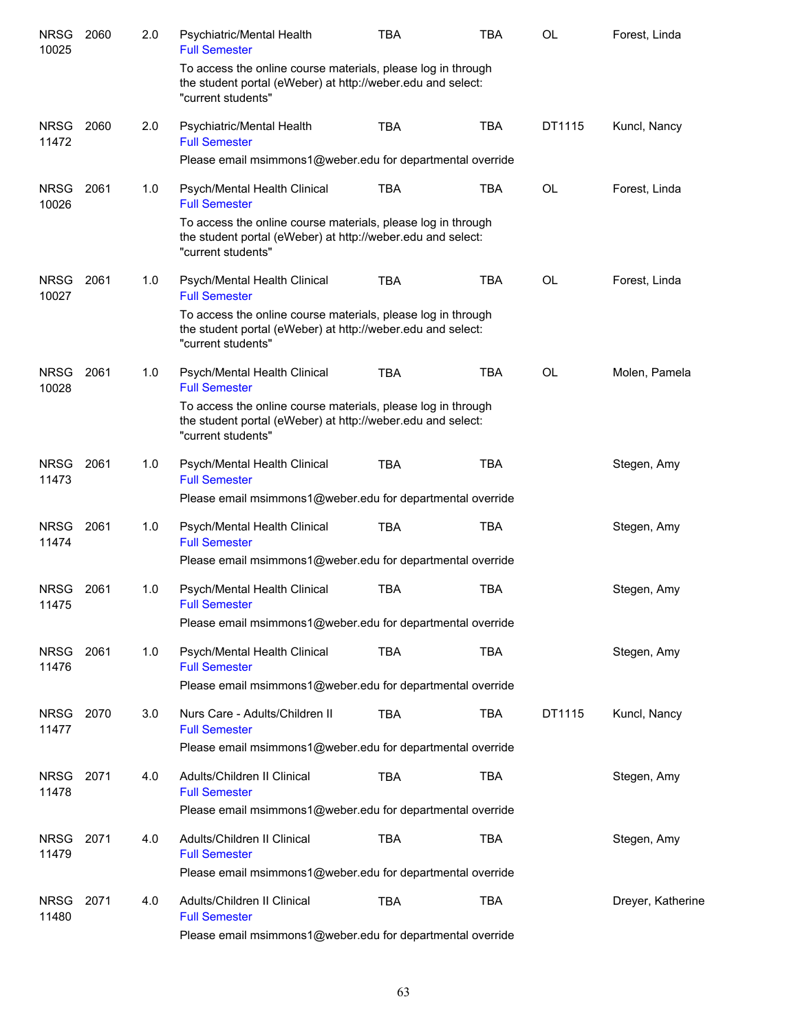| <b>NRSG</b><br>10025 | 2060 | 2.0 | Psychiatric/Mental Health<br><b>Full Semester</b>                                                                                                 | <b>TBA</b> | <b>TBA</b> | <b>OL</b> | Forest, Linda     |
|----------------------|------|-----|---------------------------------------------------------------------------------------------------------------------------------------------------|------------|------------|-----------|-------------------|
|                      |      |     | To access the online course materials, please log in through<br>the student portal (eWeber) at http://weber.edu and select:<br>"current students" |            |            |           |                   |
| <b>NRSG</b><br>11472 | 2060 | 2.0 | Psychiatric/Mental Health<br><b>Full Semester</b>                                                                                                 | <b>TBA</b> | <b>TBA</b> | DT1115    | Kuncl, Nancy      |
|                      |      |     | Please email msimmons1@weber.edu for departmental override                                                                                        |            |            |           |                   |
| <b>NRSG</b><br>10026 | 2061 | 1.0 | Psych/Mental Health Clinical<br><b>Full Semester</b>                                                                                              | <b>TBA</b> | <b>TBA</b> | <b>OL</b> | Forest, Linda     |
|                      |      |     | To access the online course materials, please log in through<br>the student portal (eWeber) at http://weber.edu and select:<br>"current students" |            |            |           |                   |
| <b>NRSG</b><br>10027 | 2061 | 1.0 | Psych/Mental Health Clinical<br><b>Full Semester</b>                                                                                              | <b>TBA</b> | <b>TBA</b> | <b>OL</b> | Forest, Linda     |
|                      |      |     | To access the online course materials, please log in through<br>the student portal (eWeber) at http://weber.edu and select:<br>"current students" |            |            |           |                   |
| <b>NRSG</b><br>10028 | 2061 | 1.0 | Psych/Mental Health Clinical<br><b>Full Semester</b>                                                                                              | <b>TBA</b> | <b>TBA</b> | <b>OL</b> | Molen, Pamela     |
|                      |      |     | To access the online course materials, please log in through<br>the student portal (eWeber) at http://weber.edu and select:<br>"current students" |            |            |           |                   |
| <b>NRSG</b><br>11473 | 2061 | 1.0 | Psych/Mental Health Clinical<br><b>Full Semester</b>                                                                                              | <b>TBA</b> | <b>TBA</b> |           | Stegen, Amy       |
|                      |      |     | Please email msimmons1@weber.edu for departmental override                                                                                        |            |            |           |                   |
| <b>NRSG</b><br>11474 | 2061 | 1.0 | Psych/Mental Health Clinical<br><b>Full Semester</b>                                                                                              | <b>TBA</b> | <b>TBA</b> |           | Stegen, Amy       |
|                      |      |     | Please email msimmons1@weber.edu for departmental override                                                                                        |            |            |           |                   |
| <b>NRSG</b><br>11475 | 2061 | 1.0 | Psych/Mental Health Clinical<br><b>Full Semester</b>                                                                                              | <b>TBA</b> | <b>TBA</b> |           | Stegen, Amy       |
|                      |      |     | Please email msimmons1@weber.edu for departmental override                                                                                        |            |            |           |                   |
| <b>NRSG</b><br>11476 | 2061 | 1.0 | Psych/Mental Health Clinical<br><b>Full Semester</b>                                                                                              | <b>TBA</b> | <b>TBA</b> |           | Stegen, Amy       |
|                      |      |     | Please email msimmons1@weber.edu for departmental override                                                                                        |            |            |           |                   |
| <b>NRSG</b><br>11477 | 2070 | 3.0 | Nurs Care - Adults/Children II<br><b>Full Semester</b>                                                                                            | <b>TBA</b> | <b>TBA</b> | DT1115    | Kuncl, Nancy      |
|                      |      |     | Please email msimmons1@weber.edu for departmental override                                                                                        |            |            |           |                   |
| NRSG<br>11478        | 2071 | 4.0 | Adults/Children II Clinical<br><b>Full Semester</b>                                                                                               | <b>TBA</b> | <b>TBA</b> |           | Stegen, Amy       |
|                      |      |     | Please email msimmons1@weber.edu for departmental override                                                                                        |            |            |           |                   |
| NRSG<br>11479        | 2071 | 4.0 | Adults/Children II Clinical<br><b>Full Semester</b>                                                                                               | <b>TBA</b> | <b>TBA</b> |           | Stegen, Amy       |
|                      |      |     | Please email msimmons1@weber.edu for departmental override                                                                                        |            |            |           |                   |
| NRSG<br>11480        | 2071 | 4.0 | Adults/Children II Clinical<br><b>Full Semester</b><br>Please email msimmons1@weber.edu for departmental override                                 | <b>TBA</b> | <b>TBA</b> |           | Dreyer, Katherine |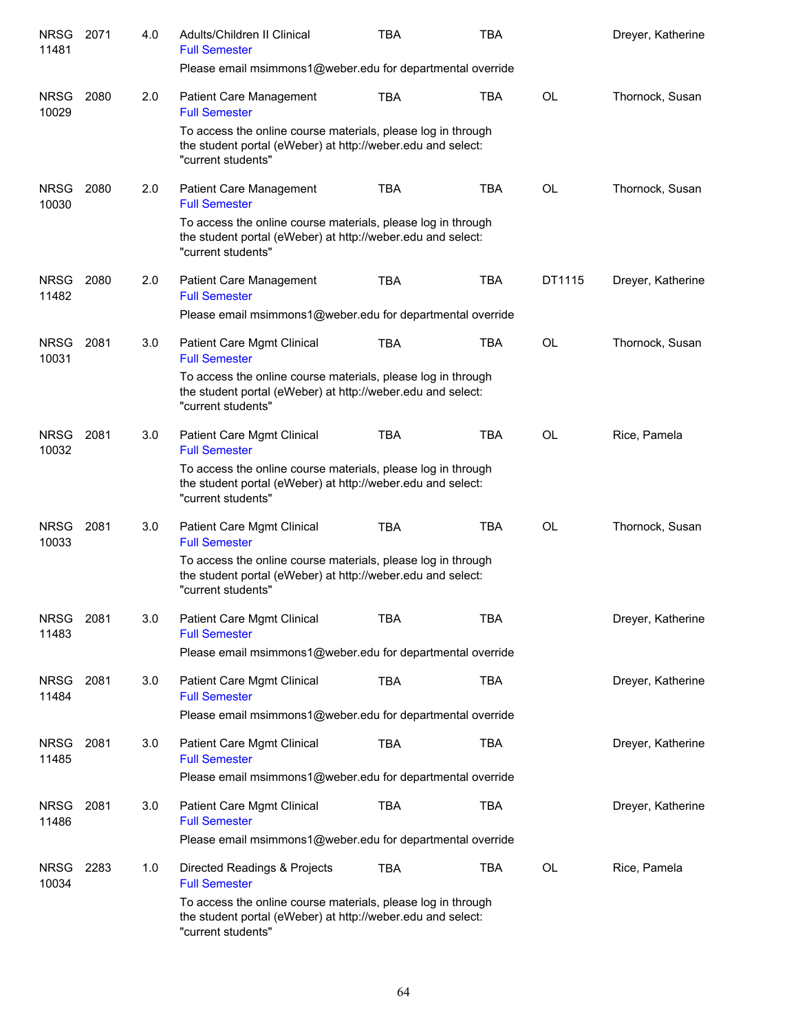| <b>NRSG</b><br>11481 | 2071 | 4.0 | Adults/Children II Clinical<br><b>Full Semester</b>                                                                                               | <b>TBA</b> | <b>TBA</b> |           | Dreyer, Katherine |
|----------------------|------|-----|---------------------------------------------------------------------------------------------------------------------------------------------------|------------|------------|-----------|-------------------|
|                      |      |     | Please email msimmons1@weber.edu for departmental override                                                                                        |            |            |           |                   |
| <b>NRSG</b><br>10029 | 2080 | 2.0 | <b>Patient Care Management</b><br><b>Full Semester</b>                                                                                            | TBA        | <b>TBA</b> | <b>OL</b> | Thornock, Susan   |
|                      |      |     | To access the online course materials, please log in through<br>the student portal (eWeber) at http://weber.edu and select:<br>"current students" |            |            |           |                   |
| <b>NRSG</b><br>10030 | 2080 | 2.0 | <b>Patient Care Management</b><br><b>Full Semester</b>                                                                                            | <b>TBA</b> | <b>TBA</b> | <b>OL</b> | Thornock, Susan   |
|                      |      |     | To access the online course materials, please log in through<br>the student portal (eWeber) at http://weber.edu and select:<br>"current students" |            |            |           |                   |
| <b>NRSG</b><br>11482 | 2080 | 2.0 | Patient Care Management<br><b>Full Semester</b>                                                                                                   | <b>TBA</b> | <b>TBA</b> | DT1115    | Dreyer, Katherine |
|                      |      |     | Please email msimmons1@weber.edu for departmental override                                                                                        |            |            |           |                   |
| <b>NRSG</b><br>10031 | 2081 | 3.0 | Patient Care Mgmt Clinical<br><b>Full Semester</b>                                                                                                | <b>TBA</b> | <b>TBA</b> | OL        | Thornock, Susan   |
|                      |      |     | To access the online course materials, please log in through<br>the student portal (eWeber) at http://weber.edu and select:<br>"current students" |            |            |           |                   |
| <b>NRSG</b><br>10032 | 2081 | 3.0 | Patient Care Mgmt Clinical<br><b>Full Semester</b>                                                                                                | <b>TBA</b> | <b>TBA</b> | <b>OL</b> | Rice, Pamela      |
|                      |      |     | To access the online course materials, please log in through<br>the student portal (eWeber) at http://weber.edu and select:<br>"current students" |            |            |           |                   |
| <b>NRSG</b><br>10033 | 2081 | 3.0 | Patient Care Mgmt Clinical<br><b>Full Semester</b>                                                                                                | <b>TBA</b> | <b>TBA</b> | <b>OL</b> | Thornock, Susan   |
|                      |      |     | To access the online course materials, please log in through<br>the student portal (eWeber) at http://weber.edu and select:<br>"current students" |            |            |           |                   |
| <b>NRSG</b><br>11483 | 2081 | 3.0 | Patient Care Mgmt Clinical<br><b>Full Semester</b>                                                                                                | TBA        | TBA        |           | Dreyer, Katherine |
|                      |      |     | Please email msimmons1@weber.edu for departmental override                                                                                        |            |            |           |                   |
| <b>NRSG</b><br>11484 | 2081 | 3.0 | <b>Patient Care Mgmt Clinical</b><br><b>Full Semester</b>                                                                                         | <b>TBA</b> | <b>TBA</b> |           | Dreyer, Katherine |
|                      |      |     | Please email msimmons1@weber.edu for departmental override                                                                                        |            |            |           |                   |
| <b>NRSG</b><br>11485 | 2081 | 3.0 | Patient Care Mgmt Clinical<br><b>Full Semester</b>                                                                                                | <b>TBA</b> | <b>TBA</b> |           | Dreyer, Katherine |
|                      |      |     | Please email msimmons1@weber.edu for departmental override                                                                                        |            |            |           |                   |
| <b>NRSG</b><br>11486 | 2081 | 3.0 | Patient Care Mgmt Clinical<br><b>Full Semester</b>                                                                                                | <b>TBA</b> | <b>TBA</b> |           | Dreyer, Katherine |
|                      |      |     | Please email msimmons1@weber.edu for departmental override                                                                                        |            |            |           |                   |
| <b>NRSG</b><br>10034 | 2283 | 1.0 | Directed Readings & Projects<br><b>Full Semester</b>                                                                                              | <b>TBA</b> | <b>TBA</b> | <b>OL</b> | Rice, Pamela      |
|                      |      |     | To access the online course materials, please log in through<br>the student portal (eWeber) at http://weber.edu and select:<br>"current students" |            |            |           |                   |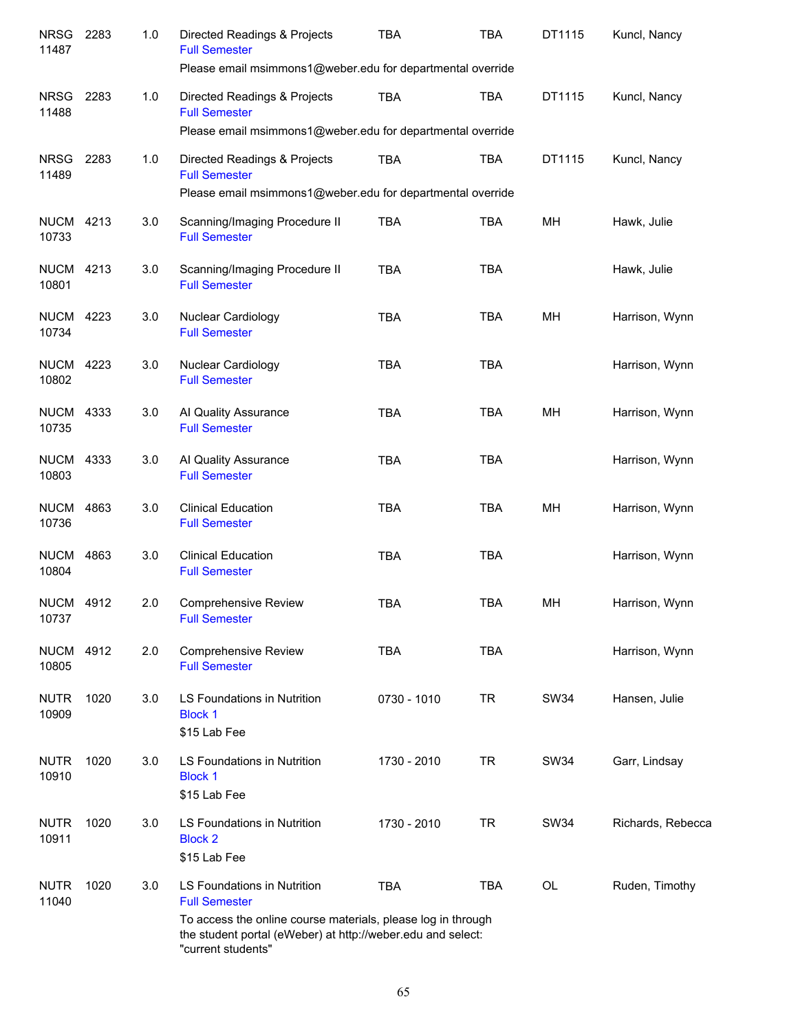| <b>NRSG</b><br>11487      | 2283 | 1.0 | Directed Readings & Projects<br><b>Full Semester</b>                                                                                              | <b>TBA</b>  | <b>TBA</b> | DT1115    | Kuncl, Nancy      |
|---------------------------|------|-----|---------------------------------------------------------------------------------------------------------------------------------------------------|-------------|------------|-----------|-------------------|
|                           |      |     | Please email msimmons1@weber.edu for departmental override                                                                                        |             |            |           |                   |
| <b>NRSG</b><br>11488      | 2283 | 1.0 | Directed Readings & Projects<br><b>Full Semester</b>                                                                                              | <b>TBA</b>  | <b>TBA</b> | DT1115    | Kuncl, Nancy      |
|                           |      |     | Please email msimmons1@weber.edu for departmental override                                                                                        |             |            |           |                   |
| <b>NRSG</b><br>11489      | 2283 | 1.0 | Directed Readings & Projects<br><b>Full Semester</b>                                                                                              | <b>TBA</b>  | <b>TBA</b> | DT1115    | Kuncl, Nancy      |
|                           |      |     | Please email msimmons1@weber.edu for departmental override                                                                                        |             |            |           |                   |
| <b>NUCM 4213</b><br>10733 |      | 3.0 | Scanning/Imaging Procedure II<br><b>Full Semester</b>                                                                                             | <b>TBA</b>  | <b>TBA</b> | MH        | Hawk, Julie       |
| <b>NUCM 4213</b><br>10801 |      | 3.0 | Scanning/Imaging Procedure II<br><b>Full Semester</b>                                                                                             | <b>TBA</b>  | <b>TBA</b> |           | Hawk, Julie       |
| <b>NUCM 4223</b><br>10734 |      | 3.0 | Nuclear Cardiology<br><b>Full Semester</b>                                                                                                        | <b>TBA</b>  | <b>TBA</b> | MH        | Harrison, Wynn    |
| <b>NUCM 4223</b><br>10802 |      | 3.0 | Nuclear Cardiology<br><b>Full Semester</b>                                                                                                        | <b>TBA</b>  | <b>TBA</b> |           | Harrison, Wynn    |
| <b>NUCM 4333</b><br>10735 |      | 3.0 | Al Quality Assurance<br><b>Full Semester</b>                                                                                                      | <b>TBA</b>  | <b>TBA</b> | MH        | Harrison, Wynn    |
| <b>NUCM 4333</b><br>10803 |      | 3.0 | Al Quality Assurance<br><b>Full Semester</b>                                                                                                      | <b>TBA</b>  | <b>TBA</b> |           | Harrison, Wynn    |
| <b>NUCM</b><br>10736      | 4863 | 3.0 | <b>Clinical Education</b><br><b>Full Semester</b>                                                                                                 | <b>TBA</b>  | <b>TBA</b> | MH        | Harrison, Wynn    |
| <b>NUCM</b><br>10804      | 4863 | 3.0 | <b>Clinical Education</b><br><b>Full Semester</b>                                                                                                 | <b>TBA</b>  | <b>TBA</b> |           | Harrison, Wynn    |
| <b>NUCM 4912</b><br>10737 |      | 2.0 | <b>Comprehensive Review</b><br><b>Full Semester</b>                                                                                               | <b>TBA</b>  | <b>TBA</b> | MH        | Harrison, Wynn    |
| <b>NUCM 4912</b><br>10805 |      | 2.0 | <b>Comprehensive Review</b><br><b>Full Semester</b>                                                                                               | <b>TBA</b>  | <b>TBA</b> |           | Harrison, Wynn    |
| <b>NUTR</b><br>10909      | 1020 | 3.0 | LS Foundations in Nutrition<br><b>Block 1</b><br>\$15 Lab Fee                                                                                     | 0730 - 1010 | <b>TR</b>  | SW34      | Hansen, Julie     |
| <b>NUTR</b><br>10910      | 1020 | 3.0 | LS Foundations in Nutrition<br><b>Block 1</b><br>\$15 Lab Fee                                                                                     | 1730 - 2010 | <b>TR</b>  | SW34      | Garr, Lindsay     |
| <b>NUTR</b><br>10911      | 1020 | 3.0 | LS Foundations in Nutrition<br><b>Block 2</b><br>\$15 Lab Fee                                                                                     | 1730 - 2010 | <b>TR</b>  | SW34      | Richards, Rebecca |
| <b>NUTR</b><br>11040      | 1020 | 3.0 | LS Foundations in Nutrition<br><b>Full Semester</b>                                                                                               | <b>TBA</b>  | <b>TBA</b> | <b>OL</b> | Ruden, Timothy    |
|                           |      |     | To access the online course materials, please log in through<br>the student portal (eWeber) at http://weber.edu and select:<br>"current students" |             |            |           |                   |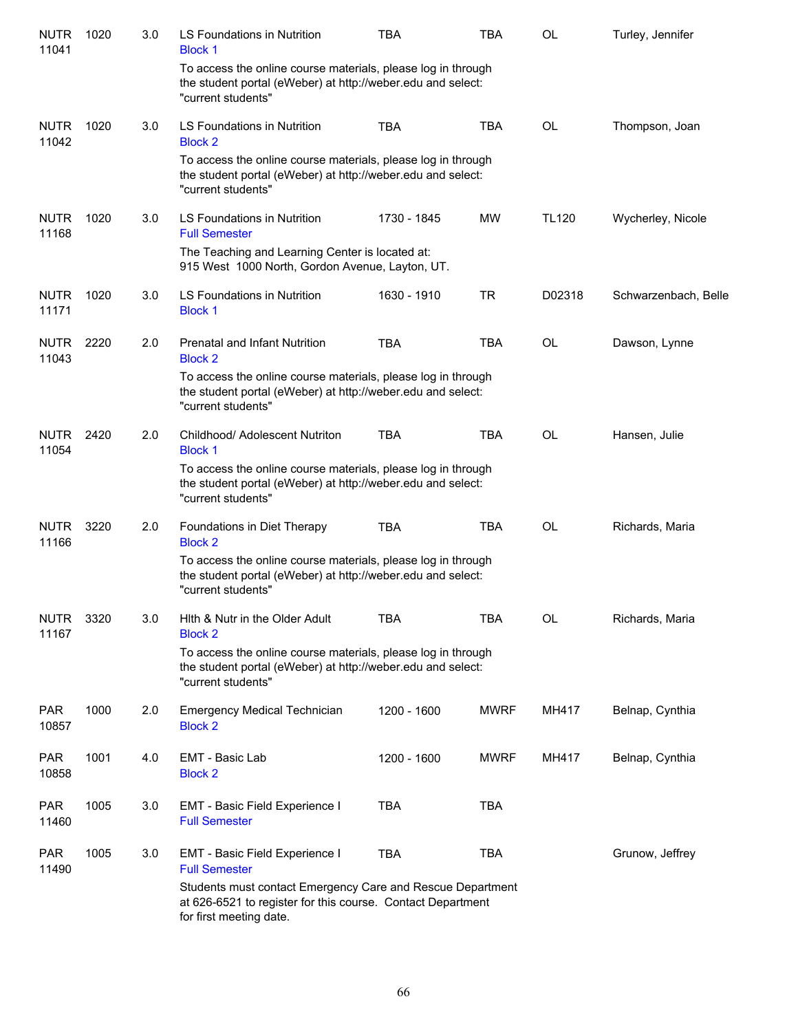| <b>NUTR</b><br>11041 | 1020 | 3.0 | LS Foundations in Nutrition<br><b>Block 1</b>                                                                                                        | <b>TBA</b>  | <b>TBA</b>  | <b>OL</b>    | Turley, Jennifer     |
|----------------------|------|-----|------------------------------------------------------------------------------------------------------------------------------------------------------|-------------|-------------|--------------|----------------------|
|                      |      |     | To access the online course materials, please log in through<br>the student portal (eWeber) at http://weber.edu and select:<br>"current students"    |             |             |              |                      |
| <b>NUTR</b><br>11042 | 1020 | 3.0 | LS Foundations in Nutrition<br><b>Block 2</b>                                                                                                        | <b>TBA</b>  | <b>TBA</b>  | <b>OL</b>    | Thompson, Joan       |
|                      |      |     | To access the online course materials, please log in through<br>the student portal (eWeber) at http://weber.edu and select:<br>"current students"    |             |             |              |                      |
| <b>NUTR</b><br>11168 | 1020 | 3.0 | LS Foundations in Nutrition<br><b>Full Semester</b>                                                                                                  | 1730 - 1845 | <b>MW</b>   | <b>TL120</b> | Wycherley, Nicole    |
|                      |      |     | The Teaching and Learning Center is located at:<br>915 West 1000 North, Gordon Avenue, Layton, UT.                                                   |             |             |              |                      |
| <b>NUTR</b><br>11171 | 1020 | 3.0 | LS Foundations in Nutrition<br><b>Block 1</b>                                                                                                        | 1630 - 1910 | <b>TR</b>   | D02318       | Schwarzenbach, Belle |
| <b>NUTR</b><br>11043 | 2220 | 2.0 | Prenatal and Infant Nutrition<br><b>Block 2</b>                                                                                                      | <b>TBA</b>  | <b>TBA</b>  | <b>OL</b>    | Dawson, Lynne        |
|                      |      |     | To access the online course materials, please log in through<br>the student portal (eWeber) at http://weber.edu and select:<br>"current students"    |             |             |              |                      |
| <b>NUTR</b><br>11054 | 2420 | 2.0 | Childhood/ Adolescent Nutriton<br><b>Block 1</b>                                                                                                     | <b>TBA</b>  | <b>TBA</b>  | <b>OL</b>    | Hansen, Julie        |
|                      |      |     | To access the online course materials, please log in through<br>the student portal (eWeber) at http://weber.edu and select:<br>"current students"    |             |             |              |                      |
| <b>NUTR</b><br>11166 | 3220 | 2.0 | Foundations in Diet Therapy<br><b>Block 2</b>                                                                                                        | <b>TBA</b>  | <b>TBA</b>  | <b>OL</b>    | Richards, Maria      |
|                      |      |     | To access the online course materials, please log in through<br>the student portal (eWeber) at http://weber.edu and select:<br>"current students"    |             |             |              |                      |
| <b>NUTR</b><br>11167 | 3320 | 3.0 | Hith & Nutr in the Older Adult<br><b>Block 2</b>                                                                                                     | TBA         | TBA         | OL           | Richards, Maria      |
|                      |      |     | To access the online course materials, please log in through<br>the student portal (eWeber) at http://weber.edu and select:<br>"current students"    |             |             |              |                      |
| <b>PAR</b><br>10857  | 1000 | 2.0 | <b>Emergency Medical Technician</b><br><b>Block 2</b>                                                                                                | 1200 - 1600 | <b>MWRF</b> | MH417        | Belnap, Cynthia      |
| <b>PAR</b><br>10858  | 1001 | 4.0 | EMT - Basic Lab<br><b>Block 2</b>                                                                                                                    | 1200 - 1600 | <b>MWRF</b> | MH417        | Belnap, Cynthia      |
| <b>PAR</b><br>11460  | 1005 | 3.0 | EMT - Basic Field Experience I<br><b>Full Semester</b>                                                                                               | <b>TBA</b>  | <b>TBA</b>  |              |                      |
| <b>PAR</b><br>11490  | 1005 | 3.0 | EMT - Basic Field Experience I<br><b>Full Semester</b>                                                                                               | <b>TBA</b>  | <b>TBA</b>  |              | Grunow, Jeffrey      |
|                      |      |     | Students must contact Emergency Care and Rescue Department<br>at 626-6521 to register for this course. Contact Department<br>for first meeting date. |             |             |              |                      |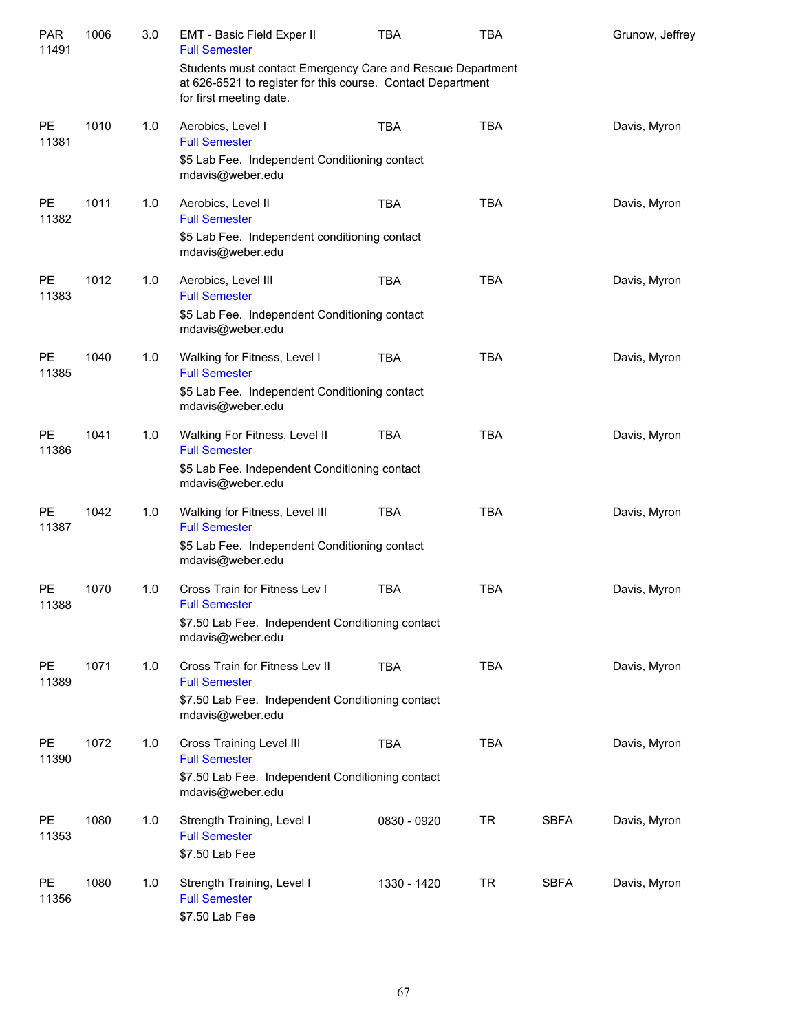| Grunow, Jeffrey                                                   |  |  |  |  |  |  |  |
|-------------------------------------------------------------------|--|--|--|--|--|--|--|
|                                                                   |  |  |  |  |  |  |  |
| Davis, Myron                                                      |  |  |  |  |  |  |  |
|                                                                   |  |  |  |  |  |  |  |
| Davis, Myron                                                      |  |  |  |  |  |  |  |
|                                                                   |  |  |  |  |  |  |  |
| Davis, Myron                                                      |  |  |  |  |  |  |  |
| \$5 Lab Fee. Independent Conditioning contact<br>mdavis@weber.edu |  |  |  |  |  |  |  |
| Davis, Myron                                                      |  |  |  |  |  |  |  |
|                                                                   |  |  |  |  |  |  |  |
| Davis, Myron                                                      |  |  |  |  |  |  |  |
|                                                                   |  |  |  |  |  |  |  |
| Davis, Myron                                                      |  |  |  |  |  |  |  |
|                                                                   |  |  |  |  |  |  |  |
| Davis, Myron                                                      |  |  |  |  |  |  |  |
|                                                                   |  |  |  |  |  |  |  |
| Davis, Myron                                                      |  |  |  |  |  |  |  |
|                                                                   |  |  |  |  |  |  |  |
| Davis, Myron                                                      |  |  |  |  |  |  |  |
|                                                                   |  |  |  |  |  |  |  |
| Davis, Myron                                                      |  |  |  |  |  |  |  |
|                                                                   |  |  |  |  |  |  |  |
| Davis, Myron                                                      |  |  |  |  |  |  |  |
|                                                                   |  |  |  |  |  |  |  |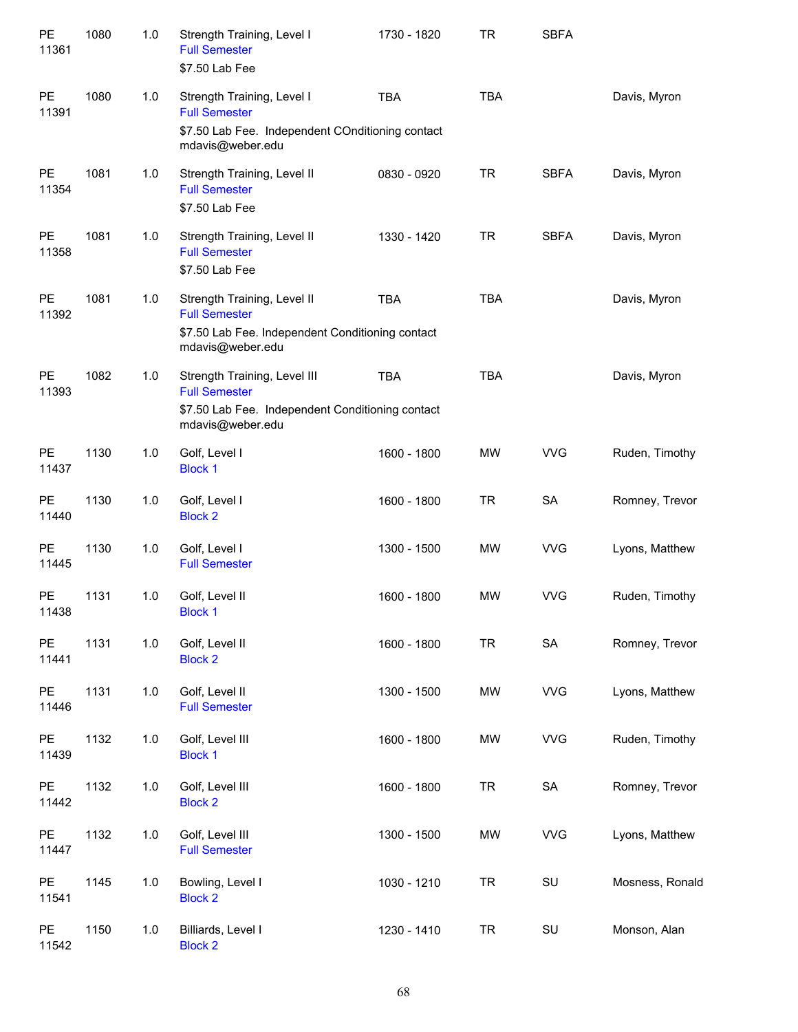| PE<br>11361        | 1080 | 1.0 | Strength Training, Level I<br><b>Full Semester</b><br>\$7.50 Lab Fee                                                         | 1730 - 1820 | TR         | <b>SBFA</b> |                 |
|--------------------|------|-----|------------------------------------------------------------------------------------------------------------------------------|-------------|------------|-------------|-----------------|
| <b>PE</b><br>11391 | 1080 | 1.0 | Strength Training, Level I<br><b>Full Semester</b><br>\$7.50 Lab Fee. Independent COnditioning contact<br>mdavis@weber.edu   | <b>TBA</b>  | <b>TBA</b> |             | Davis, Myron    |
| <b>PE</b><br>11354 | 1081 | 1.0 | Strength Training, Level II<br><b>Full Semester</b><br>\$7.50 Lab Fee                                                        | 0830 - 0920 | <b>TR</b>  | <b>SBFA</b> | Davis, Myron    |
| <b>PE</b><br>11358 | 1081 | 1.0 | Strength Training, Level II<br><b>Full Semester</b><br>\$7.50 Lab Fee                                                        | 1330 - 1420 | <b>TR</b>  | <b>SBFA</b> | Davis, Myron    |
| <b>PE</b><br>11392 | 1081 | 1.0 | Strength Training, Level II<br><b>Full Semester</b><br>\$7.50 Lab Fee. Independent Conditioning contact<br>mdavis@weber.edu  | <b>TBA</b>  | <b>TBA</b> |             | Davis, Myron    |
| PE<br>11393        | 1082 | 1.0 | Strength Training, Level III<br><b>Full Semester</b><br>\$7.50 Lab Fee. Independent Conditioning contact<br>mdavis@weber.edu | <b>TBA</b>  | <b>TBA</b> |             | Davis, Myron    |
| <b>PE</b><br>11437 | 1130 | 1.0 | Golf, Level I<br><b>Block 1</b>                                                                                              | 1600 - 1800 | <b>MW</b>  | <b>VVG</b>  | Ruden, Timothy  |
| PE<br>11440        | 1130 | 1.0 | Golf, Level I<br><b>Block 2</b>                                                                                              | 1600 - 1800 | <b>TR</b>  | <b>SA</b>   | Romney, Trevor  |
| <b>PE</b><br>11445 | 1130 | 1.0 | Golf, Level I<br><b>Full Semester</b>                                                                                        | 1300 - 1500 | <b>MW</b>  | <b>VVG</b>  | Lyons, Matthew  |
| <b>PE</b><br>11438 | 1131 | 1.0 | Golf, Level II<br><b>Block 1</b>                                                                                             | 1600 - 1800 | <b>MW</b>  | <b>VVG</b>  | Ruden, Timothy  |
| PE<br>11441        | 1131 | 1.0 | Golf, Level II<br><b>Block 2</b>                                                                                             | 1600 - 1800 | <b>TR</b>  | SA          | Romney, Trevor  |
| PE<br>11446        | 1131 | 1.0 | Golf, Level II<br><b>Full Semester</b>                                                                                       | 1300 - 1500 | <b>MW</b>  | <b>VVG</b>  | Lyons, Matthew  |
| PE<br>11439        | 1132 | 1.0 | Golf, Level III<br><b>Block 1</b>                                                                                            | 1600 - 1800 | <b>MW</b>  | <b>VVG</b>  | Ruden, Timothy  |
| PE<br>11442        | 1132 | 1.0 | Golf, Level III<br><b>Block 2</b>                                                                                            | 1600 - 1800 | <b>TR</b>  | ${\sf SA}$  | Romney, Trevor  |
| PE<br>11447        | 1132 | 1.0 | Golf, Level III<br><b>Full Semester</b>                                                                                      | 1300 - 1500 | MW         | <b>VVG</b>  | Lyons, Matthew  |
| PE<br>11541        | 1145 | 1.0 | Bowling, Level I<br><b>Block 2</b>                                                                                           | 1030 - 1210 | <b>TR</b>  | SU          | Mosness, Ronald |
| PE<br>11542        | 1150 | 1.0 | Billiards, Level I<br><b>Block 2</b>                                                                                         | 1230 - 1410 | <b>TR</b>  | SU          | Monson, Alan    |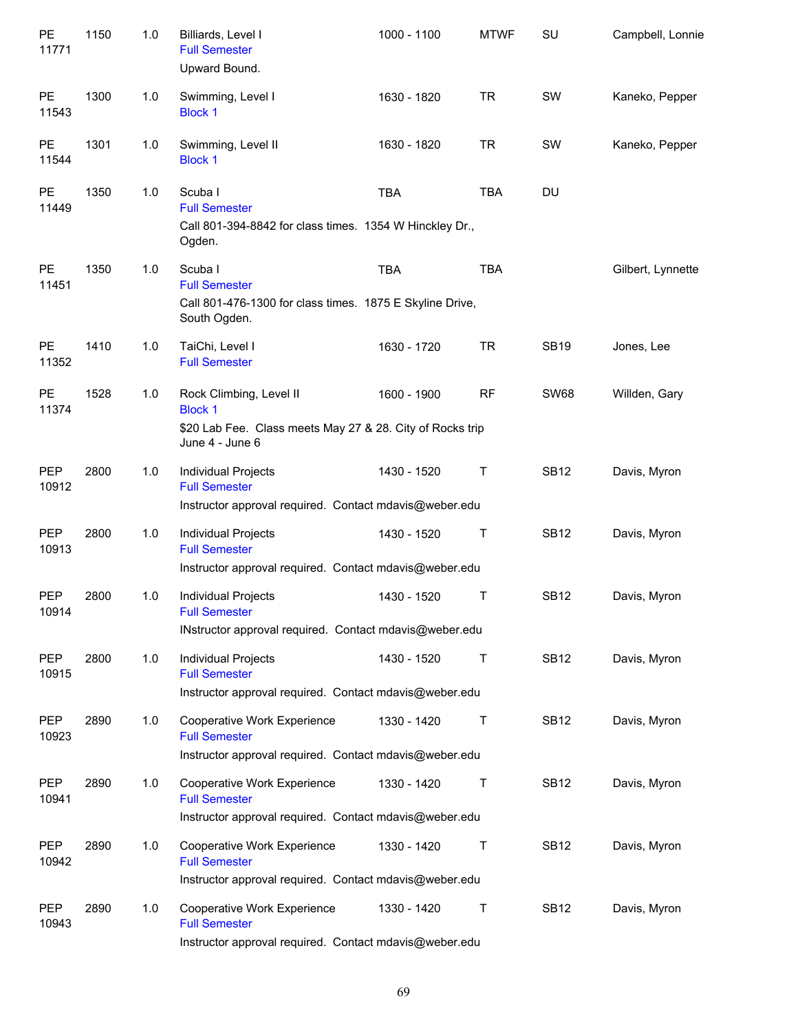| PE<br>11771         | 1150 | 1.0 | Billiards, Level I<br><b>Full Semester</b><br>Upward Bound.                                                               | 1000 - 1100 | <b>MTWF</b> | <b>SU</b>   | Campbell, Lonnie  |
|---------------------|------|-----|---------------------------------------------------------------------------------------------------------------------------|-------------|-------------|-------------|-------------------|
| PE<br>11543         | 1300 | 1.0 | Swimming, Level I<br><b>Block 1</b>                                                                                       | 1630 - 1820 | <b>TR</b>   | SW          | Kaneko, Pepper    |
| PE<br>11544         | 1301 | 1.0 | Swimming, Level II<br><b>Block 1</b>                                                                                      | 1630 - 1820 | <b>TR</b>   | SW          | Kaneko, Pepper    |
| <b>PE</b><br>11449  | 1350 | 1.0 | Scuba I<br><b>Full Semester</b><br>Call 801-394-8842 for class times. 1354 W Hinckley Dr.,<br>Ogden.                      | <b>TBA</b>  | <b>TBA</b>  | DU          |                   |
| PE<br>11451         | 1350 | 1.0 | Scuba I<br><b>Full Semester</b><br>Call 801-476-1300 for class times. 1875 E Skyline Drive,<br>South Ogden.               | <b>TBA</b>  | <b>TBA</b>  |             | Gilbert, Lynnette |
| <b>PE</b><br>11352  | 1410 | 1.0 | TaiChi, Level I<br><b>Full Semester</b>                                                                                   | 1630 - 1720 | <b>TR</b>   | <b>SB19</b> | Jones, Lee        |
| PE<br>11374         | 1528 | 1.0 | Rock Climbing, Level II<br><b>Block 1</b><br>\$20 Lab Fee. Class meets May 27 & 28. City of Rocks trip<br>June 4 - June 6 | 1600 - 1900 | <b>RF</b>   | <b>SW68</b> | Willden, Gary     |
| <b>PEP</b><br>10912 | 2800 | 1.0 | Individual Projects<br><b>Full Semester</b><br>Instructor approval required. Contact mdavis@weber.edu                     | 1430 - 1520 | Τ           | <b>SB12</b> | Davis, Myron      |
| <b>PEP</b><br>10913 | 2800 | 1.0 | Individual Projects<br><b>Full Semester</b><br>Instructor approval required. Contact mdavis@weber.edu                     | 1430 - 1520 | Τ           | <b>SB12</b> | Davis, Myron      |
| <b>PEP</b><br>10914 | 2800 | 1.0 | Individual Projects<br><b>Full Semester</b><br>INstructor approval required. Contact mdavis@weber.edu                     | 1430 - 1520 | Τ           | <b>SB12</b> | Davis, Myron      |
| PEP<br>10915        | 2800 | 1.0 | <b>Individual Projects</b><br><b>Full Semester</b><br>Instructor approval required. Contact mdavis@weber.edu              | 1430 - 1520 | Τ           | <b>SB12</b> | Davis, Myron      |
| <b>PEP</b><br>10923 | 2890 | 1.0 | Cooperative Work Experience<br><b>Full Semester</b><br>Instructor approval required. Contact mdavis@weber.edu             | 1330 - 1420 | Τ           | <b>SB12</b> | Davis, Myron      |
| <b>PEP</b><br>10941 | 2890 | 1.0 | Cooperative Work Experience<br><b>Full Semester</b><br>Instructor approval required. Contact mdavis@weber.edu             | 1330 - 1420 | Т           | <b>SB12</b> | Davis, Myron      |
| <b>PEP</b><br>10942 | 2890 | 1.0 | Cooperative Work Experience<br><b>Full Semester</b><br>Instructor approval required. Contact mdavis@weber.edu             | 1330 - 1420 | Τ           | <b>SB12</b> | Davis, Myron      |
| <b>PEP</b><br>10943 | 2890 | 1.0 | Cooperative Work Experience<br><b>Full Semester</b><br>Instructor approval required. Contact mdavis@weber.edu             | 1330 - 1420 | Т           | <b>SB12</b> | Davis, Myron      |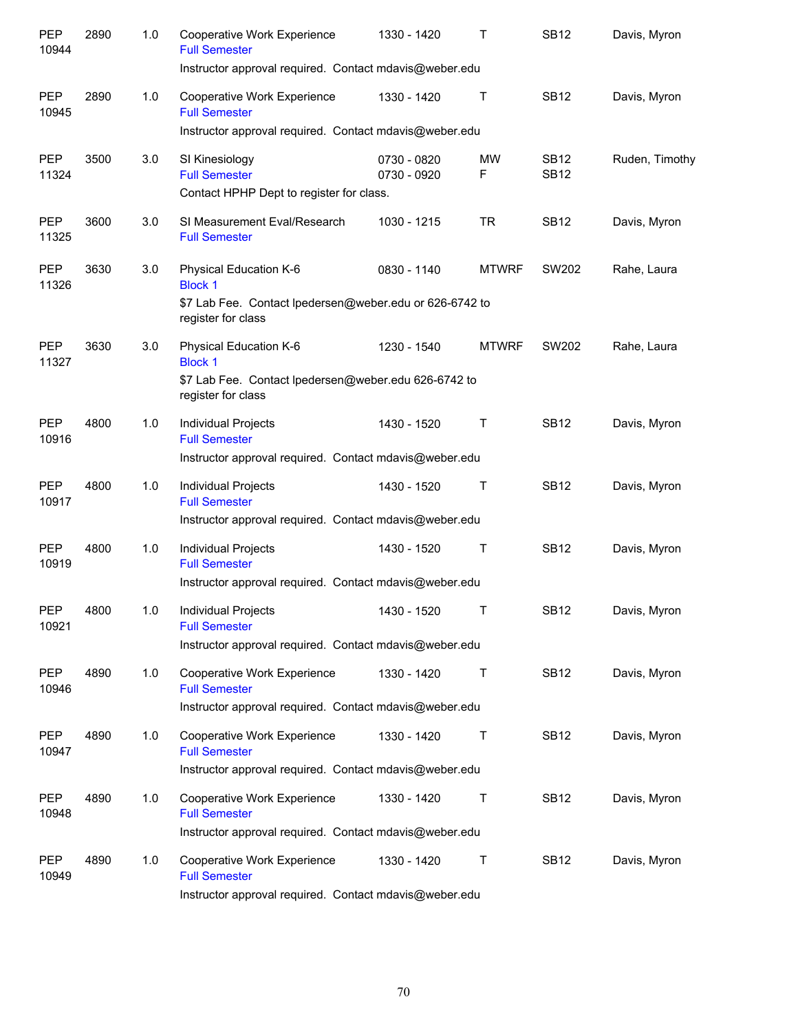| <b>PEP</b><br>10944 | 2890 | 1.0 | Cooperative Work Experience<br><b>Full Semester</b><br>Instructor approval required. Contact mdavis@weber.edu             | 1330 - 1420                | т            | <b>SB12</b>                | Davis, Myron   |
|---------------------|------|-----|---------------------------------------------------------------------------------------------------------------------------|----------------------------|--------------|----------------------------|----------------|
| <b>PEP</b><br>10945 | 2890 | 1.0 | Cooperative Work Experience<br><b>Full Semester</b><br>Instructor approval required. Contact mdavis@weber.edu             | 1330 - 1420                | Τ            | <b>SB12</b>                | Davis, Myron   |
| <b>PEP</b><br>11324 | 3500 | 3.0 | SI Kinesiology<br><b>Full Semester</b><br>Contact HPHP Dept to register for class.                                        | 0730 - 0820<br>0730 - 0920 | MW<br>F      | <b>SB12</b><br><b>SB12</b> | Ruden, Timothy |
| <b>PEP</b><br>11325 | 3600 | 3.0 | SI Measurement Eval/Research<br><b>Full Semester</b>                                                                      | 1030 - 1215                | TR           | <b>SB12</b>                | Davis, Myron   |
| <b>PEP</b><br>11326 | 3630 | 3.0 | Physical Education K-6<br><b>Block 1</b><br>\$7 Lab Fee. Contact Ipedersen@weber.edu or 626-6742 to<br>register for class | 0830 - 1140                | <b>MTWRF</b> | SW202                      | Rahe, Laura    |
| <b>PEP</b><br>11327 | 3630 | 3.0 | Physical Education K-6<br><b>Block 1</b><br>\$7 Lab Fee. Contact Ipedersen@weber.edu 626-6742 to<br>register for class    | 1230 - 1540                | <b>MTWRF</b> | SW202                      | Rahe, Laura    |
| <b>PEP</b><br>10916 | 4800 | 1.0 | Individual Projects<br><b>Full Semester</b><br>Instructor approval required. Contact mdavis@weber.edu                     | 1430 - 1520                | Τ            | <b>SB12</b>                | Davis, Myron   |
| <b>PEP</b><br>10917 | 4800 | 1.0 | Individual Projects<br><b>Full Semester</b><br>Instructor approval required. Contact mdavis@weber.edu                     | 1430 - 1520                | Τ            | <b>SB12</b>                | Davis, Myron   |
| <b>PEP</b><br>10919 | 4800 | 1.0 | Individual Projects<br><b>Full Semester</b><br>Instructor approval required. Contact mdavis@weber.edu                     | 1430 - 1520                | Τ            | <b>SB12</b>                | Davis, Myron   |
| PEP<br>10921        | 4800 | 1.0 | <b>Individual Projects</b><br><b>Full Semester</b><br>Instructor approval required. Contact mdavis@weber.edu              | 1430 - 1520                | Τ            | <b>SB12</b>                | Davis, Myron   |
| <b>PEP</b><br>10946 | 4890 | 1.0 | Cooperative Work Experience<br><b>Full Semester</b><br>Instructor approval required. Contact mdavis@weber.edu             | 1330 - 1420                | Τ            | <b>SB12</b>                | Davis, Myron   |
| <b>PEP</b><br>10947 | 4890 | 1.0 | Cooperative Work Experience<br><b>Full Semester</b><br>Instructor approval required. Contact mdavis@weber.edu             | 1330 - 1420                | Т            | <b>SB12</b>                | Davis, Myron   |
| <b>PEP</b><br>10948 | 4890 | 1.0 | Cooperative Work Experience<br><b>Full Semester</b><br>Instructor approval required. Contact mdavis@weber.edu             | 1330 - 1420                | Т            | <b>SB12</b>                | Davis, Myron   |
| <b>PEP</b><br>10949 | 4890 | 1.0 | Cooperative Work Experience<br><b>Full Semester</b><br>Instructor approval required. Contact mdavis@weber.edu             | 1330 - 1420                | Т            | <b>SB12</b>                | Davis, Myron   |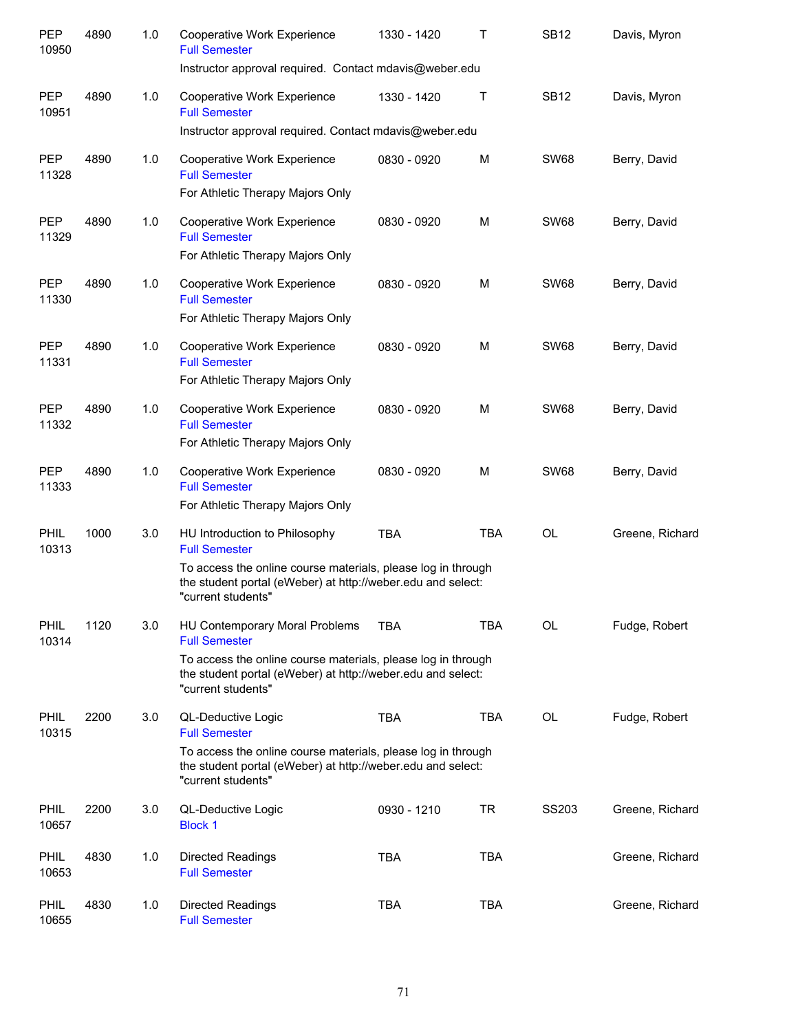| <b>PEP</b><br>10950  | 4890 | 1.0 | Cooperative Work Experience<br><b>Full Semester</b><br>Instructor approval required. Contact mdavis@weber.edu                                                                                               | 1330 - 1420 | Τ          | <b>SB12</b> | Davis, Myron    |
|----------------------|------|-----|-------------------------------------------------------------------------------------------------------------------------------------------------------------------------------------------------------------|-------------|------------|-------------|-----------------|
| <b>PEP</b><br>10951  | 4890 | 1.0 | Cooperative Work Experience<br><b>Full Semester</b>                                                                                                                                                         | 1330 - 1420 | Τ          | <b>SB12</b> | Davis, Myron    |
| <b>PEP</b><br>11328  | 4890 | 1.0 | Instructor approval required. Contact mdavis@weber.edu<br>Cooperative Work Experience<br><b>Full Semester</b><br>For Athletic Therapy Majors Only                                                           | 0830 - 0920 | M          | <b>SW68</b> | Berry, David    |
| <b>PEP</b><br>11329  | 4890 | 1.0 | Cooperative Work Experience<br><b>Full Semester</b><br>For Athletic Therapy Majors Only                                                                                                                     | 0830 - 0920 | M          | <b>SW68</b> | Berry, David    |
| <b>PEP</b><br>11330  | 4890 | 1.0 | Cooperative Work Experience<br><b>Full Semester</b><br>For Athletic Therapy Majors Only                                                                                                                     | 0830 - 0920 | M          | <b>SW68</b> | Berry, David    |
| <b>PEP</b><br>11331  | 4890 | 1.0 | Cooperative Work Experience<br><b>Full Semester</b><br>For Athletic Therapy Majors Only                                                                                                                     | 0830 - 0920 | M          | <b>SW68</b> | Berry, David    |
| <b>PEP</b><br>11332  | 4890 | 1.0 | Cooperative Work Experience<br><b>Full Semester</b><br>For Athletic Therapy Majors Only                                                                                                                     | 0830 - 0920 | M          | <b>SW68</b> | Berry, David    |
| <b>PEP</b><br>11333  | 4890 | 1.0 | Cooperative Work Experience<br><b>Full Semester</b><br>For Athletic Therapy Majors Only                                                                                                                     | 0830 - 0920 | M          | <b>SW68</b> | Berry, David    |
| <b>PHIL</b><br>10313 | 1000 | 3.0 | HU Introduction to Philosophy<br><b>Full Semester</b><br>To access the online course materials, please log in through<br>the student portal (eWeber) at http://weber.edu and select:<br>"current students"  | <b>TBA</b>  | <b>TBA</b> | OL          | Greene, Richard |
| PHIL<br>10314        | 1120 | 3.0 | HU Contemporary Moral Problems<br><b>Full Semester</b><br>To access the online course materials, please log in through<br>the student portal (eWeber) at http://weber.edu and select:<br>"current students" | <b>TBA</b>  | <b>TBA</b> | <b>OL</b>   | Fudge, Robert   |
| <b>PHIL</b><br>10315 | 2200 | 3.0 | QL-Deductive Logic<br><b>Full Semester</b><br>To access the online course materials, please log in through<br>the student portal (eWeber) at http://weber.edu and select:<br>"current students"             | <b>TBA</b>  | TBA        | OL          | Fudge, Robert   |
| <b>PHIL</b><br>10657 | 2200 | 3.0 | QL-Deductive Logic<br><b>Block 1</b>                                                                                                                                                                        | 0930 - 1210 | TR         | SS203       | Greene, Richard |
| <b>PHIL</b><br>10653 | 4830 | 1.0 | <b>Directed Readings</b><br><b>Full Semester</b>                                                                                                                                                            | <b>TBA</b>  | <b>TBA</b> |             | Greene, Richard |
| <b>PHIL</b><br>10655 | 4830 | 1.0 | <b>Directed Readings</b><br><b>Full Semester</b>                                                                                                                                                            | TBA         | <b>TBA</b> |             | Greene, Richard |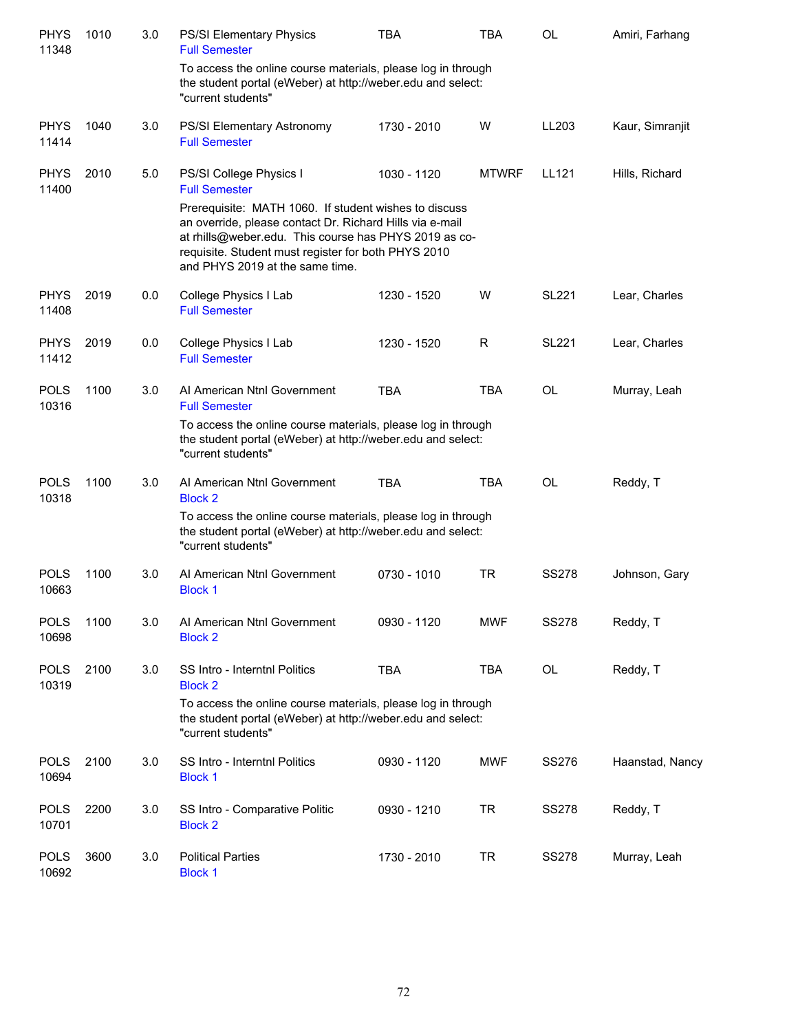| <b>PHYS</b><br>11348 | 1010 | 3.0 | <b>PS/SI Elementary Physics</b><br><b>Full Semester</b>                                                                                                                                                                                                                              | <b>TBA</b>  | <b>TBA</b>   | <b>OL</b>    | Amiri, Farhang  |
|----------------------|------|-----|--------------------------------------------------------------------------------------------------------------------------------------------------------------------------------------------------------------------------------------------------------------------------------------|-------------|--------------|--------------|-----------------|
|                      |      |     | To access the online course materials, please log in through<br>the student portal (eWeber) at http://weber.edu and select:<br>"current students"                                                                                                                                    |             |              |              |                 |
| <b>PHYS</b><br>11414 | 1040 | 3.0 | PS/SI Elementary Astronomy<br><b>Full Semester</b>                                                                                                                                                                                                                                   | 1730 - 2010 | W            | LL203        | Kaur, Simranjit |
| <b>PHYS</b><br>11400 | 2010 | 5.0 | PS/SI College Physics I<br><b>Full Semester</b><br>Prerequisite: MATH 1060. If student wishes to discuss<br>an override, please contact Dr. Richard Hills via e-mail<br>at rhills@weber.edu. This course has PHYS 2019 as co-<br>requisite. Student must register for both PHYS 2010 | 1030 - 1120 | <b>MTWRF</b> | LL121        | Hills, Richard  |
|                      |      |     | and PHYS 2019 at the same time.                                                                                                                                                                                                                                                      |             |              |              |                 |
| <b>PHYS</b><br>11408 | 2019 | 0.0 | College Physics I Lab<br><b>Full Semester</b>                                                                                                                                                                                                                                        | 1230 - 1520 | W            | <b>SL221</b> | Lear, Charles   |
| <b>PHYS</b><br>11412 | 2019 | 0.0 | College Physics I Lab<br><b>Full Semester</b>                                                                                                                                                                                                                                        | 1230 - 1520 | R            | <b>SL221</b> | Lear, Charles   |
| <b>POLS</b><br>10316 | 1100 | 3.0 | Al American Ntnl Government<br><b>Full Semester</b><br>To access the online course materials, please log in through<br>the student portal (eWeber) at http://weber.edu and select:<br>"current students"                                                                             | <b>TBA</b>  | <b>TBA</b>   | OL           | Murray, Leah    |
| <b>POLS</b><br>10318 | 1100 | 3.0 | Al American Ntnl Government<br><b>Block 2</b><br>To access the online course materials, please log in through<br>the student portal (eWeber) at http://weber.edu and select:<br>"current students"                                                                                   | <b>TBA</b>  | <b>TBA</b>   | <b>OL</b>    | Reddy, T        |
| <b>POLS</b><br>10663 | 1100 | 3.0 | AI American Ntnl Government<br><b>Block 1</b>                                                                                                                                                                                                                                        | 0730 - 1010 | <b>TR</b>    | <b>SS278</b> | Johnson, Gary   |
| <b>POLS</b><br>10698 | 1100 | 3.0 | Al American Ntnl Government<br><b>Block 2</b>                                                                                                                                                                                                                                        | 0930 - 1120 | <b>MWF</b>   | <b>SS278</b> | Reddy, T        |
| <b>POLS</b><br>10319 | 2100 | 3.0 | SS Intro - Interntnl Politics<br><b>Block 2</b>                                                                                                                                                                                                                                      | <b>TBA</b>  | <b>TBA</b>   | OL           | Reddy, T        |
|                      |      |     | To access the online course materials, please log in through<br>the student portal (eWeber) at http://weber.edu and select:<br>"current students"                                                                                                                                    |             |              |              |                 |
| <b>POLS</b><br>10694 | 2100 | 3.0 | SS Intro - Interntnl Politics<br><b>Block 1</b>                                                                                                                                                                                                                                      | 0930 - 1120 | <b>MWF</b>   | SS276        | Haanstad, Nancy |
| <b>POLS</b><br>10701 | 2200 | 3.0 | SS Intro - Comparative Politic<br><b>Block 2</b>                                                                                                                                                                                                                                     | 0930 - 1210 | <b>TR</b>    | <b>SS278</b> | Reddy, T        |
| <b>POLS</b><br>10692 | 3600 | 3.0 | <b>Political Parties</b><br><b>Block 1</b>                                                                                                                                                                                                                                           | 1730 - 2010 | <b>TR</b>    | <b>SS278</b> | Murray, Leah    |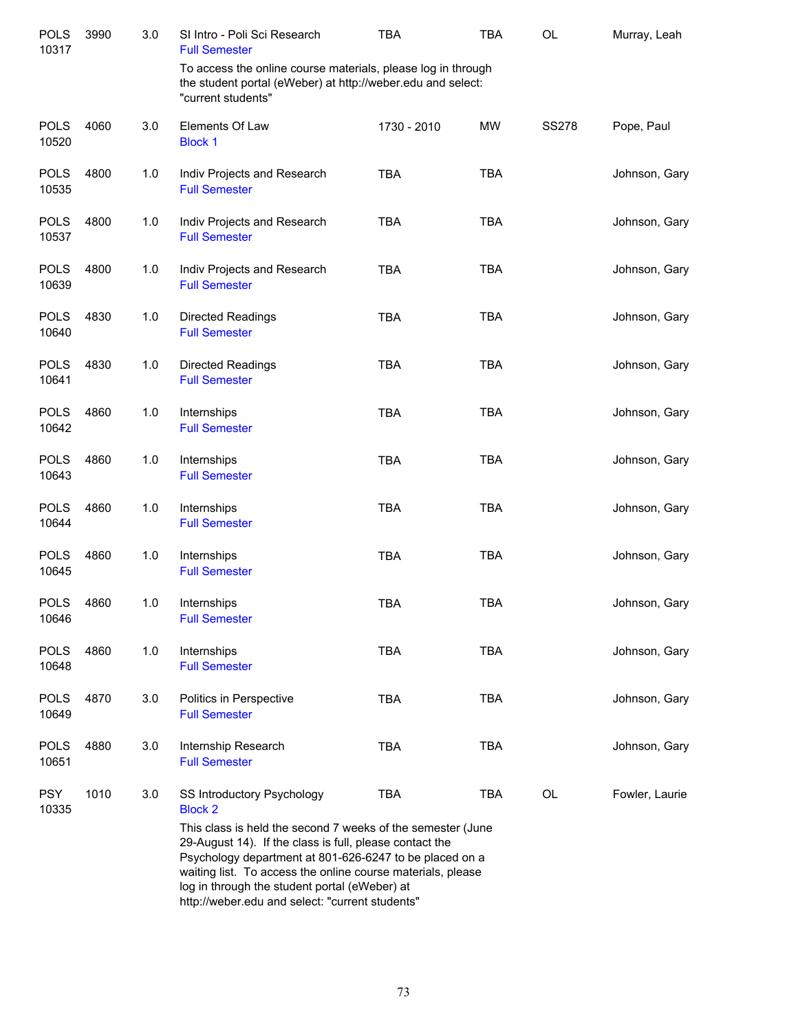| <b>POLS</b><br>10317 | 3990 | 3.0 | SI Intro - Poli Sci Research<br><b>Full Semester</b>                                                                                                                                                                                                                                                                                                                                                 | <b>TBA</b>  | <b>TBA</b> | OL           | Murray, Leah   |
|----------------------|------|-----|------------------------------------------------------------------------------------------------------------------------------------------------------------------------------------------------------------------------------------------------------------------------------------------------------------------------------------------------------------------------------------------------------|-------------|------------|--------------|----------------|
|                      |      |     | To access the online course materials, please log in through<br>the student portal (eWeber) at http://weber.edu and select:<br>"current students"                                                                                                                                                                                                                                                    |             |            |              |                |
| <b>POLS</b><br>10520 | 4060 | 3.0 | Elements Of Law<br><b>Block 1</b>                                                                                                                                                                                                                                                                                                                                                                    | 1730 - 2010 | MW         | <b>SS278</b> | Pope, Paul     |
| <b>POLS</b><br>10535 | 4800 | 1.0 | Indiv Projects and Research<br><b>Full Semester</b>                                                                                                                                                                                                                                                                                                                                                  | <b>TBA</b>  | <b>TBA</b> |              | Johnson, Gary  |
| <b>POLS</b><br>10537 | 4800 | 1.0 | Indiv Projects and Research<br><b>Full Semester</b>                                                                                                                                                                                                                                                                                                                                                  | <b>TBA</b>  | <b>TBA</b> |              | Johnson, Gary  |
| <b>POLS</b><br>10639 | 4800 | 1.0 | Indiv Projects and Research<br><b>Full Semester</b>                                                                                                                                                                                                                                                                                                                                                  | <b>TBA</b>  | <b>TBA</b> |              | Johnson, Gary  |
| <b>POLS</b><br>10640 | 4830 | 1.0 | <b>Directed Readings</b><br><b>Full Semester</b>                                                                                                                                                                                                                                                                                                                                                     | <b>TBA</b>  | <b>TBA</b> |              | Johnson, Gary  |
| <b>POLS</b><br>10641 | 4830 | 1.0 | <b>Directed Readings</b><br><b>Full Semester</b>                                                                                                                                                                                                                                                                                                                                                     | <b>TBA</b>  | <b>TBA</b> |              | Johnson, Gary  |
| <b>POLS</b><br>10642 | 4860 | 1.0 | Internships<br><b>Full Semester</b>                                                                                                                                                                                                                                                                                                                                                                  | <b>TBA</b>  | <b>TBA</b> |              | Johnson, Gary  |
| <b>POLS</b><br>10643 | 4860 | 1.0 | Internships<br><b>Full Semester</b>                                                                                                                                                                                                                                                                                                                                                                  | <b>TBA</b>  | <b>TBA</b> |              | Johnson, Gary  |
| <b>POLS</b><br>10644 | 4860 | 1.0 | Internships<br><b>Full Semester</b>                                                                                                                                                                                                                                                                                                                                                                  | <b>TBA</b>  | <b>TBA</b> |              | Johnson, Gary  |
| <b>POLS</b><br>10645 | 4860 | 1.0 | Internships<br><b>Full Semester</b>                                                                                                                                                                                                                                                                                                                                                                  | <b>TBA</b>  | <b>TBA</b> |              | Johnson, Gary  |
| <b>POLS</b><br>10646 | 4860 | 1.0 | Internships<br><b>Full Semester</b>                                                                                                                                                                                                                                                                                                                                                                  | <b>TBA</b>  | <b>TBA</b> |              | Johnson, Gary  |
| <b>POLS</b><br>10648 | 4860 | 1.0 | Internships<br><b>Full Semester</b>                                                                                                                                                                                                                                                                                                                                                                  | <b>TBA</b>  | <b>TBA</b> |              | Johnson, Gary  |
| <b>POLS</b><br>10649 | 4870 | 3.0 | Politics in Perspective<br><b>Full Semester</b>                                                                                                                                                                                                                                                                                                                                                      | <b>TBA</b>  | <b>TBA</b> |              | Johnson, Gary  |
| <b>POLS</b><br>10651 | 4880 | 3.0 | Internship Research<br><b>Full Semester</b>                                                                                                                                                                                                                                                                                                                                                          | <b>TBA</b>  | <b>TBA</b> |              | Johnson, Gary  |
| <b>PSY</b><br>10335  | 1010 | 3.0 | SS Introductory Psychology<br><b>Block 2</b><br>This class is held the second 7 weeks of the semester (June<br>29-August 14). If the class is full, please contact the<br>Psychology department at 801-626-6247 to be placed on a<br>waiting list. To access the online course materials, please<br>log in through the student portal (eWeber) at<br>http://weber.edu and select: "current students" | <b>TBA</b>  | TBA        | OL           | Fowler, Laurie |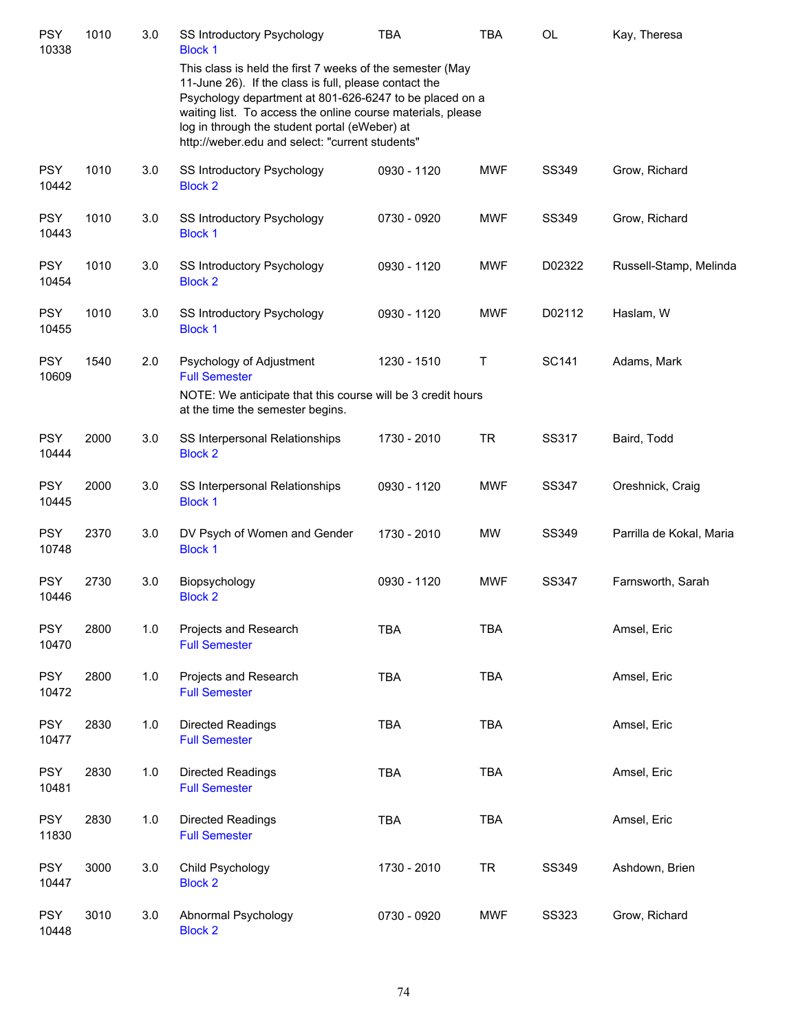| <b>PSY</b><br>10338 | 1010 | 3.0 | <b>SS Introductory Psychology</b><br><b>Block 1</b>                                                                                                                                                                                                                                                                                              | <b>TBA</b>  | <b>TBA</b> | <b>OL</b>    | Kay, Theresa             |
|---------------------|------|-----|--------------------------------------------------------------------------------------------------------------------------------------------------------------------------------------------------------------------------------------------------------------------------------------------------------------------------------------------------|-------------|------------|--------------|--------------------------|
|                     |      |     | This class is held the first 7 weeks of the semester (May<br>11-June 26). If the class is full, please contact the<br>Psychology department at 801-626-6247 to be placed on a<br>waiting list. To access the online course materials, please<br>log in through the student portal (eWeber) at<br>http://weber.edu and select: "current students" |             |            |              |                          |
| <b>PSY</b><br>10442 | 1010 | 3.0 | SS Introductory Psychology<br><b>Block 2</b>                                                                                                                                                                                                                                                                                                     | 0930 - 1120 | <b>MWF</b> | SS349        | Grow, Richard            |
| <b>PSY</b><br>10443 | 1010 | 3.0 | SS Introductory Psychology<br><b>Block 1</b>                                                                                                                                                                                                                                                                                                     | 0730 - 0920 | <b>MWF</b> | SS349        | Grow, Richard            |
| <b>PSY</b><br>10454 | 1010 | 3.0 | SS Introductory Psychology<br><b>Block 2</b>                                                                                                                                                                                                                                                                                                     | 0930 - 1120 | <b>MWF</b> | D02322       | Russell-Stamp, Melinda   |
| <b>PSY</b><br>10455 | 1010 | 3.0 | <b>SS Introductory Psychology</b><br><b>Block 1</b>                                                                                                                                                                                                                                                                                              | 0930 - 1120 | <b>MWF</b> | D02112       | Haslam, W                |
| <b>PSY</b><br>10609 | 1540 | 2.0 | Psychology of Adjustment<br><b>Full Semester</b>                                                                                                                                                                                                                                                                                                 | 1230 - 1510 | Τ          | <b>SC141</b> | Adams, Mark              |
|                     |      |     | NOTE: We anticipate that this course will be 3 credit hours<br>at the time the semester begins.                                                                                                                                                                                                                                                  |             |            |              |                          |
| <b>PSY</b><br>10444 | 2000 | 3.0 | SS Interpersonal Relationships<br><b>Block 2</b>                                                                                                                                                                                                                                                                                                 | 1730 - 2010 | <b>TR</b>  | SS317        | Baird, Todd              |
| <b>PSY</b><br>10445 | 2000 | 3.0 | SS Interpersonal Relationships<br><b>Block 1</b>                                                                                                                                                                                                                                                                                                 | 0930 - 1120 | <b>MWF</b> | SS347        | Oreshnick, Craig         |
| <b>PSY</b><br>10748 | 2370 | 3.0 | DV Psych of Women and Gender<br><b>Block 1</b>                                                                                                                                                                                                                                                                                                   | 1730 - 2010 | MW         | SS349        | Parrilla de Kokal, Maria |
| <b>PSY</b><br>10446 | 2730 | 3.0 | Biopsychology<br><b>Block 2</b>                                                                                                                                                                                                                                                                                                                  | 0930 - 1120 | <b>MWF</b> | <b>SS347</b> | Farnsworth, Sarah        |
| <b>PSY</b><br>10470 | 2800 | 1.0 | Projects and Research<br><b>Full Semester</b>                                                                                                                                                                                                                                                                                                    | <b>TBA</b>  | <b>TBA</b> |              | Amsel, Eric              |
| <b>PSY</b><br>10472 | 2800 | 1.0 | Projects and Research<br><b>Full Semester</b>                                                                                                                                                                                                                                                                                                    | <b>TBA</b>  | <b>TBA</b> |              | Amsel, Eric              |
| <b>PSY</b><br>10477 | 2830 | 1.0 | Directed Readings<br><b>Full Semester</b>                                                                                                                                                                                                                                                                                                        | TBA         | <b>TBA</b> |              | Amsel, Eric              |
| <b>PSY</b><br>10481 | 2830 | 1.0 | Directed Readings<br><b>Full Semester</b>                                                                                                                                                                                                                                                                                                        | <b>TBA</b>  | <b>TBA</b> |              | Amsel, Eric              |
| <b>PSY</b><br>11830 | 2830 | 1.0 | <b>Directed Readings</b><br><b>Full Semester</b>                                                                                                                                                                                                                                                                                                 | <b>TBA</b>  | <b>TBA</b> |              | Amsel, Eric              |
| <b>PSY</b><br>10447 | 3000 | 3.0 | Child Psychology<br><b>Block 2</b>                                                                                                                                                                                                                                                                                                               | 1730 - 2010 | <b>TR</b>  | SS349        | Ashdown, Brien           |
| <b>PSY</b><br>10448 | 3010 | 3.0 | Abnormal Psychology<br><b>Block 2</b>                                                                                                                                                                                                                                                                                                            | 0730 - 0920 | <b>MWF</b> | <b>SS323</b> | Grow, Richard            |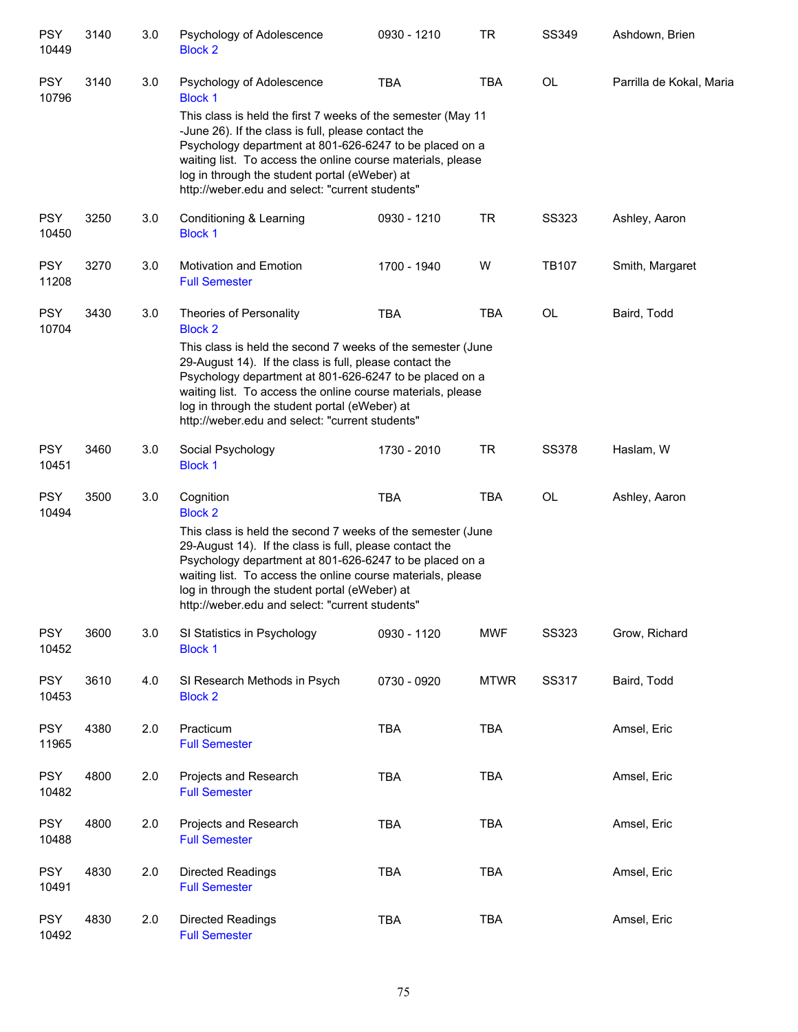| <b>PSY</b><br>10449 | 3140 | 3.0 | Psychology of Adolescence<br><b>Block 2</b>                                                                                                                                                                                                                                                                                                                                         | 0930 - 1210 | <b>TR</b>   | SS349        | Ashdown, Brien           |
|---------------------|------|-----|-------------------------------------------------------------------------------------------------------------------------------------------------------------------------------------------------------------------------------------------------------------------------------------------------------------------------------------------------------------------------------------|-------------|-------------|--------------|--------------------------|
| <b>PSY</b><br>10796 | 3140 | 3.0 | Psychology of Adolescence<br><b>Block 1</b>                                                                                                                                                                                                                                                                                                                                         | <b>TBA</b>  | <b>TBA</b>  | OL           | Parrilla de Kokal, Maria |
|                     |      |     | This class is held the first 7 weeks of the semester (May 11<br>-June 26). If the class is full, please contact the<br>Psychology department at 801-626-6247 to be placed on a<br>waiting list. To access the online course materials, please<br>log in through the student portal (eWeber) at<br>http://weber.edu and select: "current students"                                   |             |             |              |                          |
| <b>PSY</b><br>10450 | 3250 | 3.0 | Conditioning & Learning<br><b>Block 1</b>                                                                                                                                                                                                                                                                                                                                           | 0930 - 1210 | <b>TR</b>   | <b>SS323</b> | Ashley, Aaron            |
| <b>PSY</b><br>11208 | 3270 | 3.0 | <b>Motivation and Emotion</b><br><b>Full Semester</b>                                                                                                                                                                                                                                                                                                                               | 1700 - 1940 | W           | <b>TB107</b> | Smith, Margaret          |
| <b>PSY</b><br>10704 | 3430 | 3.0 | Theories of Personality<br><b>Block 2</b>                                                                                                                                                                                                                                                                                                                                           | <b>TBA</b>  | <b>TBA</b>  | OL           | Baird, Todd              |
|                     |      |     | This class is held the second 7 weeks of the semester (June<br>29-August 14). If the class is full, please contact the<br>Psychology department at 801-626-6247 to be placed on a<br>waiting list. To access the online course materials, please<br>log in through the student portal (eWeber) at<br>http://weber.edu and select: "current students"                                |             |             |              |                          |
| <b>PSY</b><br>10451 | 3460 | 3.0 | Social Psychology<br><b>Block 1</b>                                                                                                                                                                                                                                                                                                                                                 | 1730 - 2010 | <b>TR</b>   | <b>SS378</b> | Haslam, W                |
| <b>PSY</b><br>10494 | 3500 | 3.0 | Cognition<br><b>Block 2</b><br>This class is held the second 7 weeks of the semester (June<br>29-August 14). If the class is full, please contact the<br>Psychology department at 801-626-6247 to be placed on a<br>waiting list. To access the online course materials, please<br>log in through the student portal (eWeber) at<br>http://weber.edu and select: "current students" | <b>TBA</b>  | <b>TBA</b>  | OL           | Ashley, Aaron            |
| <b>PSY</b><br>10452 | 3600 | 3.0 | SI Statistics in Psychology<br><b>Block 1</b>                                                                                                                                                                                                                                                                                                                                       | 0930 - 1120 | <b>MWF</b>  | <b>SS323</b> | Grow, Richard            |
| <b>PSY</b><br>10453 | 3610 | 4.0 | SI Research Methods in Psych<br><b>Block 2</b>                                                                                                                                                                                                                                                                                                                                      | 0730 - 0920 | <b>MTWR</b> | SS317        | Baird, Todd              |
| <b>PSY</b><br>11965 | 4380 | 2.0 | Practicum<br><b>Full Semester</b>                                                                                                                                                                                                                                                                                                                                                   | <b>TBA</b>  | TBA         |              | Amsel, Eric              |
| <b>PSY</b><br>10482 | 4800 | 2.0 | Projects and Research<br><b>Full Semester</b>                                                                                                                                                                                                                                                                                                                                       | <b>TBA</b>  | <b>TBA</b>  |              | Amsel, Eric              |
| <b>PSY</b><br>10488 | 4800 | 2.0 | Projects and Research<br><b>Full Semester</b>                                                                                                                                                                                                                                                                                                                                       | <b>TBA</b>  | <b>TBA</b>  |              | Amsel, Eric              |
| <b>PSY</b><br>10491 | 4830 | 2.0 | <b>Directed Readings</b><br><b>Full Semester</b>                                                                                                                                                                                                                                                                                                                                    | <b>TBA</b>  | <b>TBA</b>  |              | Amsel, Eric              |
| <b>PSY</b><br>10492 | 4830 | 2.0 | Directed Readings<br><b>Full Semester</b>                                                                                                                                                                                                                                                                                                                                           | <b>TBA</b>  | TBA         |              | Amsel, Eric              |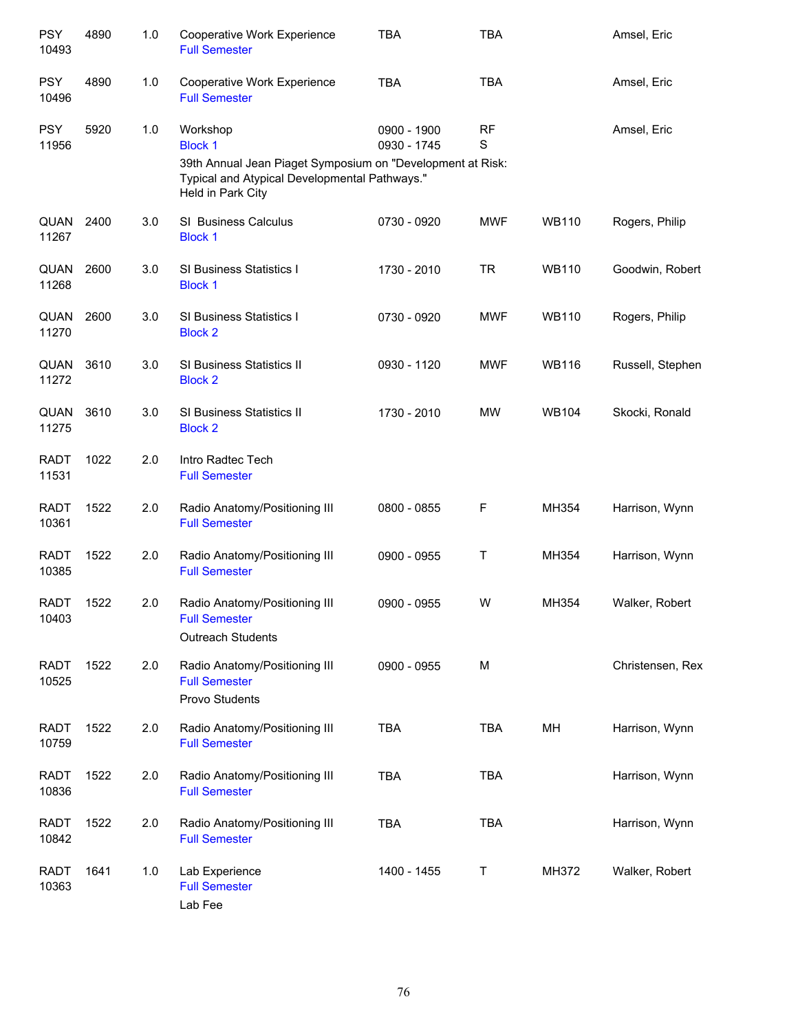| <b>PSY</b><br>10493  | 4890 | 1.0 | Cooperative Work Experience<br><b>Full Semester</b>                                                                                                            | <b>TBA</b>                 | <b>TBA</b> |              | Amsel, Eric      |
|----------------------|------|-----|----------------------------------------------------------------------------------------------------------------------------------------------------------------|----------------------------|------------|--------------|------------------|
| <b>PSY</b><br>10496  | 4890 | 1.0 | Cooperative Work Experience<br><b>Full Semester</b>                                                                                                            | <b>TBA</b>                 | <b>TBA</b> |              | Amsel, Eric      |
| <b>PSY</b><br>11956  | 5920 | 1.0 | Workshop<br><b>Block 1</b><br>39th Annual Jean Piaget Symposium on "Development at Risk:<br>Typical and Atypical Developmental Pathways."<br>Held in Park City | 0900 - 1900<br>0930 - 1745 | RF<br>S    |              | Amsel, Eric      |
| QUAN<br>11267        | 2400 | 3.0 | <b>SI Business Calculus</b><br><b>Block 1</b>                                                                                                                  | 0730 - 0920                | <b>MWF</b> | <b>WB110</b> | Rogers, Philip   |
| QUAN<br>11268        | 2600 | 3.0 | <b>SI Business Statistics I</b><br><b>Block 1</b>                                                                                                              | 1730 - 2010                | <b>TR</b>  | <b>WB110</b> | Goodwin, Robert  |
| QUAN<br>11270        | 2600 | 3.0 | <b>SI Business Statistics I</b><br><b>Block 2</b>                                                                                                              | 0730 - 0920                | <b>MWF</b> | <b>WB110</b> | Rogers, Philip   |
| QUAN<br>11272        | 3610 | 3.0 | SI Business Statistics II<br><b>Block 2</b>                                                                                                                    | 0930 - 1120                | <b>MWF</b> | <b>WB116</b> | Russell, Stephen |
| QUAN<br>11275        | 3610 | 3.0 | SI Business Statistics II<br><b>Block 2</b>                                                                                                                    | 1730 - 2010                | <b>MW</b>  | <b>WB104</b> | Skocki, Ronald   |
| <b>RADT</b><br>11531 | 1022 | 2.0 | Intro Radtec Tech<br><b>Full Semester</b>                                                                                                                      |                            |            |              |                  |
| <b>RADT</b><br>10361 | 1522 | 2.0 | Radio Anatomy/Positioning III<br><b>Full Semester</b>                                                                                                          | 0800 - 0855                | F          | MH354        | Harrison, Wynn   |
| <b>RADT</b><br>10385 | 1522 | 2.0 | Radio Anatomy/Positioning III<br><b>Full Semester</b>                                                                                                          | 0900 - 0955                | Τ          | MH354        | Harrison, Wynn   |
| <b>RADT</b><br>10403 | 1522 | 2.0 | Radio Anatomy/Positioning III<br><b>Full Semester</b><br>Outreach Students                                                                                     | 0900 - 0955                | W          | MH354        | Walker, Robert   |
| <b>RADT</b><br>10525 | 1522 | 2.0 | Radio Anatomy/Positioning III<br><b>Full Semester</b><br>Provo Students                                                                                        | 0900 - 0955                | M          |              | Christensen, Rex |
| <b>RADT</b><br>10759 | 1522 | 2.0 | Radio Anatomy/Positioning III<br><b>Full Semester</b>                                                                                                          | <b>TBA</b>                 | <b>TBA</b> | MH           | Harrison, Wynn   |
| <b>RADT</b><br>10836 | 1522 | 2.0 | Radio Anatomy/Positioning III<br><b>Full Semester</b>                                                                                                          | <b>TBA</b>                 | <b>TBA</b> |              | Harrison, Wynn   |
| <b>RADT</b><br>10842 | 1522 | 2.0 | Radio Anatomy/Positioning III<br><b>Full Semester</b>                                                                                                          | <b>TBA</b>                 | <b>TBA</b> |              | Harrison, Wynn   |
| <b>RADT</b><br>10363 | 1641 | 1.0 | Lab Experience<br><b>Full Semester</b><br>Lab Fee                                                                                                              | 1400 - 1455                | Т          | MH372        | Walker, Robert   |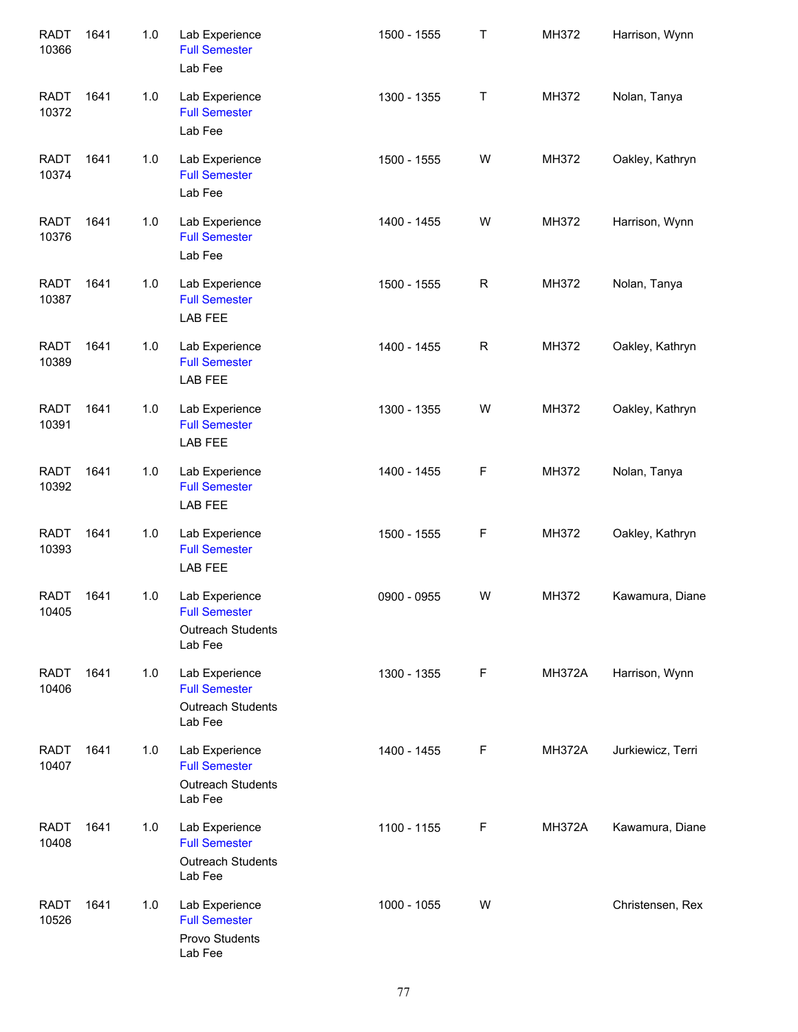| <b>RADT</b><br>10366 | 1641 | 1.0 | Lab Experience<br><b>Full Semester</b><br>Lab Fee                             | 1500 - 1555 | Τ           | MH372         | Harrison, Wynn    |
|----------------------|------|-----|-------------------------------------------------------------------------------|-------------|-------------|---------------|-------------------|
| <b>RADT</b><br>10372 | 1641 | 1.0 | Lab Experience<br><b>Full Semester</b><br>Lab Fee                             | 1300 - 1355 | T           | MH372         | Nolan, Tanya      |
| <b>RADT</b><br>10374 | 1641 | 1.0 | Lab Experience<br><b>Full Semester</b><br>Lab Fee                             | 1500 - 1555 | W           | MH372         | Oakley, Kathryn   |
| <b>RADT</b><br>10376 | 1641 | 1.0 | Lab Experience<br><b>Full Semester</b><br>Lab Fee                             | 1400 - 1455 | W           | MH372         | Harrison, Wynn    |
| <b>RADT</b><br>10387 | 1641 | 1.0 | Lab Experience<br><b>Full Semester</b><br>LAB FEE                             | 1500 - 1555 | $\mathsf R$ | MH372         | Nolan, Tanya      |
| <b>RADT</b><br>10389 | 1641 | 1.0 | Lab Experience<br><b>Full Semester</b><br>LAB FEE                             | 1400 - 1455 | $\mathsf R$ | MH372         | Oakley, Kathryn   |
| <b>RADT</b><br>10391 | 1641 | 1.0 | Lab Experience<br><b>Full Semester</b><br>LAB FEE                             | 1300 - 1355 | W           | MH372         | Oakley, Kathryn   |
| <b>RADT</b><br>10392 | 1641 | 1.0 | Lab Experience<br><b>Full Semester</b><br>LAB FEE                             | 1400 - 1455 | F           | MH372         | Nolan, Tanya      |
| <b>RADT</b><br>10393 | 1641 | 1.0 | Lab Experience<br><b>Full Semester</b><br>LAB FEE                             | 1500 - 1555 | F           | MH372         | Oakley, Kathryn   |
| <b>RADT</b><br>10405 | 1641 | 1.0 | Lab Experience<br><b>Full Semester</b><br><b>Outreach Students</b><br>Lab Fee | 0900 - 0955 | W           | MH372         | Kawamura, Diane   |
| <b>RADT</b><br>10406 | 1641 | 1.0 | Lab Experience<br><b>Full Semester</b><br><b>Outreach Students</b><br>Lab Fee | 1300 - 1355 | F           | <b>MH372A</b> | Harrison, Wynn    |
| <b>RADT</b><br>10407 | 1641 | 1.0 | Lab Experience<br><b>Full Semester</b><br><b>Outreach Students</b><br>Lab Fee | 1400 - 1455 | F           | <b>MH372A</b> | Jurkiewicz, Terri |
| <b>RADT</b><br>10408 | 1641 | 1.0 | Lab Experience<br><b>Full Semester</b><br>Outreach Students<br>Lab Fee        | 1100 - 1155 | F           | <b>MH372A</b> | Kawamura, Diane   |
| <b>RADT</b><br>10526 | 1641 | 1.0 | Lab Experience<br><b>Full Semester</b><br>Provo Students<br>Lab Fee           | 1000 - 1055 | W           |               | Christensen, Rex  |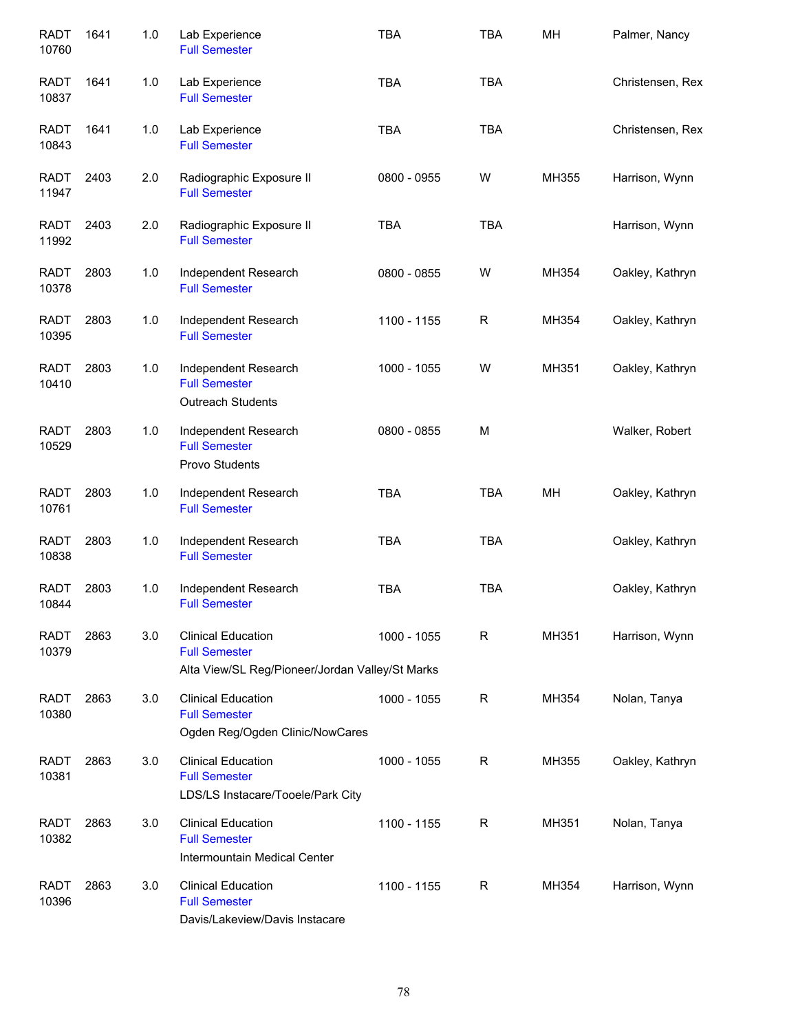| <b>RADT</b><br>10760 | 1641 | 1.0 | Lab Experience<br><b>Full Semester</b>                                                               | <b>TBA</b>  | <b>TBA</b>  | MH    | Palmer, Nancy    |
|----------------------|------|-----|------------------------------------------------------------------------------------------------------|-------------|-------------|-------|------------------|
| <b>RADT</b><br>10837 | 1641 | 1.0 | Lab Experience<br><b>Full Semester</b>                                                               | <b>TBA</b>  | <b>TBA</b>  |       | Christensen, Rex |
| <b>RADT</b><br>10843 | 1641 | 1.0 | Lab Experience<br><b>Full Semester</b>                                                               | <b>TBA</b>  | <b>TBA</b>  |       | Christensen, Rex |
| RADT<br>11947        | 2403 | 2.0 | Radiographic Exposure II<br><b>Full Semester</b>                                                     | 0800 - 0955 | W           | MH355 | Harrison, Wynn   |
| <b>RADT</b><br>11992 | 2403 | 2.0 | Radiographic Exposure II<br><b>Full Semester</b>                                                     | <b>TBA</b>  | <b>TBA</b>  |       | Harrison, Wynn   |
| RADT<br>10378        | 2803 | 1.0 | Independent Research<br><b>Full Semester</b>                                                         | 0800 - 0855 | W           | MH354 | Oakley, Kathryn  |
| <b>RADT</b><br>10395 | 2803 | 1.0 | Independent Research<br><b>Full Semester</b>                                                         | 1100 - 1155 | $\mathsf R$ | MH354 | Oakley, Kathryn  |
| <b>RADT</b><br>10410 | 2803 | 1.0 | Independent Research<br><b>Full Semester</b><br><b>Outreach Students</b>                             | 1000 - 1055 | W           | MH351 | Oakley, Kathryn  |
| <b>RADT</b><br>10529 | 2803 | 1.0 | Independent Research<br><b>Full Semester</b><br>Provo Students                                       | 0800 - 0855 | M           |       | Walker, Robert   |
| <b>RADT</b><br>10761 | 2803 | 1.0 | Independent Research<br><b>Full Semester</b>                                                         | <b>TBA</b>  | <b>TBA</b>  | MH    | Oakley, Kathryn  |
| <b>RADT</b><br>10838 | 2803 | 1.0 | Independent Research<br><b>Full Semester</b>                                                         | <b>TBA</b>  | <b>TBA</b>  |       | Oakley, Kathryn  |
| <b>RADT</b><br>10844 | 2803 | 1.0 | Independent Research<br><b>Full Semester</b>                                                         | <b>TBA</b>  | <b>TBA</b>  |       | Oakley, Kathryn  |
| <b>RADT</b><br>10379 | 2863 | 3.0 | <b>Clinical Education</b><br><b>Full Semester</b><br>Alta View/SL Reg/Pioneer/Jordan Valley/St Marks | 1000 - 1055 | R           | MH351 | Harrison, Wynn   |
| <b>RADT</b><br>10380 | 2863 | 3.0 | <b>Clinical Education</b><br><b>Full Semester</b><br>Ogden Reg/Ogden Clinic/NowCares                 | 1000 - 1055 | R           | MH354 | Nolan, Tanya     |
| <b>RADT</b><br>10381 | 2863 | 3.0 | <b>Clinical Education</b><br><b>Full Semester</b><br>LDS/LS Instacare/Tooele/Park City               | 1000 - 1055 | R           | MH355 | Oakley, Kathryn  |
| <b>RADT</b><br>10382 | 2863 | 3.0 | <b>Clinical Education</b><br><b>Full Semester</b><br>Intermountain Medical Center                    | 1100 - 1155 | R           | MH351 | Nolan, Tanya     |
| <b>RADT</b><br>10396 | 2863 | 3.0 | <b>Clinical Education</b><br><b>Full Semester</b><br>Davis/Lakeview/Davis Instacare                  | 1100 - 1155 | R           | MH354 | Harrison, Wynn   |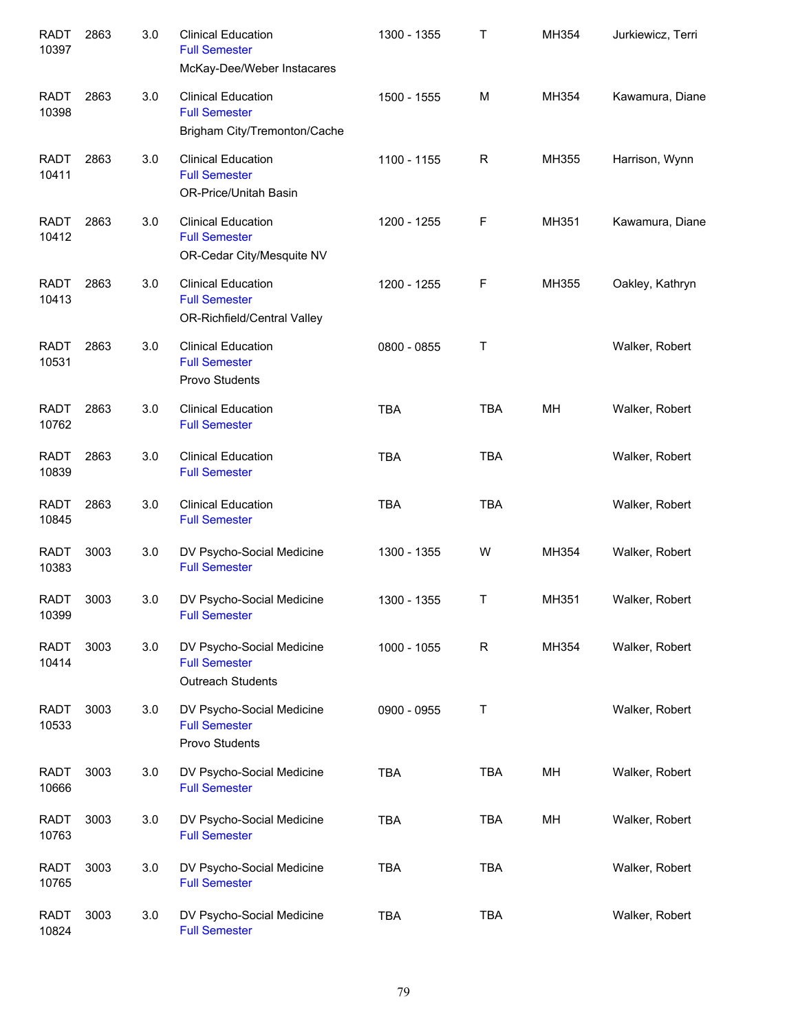| <b>RADT</b><br>10397 | 2863 | 3.0 | <b>Clinical Education</b><br><b>Full Semester</b><br>McKay-Dee/Weber Instacares   | 1300 - 1355 | Τ           | MH354 | Jurkiewicz, Terri |
|----------------------|------|-----|-----------------------------------------------------------------------------------|-------------|-------------|-------|-------------------|
| <b>RADT</b><br>10398 | 2863 | 3.0 | <b>Clinical Education</b><br><b>Full Semester</b><br>Brigham City/Tremonton/Cache | 1500 - 1555 | M           | MH354 | Kawamura, Diane   |
| <b>RADT</b><br>10411 | 2863 | 3.0 | <b>Clinical Education</b><br><b>Full Semester</b><br>OR-Price/Unitah Basin        | 1100 - 1155 | R           | MH355 | Harrison, Wynn    |
| <b>RADT</b><br>10412 | 2863 | 3.0 | <b>Clinical Education</b><br><b>Full Semester</b><br>OR-Cedar City/Mesquite NV    | 1200 - 1255 | F           | MH351 | Kawamura, Diane   |
| <b>RADT</b><br>10413 | 2863 | 3.0 | <b>Clinical Education</b><br><b>Full Semester</b><br>OR-Richfield/Central Valley  | 1200 - 1255 | F           | MH355 | Oakley, Kathryn   |
| <b>RADT</b><br>10531 | 2863 | 3.0 | <b>Clinical Education</b><br><b>Full Semester</b><br>Provo Students               | 0800 - 0855 | Τ           |       | Walker, Robert    |
| RADT<br>10762        | 2863 | 3.0 | <b>Clinical Education</b><br><b>Full Semester</b>                                 | <b>TBA</b>  | <b>TBA</b>  | MH    | Walker, Robert    |
| <b>RADT</b><br>10839 | 2863 | 3.0 | <b>Clinical Education</b><br><b>Full Semester</b>                                 | <b>TBA</b>  | <b>TBA</b>  |       | Walker, Robert    |
| <b>RADT</b><br>10845 | 2863 | 3.0 | <b>Clinical Education</b><br><b>Full Semester</b>                                 | <b>TBA</b>  | <b>TBA</b>  |       | Walker, Robert    |
| <b>RADT</b><br>10383 | 3003 | 3.0 | DV Psycho-Social Medicine<br><b>Full Semester</b>                                 | 1300 - 1355 | W           | MH354 | Walker, Robert    |
| RADT<br>10399        | 3003 | 3.0 | DV Psycho-Social Medicine<br><b>Full Semester</b>                                 | 1300 - 1355 | Т           | MH351 | Walker, Robert    |
| <b>RADT</b><br>10414 | 3003 | 3.0 | DV Psycho-Social Medicine<br><b>Full Semester</b><br>Outreach Students            | 1000 - 1055 | $\mathsf R$ | MH354 | Walker, Robert    |
| <b>RADT</b><br>10533 | 3003 | 3.0 | DV Psycho-Social Medicine<br><b>Full Semester</b><br>Provo Students               | 0900 - 0955 | Τ           |       | Walker, Robert    |
| <b>RADT</b><br>10666 | 3003 | 3.0 | DV Psycho-Social Medicine<br><b>Full Semester</b>                                 | <b>TBA</b>  | <b>TBA</b>  | MH    | Walker, Robert    |
| <b>RADT</b><br>10763 | 3003 | 3.0 | DV Psycho-Social Medicine<br><b>Full Semester</b>                                 | <b>TBA</b>  | TBA         | MH    | Walker, Robert    |
| <b>RADT</b><br>10765 | 3003 | 3.0 | DV Psycho-Social Medicine<br><b>Full Semester</b>                                 | <b>TBA</b>  | <b>TBA</b>  |       | Walker, Robert    |
| <b>RADT</b><br>10824 | 3003 | 3.0 | DV Psycho-Social Medicine<br><b>Full Semester</b>                                 | <b>TBA</b>  | <b>TBA</b>  |       | Walker, Robert    |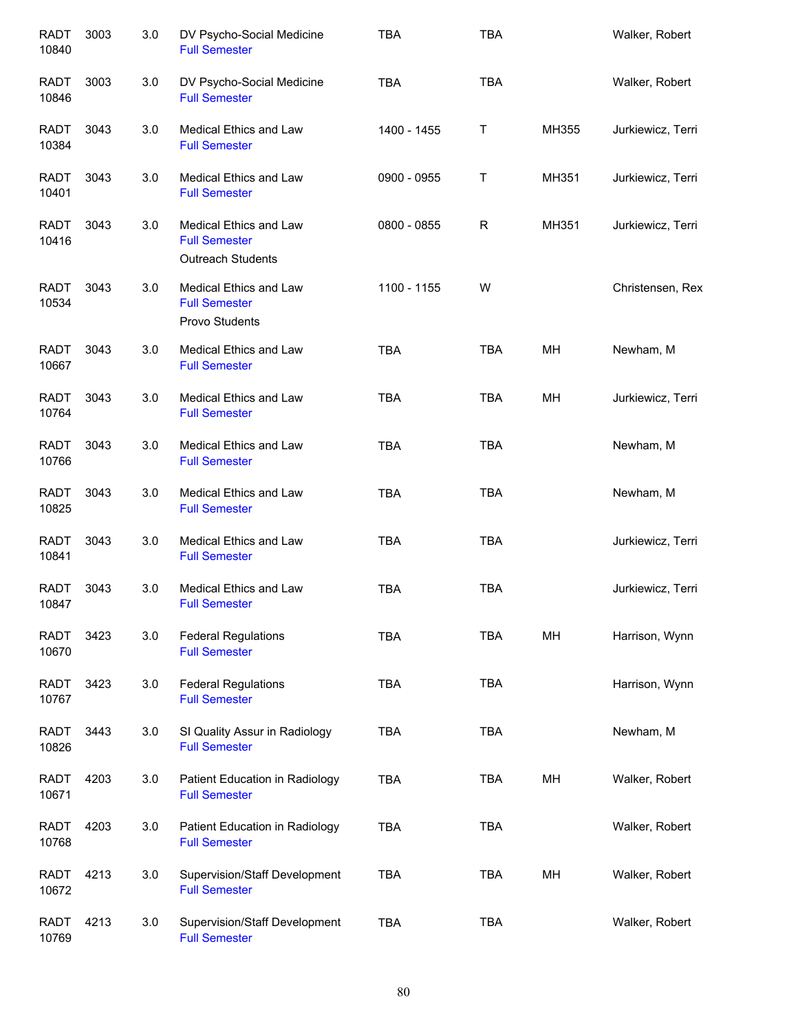| <b>RADT</b><br>10840 | 3003 | 3.0 | DV Psycho-Social Medicine<br><b>Full Semester</b>                          | <b>TBA</b>  | <b>TBA</b> |       | Walker, Robert    |
|----------------------|------|-----|----------------------------------------------------------------------------|-------------|------------|-------|-------------------|
| <b>RADT</b><br>10846 | 3003 | 3.0 | DV Psycho-Social Medicine<br><b>Full Semester</b>                          | <b>TBA</b>  | <b>TBA</b> |       | Walker, Robert    |
| RADT<br>10384        | 3043 | 3.0 | <b>Medical Ethics and Law</b><br><b>Full Semester</b>                      | 1400 - 1455 | Т          | MH355 | Jurkiewicz, Terri |
| <b>RADT</b><br>10401 | 3043 | 3.0 | Medical Ethics and Law<br><b>Full Semester</b>                             | 0900 - 0955 | Т          | MH351 | Jurkiewicz, Terri |
| <b>RADT</b><br>10416 | 3043 | 3.0 | Medical Ethics and Law<br><b>Full Semester</b><br><b>Outreach Students</b> | 0800 - 0855 | R          | MH351 | Jurkiewicz, Terri |
| <b>RADT</b><br>10534 | 3043 | 3.0 | Medical Ethics and Law<br><b>Full Semester</b><br>Provo Students           | 1100 - 1155 | W          |       | Christensen, Rex  |
| <b>RADT</b><br>10667 | 3043 | 3.0 | Medical Ethics and Law<br><b>Full Semester</b>                             | <b>TBA</b>  | <b>TBA</b> | MH    | Newham, M         |
| <b>RADT</b><br>10764 | 3043 | 3.0 | Medical Ethics and Law<br><b>Full Semester</b>                             | <b>TBA</b>  | <b>TBA</b> | MH    | Jurkiewicz, Terri |
| <b>RADT</b><br>10766 | 3043 | 3.0 | Medical Ethics and Law<br><b>Full Semester</b>                             | <b>TBA</b>  | <b>TBA</b> |       | Newham, M         |
| <b>RADT</b><br>10825 | 3043 | 3.0 | Medical Ethics and Law<br><b>Full Semester</b>                             | <b>TBA</b>  | <b>TBA</b> |       | Newham, M         |
| <b>RADT</b><br>10841 | 3043 | 3.0 | Medical Ethics and Law<br><b>Full Semester</b>                             | <b>TBA</b>  | <b>TBA</b> |       | Jurkiewicz, Terri |
| <b>RADT</b><br>10847 | 3043 | 3.0 | Medical Ethics and Law<br><b>Full Semester</b>                             | <b>TBA</b>  | <b>TBA</b> |       | Jurkiewicz, Terri |
| <b>RADT</b><br>10670 | 3423 | 3.0 | <b>Federal Regulations</b><br><b>Full Semester</b>                         | <b>TBA</b>  | <b>TBA</b> | MH    | Harrison, Wynn    |
| RADT<br>10767        | 3423 | 3.0 | <b>Federal Regulations</b><br><b>Full Semester</b>                         | <b>TBA</b>  | <b>TBA</b> |       | Harrison, Wynn    |
| RADT<br>10826        | 3443 | 3.0 | SI Quality Assur in Radiology<br><b>Full Semester</b>                      | <b>TBA</b>  | <b>TBA</b> |       | Newham, M         |
| RADT<br>10671        | 4203 | 3.0 | Patient Education in Radiology<br><b>Full Semester</b>                     | <b>TBA</b>  | <b>TBA</b> | MH    | Walker, Robert    |
| <b>RADT</b><br>10768 | 4203 | 3.0 | Patient Education in Radiology<br><b>Full Semester</b>                     | <b>TBA</b>  | <b>TBA</b> |       | Walker, Robert    |
| <b>RADT</b><br>10672 | 4213 | 3.0 | Supervision/Staff Development<br><b>Full Semester</b>                      | <b>TBA</b>  | <b>TBA</b> | MН    | Walker, Robert    |
| <b>RADT</b><br>10769 | 4213 | 3.0 | Supervision/Staff Development<br><b>Full Semester</b>                      | <b>TBA</b>  | <b>TBA</b> |       | Walker, Robert    |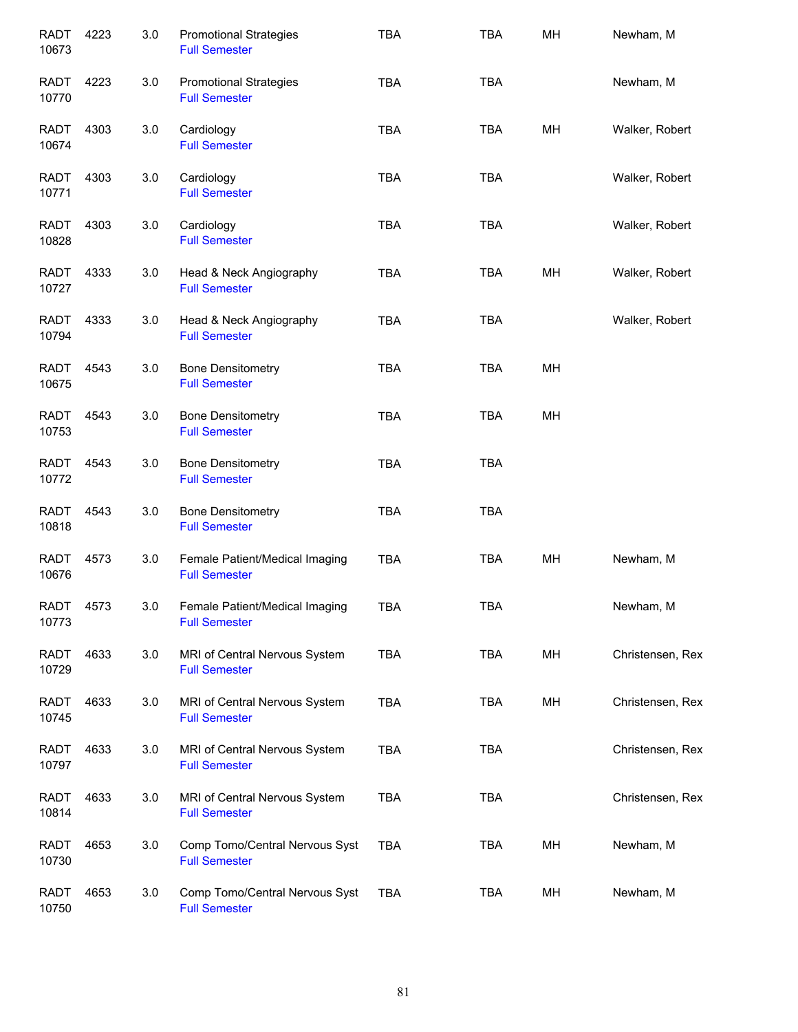| <b>RADT</b><br>10673 | 4223 | 3.0 | <b>Promotional Strategies</b><br><b>Full Semester</b>  | <b>TBA</b> | <b>TBA</b> | MH | Newham, M        |
|----------------------|------|-----|--------------------------------------------------------|------------|------------|----|------------------|
| RADT<br>10770        | 4223 | 3.0 | <b>Promotional Strategies</b><br><b>Full Semester</b>  | <b>TBA</b> | <b>TBA</b> |    | Newham, M        |
| <b>RADT</b><br>10674 | 4303 | 3.0 | Cardiology<br><b>Full Semester</b>                     | <b>TBA</b> | <b>TBA</b> | MН | Walker, Robert   |
| RADT<br>10771        | 4303 | 3.0 | Cardiology<br><b>Full Semester</b>                     | <b>TBA</b> | <b>TBA</b> |    | Walker, Robert   |
| RADT<br>10828        | 4303 | 3.0 | Cardiology<br><b>Full Semester</b>                     | <b>TBA</b> | <b>TBA</b> |    | Walker, Robert   |
| RADT<br>10727        | 4333 | 3.0 | Head & Neck Angiography<br><b>Full Semester</b>        | <b>TBA</b> | <b>TBA</b> | MН | Walker, Robert   |
| <b>RADT</b><br>10794 | 4333 | 3.0 | Head & Neck Angiography<br><b>Full Semester</b>        | <b>TBA</b> | <b>TBA</b> |    | Walker, Robert   |
| <b>RADT</b><br>10675 | 4543 | 3.0 | <b>Bone Densitometry</b><br><b>Full Semester</b>       | <b>TBA</b> | <b>TBA</b> | MН |                  |
| <b>RADT</b><br>10753 | 4543 | 3.0 | <b>Bone Densitometry</b><br><b>Full Semester</b>       | <b>TBA</b> | <b>TBA</b> | MH |                  |
| <b>RADT</b><br>10772 | 4543 | 3.0 | <b>Bone Densitometry</b><br><b>Full Semester</b>       | <b>TBA</b> | <b>TBA</b> |    |                  |
| <b>RADT</b><br>10818 | 4543 | 3.0 | <b>Bone Densitometry</b><br><b>Full Semester</b>       | <b>TBA</b> | <b>TBA</b> |    |                  |
| <b>RADT</b><br>10676 | 4573 | 3.0 | Female Patient/Medical Imaging<br><b>Full Semester</b> | <b>TBA</b> | <b>TBA</b> | MH | Newham, M        |
| <b>RADT</b><br>10773 | 4573 | 3.0 | Female Patient/Medical Imaging<br><b>Full Semester</b> | TBA        | TBA        |    | Newham, M        |
| RADT<br>10729        | 4633 | 3.0 | MRI of Central Nervous System<br><b>Full Semester</b>  | <b>TBA</b> | <b>TBA</b> | MH | Christensen, Rex |
| RADT<br>10745        | 4633 | 3.0 | MRI of Central Nervous System<br><b>Full Semester</b>  | <b>TBA</b> | <b>TBA</b> | MH | Christensen, Rex |
| RADT<br>10797        | 4633 | 3.0 | MRI of Central Nervous System<br><b>Full Semester</b>  | <b>TBA</b> | <b>TBA</b> |    | Christensen, Rex |
| <b>RADT</b><br>10814 | 4633 | 3.0 | MRI of Central Nervous System<br><b>Full Semester</b>  | <b>TBA</b> | <b>TBA</b> |    | Christensen, Rex |
| <b>RADT</b><br>10730 | 4653 | 3.0 | Comp Tomo/Central Nervous Syst<br><b>Full Semester</b> | <b>TBA</b> | TBA        | MH | Newham, M        |
| <b>RADT</b><br>10750 | 4653 | 3.0 | Comp Tomo/Central Nervous Syst<br><b>Full Semester</b> | <b>TBA</b> | <b>TBA</b> | MH | Newham, M        |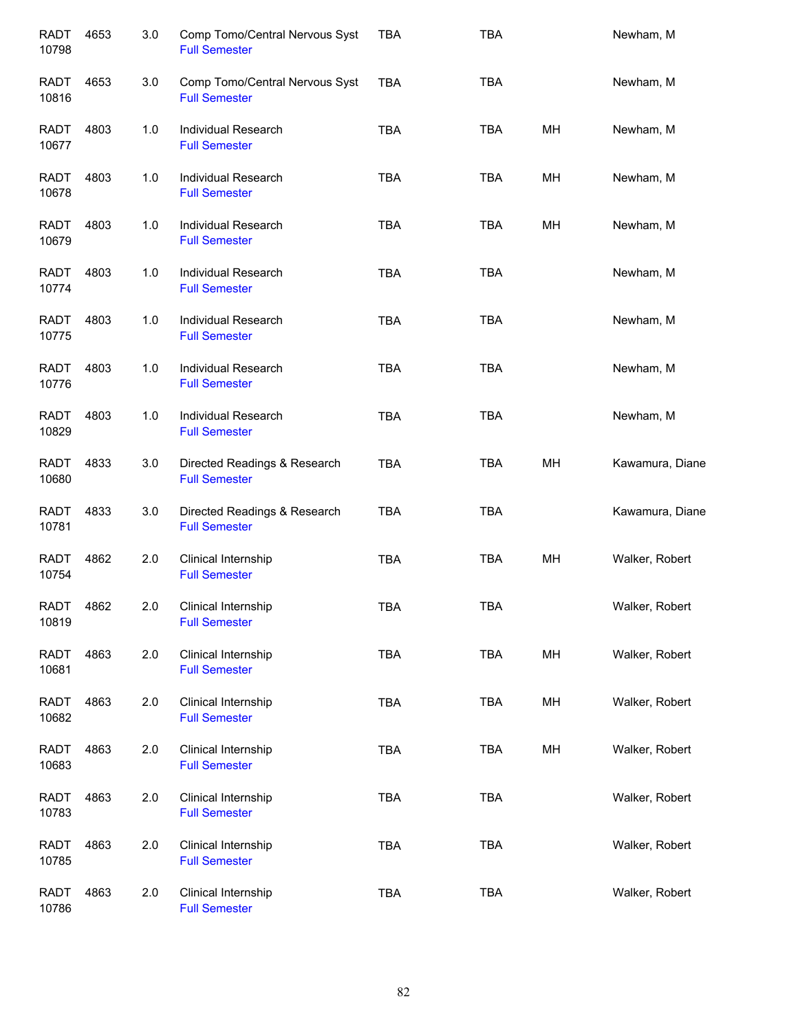| <b>RADT</b><br>10798 | 4653 | 3.0 | Comp Tomo/Central Nervous Syst<br><b>Full Semester</b> | <b>TBA</b> | <b>TBA</b> |    | Newham, M       |
|----------------------|------|-----|--------------------------------------------------------|------------|------------|----|-----------------|
| RADT<br>10816        | 4653 | 3.0 | Comp Tomo/Central Nervous Syst<br><b>Full Semester</b> | <b>TBA</b> | <b>TBA</b> |    | Newham, M       |
| RADT<br>10677        | 4803 | 1.0 | Individual Research<br><b>Full Semester</b>            | <b>TBA</b> | <b>TBA</b> | MН | Newham, M       |
| RADT<br>10678        | 4803 | 1.0 | Individual Research<br><b>Full Semester</b>            | <b>TBA</b> | TBA        | MH | Newham, M       |
| RADT<br>10679        | 4803 | 1.0 | Individual Research<br><b>Full Semester</b>            | <b>TBA</b> | TBA        | MH | Newham, M       |
| <b>RADT</b><br>10774 | 4803 | 1.0 | Individual Research<br><b>Full Semester</b>            | <b>TBA</b> | <b>TBA</b> |    | Newham, M       |
| <b>RADT</b><br>10775 | 4803 | 1.0 | Individual Research<br><b>Full Semester</b>            | <b>TBA</b> | <b>TBA</b> |    | Newham, M       |
| <b>RADT</b><br>10776 | 4803 | 1.0 | Individual Research<br><b>Full Semester</b>            | <b>TBA</b> | <b>TBA</b> |    | Newham, M       |
| <b>RADT</b><br>10829 | 4803 | 1.0 | Individual Research<br><b>Full Semester</b>            | <b>TBA</b> | <b>TBA</b> |    | Newham, M       |
| <b>RADT</b><br>10680 | 4833 | 3.0 | Directed Readings & Research<br><b>Full Semester</b>   | <b>TBA</b> | <b>TBA</b> | MH | Kawamura, Diane |
| <b>RADT</b><br>10781 | 4833 | 3.0 | Directed Readings & Research<br><b>Full Semester</b>   | <b>TBA</b> | <b>TBA</b> |    | Kawamura, Diane |
| <b>RADT</b><br>10754 | 4862 | 2.0 | Clinical Internship<br><b>Full Semester</b>            | <b>TBA</b> | <b>TBA</b> | MH | Walker, Robert  |
| RADT<br>10819        | 4862 | 2.0 | Clinical Internship<br><b>Full Semester</b>            | <b>TBA</b> | <b>TBA</b> |    | Walker, Robert  |
| <b>RADT</b><br>10681 | 4863 | 2.0 | Clinical Internship<br><b>Full Semester</b>            | <b>TBA</b> | <b>TBA</b> | MH | Walker, Robert  |
| <b>RADT</b><br>10682 | 4863 | 2.0 | Clinical Internship<br><b>Full Semester</b>            | <b>TBA</b> | <b>TBA</b> | MH | Walker, Robert  |
| <b>RADT</b><br>10683 | 4863 | 2.0 | Clinical Internship<br><b>Full Semester</b>            | TBA        | <b>TBA</b> | MH | Walker, Robert  |
| <b>RADT</b><br>10783 | 4863 | 2.0 | Clinical Internship<br><b>Full Semester</b>            | <b>TBA</b> | <b>TBA</b> |    | Walker, Robert  |
| <b>RADT</b><br>10785 | 4863 | 2.0 | Clinical Internship<br><b>Full Semester</b>            | <b>TBA</b> | <b>TBA</b> |    | Walker, Robert  |
| <b>RADT</b><br>10786 | 4863 | 2.0 | Clinical Internship<br><b>Full Semester</b>            | <b>TBA</b> | TBA        |    | Walker, Robert  |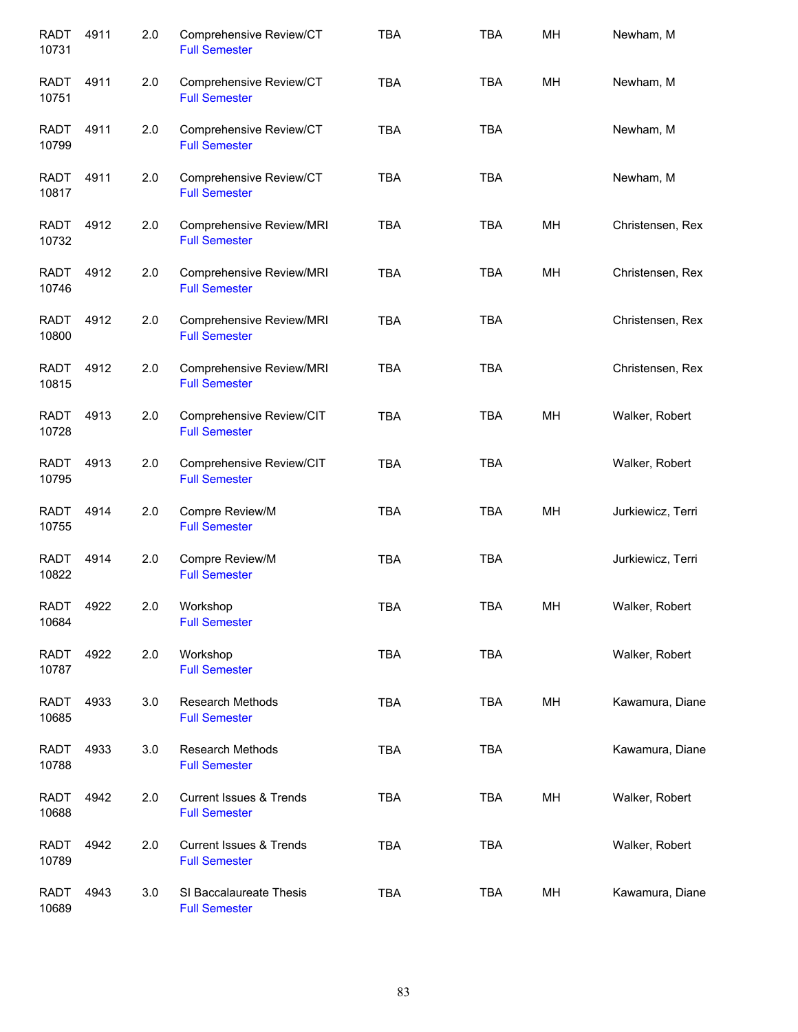| <b>RADT</b><br>10731 | 4911 | 2.0 | Comprehensive Review/CT<br><b>Full Semester</b>            | <b>TBA</b> | <b>TBA</b> | MH | Newham, M         |
|----------------------|------|-----|------------------------------------------------------------|------------|------------|----|-------------------|
| <b>RADT</b><br>10751 | 4911 | 2.0 | Comprehensive Review/CT<br><b>Full Semester</b>            | <b>TBA</b> | <b>TBA</b> | MH | Newham, M         |
| <b>RADT</b><br>10799 | 4911 | 2.0 | Comprehensive Review/CT<br><b>Full Semester</b>            | <b>TBA</b> | <b>TBA</b> |    | Newham, M         |
| RADT<br>10817        | 4911 | 2.0 | Comprehensive Review/CT<br><b>Full Semester</b>            | <b>TBA</b> | <b>TBA</b> |    | Newham, M         |
| RADT<br>10732        | 4912 | 2.0 | Comprehensive Review/MRI<br><b>Full Semester</b>           | <b>TBA</b> | <b>TBA</b> | MН | Christensen, Rex  |
| <b>RADT</b><br>10746 | 4912 | 2.0 | Comprehensive Review/MRI<br><b>Full Semester</b>           | <b>TBA</b> | <b>TBA</b> | MН | Christensen, Rex  |
| <b>RADT</b><br>10800 | 4912 | 2.0 | Comprehensive Review/MRI<br><b>Full Semester</b>           | <b>TBA</b> | <b>TBA</b> |    | Christensen, Rex  |
| <b>RADT</b><br>10815 | 4912 | 2.0 | Comprehensive Review/MRI<br><b>Full Semester</b>           | <b>TBA</b> | <b>TBA</b> |    | Christensen, Rex  |
| <b>RADT</b><br>10728 | 4913 | 2.0 | Comprehensive Review/CIT<br><b>Full Semester</b>           | <b>TBA</b> | <b>TBA</b> | MH | Walker, Robert    |
| <b>RADT</b><br>10795 | 4913 | 2.0 | Comprehensive Review/CIT<br><b>Full Semester</b>           | <b>TBA</b> | <b>TBA</b> |    | Walker, Robert    |
| <b>RADT</b><br>10755 | 4914 | 2.0 | Compre Review/M<br><b>Full Semester</b>                    | <b>TBA</b> | <b>TBA</b> | MH | Jurkiewicz, Terri |
| <b>RADT</b><br>10822 | 4914 | 2.0 | Compre Review/M<br><b>Full Semester</b>                    | <b>TBA</b> | <b>TBA</b> |    | Jurkiewicz, Terri |
| <b>RADT</b><br>10684 | 4922 | 2.0 | Workshop<br><b>Full Semester</b>                           | <b>TBA</b> | <b>TBA</b> | MН | Walker, Robert    |
| RADT<br>10787        | 4922 | 2.0 | Workshop<br><b>Full Semester</b>                           | <b>TBA</b> | <b>TBA</b> |    | Walker, Robert    |
| <b>RADT</b><br>10685 | 4933 | 3.0 | Research Methods<br><b>Full Semester</b>                   | <b>TBA</b> | TBA        | MH | Kawamura, Diane   |
| <b>RADT</b><br>10788 | 4933 | 3.0 | Research Methods<br><b>Full Semester</b>                   | <b>TBA</b> | <b>TBA</b> |    | Kawamura, Diane   |
| <b>RADT</b><br>10688 | 4942 | 2.0 | <b>Current Issues &amp; Trends</b><br><b>Full Semester</b> | <b>TBA</b> | <b>TBA</b> | MH | Walker, Robert    |
| <b>RADT</b><br>10789 | 4942 | 2.0 | <b>Current Issues &amp; Trends</b><br><b>Full Semester</b> | <b>TBA</b> | <b>TBA</b> |    | Walker, Robert    |
| <b>RADT</b><br>10689 | 4943 | 3.0 | SI Baccalaureate Thesis<br><b>Full Semester</b>            | <b>TBA</b> | TBA        | MH | Kawamura, Diane   |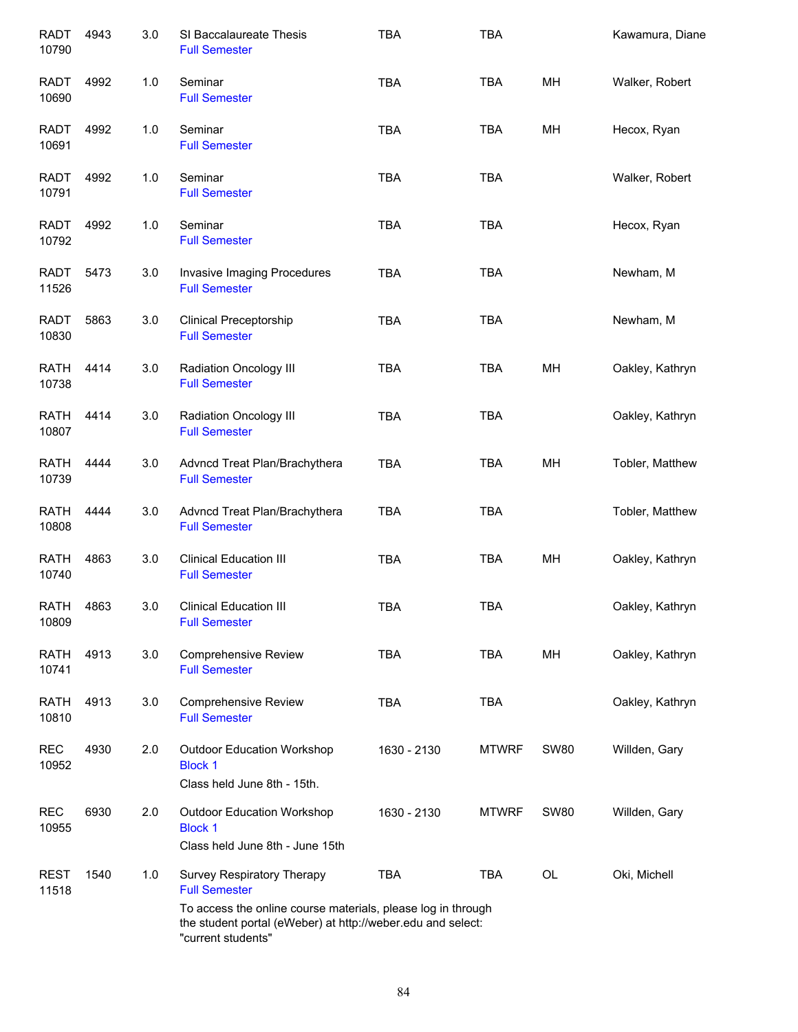| <b>RADT</b><br>10790 | 4943 | 3.0 | SI Baccalaureate Thesis<br><b>Full Semester</b>                                                                    | <b>TBA</b>  | <b>TBA</b>   |             | Kawamura, Diane |
|----------------------|------|-----|--------------------------------------------------------------------------------------------------------------------|-------------|--------------|-------------|-----------------|
| <b>RADT</b><br>10690 | 4992 | 1.0 | Seminar<br><b>Full Semester</b>                                                                                    | <b>TBA</b>  | <b>TBA</b>   | MН          | Walker, Robert  |
| <b>RADT</b><br>10691 | 4992 | 1.0 | Seminar<br><b>Full Semester</b>                                                                                    | <b>TBA</b>  | TBA          | MH          | Hecox, Ryan     |
| <b>RADT</b><br>10791 | 4992 | 1.0 | Seminar<br><b>Full Semester</b>                                                                                    | <b>TBA</b>  | <b>TBA</b>   |             | Walker, Robert  |
| RADT<br>10792        | 4992 | 1.0 | Seminar<br><b>Full Semester</b>                                                                                    | <b>TBA</b>  | <b>TBA</b>   |             | Hecox, Ryan     |
| RADT<br>11526        | 5473 | 3.0 | Invasive Imaging Procedures<br><b>Full Semester</b>                                                                | <b>TBA</b>  | <b>TBA</b>   |             | Newham, M       |
| <b>RADT</b><br>10830 | 5863 | 3.0 | <b>Clinical Preceptorship</b><br><b>Full Semester</b>                                                              | <b>TBA</b>  | <b>TBA</b>   |             | Newham, M       |
| <b>RATH</b><br>10738 | 4414 | 3.0 | Radiation Oncology III<br><b>Full Semester</b>                                                                     | <b>TBA</b>  | <b>TBA</b>   | MH          | Oakley, Kathryn |
| <b>RATH</b><br>10807 | 4414 | 3.0 | Radiation Oncology III<br><b>Full Semester</b>                                                                     | <b>TBA</b>  | <b>TBA</b>   |             | Oakley, Kathryn |
| <b>RATH</b><br>10739 | 4444 | 3.0 | Advncd Treat Plan/Brachythera<br><b>Full Semester</b>                                                              | <b>TBA</b>  | <b>TBA</b>   | MH          | Tobler, Matthew |
| <b>RATH</b><br>10808 | 4444 | 3.0 | Advncd Treat Plan/Brachythera<br><b>Full Semester</b>                                                              | <b>TBA</b>  | <b>TBA</b>   |             | Tobler, Matthew |
| <b>RATH</b><br>10740 | 4863 | 3.0 | <b>Clinical Education III</b><br><b>Full Semester</b>                                                              | <b>TBA</b>  | <b>TBA</b>   | MH          | Oakley, Kathryn |
| <b>RATH</b><br>10809 | 4863 | 3.0 | <b>Clinical Education III</b><br><b>Full Semester</b>                                                              | <b>TBA</b>  | <b>TBA</b>   |             | Oakley, Kathryn |
| <b>RATH</b><br>10741 | 4913 | 3.0 | <b>Comprehensive Review</b><br><b>Full Semester</b>                                                                | <b>TBA</b>  | <b>TBA</b>   | MH          | Oakley, Kathryn |
| <b>RATH</b><br>10810 | 4913 | 3.0 | <b>Comprehensive Review</b><br><b>Full Semester</b>                                                                | <b>TBA</b>  | <b>TBA</b>   |             | Oakley, Kathryn |
| <b>REC</b><br>10952  | 4930 | 2.0 | <b>Outdoor Education Workshop</b><br><b>Block 1</b><br>Class held June 8th - 15th.                                 | 1630 - 2130 | <b>MTWRF</b> | <b>SW80</b> | Willden, Gary   |
| <b>REC</b><br>10955  | 6930 | 2.0 | <b>Outdoor Education Workshop</b><br><b>Block 1</b><br>Class held June 8th - June 15th                             | 1630 - 2130 | <b>MTWRF</b> | <b>SW80</b> | Willden, Gary   |
| <b>REST</b><br>11518 | 1540 | 1.0 | Survey Respiratory Therapy<br><b>Full Semester</b><br>To access the online course materials, please log in through | <b>TBA</b>  | TBA          | <b>OL</b>   | Oki, Michell    |
|                      |      |     | the student portal (eWeber) at http://weber.edu and select:<br>"current students"                                  |             |              |             |                 |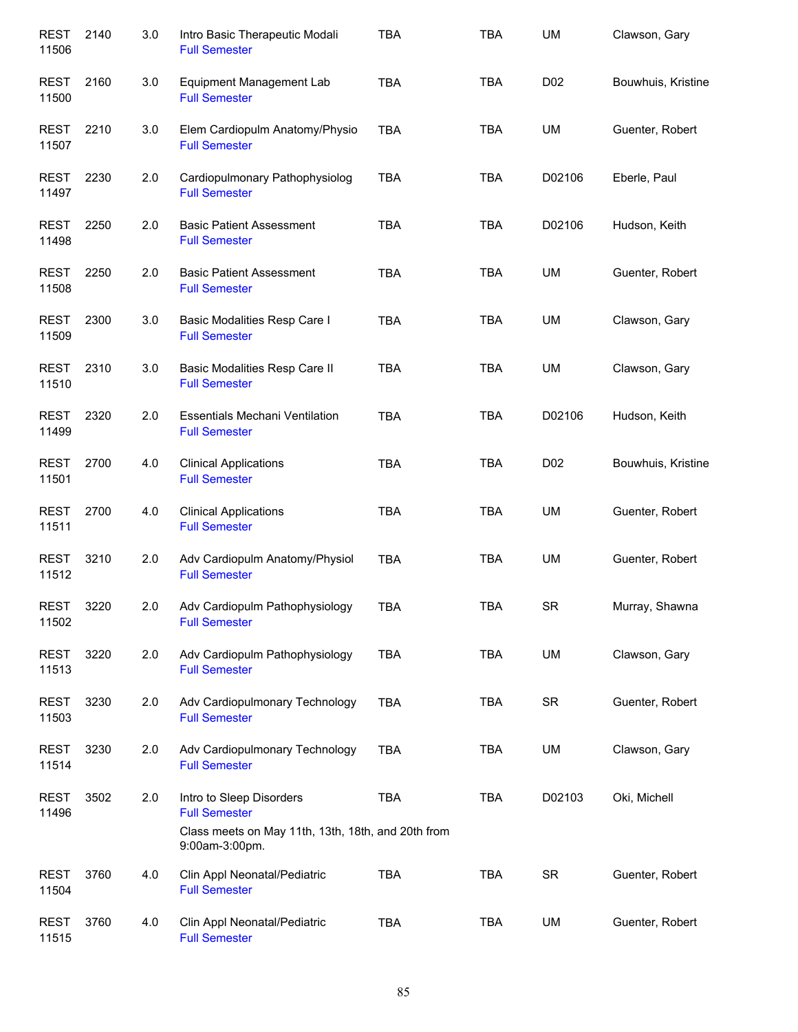| <b>REST</b><br>11506 | 2140 | 3.0 | Intro Basic Therapeutic Modali<br><b>Full Semester</b>               | <b>TBA</b> | <b>TBA</b> | UM              | Clawson, Gary      |
|----------------------|------|-----|----------------------------------------------------------------------|------------|------------|-----------------|--------------------|
| <b>REST</b><br>11500 | 2160 | 3.0 | Equipment Management Lab<br><b>Full Semester</b>                     | <b>TBA</b> | <b>TBA</b> | D <sub>02</sub> | Bouwhuis, Kristine |
| <b>REST</b><br>11507 | 2210 | 3.0 | Elem Cardiopulm Anatomy/Physio<br><b>Full Semester</b>               | <b>TBA</b> | TBA        | UM              | Guenter, Robert    |
| REST<br>11497        | 2230 | 2.0 | Cardiopulmonary Pathophysiolog<br><b>Full Semester</b>               | <b>TBA</b> | TBA        | D02106          | Eberle, Paul       |
| REST<br>11498        | 2250 | 2.0 | <b>Basic Patient Assessment</b><br><b>Full Semester</b>              | <b>TBA</b> | TBA        | D02106          | Hudson, Keith      |
| REST<br>11508        | 2250 | 2.0 | <b>Basic Patient Assessment</b><br><b>Full Semester</b>              | <b>TBA</b> | <b>TBA</b> | UM              | Guenter, Robert    |
| <b>REST</b><br>11509 | 2300 | 3.0 | Basic Modalities Resp Care I<br><b>Full Semester</b>                 | <b>TBA</b> | <b>TBA</b> | UM              | Clawson, Gary      |
| <b>REST</b><br>11510 | 2310 | 3.0 | Basic Modalities Resp Care II<br><b>Full Semester</b>                | <b>TBA</b> | <b>TBA</b> | UM              | Clawson, Gary      |
| <b>REST</b><br>11499 | 2320 | 2.0 | <b>Essentials Mechani Ventilation</b><br><b>Full Semester</b>        | <b>TBA</b> | <b>TBA</b> | D02106          | Hudson, Keith      |
| <b>REST</b><br>11501 | 2700 | 4.0 | <b>Clinical Applications</b><br><b>Full Semester</b>                 | <b>TBA</b> | <b>TBA</b> | D <sub>02</sub> | Bouwhuis, Kristine |
| <b>REST</b><br>11511 | 2700 | 4.0 | <b>Clinical Applications</b><br><b>Full Semester</b>                 | <b>TBA</b> | <b>TBA</b> | UM              | Guenter, Robert    |
| <b>REST</b><br>11512 | 3210 | 2.0 | Adv Cardiopulm Anatomy/Physiol<br><b>Full Semester</b>               | <b>TBA</b> | <b>TBA</b> | <b>UM</b>       | Guenter, Robert    |
| <b>REST</b><br>11502 | 3220 | 2.0 | Adv Cardiopulm Pathophysiology<br><b>Full Semester</b>               | TBA        | <b>TBA</b> | <b>SR</b>       | Murray, Shawna     |
| <b>REST</b><br>11513 | 3220 | 2.0 | Adv Cardiopulm Pathophysiology<br><b>Full Semester</b>               | <b>TBA</b> | <b>TBA</b> | UM              | Clawson, Gary      |
| <b>REST</b><br>11503 | 3230 | 2.0 | Adv Cardiopulmonary Technology<br><b>Full Semester</b>               | <b>TBA</b> | TBA        | <b>SR</b>       | Guenter, Robert    |
| <b>REST</b><br>11514 | 3230 | 2.0 | Adv Cardiopulmonary Technology<br><b>Full Semester</b>               | <b>TBA</b> | <b>TBA</b> | UM              | Clawson, Gary      |
| <b>REST</b><br>11496 | 3502 | 2.0 | Intro to Sleep Disorders<br><b>Full Semester</b>                     | <b>TBA</b> | <b>TBA</b> | D02103          | Oki, Michell       |
|                      |      |     | Class meets on May 11th, 13th, 18th, and 20th from<br>9:00am-3:00pm. |            |            |                 |                    |
| <b>REST</b><br>11504 | 3760 | 4.0 | Clin Appl Neonatal/Pediatric<br><b>Full Semester</b>                 | <b>TBA</b> | <b>TBA</b> | <b>SR</b>       | Guenter, Robert    |
| <b>REST</b><br>11515 | 3760 | 4.0 | Clin Appl Neonatal/Pediatric<br><b>Full Semester</b>                 | <b>TBA</b> | <b>TBA</b> | UM              | Guenter, Robert    |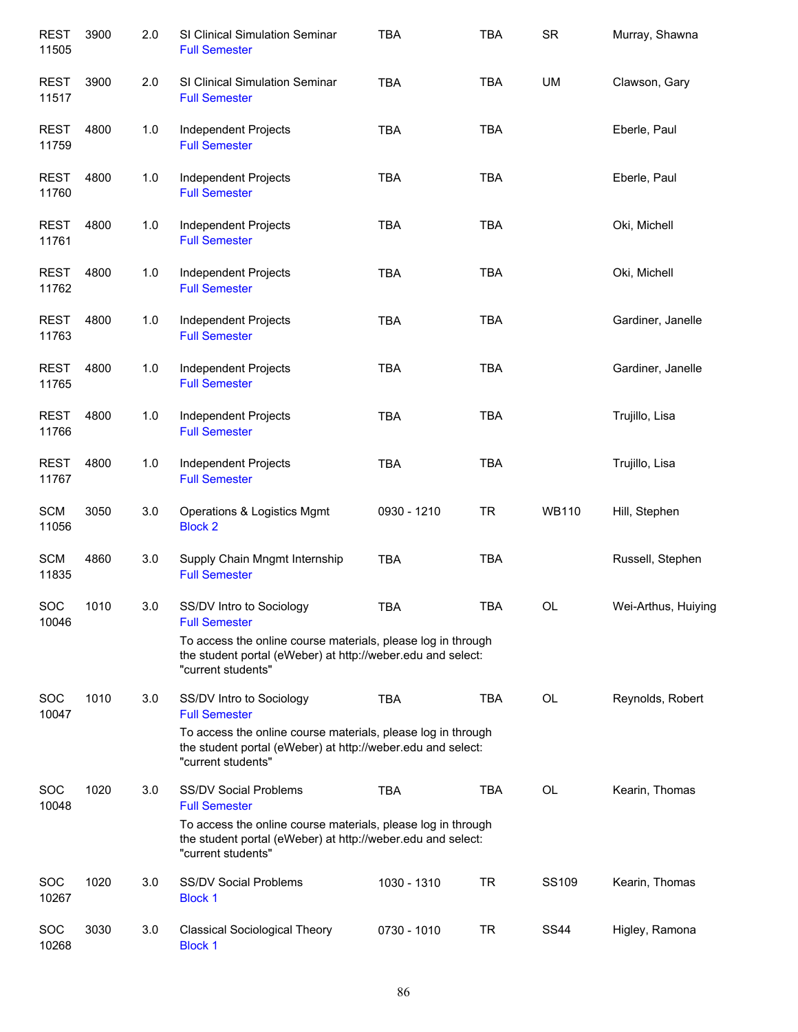| <b>REST</b><br>11505 | 3900 | 2.0 | SI Clinical Simulation Seminar<br><b>Full Semester</b>                                                                                                                              | <b>TBA</b>  | <b>TBA</b> | <b>SR</b>    | Murray, Shawna      |
|----------------------|------|-----|-------------------------------------------------------------------------------------------------------------------------------------------------------------------------------------|-------------|------------|--------------|---------------------|
| <b>REST</b><br>11517 | 3900 | 2.0 | <b>SI Clinical Simulation Seminar</b><br><b>Full Semester</b>                                                                                                                       | <b>TBA</b>  | <b>TBA</b> | UM           | Clawson, Gary       |
| <b>REST</b><br>11759 | 4800 | 1.0 | Independent Projects<br><b>Full Semester</b>                                                                                                                                        | <b>TBA</b>  | <b>TBA</b> |              | Eberle, Paul        |
| <b>REST</b><br>11760 | 4800 | 1.0 | Independent Projects<br><b>Full Semester</b>                                                                                                                                        | <b>TBA</b>  | <b>TBA</b> |              | Eberle, Paul        |
| <b>REST</b><br>11761 | 4800 | 1.0 | Independent Projects<br><b>Full Semester</b>                                                                                                                                        | <b>TBA</b>  | <b>TBA</b> |              | Oki, Michell        |
| <b>REST</b><br>11762 | 4800 | 1.0 | Independent Projects<br><b>Full Semester</b>                                                                                                                                        | <b>TBA</b>  | <b>TBA</b> |              | Oki, Michell        |
| <b>REST</b><br>11763 | 4800 | 1.0 | Independent Projects<br><b>Full Semester</b>                                                                                                                                        | <b>TBA</b>  | <b>TBA</b> |              | Gardiner, Janelle   |
| <b>REST</b><br>11765 | 4800 | 1.0 | Independent Projects<br><b>Full Semester</b>                                                                                                                                        | <b>TBA</b>  | <b>TBA</b> |              | Gardiner, Janelle   |
| <b>REST</b><br>11766 | 4800 | 1.0 | Independent Projects<br><b>Full Semester</b>                                                                                                                                        | <b>TBA</b>  | <b>TBA</b> |              | Trujillo, Lisa      |
| <b>REST</b><br>11767 | 4800 | 1.0 | Independent Projects<br><b>Full Semester</b>                                                                                                                                        | <b>TBA</b>  | <b>TBA</b> |              | Trujillo, Lisa      |
| <b>SCM</b><br>11056  | 3050 | 3.0 | Operations & Logistics Mgmt<br><b>Block 2</b>                                                                                                                                       | 0930 - 1210 | <b>TR</b>  | <b>WB110</b> | Hill, Stephen       |
| <b>SCM</b><br>11835  | 4860 | 3.0 | Supply Chain Mngmt Internship<br><b>Full Semester</b>                                                                                                                               | <b>TBA</b>  | <b>TBA</b> |              | Russell, Stephen    |
| SOC<br>10046         | 1010 | 3.0 | SS/DV Intro to Sociology<br><b>Full Semester</b>                                                                                                                                    | <b>TBA</b>  | <b>TBA</b> | OL           | Wei-Arthus, Huiying |
|                      |      |     | To access the online course materials, please log in through<br>the student portal (eWeber) at http://weber.edu and select:<br>"current students"                                   |             |            |              |                     |
| <b>SOC</b><br>10047  | 1010 | 3.0 | SS/DV Intro to Sociology<br><b>Full Semester</b>                                                                                                                                    | <b>TBA</b>  | <b>TBA</b> | OL           | Reynolds, Robert    |
|                      |      |     | To access the online course materials, please log in through<br>the student portal (eWeber) at http://weber.edu and select:<br>"current students"                                   |             |            |              |                     |
| <b>SOC</b><br>10048  | 1020 | 3.0 | <b>SS/DV Social Problems</b><br><b>Full Semester</b><br>To access the online course materials, please log in through<br>the student portal (eWeber) at http://weber.edu and select: | <b>TBA</b>  | <b>TBA</b> | <b>OL</b>    | Kearin, Thomas      |
|                      |      |     | "current students"                                                                                                                                                                  |             |            |              |                     |
| <b>SOC</b><br>10267  | 1020 | 3.0 | <b>SS/DV Social Problems</b><br><b>Block 1</b>                                                                                                                                      | 1030 - 1310 | <b>TR</b>  | SS109        | Kearin, Thomas      |
| SOC<br>10268         | 3030 | 3.0 | <b>Classical Sociological Theory</b><br><b>Block 1</b>                                                                                                                              | 0730 - 1010 | <b>TR</b>  | <b>SS44</b>  | Higley, Ramona      |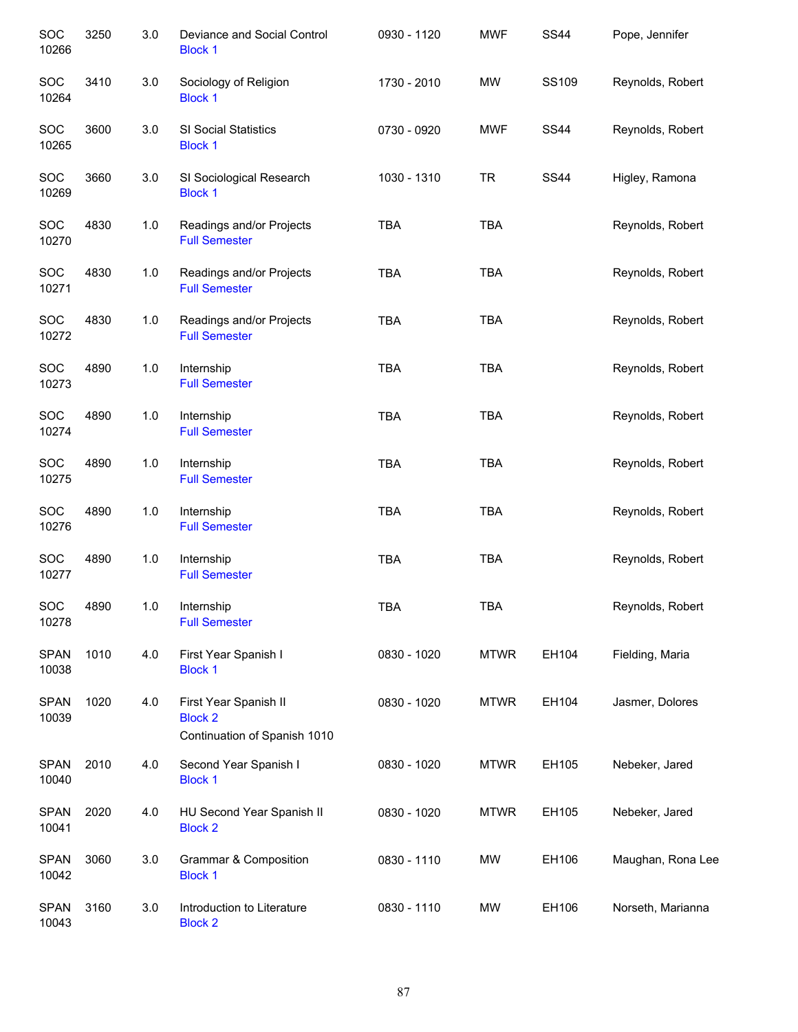| SOC<br>10266         | 3250 | 3.0   | Deviance and Social Control<br><b>Block 1</b>                           | 0930 - 1120 | <b>MWF</b>  | <b>SS44</b> | Pope, Jennifer    |
|----------------------|------|-------|-------------------------------------------------------------------------|-------------|-------------|-------------|-------------------|
| SOC<br>10264         | 3410 | 3.0   | Sociology of Religion<br><b>Block 1</b>                                 | 1730 - 2010 | <b>MW</b>   | SS109       | Reynolds, Robert  |
| SOC<br>10265         | 3600 | 3.0   | SI Social Statistics<br><b>Block 1</b>                                  | 0730 - 0920 | <b>MWF</b>  | <b>SS44</b> | Reynolds, Robert  |
| SOC<br>10269         | 3660 | 3.0   | SI Sociological Research<br><b>Block 1</b>                              | 1030 - 1310 | <b>TR</b>   | <b>SS44</b> | Higley, Ramona    |
| SOC<br>10270         | 4830 | $1.0$ | Readings and/or Projects<br><b>Full Semester</b>                        | <b>TBA</b>  | <b>TBA</b>  |             | Reynolds, Robert  |
| SOC<br>10271         | 4830 | $1.0$ | Readings and/or Projects<br><b>Full Semester</b>                        | <b>TBA</b>  | <b>TBA</b>  |             | Reynolds, Robert  |
| <b>SOC</b><br>10272  | 4830 | 1.0   | Readings and/or Projects<br><b>Full Semester</b>                        | <b>TBA</b>  | <b>TBA</b>  |             | Reynolds, Robert  |
| SOC<br>10273         | 4890 | $1.0$ | Internship<br><b>Full Semester</b>                                      | <b>TBA</b>  | <b>TBA</b>  |             | Reynolds, Robert  |
| <b>SOC</b><br>10274  | 4890 | $1.0$ | Internship<br><b>Full Semester</b>                                      | <b>TBA</b>  | <b>TBA</b>  |             | Reynolds, Robert  |
| <b>SOC</b><br>10275  | 4890 | 1.0   | Internship<br><b>Full Semester</b>                                      | <b>TBA</b>  | <b>TBA</b>  |             | Reynolds, Robert  |
| SOC<br>10276         | 4890 | 1.0   | Internship<br><b>Full Semester</b>                                      | <b>TBA</b>  | <b>TBA</b>  |             | Reynolds, Robert  |
| SOC<br>10277         | 4890 | 1.0   | Internship<br><b>Full Semester</b>                                      | <b>TBA</b>  | <b>TBA</b>  |             | Reynolds, Robert  |
| SOC<br>10278         | 4890 | 1.0   | Internship<br><b>Full Semester</b>                                      | <b>TBA</b>  | <b>TBA</b>  |             | Reynolds, Robert  |
| <b>SPAN</b><br>10038 | 1010 | 4.0   | First Year Spanish I<br><b>Block 1</b>                                  | 0830 - 1020 | <b>MTWR</b> | EH104       | Fielding, Maria   |
| <b>SPAN</b><br>10039 | 1020 | 4.0   | First Year Spanish II<br><b>Block 2</b><br>Continuation of Spanish 1010 | 0830 - 1020 | <b>MTWR</b> | EH104       | Jasmer, Dolores   |
| <b>SPAN</b><br>10040 | 2010 | 4.0   | Second Year Spanish I<br><b>Block 1</b>                                 | 0830 - 1020 | <b>MTWR</b> | EH105       | Nebeker, Jared    |
| <b>SPAN</b><br>10041 | 2020 | 4.0   | HU Second Year Spanish II<br><b>Block 2</b>                             | 0830 - 1020 | <b>MTWR</b> | EH105       | Nebeker, Jared    |
| <b>SPAN</b><br>10042 | 3060 | 3.0   | <b>Grammar &amp; Composition</b><br><b>Block 1</b>                      | 0830 - 1110 | MW          | EH106       | Maughan, Rona Lee |
| <b>SPAN</b><br>10043 | 3160 | 3.0   | Introduction to Literature<br><b>Block 2</b>                            | 0830 - 1110 | <b>MW</b>   | EH106       | Norseth, Marianna |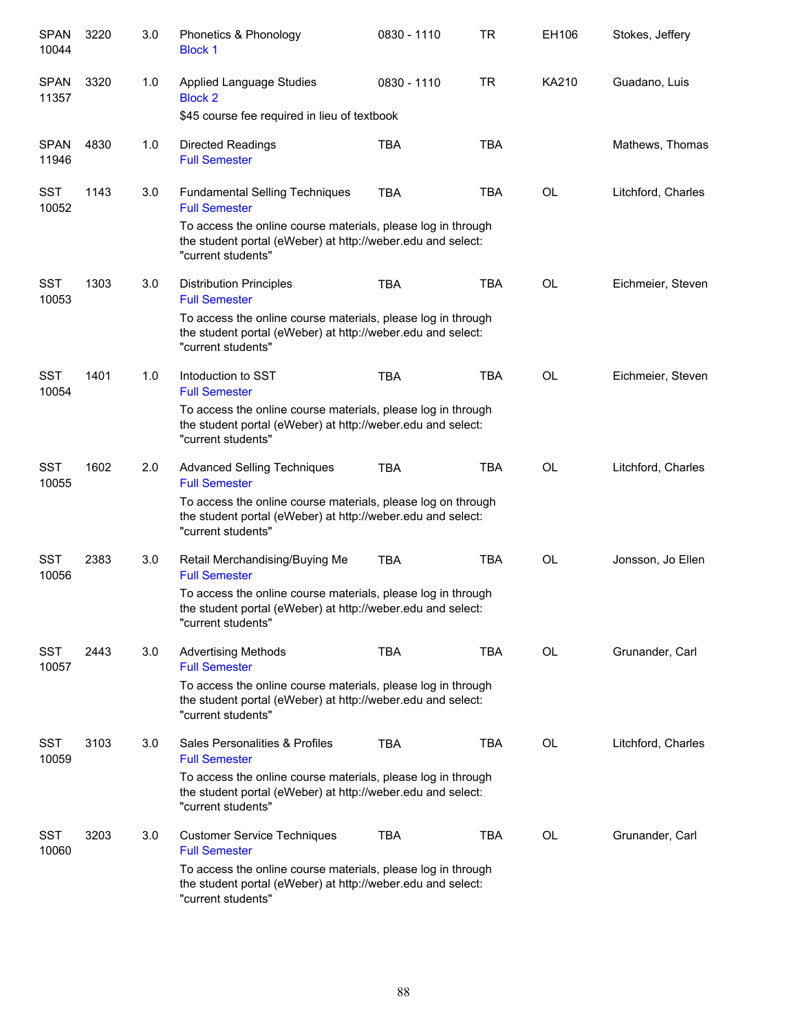| <b>SPAN</b><br>10044 | 3220 | 3.0 | Phonetics & Phonology<br><b>Block 1</b>                                                                                                           | 0830 - 1110 | TR         | EH106     | Stokes, Jeffery    |
|----------------------|------|-----|---------------------------------------------------------------------------------------------------------------------------------------------------|-------------|------------|-----------|--------------------|
| <b>SPAN</b><br>11357 | 3320 | 1.0 | Applied Language Studies<br><b>Block 2</b>                                                                                                        | 0830 - 1110 | <b>TR</b>  | KA210     | Guadano, Luis      |
|                      |      |     | \$45 course fee required in lieu of textbook                                                                                                      |             |            |           |                    |
| <b>SPAN</b><br>11946 | 4830 | 1.0 | <b>Directed Readings</b><br><b>Full Semester</b>                                                                                                  | <b>TBA</b>  | <b>TBA</b> |           | Mathews, Thomas    |
| <b>SST</b><br>10052  | 1143 | 3.0 | <b>Fundamental Selling Techniques</b><br><b>Full Semester</b>                                                                                     | <b>TBA</b>  | TBA        | OL        | Litchford, Charles |
|                      |      |     | To access the online course materials, please log in through<br>the student portal (eWeber) at http://weber.edu and select:<br>"current students" |             |            |           |                    |
| SST<br>10053         | 1303 | 3.0 | <b>Distribution Principles</b><br><b>Full Semester</b>                                                                                            | <b>TBA</b>  | <b>TBA</b> | OL        | Eichmeier, Steven  |
|                      |      |     | To access the online course materials, please log in through<br>the student portal (eWeber) at http://weber.edu and select:<br>"current students" |             |            |           |                    |
| SST<br>10054         | 1401 | 1.0 | Intoduction to SST<br><b>Full Semester</b>                                                                                                        | <b>TBA</b>  | <b>TBA</b> | <b>OL</b> | Eichmeier, Steven  |
|                      |      |     | To access the online course materials, please log in through<br>the student portal (eWeber) at http://weber.edu and select:<br>"current students" |             |            |           |                    |
| <b>SST</b><br>10055  | 1602 | 2.0 | <b>Advanced Selling Techniques</b><br><b>Full Semester</b>                                                                                        | <b>TBA</b>  | <b>TBA</b> | <b>OL</b> | Litchford, Charles |
|                      |      |     | To access the online course materials, please log on through<br>the student portal (eWeber) at http://weber.edu and select:<br>"current students" |             |            |           |                    |
| <b>SST</b><br>10056  | 2383 | 3.0 | Retail Merchandising/Buying Me<br><b>Full Semester</b>                                                                                            | <b>TBA</b>  | <b>TBA</b> | OL        | Jonsson, Jo Ellen  |
|                      |      |     | To access the online course materials, please log in through<br>the student portal (eWeber) at http://weber.edu and select:<br>"current students" |             |            |           |                    |
| <b>SST</b><br>10057  | 2443 | 3.0 | <b>Advertising Methods</b><br><b>Full Semester</b>                                                                                                | <b>TBA</b>  | <b>TBA</b> | OL        | Grunander, Carl    |
|                      |      |     | To access the online course materials, please log in through<br>the student portal (eWeber) at http://weber.edu and select:<br>"current students" |             |            |           |                    |
| <b>SST</b><br>10059  | 3103 | 3.0 | Sales Personalities & Profiles<br><b>Full Semester</b>                                                                                            | <b>TBA</b>  | <b>TBA</b> | OL        | Litchford, Charles |
|                      |      |     | To access the online course materials, please log in through<br>the student portal (eWeber) at http://weber.edu and select:<br>"current students" |             |            |           |                    |
| <b>SST</b><br>10060  | 3203 | 3.0 | <b>Customer Service Techniques</b><br><b>Full Semester</b>                                                                                        | <b>TBA</b>  | <b>TBA</b> | <b>OL</b> | Grunander, Carl    |
|                      |      |     | To access the online course materials, please log in through<br>the student portal (eWeber) at http://weber.edu and select:<br>"current students" |             |            |           |                    |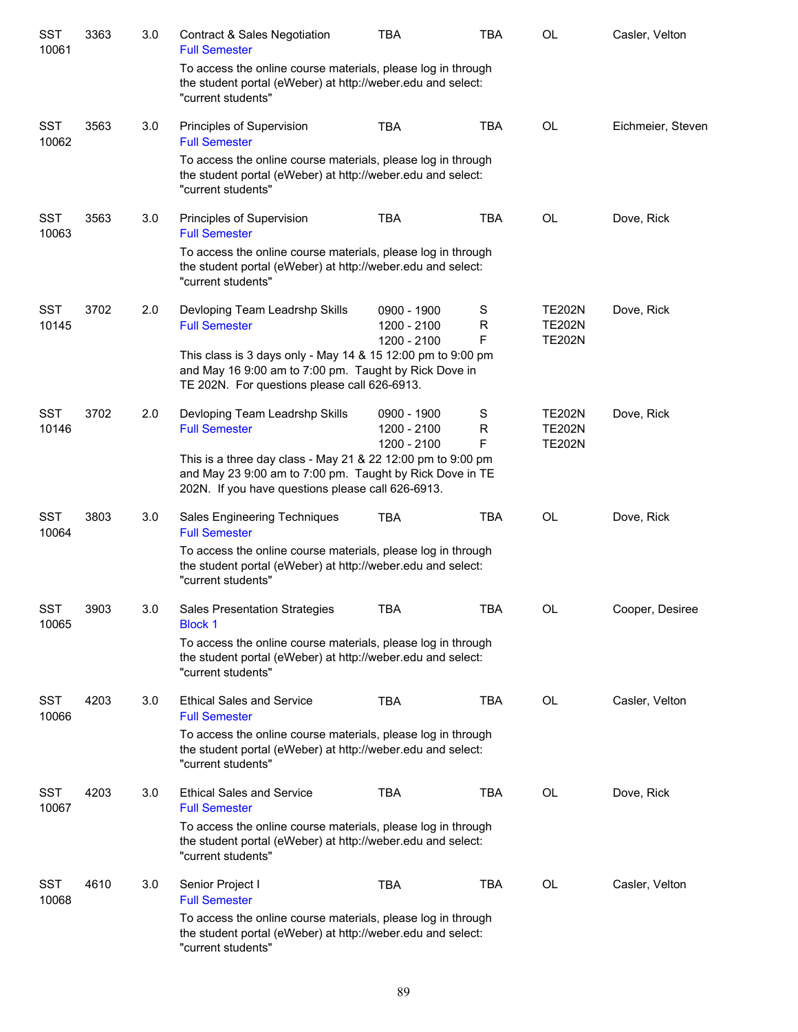| <b>SST</b><br>10061 | 3363 | 3.0 | <b>Contract &amp; Sales Negotiation</b><br><b>Full Semester</b>                                                                                                              | <b>TBA</b>                                | <b>TBA</b>  | <b>OL</b>                                       | Casler, Velton    |
|---------------------|------|-----|------------------------------------------------------------------------------------------------------------------------------------------------------------------------------|-------------------------------------------|-------------|-------------------------------------------------|-------------------|
|                     |      |     | To access the online course materials, please log in through<br>the student portal (eWeber) at http://weber.edu and select:<br>"current students"                            |                                           |             |                                                 |                   |
| <b>SST</b><br>10062 | 3563 | 3.0 | Principles of Supervision<br><b>Full Semester</b>                                                                                                                            | <b>TBA</b>                                | <b>TBA</b>  | <b>OL</b>                                       | Eichmeier, Steven |
|                     |      |     | To access the online course materials, please log in through<br>the student portal (eWeber) at http://weber.edu and select:<br>"current students"                            |                                           |             |                                                 |                   |
| <b>SST</b><br>10063 | 3563 | 3.0 | Principles of Supervision<br><b>Full Semester</b>                                                                                                                            | <b>TBA</b>                                | <b>TBA</b>  | OL                                              | Dove, Rick        |
|                     |      |     | To access the online course materials, please log in through<br>the student portal (eWeber) at http://weber.edu and select:<br>"current students"                            |                                           |             |                                                 |                   |
| SST<br>10145        | 3702 | 2.0 | Devloping Team Leadrshp Skills<br><b>Full Semester</b>                                                                                                                       | 0900 - 1900<br>1200 - 2100                | S<br>R<br>F | <b>TE202N</b><br><b>TE202N</b><br><b>TE202N</b> | Dove, Rick        |
|                     |      |     | This class is 3 days only - May 14 & 15 12:00 pm to 9:00 pm<br>and May 16 9:00 am to 7:00 pm. Taught by Rick Dove in<br>TE 202N. For questions please call 626-6913.         | 1200 - 2100                               |             |                                                 |                   |
| <b>SST</b><br>10146 | 3702 | 2.0 | Devloping Team Leadrshp Skills<br><b>Full Semester</b>                                                                                                                       | 0900 - 1900<br>1200 - 2100<br>1200 - 2100 | S<br>R<br>F | <b>TE202N</b><br><b>TE202N</b><br><b>TE202N</b> | Dove, Rick        |
|                     |      |     | This is a three day class - May 21 & 22 12:00 pm to 9:00 pm<br>and May 23 9:00 am to 7:00 pm. Taught by Rick Dove in TE<br>202N. If you have questions please call 626-6913. |                                           |             |                                                 |                   |
| <b>SST</b><br>10064 | 3803 | 3.0 | Sales Engineering Techniques<br><b>Full Semester</b>                                                                                                                         | <b>TBA</b>                                | <b>TBA</b>  | OL                                              | Dove, Rick        |
|                     |      |     | To access the online course materials, please log in through<br>the student portal (eWeber) at http://weber.edu and select:<br>"current students"                            |                                           |             |                                                 |                   |
| <b>SST</b><br>10065 | 3903 | 3.0 | <b>Sales Presentation Strategies</b><br><b>Block 1</b>                                                                                                                       | <b>TBA</b>                                | <b>TBA</b>  | OL                                              | Cooper, Desiree   |
|                     |      |     | To access the online course materials, please log in through<br>the student portal (eWeber) at http://weber.edu and select:<br>"current students"                            |                                           |             |                                                 |                   |
| <b>SST</b><br>10066 | 4203 | 3.0 | <b>Ethical Sales and Service</b><br><b>Full Semester</b>                                                                                                                     | <b>TBA</b>                                | <b>TBA</b>  | OL                                              | Casler, Velton    |
|                     |      |     | To access the online course materials, please log in through<br>the student portal (eWeber) at http://weber.edu and select:<br>"current students"                            |                                           |             |                                                 |                   |
| <b>SST</b><br>10067 | 4203 | 3.0 | <b>Ethical Sales and Service</b><br><b>Full Semester</b>                                                                                                                     | <b>TBA</b>                                | <b>TBA</b>  | OL                                              | Dove, Rick        |
|                     |      |     | To access the online course materials, please log in through<br>the student portal (eWeber) at http://weber.edu and select:<br>"current students"                            |                                           |             |                                                 |                   |
| <b>SST</b><br>10068 | 4610 | 3.0 | Senior Project I<br><b>Full Semester</b>                                                                                                                                     | <b>TBA</b>                                | <b>TBA</b>  | OL                                              | Casler, Velton    |
|                     |      |     | To access the online course materials, please log in through<br>the student portal (eWeber) at http://weber.edu and select:<br>"current students"                            |                                           |             |                                                 |                   |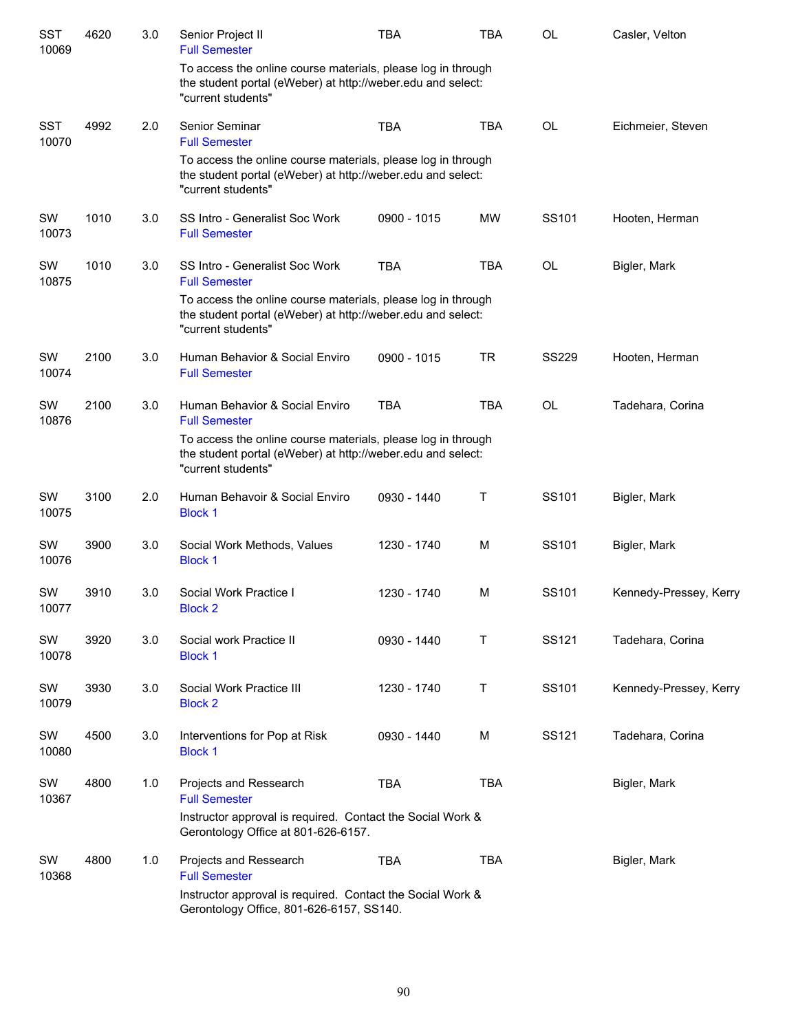| <b>SST</b><br>10069 | 4620 | 3.0 | Senior Project II<br><b>Full Semester</b>                                                                                                         | <b>TBA</b>  | <b>TBA</b> | <b>OL</b>    | Casler, Velton         |
|---------------------|------|-----|---------------------------------------------------------------------------------------------------------------------------------------------------|-------------|------------|--------------|------------------------|
|                     |      |     | To access the online course materials, please log in through<br>the student portal (eWeber) at http://weber.edu and select:<br>"current students" |             |            |              |                        |
| <b>SST</b><br>10070 | 4992 | 2.0 | Senior Seminar<br><b>Full Semester</b>                                                                                                            | <b>TBA</b>  | <b>TBA</b> | <b>OL</b>    | Eichmeier, Steven      |
|                     |      |     | To access the online course materials, please log in through<br>the student portal (eWeber) at http://weber.edu and select:<br>"current students" |             |            |              |                        |
| SW<br>10073         | 1010 | 3.0 | SS Intro - Generalist Soc Work<br><b>Full Semester</b>                                                                                            | 0900 - 1015 | <b>MW</b>  | SS101        | Hooten, Herman         |
| SW<br>10875         | 1010 | 3.0 | SS Intro - Generalist Soc Work<br><b>Full Semester</b>                                                                                            | <b>TBA</b>  | <b>TBA</b> | <b>OL</b>    | Bigler, Mark           |
|                     |      |     | To access the online course materials, please log in through<br>the student portal (eWeber) at http://weber.edu and select:<br>"current students" |             |            |              |                        |
| <b>SW</b><br>10074  | 2100 | 3.0 | Human Behavior & Social Enviro<br><b>Full Semester</b>                                                                                            | 0900 - 1015 | <b>TR</b>  | <b>SS229</b> | Hooten, Herman         |
| SW<br>10876         | 2100 | 3.0 | Human Behavior & Social Enviro<br><b>Full Semester</b>                                                                                            | <b>TBA</b>  | <b>TBA</b> | <b>OL</b>    | Tadehara, Corina       |
|                     |      |     | To access the online course materials, please log in through<br>the student portal (eWeber) at http://weber.edu and select:<br>"current students" |             |            |              |                        |
| SW<br>10075         | 3100 | 2.0 | Human Behavoir & Social Enviro<br><b>Block 1</b>                                                                                                  | 0930 - 1440 | Т          | SS101        | Bigler, Mark           |
| SW<br>10076         | 3900 | 3.0 | Social Work Methods, Values<br><b>Block 1</b>                                                                                                     | 1230 - 1740 | M          | SS101        | Bigler, Mark           |
| SW<br>10077         | 3910 | 3.0 | Social Work Practice I<br><b>Block 2</b>                                                                                                          | 1230 - 1740 | M          | SS101        | Kennedy-Pressey, Kerry |
| SW<br>10078         | 3920 | 3.0 | Social work Practice II<br><b>Block 1</b>                                                                                                         | 0930 - 1440 | T          | SS121        | Tadehara, Corina       |
| SW<br>10079         | 3930 | 3.0 | Social Work Practice III<br><b>Block 2</b>                                                                                                        | 1230 - 1740 | T          | SS101        | Kennedy-Pressey, Kerry |
| SW<br>10080         | 4500 | 3.0 | Interventions for Pop at Risk<br><b>Block 1</b>                                                                                                   | 0930 - 1440 | M          | SS121        | Tadehara, Corina       |
| SW<br>10367         | 4800 | 1.0 | Projects and Ressearch<br><b>Full Semester</b>                                                                                                    | <b>TBA</b>  | <b>TBA</b> |              | Bigler, Mark           |
|                     |      |     | Instructor approval is required. Contact the Social Work &<br>Gerontology Office at 801-626-6157.                                                 |             |            |              |                        |
| SW<br>10368         | 4800 | 1.0 | Projects and Ressearch<br><b>Full Semester</b>                                                                                                    | <b>TBA</b>  | <b>TBA</b> |              | Bigler, Mark           |
|                     |      |     | Instructor approval is required. Contact the Social Work &<br>Gerontology Office, 801-626-6157, SS140.                                            |             |            |              |                        |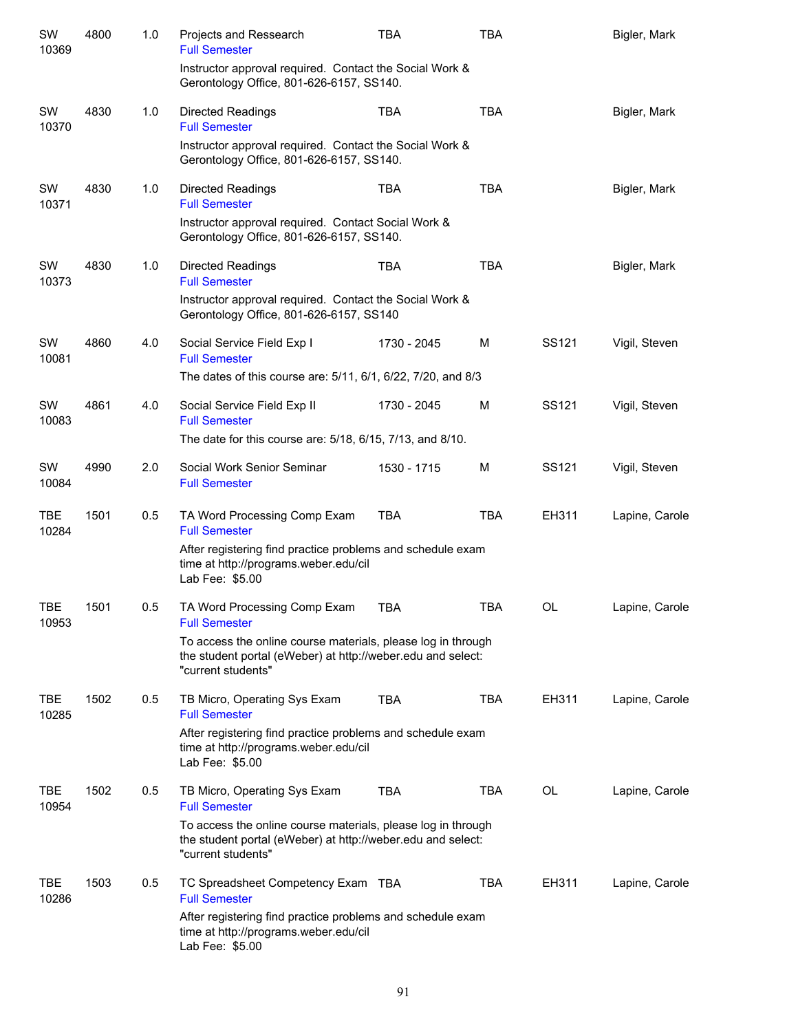| SW<br>10369         | 4800 | 1.0 | Projects and Ressearch<br><b>Full Semester</b>                                                                                                    | <b>TBA</b>  | <b>TBA</b> |       | Bigler, Mark   |
|---------------------|------|-----|---------------------------------------------------------------------------------------------------------------------------------------------------|-------------|------------|-------|----------------|
|                     |      |     | Instructor approval required. Contact the Social Work &<br>Gerontology Office, 801-626-6157, SS140.                                               |             |            |       |                |
| SW<br>10370         | 4830 | 1.0 | <b>Directed Readings</b><br><b>Full Semester</b>                                                                                                  | <b>TBA</b>  | <b>TBA</b> |       | Bigler, Mark   |
|                     |      |     | Instructor approval required. Contact the Social Work &<br>Gerontology Office, 801-626-6157, SS140.                                               |             |            |       |                |
| SW<br>10371         | 4830 | 1.0 | <b>Directed Readings</b><br><b>Full Semester</b>                                                                                                  | TBA         | <b>TBA</b> |       | Bigler, Mark   |
|                     |      |     | Instructor approval required. Contact Social Work &<br>Gerontology Office, 801-626-6157, SS140.                                                   |             |            |       |                |
| SW<br>10373         | 4830 | 1.0 | <b>Directed Readings</b><br><b>Full Semester</b>                                                                                                  | <b>TBA</b>  | <b>TBA</b> |       | Bigler, Mark   |
|                     |      |     | Instructor approval required. Contact the Social Work &<br>Gerontology Office, 801-626-6157, SS140                                                |             |            |       |                |
| SW<br>10081         | 4860 | 4.0 | Social Service Field Exp I<br><b>Full Semester</b>                                                                                                | 1730 - 2045 | М          | SS121 | Vigil, Steven  |
|                     |      |     | The dates of this course are: 5/11, 6/1, 6/22, 7/20, and 8/3                                                                                      |             |            |       |                |
| SW<br>10083         | 4861 | 4.0 | Social Service Field Exp II<br><b>Full Semester</b>                                                                                               | 1730 - 2045 | M          | SS121 | Vigil, Steven  |
|                     |      |     | The date for this course are: 5/18, 6/15, 7/13, and 8/10.                                                                                         |             |            |       |                |
| SW<br>10084         | 4990 | 2.0 | Social Work Senior Seminar<br><b>Full Semester</b>                                                                                                | 1530 - 1715 | M          | SS121 | Vigil, Steven  |
| <b>TBE</b><br>10284 | 1501 | 0.5 | TA Word Processing Comp Exam<br><b>Full Semester</b>                                                                                              | <b>TBA</b>  | <b>TBA</b> | EH311 | Lapine, Carole |
|                     |      |     | After registering find practice problems and schedule exam<br>time at http://programs.weber.edu/cil<br>Lab Fee: \$5.00                            |             |            |       |                |
| TBE<br>10953        | 1501 | 0.5 | TA Word Processing Comp Exam<br><b>Full Semester</b>                                                                                              | <b>TBA</b>  | TBA        | OL    | Lapine, Carole |
|                     |      |     | To access the online course materials, please log in through<br>the student portal (eWeber) at http://weber.edu and select:<br>"current students" |             |            |       |                |
| TBE<br>10285        | 1502 | 0.5 | TB Micro, Operating Sys Exam<br><b>Full Semester</b>                                                                                              | <b>TBA</b>  | <b>TBA</b> | EH311 | Lapine, Carole |
|                     |      |     | After registering find practice problems and schedule exam<br>time at http://programs.weber.edu/cil<br>Lab Fee: \$5.00                            |             |            |       |                |
| <b>TBE</b><br>10954 | 1502 | 0.5 | TB Micro, Operating Sys Exam<br><b>Full Semester</b>                                                                                              | <b>TBA</b>  | <b>TBA</b> | OL    | Lapine, Carole |
|                     |      |     | To access the online course materials, please log in through<br>the student portal (eWeber) at http://weber.edu and select:<br>"current students" |             |            |       |                |
| TBE<br>10286        | 1503 | 0.5 | TC Spreadsheet Competency Exam TBA<br><b>Full Semester</b>                                                                                        |             | <b>TBA</b> | EH311 | Lapine, Carole |
|                     |      |     | After registering find practice problems and schedule exam<br>time at http://programs.weber.edu/cil<br>Lab Fee: \$5.00                            |             |            |       |                |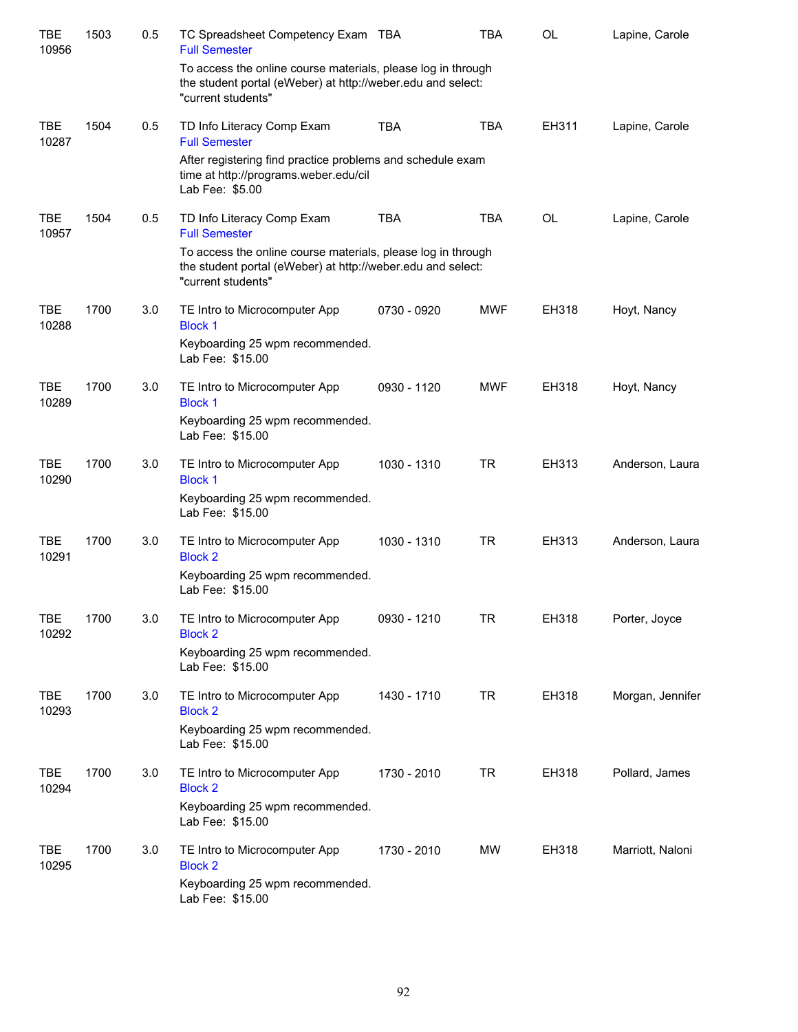| <b>TBE</b><br>10956 | 1503 | 0.5 | TC Spreadsheet Competency Exam TBA<br><b>Full Semester</b>                                                                                        |             | <b>TBA</b> | <b>OL</b> | Lapine, Carole   |
|---------------------|------|-----|---------------------------------------------------------------------------------------------------------------------------------------------------|-------------|------------|-----------|------------------|
|                     |      |     | To access the online course materials, please log in through<br>the student portal (eWeber) at http://weber.edu and select:<br>"current students" |             |            |           |                  |
| <b>TBE</b><br>10287 | 1504 | 0.5 | TD Info Literacy Comp Exam<br><b>Full Semester</b>                                                                                                | <b>TBA</b>  | <b>TBA</b> | EH311     | Lapine, Carole   |
|                     |      |     | After registering find practice problems and schedule exam<br>time at http://programs.weber.edu/cil<br>Lab Fee: \$5.00                            |             |            |           |                  |
| TBE<br>10957        | 1504 | 0.5 | TD Info Literacy Comp Exam<br><b>Full Semester</b>                                                                                                | <b>TBA</b>  | <b>TBA</b> | <b>OL</b> | Lapine, Carole   |
|                     |      |     | To access the online course materials, please log in through<br>the student portal (eWeber) at http://weber.edu and select:<br>"current students" |             |            |           |                  |
| <b>TBE</b><br>10288 | 1700 | 3.0 | TE Intro to Microcomputer App<br><b>Block 1</b>                                                                                                   | 0730 - 0920 | <b>MWF</b> | EH318     | Hoyt, Nancy      |
|                     |      |     | Keyboarding 25 wpm recommended.<br>Lab Fee: \$15.00                                                                                               |             |            |           |                  |
| <b>TBE</b><br>10289 | 1700 | 3.0 | TE Intro to Microcomputer App<br><b>Block 1</b>                                                                                                   | 0930 - 1120 | <b>MWF</b> | EH318     | Hoyt, Nancy      |
|                     |      |     | Keyboarding 25 wpm recommended.<br>Lab Fee: \$15.00                                                                                               |             |            |           |                  |
| <b>TBE</b><br>10290 | 1700 | 3.0 | TE Intro to Microcomputer App<br><b>Block 1</b>                                                                                                   | 1030 - 1310 | <b>TR</b>  | EH313     | Anderson, Laura  |
|                     |      |     | Keyboarding 25 wpm recommended.<br>Lab Fee: \$15.00                                                                                               |             |            |           |                  |
| <b>TBE</b><br>10291 | 1700 | 3.0 | TE Intro to Microcomputer App<br><b>Block 2</b>                                                                                                   | 1030 - 1310 | <b>TR</b>  | EH313     | Anderson, Laura  |
|                     |      |     | Keyboarding 25 wpm recommended.<br>Lab Fee: \$15.00                                                                                               |             |            |           |                  |
| <b>TBE</b><br>10292 | 1700 | 3.0 | TE Intro to Microcomputer App<br><b>Block 2</b>                                                                                                   | 0930 - 1210 | TR         | EH318     | Porter, Joyce    |
|                     |      |     | Keyboarding 25 wpm recommended.<br>Lab Fee: \$15.00                                                                                               |             |            |           |                  |
| <b>TBE</b><br>10293 | 1700 | 3.0 | TE Intro to Microcomputer App<br><b>Block 2</b>                                                                                                   | 1430 - 1710 | <b>TR</b>  | EH318     | Morgan, Jennifer |
|                     |      |     | Keyboarding 25 wpm recommended.<br>Lab Fee: \$15.00                                                                                               |             |            |           |                  |
| <b>TBE</b><br>10294 | 1700 | 3.0 | TE Intro to Microcomputer App<br><b>Block 2</b>                                                                                                   | 1730 - 2010 | <b>TR</b>  | EH318     | Pollard, James   |
|                     |      |     | Keyboarding 25 wpm recommended.<br>Lab Fee: \$15.00                                                                                               |             |            |           |                  |
| TBE<br>10295        | 1700 | 3.0 | TE Intro to Microcomputer App<br><b>Block 2</b>                                                                                                   | 1730 - 2010 | MW         | EH318     | Marriott, Naloni |
|                     |      |     | Keyboarding 25 wpm recommended.<br>Lab Fee: \$15.00                                                                                               |             |            |           |                  |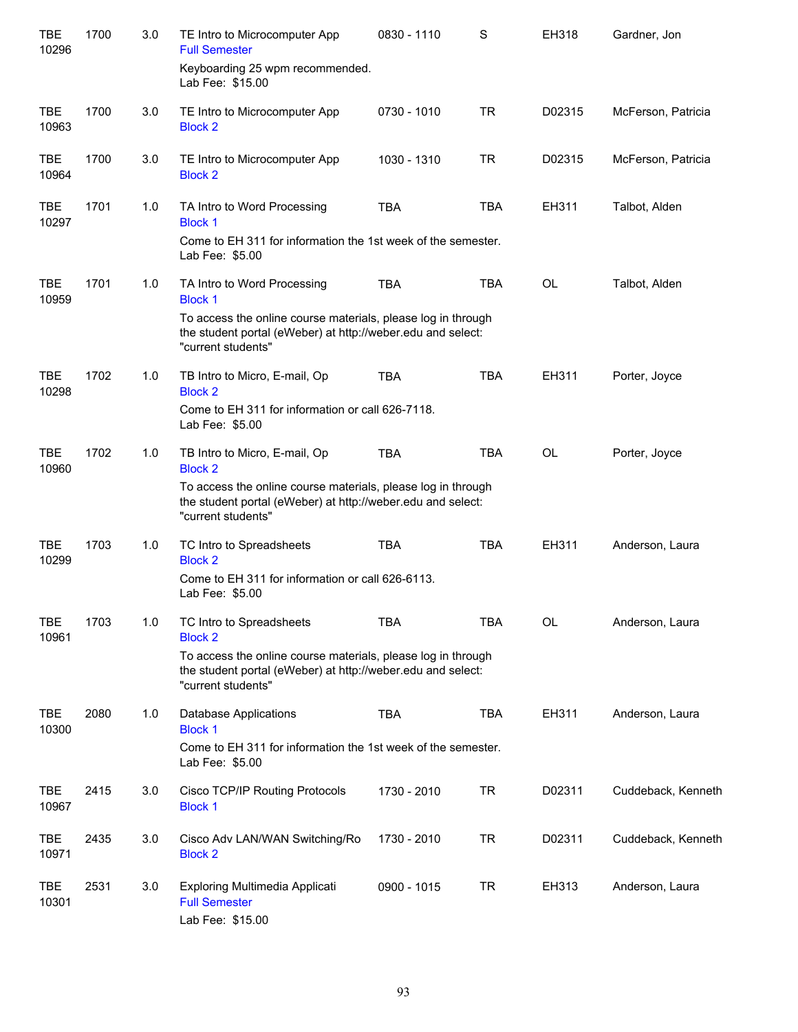| <b>TBE</b><br>10296 | 1700 | 3.0 | TE Intro to Microcomputer App<br><b>Full Semester</b>                                                                                             | 0830 - 1110 | S          | EH318     | Gardner, Jon       |
|---------------------|------|-----|---------------------------------------------------------------------------------------------------------------------------------------------------|-------------|------------|-----------|--------------------|
|                     |      |     | Keyboarding 25 wpm recommended.<br>Lab Fee: \$15.00                                                                                               |             |            |           |                    |
| <b>TBE</b><br>10963 | 1700 | 3.0 | TE Intro to Microcomputer App<br><b>Block 2</b>                                                                                                   | 0730 - 1010 | <b>TR</b>  | D02315    | McFerson, Patricia |
| <b>TBE</b><br>10964 | 1700 | 3.0 | TE Intro to Microcomputer App<br><b>Block 2</b>                                                                                                   | 1030 - 1310 | <b>TR</b>  | D02315    | McFerson, Patricia |
| <b>TBE</b><br>10297 | 1701 | 1.0 | TA Intro to Word Processing<br><b>Block 1</b>                                                                                                     | <b>TBA</b>  | <b>TBA</b> | EH311     | Talbot, Alden      |
|                     |      |     | Come to EH 311 for information the 1st week of the semester.<br>Lab Fee: \$5.00                                                                   |             |            |           |                    |
| <b>TBE</b><br>10959 | 1701 | 1.0 | TA Intro to Word Processing<br><b>Block 1</b>                                                                                                     | <b>TBA</b>  | <b>TBA</b> | <b>OL</b> | Talbot, Alden      |
|                     |      |     | To access the online course materials, please log in through<br>the student portal (eWeber) at http://weber.edu and select:<br>"current students" |             |            |           |                    |
| <b>TBE</b><br>10298 | 1702 | 1.0 | TB Intro to Micro, E-mail, Op<br><b>Block 2</b>                                                                                                   | <b>TBA</b>  | <b>TBA</b> | EH311     | Porter, Joyce      |
|                     |      |     | Come to EH 311 for information or call 626-7118.<br>Lab Fee: \$5.00                                                                               |             |            |           |                    |
| <b>TBE</b><br>10960 | 1702 | 1.0 | TB Intro to Micro, E-mail, Op<br><b>Block 2</b>                                                                                                   | <b>TBA</b>  | <b>TBA</b> | <b>OL</b> | Porter, Joyce      |
|                     |      |     | To access the online course materials, please log in through<br>the student portal (eWeber) at http://weber.edu and select:<br>"current students" |             |            |           |                    |
| <b>TBE</b><br>10299 | 1703 | 1.0 | TC Intro to Spreadsheets<br><b>Block 2</b>                                                                                                        | <b>TBA</b>  | <b>TBA</b> | EH311     | Anderson, Laura    |
|                     |      |     | Come to EH 311 for information or call 626-6113.<br>Lab Fee: \$5.00                                                                               |             |            |           |                    |
| <b>TBE</b><br>10961 | 1703 | 1.0 | TC Intro to Spreadsheets<br><b>Block 2</b>                                                                                                        | <b>TBA</b>  | <b>TBA</b> | OL        | Anderson, Laura    |
|                     |      |     | To access the online course materials, please log in through<br>the student portal (eWeber) at http://weber.edu and select:<br>"current students" |             |            |           |                    |
| TBE<br>10300        | 2080 | 1.0 | Database Applications<br><b>Block 1</b>                                                                                                           | <b>TBA</b>  | <b>TBA</b> | EH311     | Anderson, Laura    |
|                     |      |     | Come to EH 311 for information the 1st week of the semester.<br>Lab Fee: \$5.00                                                                   |             |            |           |                    |
| TBE<br>10967        | 2415 | 3.0 | Cisco TCP/IP Routing Protocols<br><b>Block 1</b>                                                                                                  | 1730 - 2010 | <b>TR</b>  | D02311    | Cuddeback, Kenneth |
| TBE<br>10971        | 2435 | 3.0 | Cisco Adv LAN/WAN Switching/Ro<br><b>Block 2</b>                                                                                                  | 1730 - 2010 | <b>TR</b>  | D02311    | Cuddeback, Kenneth |
| <b>TBE</b><br>10301 | 2531 | 3.0 | Exploring Multimedia Applicati<br><b>Full Semester</b><br>Lab Fee: \$15.00                                                                        | 0900 - 1015 | <b>TR</b>  | EH313     | Anderson, Laura    |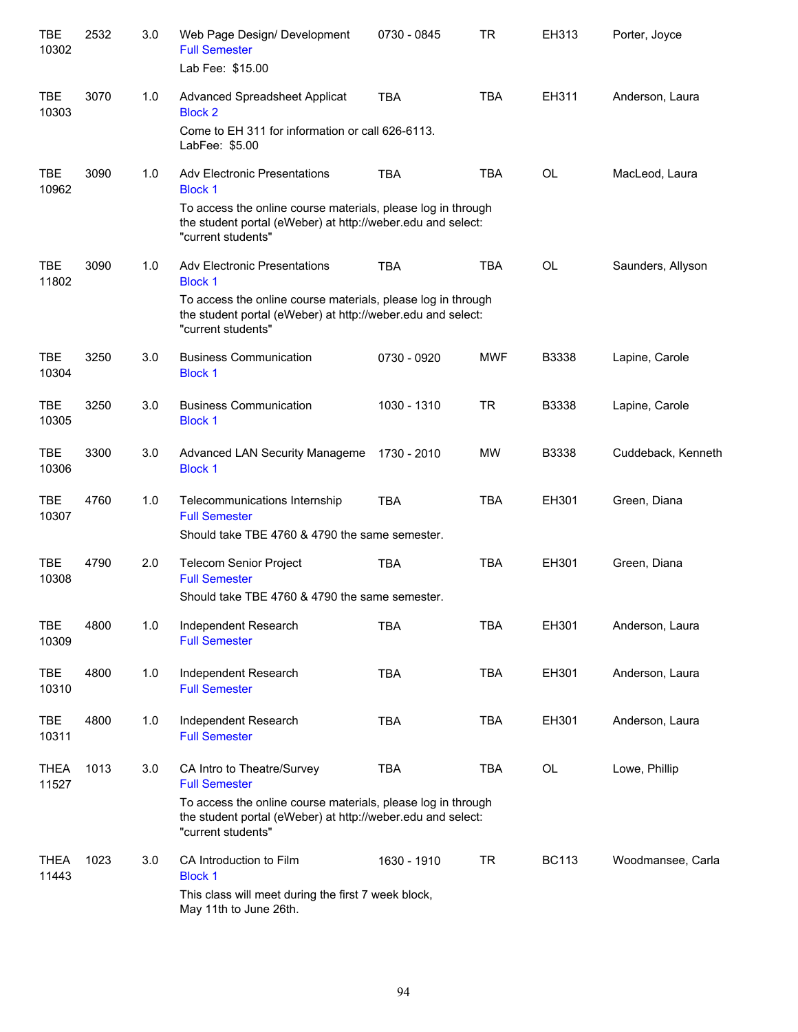| <b>TBE</b><br>10302  | 2532 | 3.0 | Web Page Design/ Development<br><b>Full Semester</b><br>Lab Fee: \$15.00                                                                          | 0730 - 0845 | <b>TR</b>  | EH313        | Porter, Joyce      |
|----------------------|------|-----|---------------------------------------------------------------------------------------------------------------------------------------------------|-------------|------------|--------------|--------------------|
| TBE<br>10303         | 3070 | 1.0 | Advanced Spreadsheet Applicat<br><b>Block 2</b>                                                                                                   | <b>TBA</b>  | <b>TBA</b> | EH311        | Anderson, Laura    |
|                      |      |     | Come to EH 311 for information or call 626-6113.<br>LabFee: \$5.00                                                                                |             |            |              |                    |
| <b>TBE</b><br>10962  | 3090 | 1.0 | <b>Adv Electronic Presentations</b><br><b>Block 1</b>                                                                                             | <b>TBA</b>  | <b>TBA</b> | <b>OL</b>    | MacLeod, Laura     |
|                      |      |     | To access the online course materials, please log in through<br>the student portal (eWeber) at http://weber.edu and select:<br>"current students" |             |            |              |                    |
| <b>TBE</b><br>11802  | 3090 | 1.0 | <b>Adv Electronic Presentations</b><br><b>Block 1</b>                                                                                             | <b>TBA</b>  | <b>TBA</b> | <b>OL</b>    | Saunders, Allyson  |
|                      |      |     | To access the online course materials, please log in through<br>the student portal (eWeber) at http://weber.edu and select:<br>"current students" |             |            |              |                    |
| <b>TBE</b><br>10304  | 3250 | 3.0 | <b>Business Communication</b><br><b>Block 1</b>                                                                                                   | 0730 - 0920 | <b>MWF</b> | B3338        | Lapine, Carole     |
| <b>TBE</b><br>10305  | 3250 | 3.0 | <b>Business Communication</b><br><b>Block 1</b>                                                                                                   | 1030 - 1310 | <b>TR</b>  | <b>B3338</b> | Lapine, Carole     |
| <b>TBE</b><br>10306  | 3300 | 3.0 | Advanced LAN Security Manageme<br><b>Block 1</b>                                                                                                  | 1730 - 2010 | <b>MW</b>  | B3338        | Cuddeback, Kenneth |
| <b>TBE</b><br>10307  | 4760 | 1.0 | Telecommunications Internship<br><b>Full Semester</b>                                                                                             | <b>TBA</b>  | <b>TBA</b> | EH301        | Green, Diana       |
|                      |      |     | Should take TBE 4760 & 4790 the same semester.                                                                                                    |             |            |              |                    |
| <b>TBE</b><br>10308  | 4790 | 2.0 | <b>Telecom Senior Project</b><br><b>Full Semester</b>                                                                                             | <b>TBA</b>  | <b>TBA</b> | EH301        | Green, Diana       |
|                      |      |     | Should take TBE 4760 & 4790 the same semester.                                                                                                    |             |            |              |                    |
| <b>TBE</b><br>10309  | 4800 | 1.0 | Independent Research<br><b>Full Semester</b>                                                                                                      | <b>TBA</b>  | <b>TBA</b> | EH301        | Anderson, Laura    |
| <b>TBE</b><br>10310  | 4800 | 1.0 | Independent Research<br><b>Full Semester</b>                                                                                                      | <b>TBA</b>  | <b>TBA</b> | EH301        | Anderson, Laura    |
| TBE<br>10311         | 4800 | 1.0 | Independent Research<br><b>Full Semester</b>                                                                                                      | <b>TBA</b>  | <b>TBA</b> | EH301        | Anderson, Laura    |
| <b>THEA</b><br>11527 | 1013 | 3.0 | CA Intro to Theatre/Survey<br><b>Full Semester</b>                                                                                                | <b>TBA</b>  | <b>TBA</b> | OL           | Lowe, Phillip      |
|                      |      |     | To access the online course materials, please log in through<br>the student portal (eWeber) at http://weber.edu and select:<br>"current students" |             |            |              |                    |
| <b>THEA</b><br>11443 | 1023 | 3.0 | CA Introduction to Film<br><b>Block 1</b>                                                                                                         | 1630 - 1910 | <b>TR</b>  | <b>BC113</b> | Woodmansee, Carla  |
|                      |      |     | This class will meet during the first 7 week block,<br>May 11th to June 26th.                                                                     |             |            |              |                    |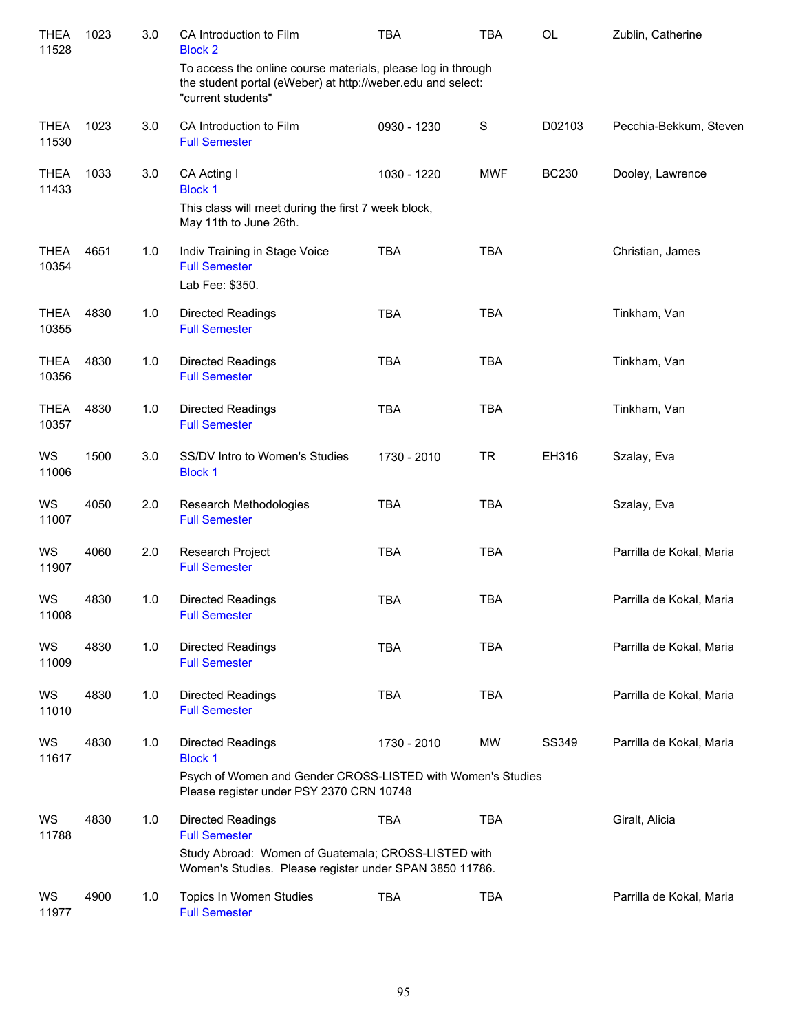| <b>THEA</b><br>11528 | 1023 | 3.0 | CA Introduction to Film<br><b>Block 2</b>                                                                                                                   | <b>TBA</b>  | <b>TBA</b>  | OL           | Zublin, Catherine        |
|----------------------|------|-----|-------------------------------------------------------------------------------------------------------------------------------------------------------------|-------------|-------------|--------------|--------------------------|
|                      |      |     | To access the online course materials, please log in through<br>the student portal (eWeber) at http://weber.edu and select:<br>"current students"           |             |             |              |                          |
| <b>THEA</b><br>11530 | 1023 | 3.0 | CA Introduction to Film<br><b>Full Semester</b>                                                                                                             | 0930 - 1230 | $\mathbf S$ | D02103       | Pecchia-Bekkum, Steven   |
| <b>THEA</b><br>11433 | 1033 | 3.0 | CA Acting I<br><b>Block 1</b><br>This class will meet during the first 7 week block,<br>May 11th to June 26th.                                              | 1030 - 1220 | <b>MWF</b>  | <b>BC230</b> | Dooley, Lawrence         |
| <b>THEA</b><br>10354 | 4651 | 1.0 | Indiv Training in Stage Voice<br><b>Full Semester</b><br>Lab Fee: \$350.                                                                                    | <b>TBA</b>  | <b>TBA</b>  |              | Christian, James         |
| <b>THEA</b><br>10355 | 4830 | 1.0 | <b>Directed Readings</b><br><b>Full Semester</b>                                                                                                            | <b>TBA</b>  | <b>TBA</b>  |              | Tinkham, Van             |
| <b>THEA</b><br>10356 | 4830 | 1.0 | Directed Readings<br><b>Full Semester</b>                                                                                                                   | <b>TBA</b>  | <b>TBA</b>  |              | Tinkham, Van             |
| THEA<br>10357        | 4830 | 1.0 | <b>Directed Readings</b><br><b>Full Semester</b>                                                                                                            | <b>TBA</b>  | <b>TBA</b>  |              | Tinkham, Van             |
| WS<br>11006          | 1500 | 3.0 | SS/DV Intro to Women's Studies<br><b>Block 1</b>                                                                                                            | 1730 - 2010 | <b>TR</b>   | EH316        | Szalay, Eva              |
| WS<br>11007          | 4050 | 2.0 | Research Methodologies<br><b>Full Semester</b>                                                                                                              | <b>TBA</b>  | <b>TBA</b>  |              | Szalay, Eva              |
| WS<br>11907          | 4060 | 2.0 | Research Project<br><b>Full Semester</b>                                                                                                                    | <b>TBA</b>  | <b>TBA</b>  |              | Parrilla de Kokal, Maria |
| WS<br>11008          | 4830 | 1.0 | Directed Readings<br><b>Full Semester</b>                                                                                                                   | <b>TBA</b>  | <b>TBA</b>  |              | Parrilla de Kokal, Maria |
| WS<br>11009          | 4830 | 1.0 | Directed Readings<br><b>Full Semester</b>                                                                                                                   | <b>TBA</b>  | <b>TBA</b>  |              | Parrilla de Kokal, Maria |
| WS<br>11010          | 4830 | 1.0 | <b>Directed Readings</b><br><b>Full Semester</b>                                                                                                            | <b>TBA</b>  | <b>TBA</b>  |              | Parrilla de Kokal, Maria |
| WS<br>11617          | 4830 | 1.0 | Directed Readings<br><b>Block 1</b><br>Psych of Women and Gender CROSS-LISTED with Women's Studies<br>Please register under PSY 2370 CRN 10748              | 1730 - 2010 | <b>MW</b>   | SS349        | Parrilla de Kokal, Maria |
| WS<br>11788          | 4830 | 1.0 | Directed Readings<br><b>Full Semester</b><br>Study Abroad: Women of Guatemala; CROSS-LISTED with<br>Women's Studies. Please register under SPAN 3850 11786. | <b>TBA</b>  | <b>TBA</b>  |              | Giralt, Alicia           |
| WS<br>11977          | 4900 | 1.0 | Topics In Women Studies<br><b>Full Semester</b>                                                                                                             | <b>TBA</b>  | <b>TBA</b>  |              | Parrilla de Kokal, Maria |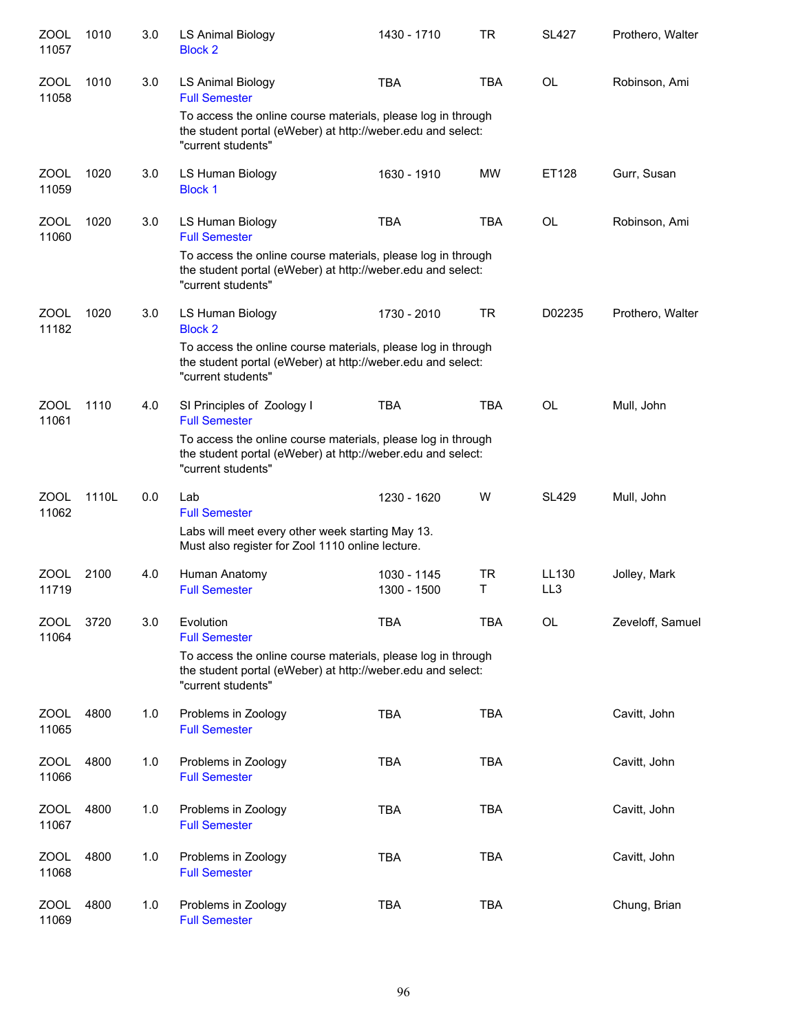| ZOOL<br>11057        | 1010  | 3.0 | <b>LS Animal Biology</b><br><b>Block 2</b>                                                                                                        | 1430 - 1710                | <b>TR</b>  | <b>SL427</b>             | Prothero, Walter |
|----------------------|-------|-----|---------------------------------------------------------------------------------------------------------------------------------------------------|----------------------------|------------|--------------------------|------------------|
| <b>ZOOL</b><br>11058 | 1010  | 3.0 | LS Animal Biology<br><b>Full Semester</b>                                                                                                         | <b>TBA</b>                 | <b>TBA</b> | <b>OL</b>                | Robinson, Ami    |
|                      |       |     | To access the online course materials, please log in through<br>the student portal (eWeber) at http://weber.edu and select:<br>"current students" |                            |            |                          |                  |
| ZOOL<br>11059        | 1020  | 3.0 | LS Human Biology<br><b>Block 1</b>                                                                                                                | 1630 - 1910                | <b>MW</b>  | ET128                    | Gurr, Susan      |
| <b>ZOOL</b><br>11060 | 1020  | 3.0 | LS Human Biology<br><b>Full Semester</b>                                                                                                          | <b>TBA</b>                 | <b>TBA</b> | <b>OL</b>                | Robinson, Ami    |
|                      |       |     | To access the online course materials, please log in through<br>the student portal (eWeber) at http://weber.edu and select:<br>"current students" |                            |            |                          |                  |
| <b>ZOOL</b><br>11182 | 1020  | 3.0 | LS Human Biology<br><b>Block 2</b>                                                                                                                | 1730 - 2010                | <b>TR</b>  | D02235                   | Prothero, Walter |
|                      |       |     | To access the online course materials, please log in through<br>the student portal (eWeber) at http://weber.edu and select:<br>"current students" |                            |            |                          |                  |
| <b>ZOOL</b><br>11061 | 1110  | 4.0 | SI Principles of Zoology I<br><b>Full Semester</b>                                                                                                | <b>TBA</b>                 | <b>TBA</b> | <b>OL</b>                | Mull, John       |
|                      |       |     | To access the online course materials, please log in through<br>the student portal (eWeber) at http://weber.edu and select:<br>"current students" |                            |            |                          |                  |
| <b>ZOOL</b><br>11062 | 1110L | 0.0 | Lab<br><b>Full Semester</b>                                                                                                                       | 1230 - 1620                | W          | <b>SL429</b>             | Mull, John       |
|                      |       |     | Labs will meet every other week starting May 13.<br>Must also register for Zool 1110 online lecture.                                              |                            |            |                          |                  |
| <b>ZOOL</b><br>11719 | 2100  | 4.0 | Human Anatomy<br><b>Full Semester</b>                                                                                                             | 1030 - 1145<br>1300 - 1500 | TR<br>T.   | LL130<br>LL <sub>3</sub> | Jolley, Mark     |
| ZOOL<br>11064        | 3720  | 3.0 | Evolution<br><b>Full Semester</b>                                                                                                                 | <b>TBA</b>                 | <b>TBA</b> | <b>OL</b>                | Zeveloff, Samuel |
|                      |       |     | To access the online course materials, please log in through<br>the student portal (eWeber) at http://weber.edu and select:<br>"current students" |                            |            |                          |                  |
| <b>ZOOL</b><br>11065 | 4800  | 1.0 | Problems in Zoology<br><b>Full Semester</b>                                                                                                       | <b>TBA</b>                 | <b>TBA</b> |                          | Cavitt, John     |
| ZOOL<br>11066        | 4800  | 1.0 | Problems in Zoology<br><b>Full Semester</b>                                                                                                       | <b>TBA</b>                 | <b>TBA</b> |                          | Cavitt, John     |
| ZOOL<br>11067        | 4800  | 1.0 | Problems in Zoology<br><b>Full Semester</b>                                                                                                       | <b>TBA</b>                 | <b>TBA</b> |                          | Cavitt, John     |
| ZOOL<br>11068        | 4800  | 1.0 | Problems in Zoology<br><b>Full Semester</b>                                                                                                       | <b>TBA</b>                 | <b>TBA</b> |                          | Cavitt, John     |
| ZOOL<br>11069        | 4800  | 1.0 | Problems in Zoology<br><b>Full Semester</b>                                                                                                       | <b>TBA</b>                 | <b>TBA</b> |                          | Chung, Brian     |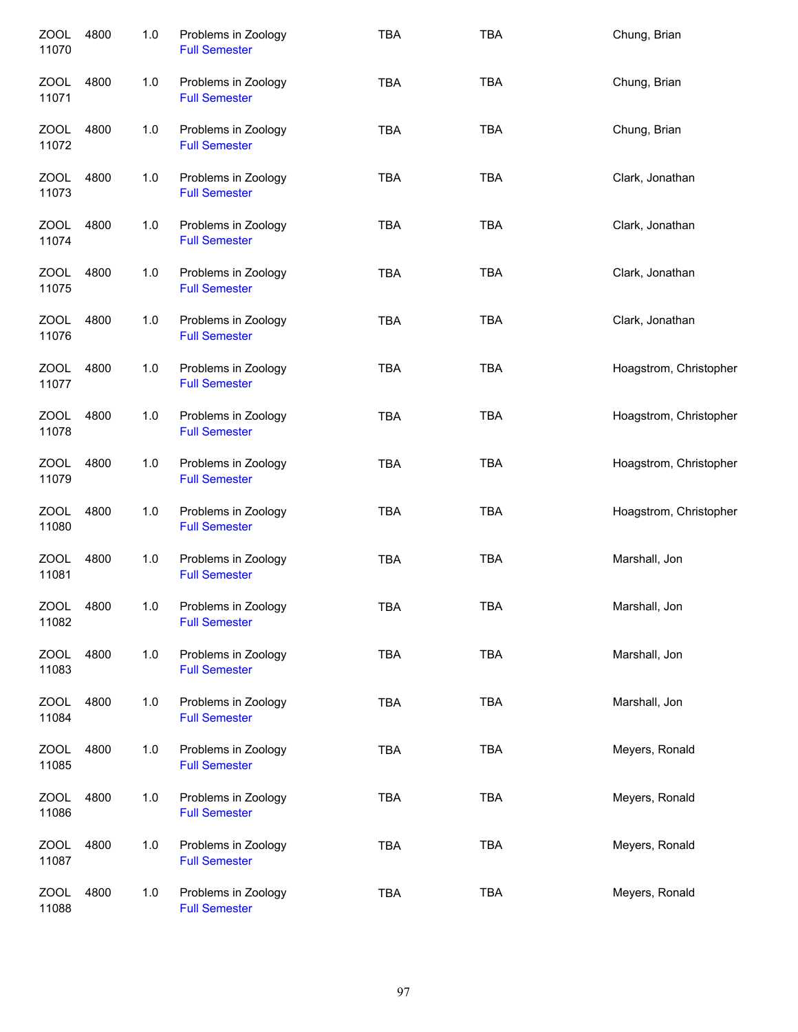| <b>ZOOL</b><br>11070 | 4800 | 1.0   | Problems in Zoology<br><b>Full Semester</b> | <b>TBA</b> | <b>TBA</b> | Chung, Brian           |
|----------------------|------|-------|---------------------------------------------|------------|------------|------------------------|
| ZOOL<br>11071        | 4800 | 1.0   | Problems in Zoology<br><b>Full Semester</b> | <b>TBA</b> | <b>TBA</b> | Chung, Brian           |
| ZOOL<br>11072        | 4800 | 1.0   | Problems in Zoology<br><b>Full Semester</b> | <b>TBA</b> | <b>TBA</b> | Chung, Brian           |
| ZOOL<br>11073        | 4800 | 1.0   | Problems in Zoology<br><b>Full Semester</b> | <b>TBA</b> | <b>TBA</b> | Clark, Jonathan        |
| ZOOL<br>11074        | 4800 | 1.0   | Problems in Zoology<br><b>Full Semester</b> | <b>TBA</b> | <b>TBA</b> | Clark, Jonathan        |
| ZOOL<br>11075        | 4800 | 1.0   | Problems in Zoology<br><b>Full Semester</b> | <b>TBA</b> | <b>TBA</b> | Clark, Jonathan        |
| <b>ZOOL</b><br>11076 | 4800 | 1.0   | Problems in Zoology<br><b>Full Semester</b> | <b>TBA</b> | <b>TBA</b> | Clark, Jonathan        |
| <b>ZOOL</b><br>11077 | 4800 | 1.0   | Problems in Zoology<br><b>Full Semester</b> | <b>TBA</b> | <b>TBA</b> | Hoagstrom, Christopher |
| <b>ZOOL</b><br>11078 | 4800 | 1.0   | Problems in Zoology<br><b>Full Semester</b> | <b>TBA</b> | <b>TBA</b> | Hoagstrom, Christopher |
| <b>ZOOL</b><br>11079 | 4800 | 1.0   | Problems in Zoology<br><b>Full Semester</b> | <b>TBA</b> | <b>TBA</b> | Hoagstrom, Christopher |
| <b>ZOOL</b><br>11080 | 4800 | 1.0   | Problems in Zoology<br><b>Full Semester</b> | <b>TBA</b> | <b>TBA</b> | Hoagstrom, Christopher |
| ZOOL<br>11081        | 4800 | 1.0   | Problems in Zoology<br><b>Full Semester</b> | <b>TBA</b> | <b>TBA</b> | Marshall, Jon          |
| <b>ZOOL</b><br>11082 | 4800 | 1.0   | Problems in Zoology<br><b>Full Semester</b> | <b>TBA</b> | <b>TBA</b> | Marshall, Jon          |
| <b>ZOOL</b><br>11083 | 4800 | $1.0$ | Problems in Zoology<br><b>Full Semester</b> | <b>TBA</b> | <b>TBA</b> | Marshall, Jon          |
| <b>ZOOL</b><br>11084 | 4800 | 1.0   | Problems in Zoology<br><b>Full Semester</b> | <b>TBA</b> | <b>TBA</b> | Marshall, Jon          |
| ZOOL<br>11085        | 4800 | 1.0   | Problems in Zoology<br><b>Full Semester</b> | <b>TBA</b> | <b>TBA</b> | Meyers, Ronald         |
| <b>ZOOL</b><br>11086 | 4800 | 1.0   | Problems in Zoology<br><b>Full Semester</b> | <b>TBA</b> | <b>TBA</b> | Meyers, Ronald         |
| <b>ZOOL</b><br>11087 | 4800 | 1.0   | Problems in Zoology<br><b>Full Semester</b> | <b>TBA</b> | <b>TBA</b> | Meyers, Ronald         |
| <b>ZOOL</b><br>11088 | 4800 | 1.0   | Problems in Zoology<br><b>Full Semester</b> | TBA        | <b>TBA</b> | Meyers, Ronald         |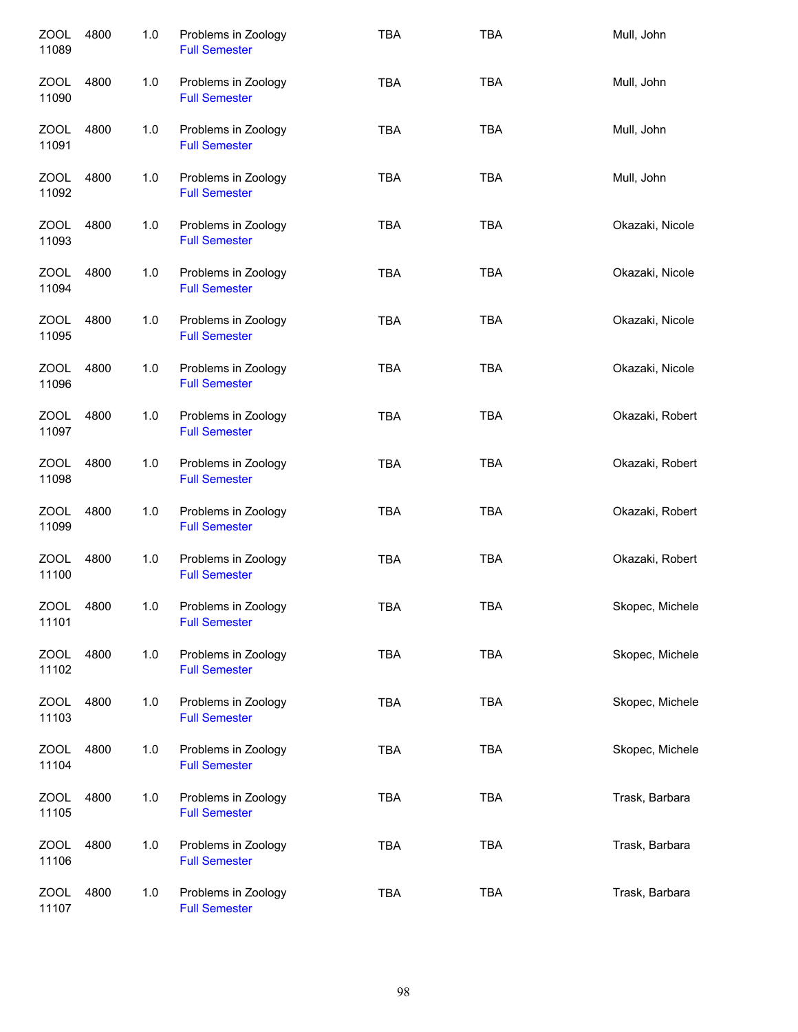| ZOOL<br>11089        | 4800 | 1.0 | Problems in Zoology<br><b>Full Semester</b> | <b>TBA</b> | <b>TBA</b> | Mull, John      |
|----------------------|------|-----|---------------------------------------------|------------|------------|-----------------|
| ZOOL<br>11090        | 4800 | 1.0 | Problems in Zoology<br><b>Full Semester</b> | <b>TBA</b> | <b>TBA</b> | Mull, John      |
| <b>ZOOL</b><br>11091 | 4800 | 1.0 | Problems in Zoology<br><b>Full Semester</b> | <b>TBA</b> | <b>TBA</b> | Mull, John      |
| ZOOL<br>11092        | 4800 | 1.0 | Problems in Zoology<br><b>Full Semester</b> | <b>TBA</b> | <b>TBA</b> | Mull, John      |
| ZOOL<br>11093        | 4800 | 1.0 | Problems in Zoology<br><b>Full Semester</b> | <b>TBA</b> | <b>TBA</b> | Okazaki, Nicole |
| <b>ZOOL</b><br>11094 | 4800 | 1.0 | Problems in Zoology<br><b>Full Semester</b> | <b>TBA</b> | <b>TBA</b> | Okazaki, Nicole |
| ZOOL<br>11095        | 4800 | 1.0 | Problems in Zoology<br><b>Full Semester</b> | <b>TBA</b> | <b>TBA</b> | Okazaki, Nicole |
| <b>ZOOL</b><br>11096 | 4800 | 1.0 | Problems in Zoology<br><b>Full Semester</b> | <b>TBA</b> | <b>TBA</b> | Okazaki, Nicole |
| <b>ZOOL</b><br>11097 | 4800 | 1.0 | Problems in Zoology<br><b>Full Semester</b> | <b>TBA</b> | <b>TBA</b> | Okazaki, Robert |
| <b>ZOOL</b><br>11098 | 4800 | 1.0 | Problems in Zoology<br><b>Full Semester</b> | <b>TBA</b> | <b>TBA</b> | Okazaki, Robert |
| <b>ZOOL</b><br>11099 | 4800 | 1.0 | Problems in Zoology<br><b>Full Semester</b> | <b>TBA</b> | <b>TBA</b> | Okazaki, Robert |
| <b>ZOOL</b><br>11100 | 4800 | 1.0 | Problems in Zoology<br><b>Full Semester</b> | <b>TBA</b> | <b>TBA</b> | Okazaki, Robert |
| <b>ZOOL</b><br>11101 | 4800 | 1.0 | Problems in Zoology<br><b>Full Semester</b> | TBA        | TBA        | Skopec, Michele |
| ZOOL<br>11102        | 4800 | 1.0 | Problems in Zoology<br><b>Full Semester</b> | <b>TBA</b> | <b>TBA</b> | Skopec, Michele |
| ZOOL<br>11103        | 4800 | 1.0 | Problems in Zoology<br><b>Full Semester</b> | <b>TBA</b> | <b>TBA</b> | Skopec, Michele |
| <b>ZOOL</b><br>11104 | 4800 | 1.0 | Problems in Zoology<br><b>Full Semester</b> | <b>TBA</b> | <b>TBA</b> | Skopec, Michele |
| <b>ZOOL</b><br>11105 | 4800 | 1.0 | Problems in Zoology<br><b>Full Semester</b> | <b>TBA</b> | <b>TBA</b> | Trask, Barbara  |
| <b>ZOOL</b><br>11106 | 4800 | 1.0 | Problems in Zoology<br><b>Full Semester</b> | <b>TBA</b> | <b>TBA</b> | Trask, Barbara  |
| <b>ZOOL</b><br>11107 | 4800 | 1.0 | Problems in Zoology<br><b>Full Semester</b> | <b>TBA</b> | <b>TBA</b> | Trask, Barbara  |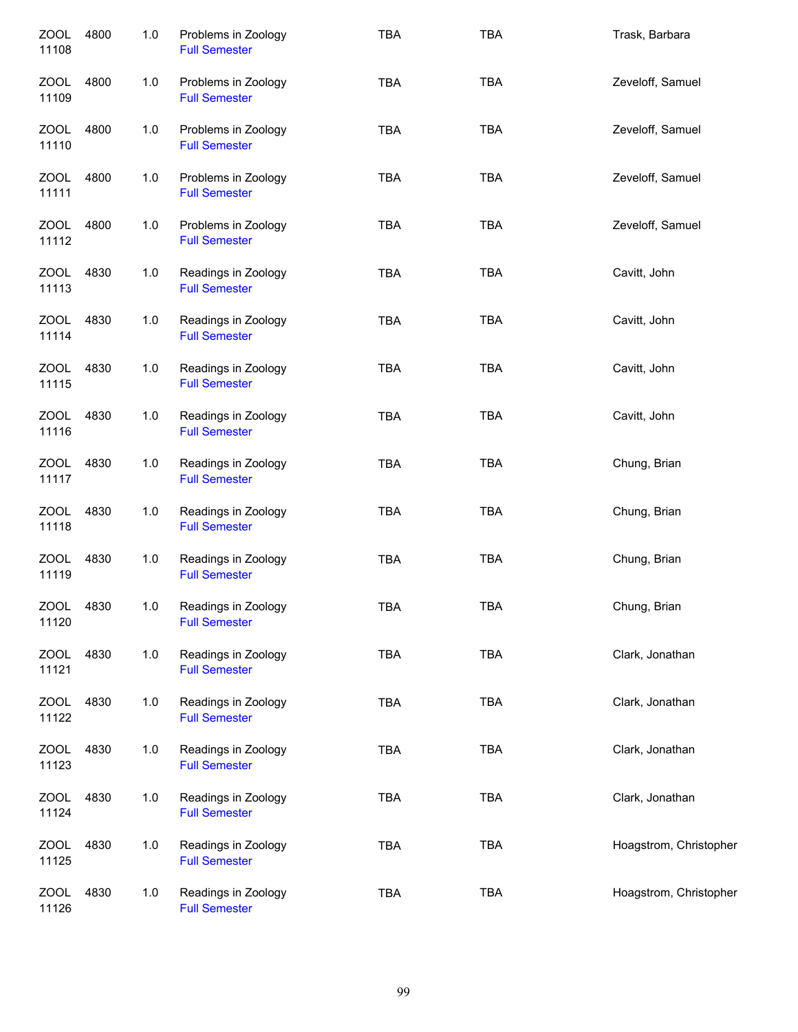| <b>ZOOL</b><br>11108 | 4800 | 1.0   | Problems in Zoology<br><b>Full Semester</b> | <b>TBA</b> | <b>TBA</b> | Trask, Barbara         |
|----------------------|------|-------|---------------------------------------------|------------|------------|------------------------|
| ZOOL<br>11109        | 4800 | 1.0   | Problems in Zoology<br><b>Full Semester</b> | <b>TBA</b> | <b>TBA</b> | Zeveloff, Samuel       |
| ZOOL<br>11110        | 4800 | $1.0$ | Problems in Zoology<br><b>Full Semester</b> | <b>TBA</b> | <b>TBA</b> | Zeveloff, Samuel       |
| ZOOL<br>11111        | 4800 | 1.0   | Problems in Zoology<br><b>Full Semester</b> | <b>TBA</b> | <b>TBA</b> | Zeveloff, Samuel       |
| ZOOL<br>11112        | 4800 | 1.0   | Problems in Zoology<br><b>Full Semester</b> | <b>TBA</b> | <b>TBA</b> | Zeveloff, Samuel       |
| <b>ZOOL</b><br>11113 | 4830 | 1.0   | Readings in Zoology<br><b>Full Semester</b> | <b>TBA</b> | <b>TBA</b> | Cavitt, John           |
| <b>ZOOL</b><br>11114 | 4830 | 1.0   | Readings in Zoology<br><b>Full Semester</b> | <b>TBA</b> | <b>TBA</b> | Cavitt, John           |
| <b>ZOOL</b><br>11115 | 4830 | 1.0   | Readings in Zoology<br><b>Full Semester</b> | <b>TBA</b> | <b>TBA</b> | Cavitt, John           |
| <b>ZOOL</b><br>11116 | 4830 | 1.0   | Readings in Zoology<br><b>Full Semester</b> | <b>TBA</b> | <b>TBA</b> | Cavitt, John           |
| ZOOL<br>11117        | 4830 | 1.0   | Readings in Zoology<br><b>Full Semester</b> | <b>TBA</b> | <b>TBA</b> | Chung, Brian           |
| <b>ZOOL</b><br>11118 | 4830 | 1.0   | Readings in Zoology<br><b>Full Semester</b> | <b>TBA</b> | <b>TBA</b> | Chung, Brian           |
| <b>ZOOL</b><br>11119 | 4830 | $1.0$ | Readings in Zoology<br><b>Full Semester</b> | <b>TBA</b> | <b>TBA</b> | Chung, Brian           |
| ZOOL<br>11120        | 4830 | 1.0   | Readings in Zoology<br><b>Full Semester</b> | <b>TBA</b> | <b>TBA</b> | Chung, Brian           |
| ZOOL<br>11121        | 4830 | 1.0   | Readings in Zoology<br><b>Full Semester</b> | TBA        | <b>TBA</b> | Clark, Jonathan        |
| ZOOL<br>11122        | 4830 | 1.0   | Readings in Zoology<br><b>Full Semester</b> | <b>TBA</b> | <b>TBA</b> | Clark, Jonathan        |
| <b>ZOOL</b><br>11123 | 4830 | 1.0   | Readings in Zoology<br><b>Full Semester</b> | TBA        | <b>TBA</b> | Clark, Jonathan        |
| ZOOL<br>11124        | 4830 | 1.0   | Readings in Zoology<br><b>Full Semester</b> | <b>TBA</b> | <b>TBA</b> | Clark, Jonathan        |
| <b>ZOOL</b><br>11125 | 4830 | 1.0   | Readings in Zoology<br><b>Full Semester</b> | <b>TBA</b> | <b>TBA</b> | Hoagstrom, Christopher |
| <b>ZOOL</b><br>11126 | 4830 | 1.0   | Readings in Zoology<br><b>Full Semester</b> | <b>TBA</b> | <b>TBA</b> | Hoagstrom, Christopher |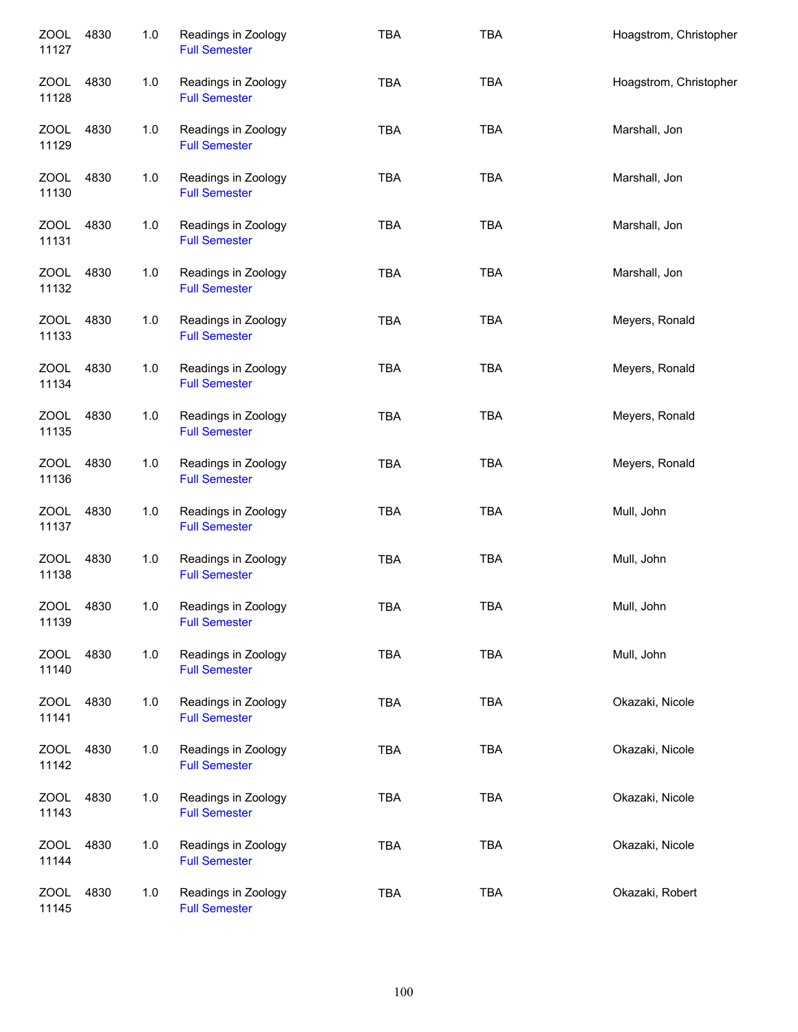| <b>ZOOL</b><br>11127 | 4830 | 1.0 | Readings in Zoology<br><b>Full Semester</b> | <b>TBA</b> | <b>TBA</b> | Hoagstrom, Christopher |
|----------------------|------|-----|---------------------------------------------|------------|------------|------------------------|
| <b>ZOOL</b><br>11128 | 4830 | 1.0 | Readings in Zoology<br><b>Full Semester</b> | <b>TBA</b> | <b>TBA</b> | Hoagstrom, Christopher |
| ZOOL<br>11129        | 4830 | 1.0 | Readings in Zoology<br><b>Full Semester</b> | <b>TBA</b> | <b>TBA</b> | Marshall, Jon          |
| ZOOL<br>11130        | 4830 | 1.0 | Readings in Zoology<br><b>Full Semester</b> | <b>TBA</b> | <b>TBA</b> | Marshall, Jon          |
| ZOOL<br>11131        | 4830 | 1.0 | Readings in Zoology<br><b>Full Semester</b> | <b>TBA</b> | <b>TBA</b> | Marshall, Jon          |
| ZOOL<br>11132        | 4830 | 1.0 | Readings in Zoology<br><b>Full Semester</b> | <b>TBA</b> | <b>TBA</b> | Marshall, Jon          |
| <b>ZOOL</b><br>11133 | 4830 | 1.0 | Readings in Zoology<br><b>Full Semester</b> | <b>TBA</b> | <b>TBA</b> | Meyers, Ronald         |
| <b>ZOOL</b><br>11134 | 4830 | 1.0 | Readings in Zoology<br><b>Full Semester</b> | <b>TBA</b> | <b>TBA</b> | Meyers, Ronald         |
| <b>ZOOL</b><br>11135 | 4830 | 1.0 | Readings in Zoology<br><b>Full Semester</b> | <b>TBA</b> | <b>TBA</b> | Meyers, Ronald         |
| <b>ZOOL</b><br>11136 | 4830 | 1.0 | Readings in Zoology<br><b>Full Semester</b> | <b>TBA</b> | <b>TBA</b> | Meyers, Ronald         |
| <b>ZOOL</b><br>11137 | 4830 | 1.0 | Readings in Zoology<br><b>Full Semester</b> | <b>TBA</b> | <b>TBA</b> | Mull, John             |
| <b>ZOOL</b><br>11138 | 4830 | 1.0 | Readings in Zoology<br><b>Full Semester</b> | <b>TBA</b> | <b>TBA</b> | Mull, John             |
| <b>ZOOL</b><br>11139 | 4830 | 1.0 | Readings in Zoology<br><b>Full Semester</b> | <b>TBA</b> | <b>TBA</b> | Mull, John             |
| ZOOL<br>11140        | 4830 | 1.0 | Readings in Zoology<br><b>Full Semester</b> | TBA        | <b>TBA</b> | Mull, John             |
| ZOOL<br>11141        | 4830 | 1.0 | Readings in Zoology<br><b>Full Semester</b> | TBA        | <b>TBA</b> | Okazaki, Nicole        |
| ZOOL<br>11142        | 4830 | 1.0 | Readings in Zoology<br><b>Full Semester</b> | <b>TBA</b> | <b>TBA</b> | Okazaki, Nicole        |
| <b>ZOOL</b><br>11143 | 4830 | 1.0 | Readings in Zoology<br><b>Full Semester</b> | <b>TBA</b> | <b>TBA</b> | Okazaki, Nicole        |
| <b>ZOOL</b><br>11144 | 4830 | 1.0 | Readings in Zoology<br><b>Full Semester</b> | <b>TBA</b> | <b>TBA</b> | Okazaki, Nicole        |
| <b>ZOOL</b><br>11145 | 4830 | 1.0 | Readings in Zoology<br><b>Full Semester</b> | TBA        | <b>TBA</b> | Okazaki, Robert        |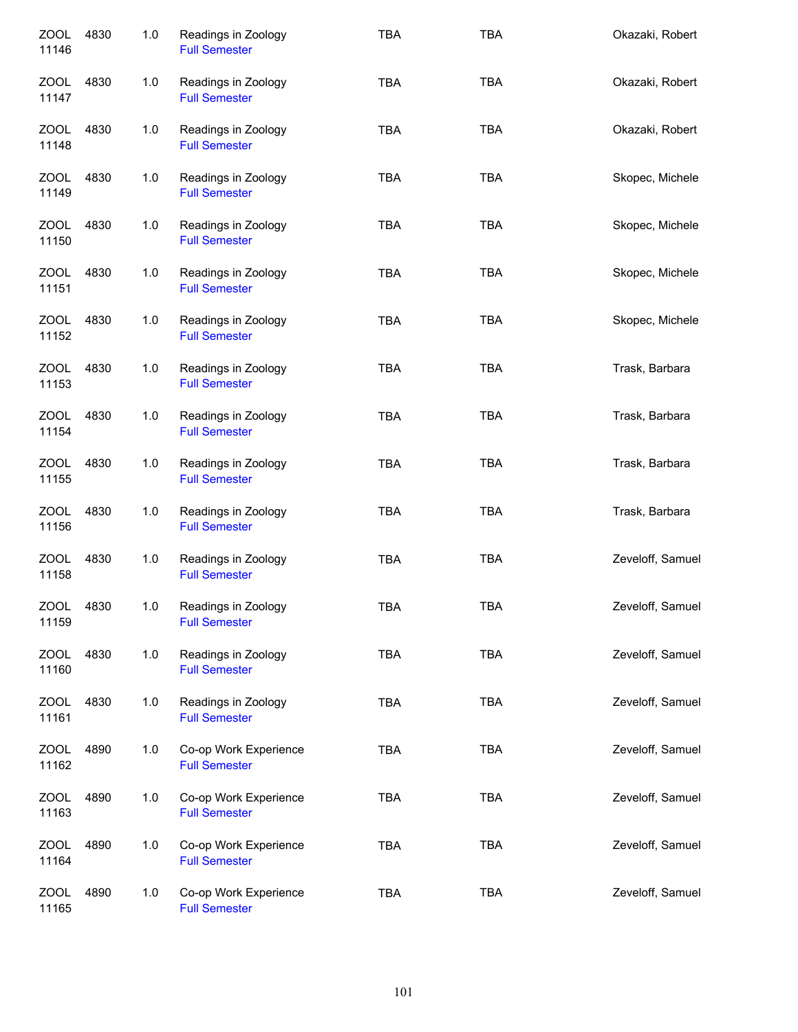| <b>ZOOL</b><br>11146 | 4830 | 1.0 | Readings in Zoology<br><b>Full Semester</b>   | <b>TBA</b> | <b>TBA</b> | Okazaki, Robert  |
|----------------------|------|-----|-----------------------------------------------|------------|------------|------------------|
| <b>ZOOL</b><br>11147 | 4830 | 1.0 | Readings in Zoology<br><b>Full Semester</b>   | <b>TBA</b> | <b>TBA</b> | Okazaki, Robert  |
| <b>ZOOL</b><br>11148 | 4830 | 1.0 | Readings in Zoology<br><b>Full Semester</b>   | <b>TBA</b> | <b>TBA</b> | Okazaki, Robert  |
| ZOOL<br>11149        | 4830 | 1.0 | Readings in Zoology<br><b>Full Semester</b>   | <b>TBA</b> | <b>TBA</b> | Skopec, Michele  |
| ZOOL<br>11150        | 4830 | 1.0 | Readings in Zoology<br><b>Full Semester</b>   | <b>TBA</b> | <b>TBA</b> | Skopec, Michele  |
| ZOOL<br>11151        | 4830 | 1.0 | Readings in Zoology<br><b>Full Semester</b>   | <b>TBA</b> | <b>TBA</b> | Skopec, Michele  |
| ZOOL<br>11152        | 4830 | 1.0 | Readings in Zoology<br><b>Full Semester</b>   | <b>TBA</b> | <b>TBA</b> | Skopec, Michele  |
| <b>ZOOL</b><br>11153 | 4830 | 1.0 | Readings in Zoology<br><b>Full Semester</b>   | <b>TBA</b> | <b>TBA</b> | Trask, Barbara   |
| <b>ZOOL</b><br>11154 | 4830 | 1.0 | Readings in Zoology<br><b>Full Semester</b>   | <b>TBA</b> | <b>TBA</b> | Trask, Barbara   |
| <b>ZOOL</b><br>11155 | 4830 | 1.0 | Readings in Zoology<br><b>Full Semester</b>   | <b>TBA</b> | <b>TBA</b> | Trask, Barbara   |
| <b>ZOOL</b><br>11156 | 4830 | 1.0 | Readings in Zoology<br><b>Full Semester</b>   | <b>TBA</b> | <b>TBA</b> | Trask, Barbara   |
| <b>ZOOL</b><br>11158 | 4830 | 1.0 | Readings in Zoology<br><b>Full Semester</b>   | <b>TBA</b> | <b>TBA</b> | Zeveloff, Samuel |
| <b>ZOOL</b><br>11159 | 4830 | 1.0 | Readings in Zoology<br><b>Full Semester</b>   | TBA        | <b>TBA</b> | Zeveloff, Samuel |
| ZOOL<br>11160        | 4830 | 1.0 | Readings in Zoology<br><b>Full Semester</b>   | <b>TBA</b> | <b>TBA</b> | Zeveloff, Samuel |
| ZOOL<br>11161        | 4830 | 1.0 | Readings in Zoology<br><b>Full Semester</b>   | <b>TBA</b> | <b>TBA</b> | Zeveloff, Samuel |
| ZOOL<br>11162        | 4890 | 1.0 | Co-op Work Experience<br><b>Full Semester</b> | <b>TBA</b> | <b>TBA</b> | Zeveloff, Samuel |
| <b>ZOOL</b><br>11163 | 4890 | 1.0 | Co-op Work Experience<br><b>Full Semester</b> | <b>TBA</b> | <b>TBA</b> | Zeveloff, Samuel |
| <b>ZOOL</b><br>11164 | 4890 | 1.0 | Co-op Work Experience<br><b>Full Semester</b> | <b>TBA</b> | <b>TBA</b> | Zeveloff, Samuel |
| <b>ZOOL</b><br>11165 | 4890 | 1.0 | Co-op Work Experience<br><b>Full Semester</b> | <b>TBA</b> | <b>TBA</b> | Zeveloff, Samuel |